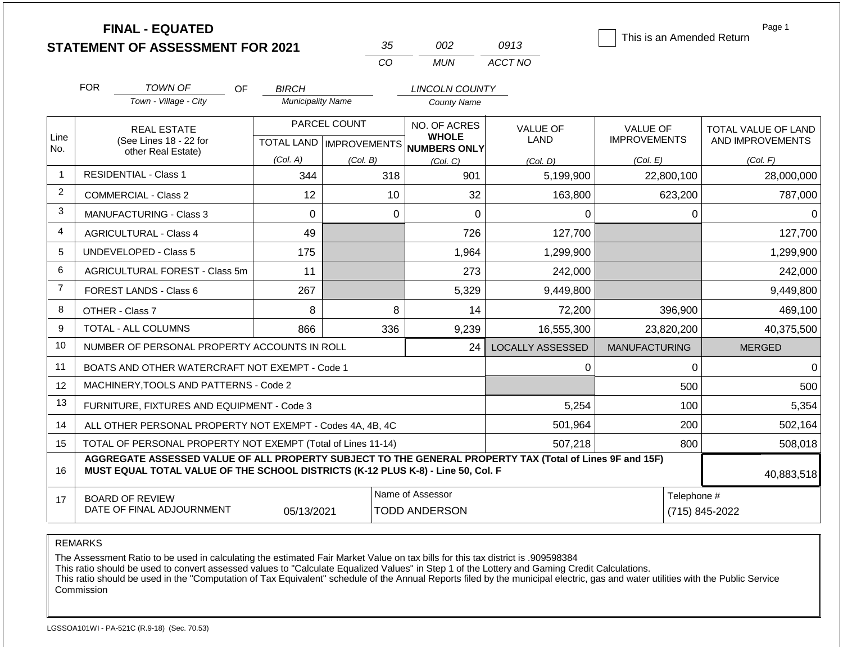|                |                               | <b>FINAL - EQUATED</b><br><b>STATEMENT OF ASSESSMENT FOR 2021</b>                                                                                                                            |                          |                                           | 35                                       | 002                                          | 0913                    |                                        |                | Page 1<br>This is an Amended Return     |
|----------------|-------------------------------|----------------------------------------------------------------------------------------------------------------------------------------------------------------------------------------------|--------------------------|-------------------------------------------|------------------------------------------|----------------------------------------------|-------------------------|----------------------------------------|----------------|-----------------------------------------|
|                |                               |                                                                                                                                                                                              |                          | CO                                        |                                          | <b>MUN</b>                                   | ACCT NO                 |                                        |                |                                         |
|                | <b>FOR</b>                    | <b>TOWN OF</b><br><b>OF</b>                                                                                                                                                                  | <b>BIRCH</b>             |                                           |                                          | <b>LINCOLN COUNTY</b>                        |                         |                                        |                |                                         |
|                |                               | Town - Village - City                                                                                                                                                                        | <b>Municipality Name</b> |                                           |                                          | <b>County Name</b>                           |                         |                                        |                |                                         |
| Line<br>No.    |                               | <b>REAL ESTATE</b><br>(See Lines 18 - 22 for                                                                                                                                                 |                          | PARCEL COUNT<br>TOTAL LAND   IMPROVEMENTS |                                          | NO. OF ACRES<br><b>WHOLE</b><br>NUMBERS ONLY | VALUE OF<br>LAND        | <b>VALUE OF</b><br><b>IMPROVEMENTS</b> |                | TOTAL VALUE OF LAND<br>AND IMPROVEMENTS |
|                | other Real Estate)            |                                                                                                                                                                                              | (Col. A)                 | (Col. B)                                  |                                          | (Col, C)                                     | (Col. D)                | (Col. E)                               |                | (Col. F)                                |
| $\mathbf{1}$   |                               | <b>RESIDENTIAL - Class 1</b>                                                                                                                                                                 | 344                      |                                           | 318                                      | 901                                          | 5,199,900               |                                        | 22,800,100     | 28,000,000                              |
| $\overline{2}$ |                               | <b>COMMERCIAL - Class 2</b>                                                                                                                                                                  | 12                       |                                           | 10                                       | 32                                           | 163,800                 |                                        | 623,200        | 787,000                                 |
| 3              |                               | <b>MANUFACTURING - Class 3</b>                                                                                                                                                               | $\mathbf 0$              |                                           | $\mathbf 0$                              | 0                                            | 0                       |                                        | 0              | 0                                       |
| 4              | <b>AGRICULTURAL - Class 4</b> |                                                                                                                                                                                              | 49                       |                                           |                                          | 726                                          | 127,700                 |                                        |                | 127,700                                 |
| 5              |                               | <b>UNDEVELOPED - Class 5</b>                                                                                                                                                                 | 175                      |                                           |                                          | 1,964                                        | 1,299,900               |                                        |                | 1,299,900                               |
| 6              |                               | AGRICULTURAL FOREST - Class 5m                                                                                                                                                               | 11                       |                                           |                                          | 273                                          | 242,000                 |                                        |                | 242,000                                 |
| $\overline{7}$ |                               | FOREST LANDS - Class 6                                                                                                                                                                       | 267                      |                                           |                                          | 5,329                                        | 9,449,800               |                                        |                | 9,449,800                               |
| 8              |                               | OTHER - Class 7                                                                                                                                                                              | 8                        |                                           | 8                                        | 14                                           | 72,200                  |                                        | 396,900        | 469,100                                 |
| 9              |                               | <b>TOTAL - ALL COLUMNS</b>                                                                                                                                                                   | 866                      |                                           | 336                                      | 9,239                                        | 16,555,300              |                                        | 23,820,200     | 40,375,500                              |
| 10             |                               | NUMBER OF PERSONAL PROPERTY ACCOUNTS IN ROLL                                                                                                                                                 |                          |                                           |                                          | 24                                           | <b>LOCALLY ASSESSED</b> | <b>MANUFACTURING</b>                   |                | <b>MERGED</b>                           |
| 11             |                               | BOATS AND OTHER WATERCRAFT NOT EXEMPT - Code 1                                                                                                                                               |                          |                                           |                                          |                                              | 0                       |                                        | $\Omega$       | $\Omega$                                |
| 12             |                               | MACHINERY, TOOLS AND PATTERNS - Code 2                                                                                                                                                       |                          |                                           |                                          |                                              |                         |                                        | 500            | 500                                     |
| 13             |                               | FURNITURE, FIXTURES AND EQUIPMENT - Code 3                                                                                                                                                   |                          |                                           |                                          |                                              | 5,254                   |                                        | 100            | 5,354                                   |
| 14             |                               | ALL OTHER PERSONAL PROPERTY NOT EXEMPT - Codes 4A, 4B, 4C                                                                                                                                    |                          |                                           |                                          |                                              | 501,964                 |                                        | 200            | 502,164                                 |
| 15             |                               | TOTAL OF PERSONAL PROPERTY NOT EXEMPT (Total of Lines 11-14)                                                                                                                                 |                          |                                           | 507,218                                  |                                              | 800                     | 508,018                                |                |                                         |
| 16             |                               | AGGREGATE ASSESSED VALUE OF ALL PROPERTY SUBJECT TO THE GENERAL PROPERTY TAX (Total of Lines 9F and 15F)<br>MUST EQUAL TOTAL VALUE OF THE SCHOOL DISTRICTS (K-12 PLUS K-8) - Line 50, Col. F |                          |                                           |                                          |                                              |                         |                                        |                | 40,883,518                              |
| 17             |                               | <b>BOARD OF REVIEW</b><br>DATE OF FINAL ADJOURNMENT                                                                                                                                          | 05/13/2021               |                                           | Name of Assessor<br><b>TODD ANDERSON</b> |                                              |                         | Telephone #                            | (715) 845-2022 |                                         |

REMARKS

The Assessment Ratio to be used in calculating the estimated Fair Market Value on tax bills for this tax district is .909598384

This ratio should be used to convert assessed values to "Calculate Equalized Values" in Step 1 of the Lottery and Gaming Credit Calculations.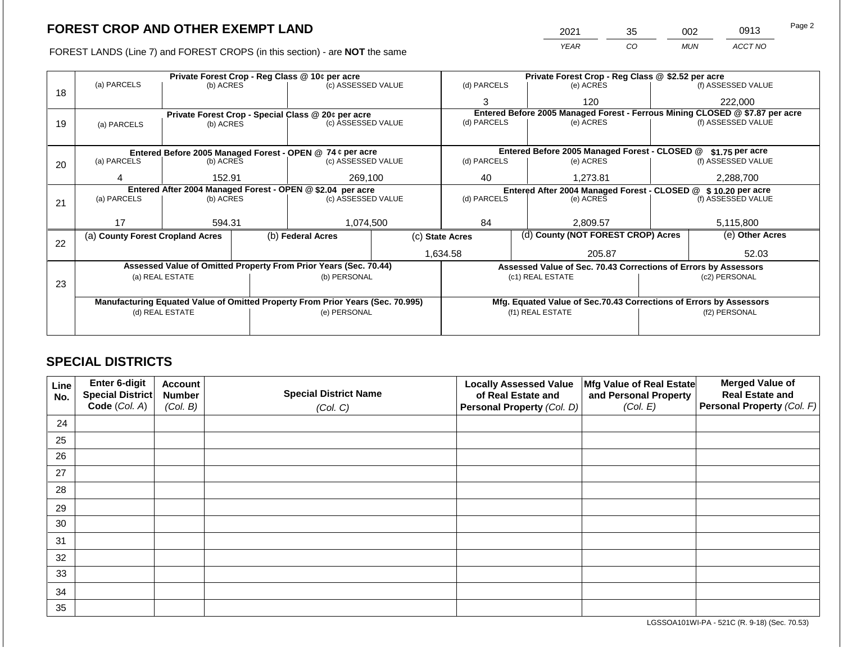FOREST LANDS (Line 7) and FOREST CROPS (in this section) - are **NOT** the same

| 2021 | 35 | 002 | 0913    | Page 2 |
|------|----|-----|---------|--------|
| YFAR | CО | MUN | ACCT NO |        |

|    |                                                                                |                                 | Private Forest Crop - Reg Class @ 10¢ per acre |                                                                  | Private Forest Crop - Reg Class @ \$2.52 per acre |                                                                              |                                                                    |                                                                 |           |                    |
|----|--------------------------------------------------------------------------------|---------------------------------|------------------------------------------------|------------------------------------------------------------------|---------------------------------------------------|------------------------------------------------------------------------------|--------------------------------------------------------------------|-----------------------------------------------------------------|-----------|--------------------|
|    | (a) PARCELS                                                                    | (b) ACRES                       |                                                | (c) ASSESSED VALUE                                               |                                                   | (d) PARCELS                                                                  |                                                                    | (e) ACRES                                                       |           | (f) ASSESSED VALUE |
| 18 |                                                                                |                                 |                                                |                                                                  |                                                   | 3                                                                            |                                                                    | 120                                                             |           | 222,000            |
|    |                                                                                |                                 |                                                | Private Forest Crop - Special Class @ 20¢ per acre               |                                                   | Entered Before 2005 Managed Forest - Ferrous Mining CLOSED @ \$7.87 per acre |                                                                    |                                                                 |           |                    |
| 19 | (a) PARCELS                                                                    | (b) ACRES                       |                                                | (c) ASSESSED VALUE                                               |                                                   | (d) PARCELS                                                                  |                                                                    | (e) ACRES                                                       |           | (f) ASSESSED VALUE |
|    |                                                                                |                                 |                                                |                                                                  |                                                   |                                                                              |                                                                    |                                                                 |           |                    |
|    |                                                                                |                                 |                                                | Entered Before 2005 Managed Forest - OPEN @ 74 ¢ per acre        |                                                   |                                                                              |                                                                    | Entered Before 2005 Managed Forest - CLOSED @                   |           | \$1.75 per acre    |
| 20 | (a) PARCELS                                                                    | (b) ACRES                       |                                                | (c) ASSESSED VALUE                                               |                                                   | (d) PARCELS                                                                  |                                                                    | (e) ACRES                                                       |           | (f) ASSESSED VALUE |
|    |                                                                                |                                 |                                                |                                                                  |                                                   |                                                                              |                                                                    |                                                                 |           |                    |
|    |                                                                                | 269,100<br>152.91               |                                                | 1.273.81<br>40                                                   |                                                   | 2,288,700                                                                    |                                                                    |                                                                 |           |                    |
|    | Entered After 2004 Managed Forest - OPEN @ \$2.04 per acre                     |                                 |                                                |                                                                  |                                                   |                                                                              | Entered After 2004 Managed Forest - CLOSED @ \$10.20 per acre      |                                                                 |           |                    |
| 21 | (a) PARCELS                                                                    | (c) ASSESSED VALUE<br>(b) ACRES |                                                | (d) PARCELS                                                      |                                                   | (e) ACRES                                                                    |                                                                    | (f) ASSESSED VALUE                                              |           |                    |
|    |                                                                                |                                 |                                                |                                                                  |                                                   |                                                                              |                                                                    |                                                                 |           |                    |
|    | 17                                                                             | 594.31                          |                                                | 1,074,500                                                        |                                                   | 84<br>2,809.57                                                               |                                                                    |                                                                 | 5,115,800 |                    |
|    | (a) County Forest Cropland Acres                                               |                                 |                                                | (b) Federal Acres                                                |                                                   | (d) County (NOT FOREST CROP) Acres<br>(c) State Acres                        |                                                                    |                                                                 |           | (e) Other Acres    |
| 22 |                                                                                |                                 |                                                |                                                                  |                                                   |                                                                              |                                                                    |                                                                 |           |                    |
|    |                                                                                |                                 |                                                |                                                                  |                                                   | 1,634.58                                                                     |                                                                    | 205.87                                                          |           | 52.03              |
|    |                                                                                |                                 |                                                | Assessed Value of Omitted Property From Prior Years (Sec. 70.44) |                                                   |                                                                              |                                                                    | Assessed Value of Sec. 70.43 Corrections of Errors by Assessors |           |                    |
|    |                                                                                | (a) REAL ESTATE                 |                                                | (b) PERSONAL                                                     |                                                   |                                                                              |                                                                    | (c1) REAL ESTATE                                                |           | (c2) PERSONAL      |
| 23 |                                                                                |                                 |                                                |                                                                  |                                                   |                                                                              |                                                                    |                                                                 |           |                    |
|    | Manufacturing Equated Value of Omitted Property From Prior Years (Sec. 70.995) |                                 |                                                |                                                                  |                                                   |                                                                              | Mfg. Equated Value of Sec.70.43 Corrections of Errors by Assessors |                                                                 |           |                    |
|    |                                                                                |                                 |                                                |                                                                  |                                                   |                                                                              |                                                                    |                                                                 |           |                    |
|    |                                                                                | (d) REAL ESTATE                 |                                                | (e) PERSONAL                                                     |                                                   |                                                                              |                                                                    | (f1) REAL ESTATE                                                |           | (f2) PERSONAL      |
|    |                                                                                |                                 |                                                |                                                                  |                                                   |                                                                              |                                                                    |                                                                 |           |                    |
|    |                                                                                |                                 |                                                |                                                                  |                                                   |                                                                              |                                                                    |                                                                 |           |                    |

### **SPECIAL DISTRICTS**

| Line<br>No. | Enter 6-digit<br>Special District<br>Code (Col. A) | <b>Account</b><br><b>Number</b><br>(Col. B) | <b>Special District Name</b><br>(Col. C) | <b>Locally Assessed Value</b><br>of Real Estate and<br>Personal Property (Col. D) | Mfg Value of Real Estate<br>and Personal Property<br>(Col. E) | <b>Merged Value of</b><br><b>Real Estate and</b><br>Personal Property (Col. F) |
|-------------|----------------------------------------------------|---------------------------------------------|------------------------------------------|-----------------------------------------------------------------------------------|---------------------------------------------------------------|--------------------------------------------------------------------------------|
| 24          |                                                    |                                             |                                          |                                                                                   |                                                               |                                                                                |
| 25          |                                                    |                                             |                                          |                                                                                   |                                                               |                                                                                |
| 26          |                                                    |                                             |                                          |                                                                                   |                                                               |                                                                                |
| 27          |                                                    |                                             |                                          |                                                                                   |                                                               |                                                                                |
| 28          |                                                    |                                             |                                          |                                                                                   |                                                               |                                                                                |
| 29          |                                                    |                                             |                                          |                                                                                   |                                                               |                                                                                |
| 30          |                                                    |                                             |                                          |                                                                                   |                                                               |                                                                                |
| 31          |                                                    |                                             |                                          |                                                                                   |                                                               |                                                                                |
| 32          |                                                    |                                             |                                          |                                                                                   |                                                               |                                                                                |
| 33          |                                                    |                                             |                                          |                                                                                   |                                                               |                                                                                |
| 34          |                                                    |                                             |                                          |                                                                                   |                                                               |                                                                                |
| 35          |                                                    |                                             |                                          |                                                                                   |                                                               |                                                                                |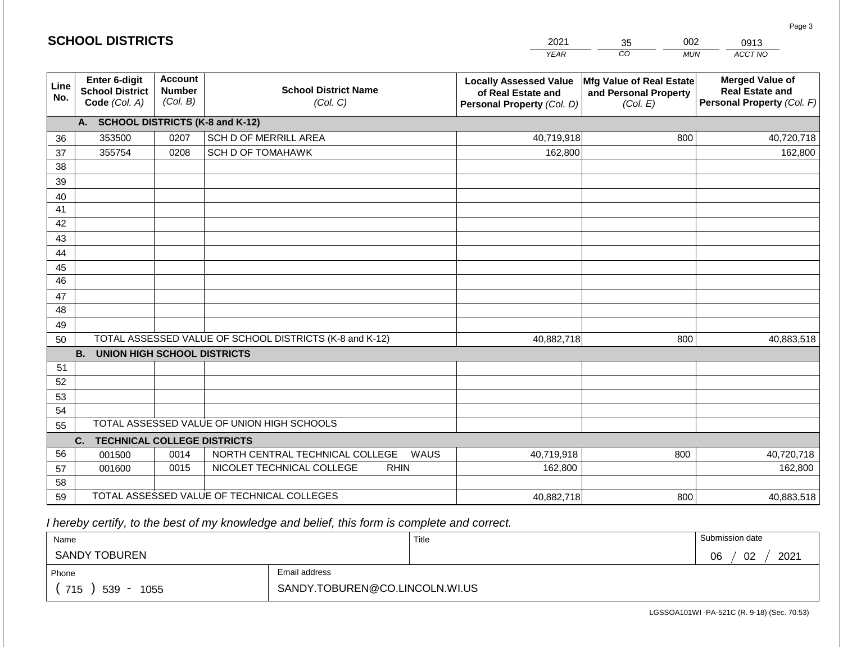| <b>SCHOOL DISTRICTS</b><br>2021 |                                                                 |                                             |                                                         |                                                                                   |                                                               | 002<br>0913                                                                    |
|---------------------------------|-----------------------------------------------------------------|---------------------------------------------|---------------------------------------------------------|-----------------------------------------------------------------------------------|---------------------------------------------------------------|--------------------------------------------------------------------------------|
|                                 |                                                                 |                                             |                                                         | <b>YEAR</b>                                                                       | CO<br><b>MUN</b>                                              | ACCT NO                                                                        |
| Line<br>No.                     | <b>Enter 6-digit</b><br><b>School District</b><br>Code (Col. A) | <b>Account</b><br><b>Number</b><br>(Col. B) | <b>School District Name</b><br>(Col. C)                 | <b>Locally Assessed Value</b><br>of Real Estate and<br>Personal Property (Col. D) | Mfg Value of Real Estate<br>and Personal Property<br>(Col. E) | <b>Merged Value of</b><br><b>Real Estate and</b><br>Personal Property (Col. F) |
|                                 | A. SCHOOL DISTRICTS (K-8 and K-12)                              |                                             |                                                         |                                                                                   |                                                               |                                                                                |
| 36                              | 353500                                                          | 0207                                        | SCH D OF MERRILL AREA                                   | 40,719,918                                                                        | 800                                                           | 40,720,718                                                                     |
| 37                              | 355754                                                          | 0208                                        | <b>SCH D OF TOMAHAWK</b>                                | 162,800                                                                           |                                                               | 162,800                                                                        |
| 38                              |                                                                 |                                             |                                                         |                                                                                   |                                                               |                                                                                |
| 39                              |                                                                 |                                             |                                                         |                                                                                   |                                                               |                                                                                |
| 40                              |                                                                 |                                             |                                                         |                                                                                   |                                                               |                                                                                |
| 41                              |                                                                 |                                             |                                                         |                                                                                   |                                                               |                                                                                |
| 42                              |                                                                 |                                             |                                                         |                                                                                   |                                                               |                                                                                |
| 43                              |                                                                 |                                             |                                                         |                                                                                   |                                                               |                                                                                |
| 44                              |                                                                 |                                             |                                                         |                                                                                   |                                                               |                                                                                |
| 45<br>$\overline{46}$           |                                                                 |                                             |                                                         |                                                                                   |                                                               |                                                                                |
|                                 |                                                                 |                                             |                                                         |                                                                                   |                                                               |                                                                                |
| 47<br>48                        |                                                                 |                                             |                                                         |                                                                                   |                                                               |                                                                                |
| 49                              |                                                                 |                                             |                                                         |                                                                                   |                                                               |                                                                                |
| 50                              |                                                                 |                                             | TOTAL ASSESSED VALUE OF SCHOOL DISTRICTS (K-8 and K-12) | 40,882,718                                                                        | 800                                                           | 40,883,518                                                                     |
|                                 | <b>B. UNION HIGH SCHOOL DISTRICTS</b>                           |                                             |                                                         |                                                                                   |                                                               |                                                                                |
| 51                              |                                                                 |                                             |                                                         |                                                                                   |                                                               |                                                                                |
| 52                              |                                                                 |                                             |                                                         |                                                                                   |                                                               |                                                                                |
| 53                              |                                                                 |                                             |                                                         |                                                                                   |                                                               |                                                                                |
| 54                              |                                                                 |                                             |                                                         |                                                                                   |                                                               |                                                                                |
| 55                              |                                                                 |                                             | TOTAL ASSESSED VALUE OF UNION HIGH SCHOOLS              |                                                                                   |                                                               |                                                                                |
|                                 | <b>TECHNICAL COLLEGE DISTRICTS</b><br>C.                        |                                             |                                                         |                                                                                   |                                                               |                                                                                |
| 56                              | 001500                                                          | 0014                                        | NORTH CENTRAL TECHNICAL COLLEGE<br>WAUS                 | 40,719,918                                                                        | 800                                                           | 40,720,718                                                                     |
| 57                              | 001600                                                          | 0015                                        | NICOLET TECHNICAL COLLEGE<br><b>RHIN</b>                | 162,800                                                                           |                                                               | 162,800                                                                        |
| 58                              |                                                                 |                                             |                                                         |                                                                                   |                                                               |                                                                                |
| 59                              |                                                                 |                                             | TOTAL ASSESSED VALUE OF TECHNICAL COLLEGES              | 40,882,718                                                                        | 800                                                           | 40,883,518                                                                     |

 *I hereby certify, to the best of my knowledge and belief, this form is complete and correct.*

| Name                 |                                | Title | Submission date  |
|----------------------|--------------------------------|-------|------------------|
| <b>SANDY TOBUREN</b> |                                |       | 2021<br>02<br>06 |
| Phone                | Email address                  |       |                  |
| 715<br>539<br>1055   | SANDY.TOBUREN@CO.LINCOLN.WI.US |       |                  |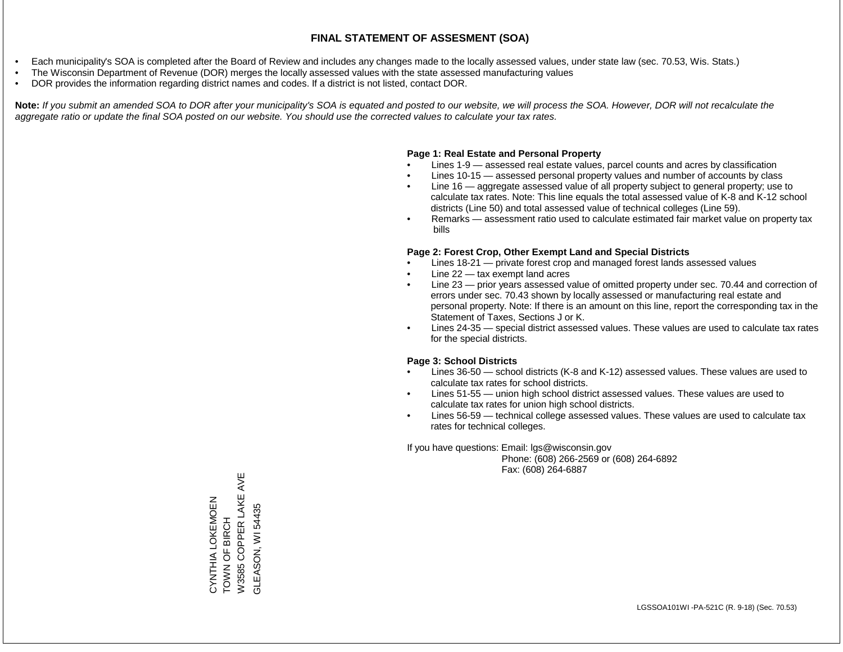- Each municipality's SOA is completed after the Board of Review and includes any changes made to the locally assessed values, under state law (sec. 70.53, Wis. Stats.)
- The Wisconsin Department of Revenue (DOR) merges the locally assessed values with the state assessed manufacturing values
- DOR provides the information regarding district names and codes. If a district is not listed, contact DOR.

Note: If you submit an amended SOA to DOR after your municipality's SOA is equated and posted to our website, we will process the SOA. However, DOR will not recalculate the *aggregate ratio or update the final SOA posted on our website. You should use the corrected values to calculate your tax rates.*

#### **Page 1: Real Estate and Personal Property**

- Lines 1-9 assessed real estate values, parcel counts and acres by classification
- Lines 10-15 assessed personal property values and number of accounts by class
- Line 16 aggregate assessed value of all property subject to general property; use to calculate tax rates. Note: This line equals the total assessed value of K-8 and K-12 school districts (Line 50) and total assessed value of technical colleges (Line 59).
- Remarks assessment ratio used to calculate estimated fair market value on property tax bills

#### **Page 2: Forest Crop, Other Exempt Land and Special Districts**

- Lines 18-21 private forest crop and managed forest lands assessed values
- Line  $22 -$  tax exempt land acres
- Line 23 prior years assessed value of omitted property under sec. 70.44 and correction of errors under sec. 70.43 shown by locally assessed or manufacturing real estate and personal property. Note: If there is an amount on this line, report the corresponding tax in the Statement of Taxes, Sections J or K.
- Lines 24-35 special district assessed values. These values are used to calculate tax rates for the special districts.

#### **Page 3: School Districts**

- Lines 36-50 school districts (K-8 and K-12) assessed values. These values are used to calculate tax rates for school districts.
- Lines 51-55 union high school district assessed values. These values are used to calculate tax rates for union high school districts.
- Lines 56-59 technical college assessed values. These values are used to calculate tax rates for technical colleges.

If you have questions: Email: lgs@wisconsin.gov

 Phone: (608) 266-2569 or (608) 264-6892 Fax: (608) 264-6887

W3585 COPPER LAKE AVE W3585 COPPER LAKE AVE CYNTHIA LOKEMOEN<br>TOWN OF BIRCH CYNTHIA LOKEMOEN GLEASON, WI54435 GLEASON, WI 54435TOWN OF BIRCH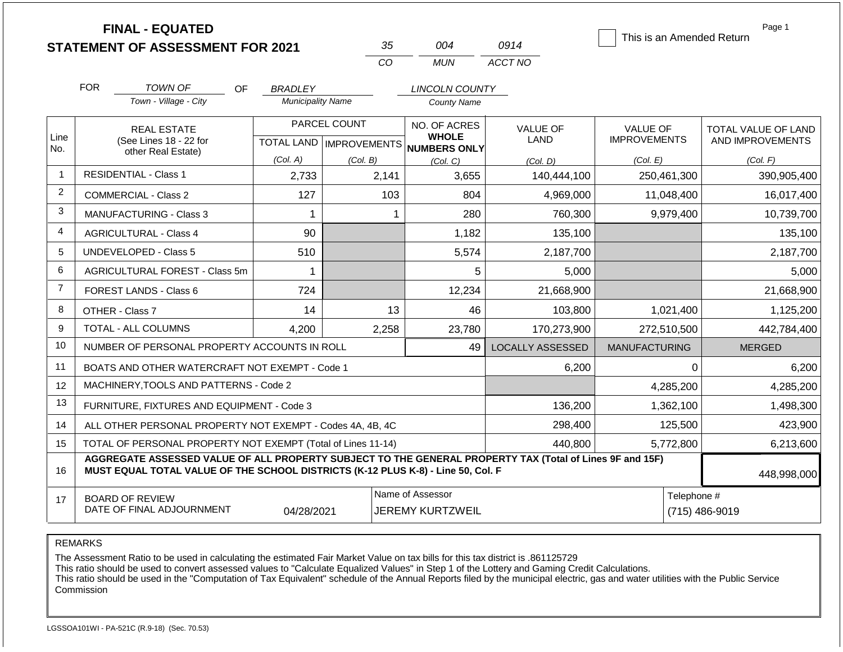|                |                                                                                                                                 | <b>FINAL - EQUATED</b><br><b>STATEMENT OF ASSESSMENT FOR 2021</b>                                        |                          | 35           | 004                                                 | 0914                    | This is an Amended Return | Page 1              |
|----------------|---------------------------------------------------------------------------------------------------------------------------------|----------------------------------------------------------------------------------------------------------|--------------------------|--------------|-----------------------------------------------------|-------------------------|---------------------------|---------------------|
|                |                                                                                                                                 |                                                                                                          |                          | CO           | <b>MUN</b>                                          | ACCT NO                 |                           |                     |
|                | <b>FOR</b>                                                                                                                      | TOWN OF<br><b>OF</b>                                                                                     | <b>BRADLEY</b>           |              | <b>LINCOLN COUNTY</b>                               |                         |                           |                     |
|                |                                                                                                                                 | Town - Village - City                                                                                    | <b>Municipality Name</b> |              | <b>County Name</b>                                  |                         |                           |                     |
|                |                                                                                                                                 | <b>REAL ESTATE</b>                                                                                       |                          | PARCEL COUNT | NO. OF ACRES                                        | <b>VALUE OF</b>         | <b>VALUE OF</b>           | TOTAL VALUE OF LAND |
| Line<br>No.    |                                                                                                                                 | (See Lines 18 - 22 for<br>other Real Estate)                                                             |                          |              | <b>WHOLE</b><br>TOTAL LAND MPROVEMENTS NUMBERS ONLY | LAND                    | <b>IMPROVEMENTS</b>       | AND IMPROVEMENTS    |
|                |                                                                                                                                 |                                                                                                          | (Col. A)                 | (Col. B)     | (Col. C)                                            | (Col. D)                | (Col. E)                  | (Col. F)            |
| $\mathbf{1}$   |                                                                                                                                 | <b>RESIDENTIAL - Class 1</b>                                                                             | 2,733                    | 2,141        | 3,655                                               | 140,444,100             | 250,461,300               | 390,905,400         |
| $\overline{2}$ |                                                                                                                                 | <b>COMMERCIAL - Class 2</b>                                                                              | 127                      | 103          | 804                                                 | 4,969,000               | 11,048,400                | 16,017,400          |
| 3              | <b>MANUFACTURING - Class 3</b>                                                                                                  |                                                                                                          | 1                        |              | 1<br>280                                            | 760,300                 | 9,979,400                 | 10,739,700          |
| 4              | <b>AGRICULTURAL - Class 4</b>                                                                                                   |                                                                                                          | 90                       |              | 1,182                                               | 135,100                 |                           | 135,100             |
| 5              | UNDEVELOPED - Class 5                                                                                                           |                                                                                                          | 510                      |              | 5,574                                               | 2,187,700               |                           | 2,187,700           |
| 6              |                                                                                                                                 | AGRICULTURAL FOREST - Class 5m                                                                           | 1                        |              | 5                                                   | 5,000                   |                           | 5,000               |
| $\overline{7}$ |                                                                                                                                 | <b>FOREST LANDS - Class 6</b>                                                                            | 724                      |              | 12,234                                              | 21,668,900              |                           | 21,668,900          |
| 8              |                                                                                                                                 | OTHER - Class 7                                                                                          | 14                       | 13           | 46                                                  | 103,800                 | 1,021,400                 | 1,125,200           |
| 9              |                                                                                                                                 | TOTAL - ALL COLUMNS                                                                                      | 4,200                    | 2,258        | 23,780                                              | 170,273,900             | 272,510,500               | 442,784,400         |
| 10             |                                                                                                                                 | NUMBER OF PERSONAL PROPERTY ACCOUNTS IN ROLL                                                             |                          |              | 49                                                  | <b>LOCALLY ASSESSED</b> | <b>MANUFACTURING</b>      | <b>MERGED</b>       |
| 11             |                                                                                                                                 | BOATS AND OTHER WATERCRAFT NOT EXEMPT - Code 1                                                           |                          |              |                                                     | 6,200                   | 0                         | 6,200               |
| 12             |                                                                                                                                 | MACHINERY, TOOLS AND PATTERNS - Code 2                                                                   |                          |              |                                                     |                         | 4,285,200                 | 4,285,200           |
| 13             |                                                                                                                                 | FURNITURE, FIXTURES AND EQUIPMENT - Code 3                                                               |                          |              |                                                     | 136,200                 | 1,362,100                 | 1,498,300           |
| 14             |                                                                                                                                 | ALL OTHER PERSONAL PROPERTY NOT EXEMPT - Codes 4A, 4B, 4C                                                |                          |              |                                                     | 298,400                 | 125,500                   | 423,900             |
| 15             |                                                                                                                                 | TOTAL OF PERSONAL PROPERTY NOT EXEMPT (Total of Lines 11-14)                                             |                          | 440,800      | 5,772,800                                           | 6,213,600               |                           |                     |
| 16             | MUST EQUAL TOTAL VALUE OF THE SCHOOL DISTRICTS (K-12 PLUS K-8) - Line 50, Col. F                                                | AGGREGATE ASSESSED VALUE OF ALL PROPERTY SUBJECT TO THE GENERAL PROPERTY TAX (Total of Lines 9F and 15F) | 448,998,000              |              |                                                     |                         |                           |                     |
| 17             | Name of Assessor<br>Telephone #<br><b>BOARD OF REVIEW</b><br>DATE OF FINAL ADJOURNMENT<br>04/28/2021<br><b>JEREMY KURTZWEIL</b> |                                                                                                          |                          |              |                                                     |                         |                           | (715) 486-9019      |

REMARKS

The Assessment Ratio to be used in calculating the estimated Fair Market Value on tax bills for this tax district is .861125729

This ratio should be used to convert assessed values to "Calculate Equalized Values" in Step 1 of the Lottery and Gaming Credit Calculations.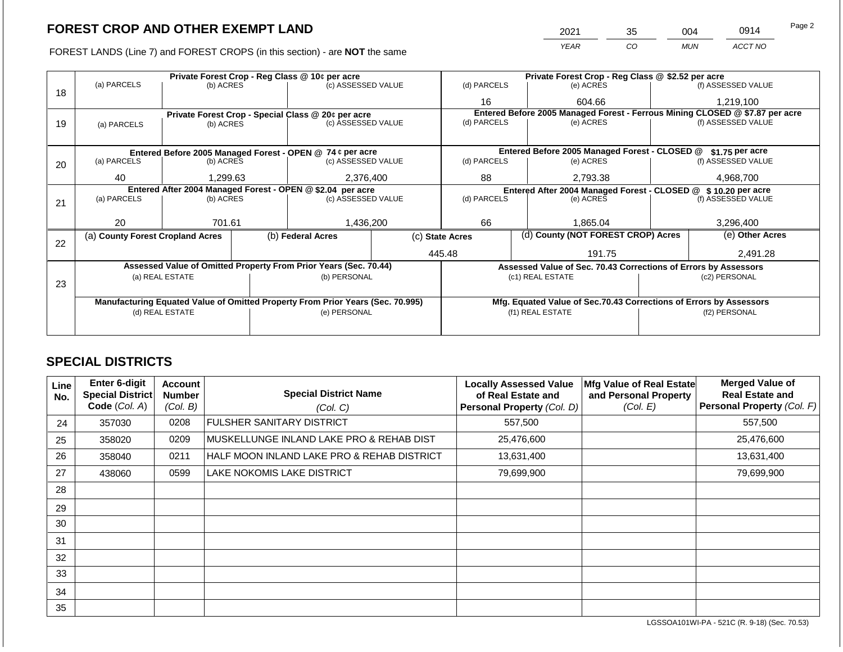FOREST LANDS (Line 7) and FOREST CROPS (in this section) - are NOT the same

| 2021 | 35 | 004.       | 0914    | Page 2 |
|------|----|------------|---------|--------|
| YFAR | 20 | <b>MUN</b> | ACCT NO |        |

|    |                                                                                       |                                 |                    | Private Forest Crop - Reg Class @ 10¢ per acre                                 |                                               | Private Forest Crop - Reg Class @ \$2.52 per acre                            |                                                               |                                                                    |                    |                    |  |
|----|---------------------------------------------------------------------------------------|---------------------------------|--------------------|--------------------------------------------------------------------------------|-----------------------------------------------|------------------------------------------------------------------------------|---------------------------------------------------------------|--------------------------------------------------------------------|--------------------|--------------------|--|
|    | (a) PARCELS                                                                           | (b) ACRES                       |                    | (c) ASSESSED VALUE                                                             |                                               | (d) PARCELS                                                                  |                                                               | (e) ACRES                                                          |                    | (f) ASSESSED VALUE |  |
| 18 |                                                                                       |                                 |                    |                                                                                |                                               | 16                                                                           |                                                               | 604.66                                                             |                    | 1,219,100          |  |
|    |                                                                                       |                                 |                    | Private Forest Crop - Special Class @ 20¢ per acre                             |                                               | Entered Before 2005 Managed Forest - Ferrous Mining CLOSED @ \$7.87 per acre |                                                               |                                                                    |                    |                    |  |
| 19 | (a) PARCELS                                                                           | (b) ACRES                       |                    | (c) ASSESSED VALUE                                                             |                                               | (d) PARCELS                                                                  |                                                               | (e) ACRES                                                          |                    | (f) ASSESSED VALUE |  |
|    |                                                                                       |                                 |                    |                                                                                |                                               |                                                                              |                                                               |                                                                    |                    |                    |  |
|    |                                                                                       |                                 |                    |                                                                                | Entered Before 2005 Managed Forest - CLOSED @ |                                                                              | \$1.75 per acre                                               |                                                                    |                    |                    |  |
| 20 | Entered Before 2005 Managed Forest - OPEN @ 74 ¢ per acre<br>(a) PARCELS<br>(b) ACRES |                                 | (c) ASSESSED VALUE |                                                                                | (d) PARCELS                                   |                                                                              | (e) ACRES                                                     |                                                                    | (f) ASSESSED VALUE |                    |  |
|    | 40                                                                                    | 2,376,400<br>1,299.63           |                    | 88                                                                             |                                               | 2,793.38                                                                     |                                                               | 4,968,700                                                          |                    |                    |  |
|    | Entered After 2004 Managed Forest - OPEN @ \$2.04 per acre                            |                                 |                    |                                                                                |                                               |                                                                              | Entered After 2004 Managed Forest - CLOSED @ \$10.20 per acre |                                                                    |                    |                    |  |
| 21 | (a) PARCELS                                                                           | (c) ASSESSED VALUE<br>(b) ACRES |                    |                                                                                | (d) PARCELS                                   |                                                                              | (e) ACRES                                                     |                                                                    | (f) ASSESSED VALUE |                    |  |
|    |                                                                                       |                                 |                    |                                                                                |                                               |                                                                              |                                                               |                                                                    |                    |                    |  |
|    | 20                                                                                    | 701.61                          |                    | 1,436,200                                                                      |                                               | 66                                                                           |                                                               | 1,865.04                                                           |                    | 3,296,400          |  |
| 22 | (a) County Forest Cropland Acres                                                      |                                 |                    | (b) Federal Acres                                                              |                                               | (d) County (NOT FOREST CROP) Acres<br>(c) State Acres                        |                                                               |                                                                    | (e) Other Acres    |                    |  |
|    |                                                                                       |                                 |                    |                                                                                |                                               | 445.48                                                                       |                                                               | 191.75                                                             |                    | 2,491.28           |  |
|    |                                                                                       |                                 |                    | Assessed Value of Omitted Property From Prior Years (Sec. 70.44)               |                                               |                                                                              |                                                               | Assessed Value of Sec. 70.43 Corrections of Errors by Assessors    |                    |                    |  |
|    |                                                                                       | (a) REAL ESTATE                 |                    | (b) PERSONAL                                                                   |                                               |                                                                              |                                                               | (c1) REAL ESTATE                                                   |                    | (c2) PERSONAL      |  |
| 23 |                                                                                       |                                 |                    |                                                                                |                                               |                                                                              |                                                               |                                                                    |                    |                    |  |
|    |                                                                                       |                                 |                    | Manufacturing Equated Value of Omitted Property From Prior Years (Sec. 70.995) |                                               |                                                                              |                                                               | Mfg. Equated Value of Sec.70.43 Corrections of Errors by Assessors |                    |                    |  |
|    |                                                                                       | (d) REAL ESTATE                 |                    | (e) PERSONAL                                                                   |                                               |                                                                              | (f1) REAL ESTATE                                              |                                                                    | (f2) PERSONAL      |                    |  |
|    |                                                                                       |                                 |                    |                                                                                |                                               |                                                                              |                                                               |                                                                    |                    |                    |  |
|    |                                                                                       |                                 |                    |                                                                                |                                               |                                                                              |                                                               |                                                                    |                    |                    |  |

## **SPECIAL DISTRICTS**

| Line<br>No. | <b>Enter 6-digit</b><br><b>Special District</b><br>Code (Col. A) | Account<br><b>Number</b><br>(Col. B) | <b>Special District Name</b><br>(Col. C)   | <b>Locally Assessed Value</b><br>of Real Estate and<br>Personal Property (Col. D) | Mfg Value of Real Estate<br>and Personal Property<br>(Col. E) | <b>Merged Value of</b><br><b>Real Estate and</b><br>Personal Property (Col. F) |
|-------------|------------------------------------------------------------------|--------------------------------------|--------------------------------------------|-----------------------------------------------------------------------------------|---------------------------------------------------------------|--------------------------------------------------------------------------------|
| 24          | 357030                                                           | 0208                                 | <b>FULSHER SANITARY DISTRICT</b>           | 557,500                                                                           |                                                               | 557,500                                                                        |
| 25          | 358020                                                           | 0209                                 | MUSKELLUNGE INLAND LAKE PRO & REHAB DIST   | 25,476,600                                                                        |                                                               | 25,476,600                                                                     |
| 26          | 358040                                                           | 0211                                 | HALF MOON INLAND LAKE PRO & REHAB DISTRICT | 13,631,400                                                                        |                                                               | 13,631,400                                                                     |
| 27          | 438060                                                           | 0599                                 | LAKE NOKOMIS LAKE DISTRICT                 | 79,699,900                                                                        |                                                               | 79,699,900                                                                     |
| 28          |                                                                  |                                      |                                            |                                                                                   |                                                               |                                                                                |
| 29          |                                                                  |                                      |                                            |                                                                                   |                                                               |                                                                                |
| 30          |                                                                  |                                      |                                            |                                                                                   |                                                               |                                                                                |
| 31          |                                                                  |                                      |                                            |                                                                                   |                                                               |                                                                                |
| 32          |                                                                  |                                      |                                            |                                                                                   |                                                               |                                                                                |
| 33          |                                                                  |                                      |                                            |                                                                                   |                                                               |                                                                                |
| 34          |                                                                  |                                      |                                            |                                                                                   |                                                               |                                                                                |
| 35          |                                                                  |                                      |                                            |                                                                                   |                                                               |                                                                                |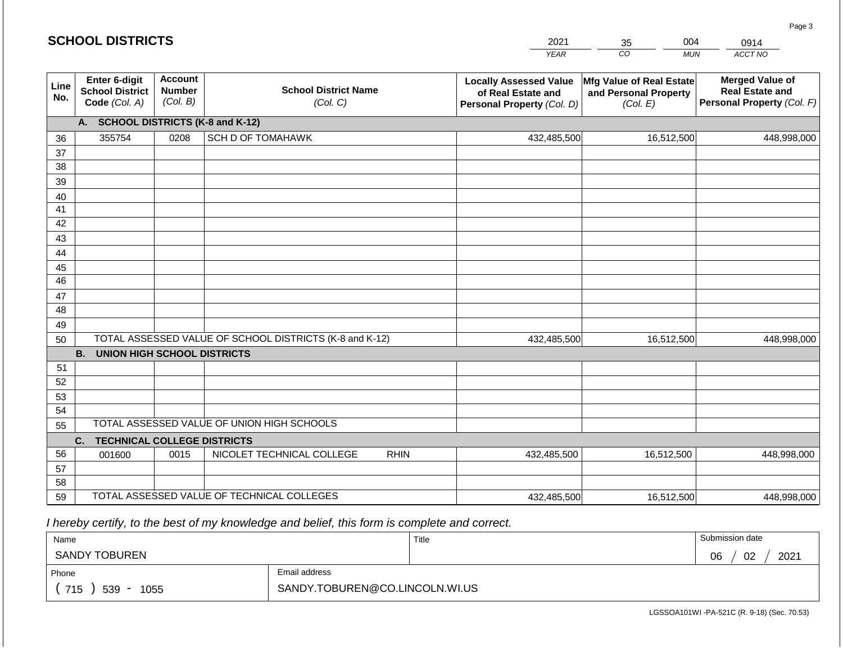|             | <b>SCHOOL DISTRICTS</b><br>2021<br>004<br>35<br>0914     |                                             |                                                         |                                                                                   |                                                               |                                                                                |
|-------------|----------------------------------------------------------|---------------------------------------------|---------------------------------------------------------|-----------------------------------------------------------------------------------|---------------------------------------------------------------|--------------------------------------------------------------------------------|
|             |                                                          |                                             |                                                         | <b>YEAR</b>                                                                       | CO<br><b>MUN</b>                                              | ACCT NO                                                                        |
| Line<br>No. | Enter 6-digit<br><b>School District</b><br>Code (Col. A) | <b>Account</b><br><b>Number</b><br>(Col. B) | <b>School District Name</b><br>(Col. C)                 | <b>Locally Assessed Value</b><br>of Real Estate and<br>Personal Property (Col. D) | Mfg Value of Real Estate<br>and Personal Property<br>(Col. E) | <b>Merged Value of</b><br><b>Real Estate and</b><br>Personal Property (Col. F) |
|             | A. SCHOOL DISTRICTS (K-8 and K-12)                       |                                             |                                                         |                                                                                   |                                                               |                                                                                |
| 36          | 355754                                                   | 0208                                        | SCH D OF TOMAHAWK                                       | 432,485,500                                                                       | 16,512,500                                                    | 448,998,000                                                                    |
| 37          |                                                          |                                             |                                                         |                                                                                   |                                                               |                                                                                |
| 38          |                                                          |                                             |                                                         |                                                                                   |                                                               |                                                                                |
| 39          |                                                          |                                             |                                                         |                                                                                   |                                                               |                                                                                |
| 40          |                                                          |                                             |                                                         |                                                                                   |                                                               |                                                                                |
| 41          |                                                          |                                             |                                                         |                                                                                   |                                                               |                                                                                |
| 42          |                                                          |                                             |                                                         |                                                                                   |                                                               |                                                                                |
| 43          |                                                          |                                             |                                                         |                                                                                   |                                                               |                                                                                |
| 44          |                                                          |                                             |                                                         |                                                                                   |                                                               |                                                                                |
| 45<br>46    |                                                          |                                             |                                                         |                                                                                   |                                                               |                                                                                |
| 47          |                                                          |                                             |                                                         |                                                                                   |                                                               |                                                                                |
| 48          |                                                          |                                             |                                                         |                                                                                   |                                                               |                                                                                |
| 49          |                                                          |                                             |                                                         |                                                                                   |                                                               |                                                                                |
| 50          |                                                          |                                             | TOTAL ASSESSED VALUE OF SCHOOL DISTRICTS (K-8 and K-12) | 432,485,500                                                                       | 16,512,500                                                    | 448,998,000                                                                    |
|             | <b>B.</b><br><b>UNION HIGH SCHOOL DISTRICTS</b>          |                                             |                                                         |                                                                                   |                                                               |                                                                                |
| 51          |                                                          |                                             |                                                         |                                                                                   |                                                               |                                                                                |
| 52          |                                                          |                                             |                                                         |                                                                                   |                                                               |                                                                                |
| 53          |                                                          |                                             |                                                         |                                                                                   |                                                               |                                                                                |
| 54          |                                                          |                                             |                                                         |                                                                                   |                                                               |                                                                                |
| 55          |                                                          |                                             | TOTAL ASSESSED VALUE OF UNION HIGH SCHOOLS              |                                                                                   |                                                               |                                                                                |
|             | C.<br><b>TECHNICAL COLLEGE DISTRICTS</b>                 |                                             |                                                         |                                                                                   |                                                               |                                                                                |
| 56          | 001600                                                   | 0015                                        | NICOLET TECHNICAL COLLEGE<br><b>RHIN</b>                | 432,485,500                                                                       | 16,512,500                                                    | 448,998,000                                                                    |
| 57          |                                                          |                                             |                                                         |                                                                                   |                                                               |                                                                                |
| 58          |                                                          |                                             |                                                         |                                                                                   |                                                               |                                                                                |
| 59          |                                                          |                                             | TOTAL ASSESSED VALUE OF TECHNICAL COLLEGES              | 432,485,500                                                                       | 16,512,500                                                    | 448,998,000                                                                    |

 *I hereby certify, to the best of my knowledge and belief, this form is complete and correct.*

| Name                 |                                | Title | Submission date  |
|----------------------|--------------------------------|-------|------------------|
| <b>SANDY TOBUREN</b> |                                |       | 02<br>2021<br>06 |
| Phone                | Email address                  |       |                  |
| 715<br>539<br>1055   | SANDY.TOBUREN@CO.LINCOLN.WI.US |       |                  |

LGSSOA101WI -PA-521C (R. 9-18) (Sec. 70.53)

Page 3

| <b>SCHOOL DISTRICTS</b> |  |
|-------------------------|--|
|-------------------------|--|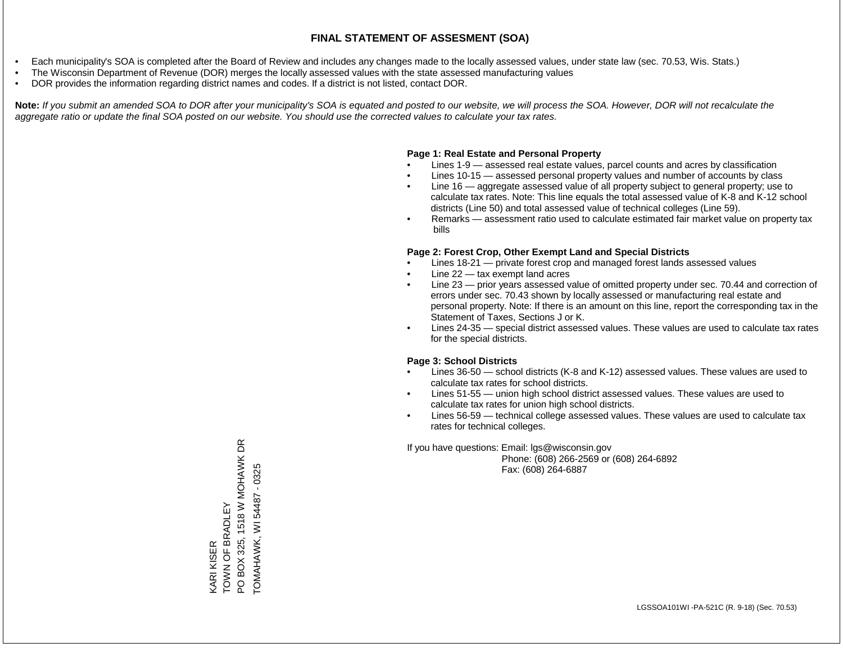- Each municipality's SOA is completed after the Board of Review and includes any changes made to the locally assessed values, under state law (sec. 70.53, Wis. Stats.)
- The Wisconsin Department of Revenue (DOR) merges the locally assessed values with the state assessed manufacturing values
- DOR provides the information regarding district names and codes. If a district is not listed, contact DOR.

Note: If you submit an amended SOA to DOR after your municipality's SOA is equated and posted to our website, we will process the SOA. However, DOR will not recalculate the *aggregate ratio or update the final SOA posted on our website. You should use the corrected values to calculate your tax rates.*

### **Page 1: Real Estate and Personal Property**

- Lines 1-9 assessed real estate values, parcel counts and acres by classification
- Lines 10-15 assessed personal property values and number of accounts by class
- Line 16 aggregate assessed value of all property subject to general property; use to calculate tax rates. Note: This line equals the total assessed value of K-8 and K-12 school districts (Line 50) and total assessed value of technical colleges (Line 59).
- Remarks assessment ratio used to calculate estimated fair market value on property tax bills

### **Page 2: Forest Crop, Other Exempt Land and Special Districts**

- Lines 18-21 private forest crop and managed forest lands assessed values
- Line  $22 -$  tax exempt land acres
- Line 23 prior years assessed value of omitted property under sec. 70.44 and correction of errors under sec. 70.43 shown by locally assessed or manufacturing real estate and personal property. Note: If there is an amount on this line, report the corresponding tax in the Statement of Taxes, Sections J or K.
- Lines 24-35 special district assessed values. These values are used to calculate tax rates for the special districts.

### **Page 3: School Districts**

- Lines 36-50 school districts (K-8 and K-12) assessed values. These values are used to calculate tax rates for school districts.
- Lines 51-55 union high school district assessed values. These values are used to calculate tax rates for union high school districts.
- Lines 56-59 technical college assessed values. These values are used to calculate tax rates for technical colleges.

If you have questions: Email: lgs@wisconsin.gov

 Phone: (608) 266-2569 or (608) 264-6892 Fax: (608) 264-6887

PO BOX 325, 1518 W MOHAWK DR PO BOX 325, 1518 W MOHAWK DR TOMAHAWK, WI 54487 - 0325 TOMAHAWK, WI 54487 - 0325KARI KISER<br>TOWN OF BRADLEY TOWN OF BRADLEY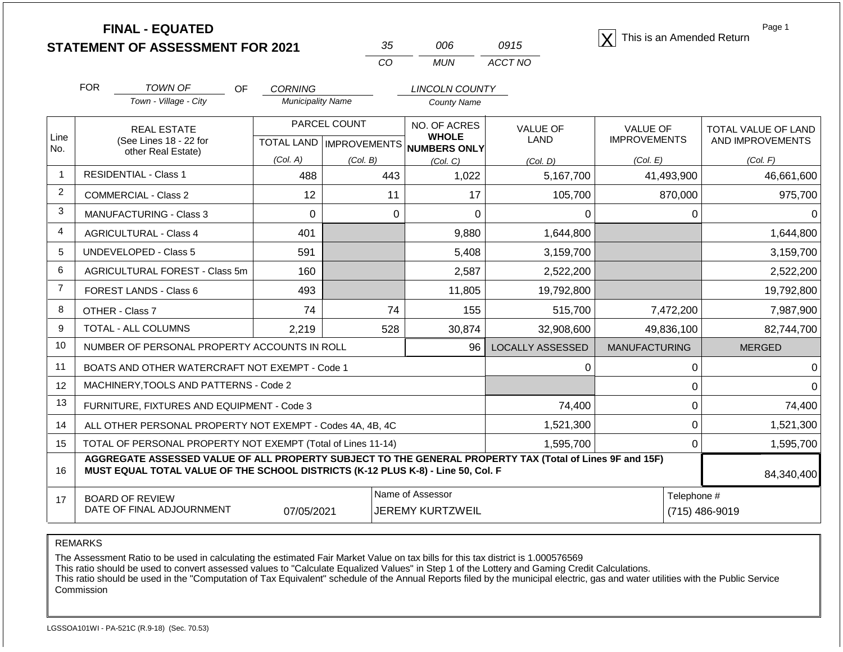| <b>FINAL - EQUATED</b>                  |    |     |      | This is an Amended Return |
|-----------------------------------------|----|-----|------|---------------------------|
| <b>STATEMENT OF ASSESSMENT FOR 2021</b> | 35 | 006 | 0915 |                           |

| 35  | ററഞ | 0915    |
|-----|-----|---------|
| CO. | MUN | ACCT NO |

Page 1

|                | <b>FOR</b><br>TOWN OF<br><b>OF</b> |                                                                                                                                                                                              | <b>CORNING</b>           |                           | <b>LINCOLN COUNTY</b>           |                  |                      |                     |
|----------------|------------------------------------|----------------------------------------------------------------------------------------------------------------------------------------------------------------------------------------------|--------------------------|---------------------------|---------------------------------|------------------|----------------------|---------------------|
|                |                                    | Town - Village - City                                                                                                                                                                        | <b>Municipality Name</b> |                           | <b>County Name</b>              |                  |                      |                     |
| Line           |                                    | <b>REAL ESTATE</b>                                                                                                                                                                           |                          | PARCEL COUNT              | NO. OF ACRES<br><b>WHOLE</b>    | <b>VALUE OF</b>  | <b>VALUE OF</b>      | TOTAL VALUE OF LAND |
| No.            |                                    | (See Lines 18 - 22 for<br>other Real Estate)                                                                                                                                                 |                          | TOTAL LAND   IMPROVEMENTS | <b>NUMBERS ONLY</b>             | <b>LAND</b>      | <b>IMPROVEMENTS</b>  | AND IMPROVEMENTS    |
|                |                                    |                                                                                                                                                                                              | (Col. A)                 | (Col. B)                  | (Col. C)                        | (Col. D)         | (Col. E)             | (Col. F)            |
| $\mathbf{1}$   |                                    | <b>RESIDENTIAL - Class 1</b>                                                                                                                                                                 | 488                      | 443                       | 1,022                           | 5,167,700        | 41,493,900           | 46,661,600          |
| 2              |                                    | <b>COMMERCIAL - Class 2</b>                                                                                                                                                                  | 12                       | 11                        | 17                              | 105,700          | 870,000              | 975,700             |
| 3              |                                    | <b>MANUFACTURING - Class 3</b>                                                                                                                                                               | $\mathbf 0$              | 0                         | 0                               | 0                | 0                    |                     |
| $\overline{4}$ |                                    | <b>AGRICULTURAL - Class 4</b>                                                                                                                                                                | 401                      |                           | 9,880                           | 1,644,800        |                      | 1,644,800           |
| 5              |                                    | <b>UNDEVELOPED - Class 5</b>                                                                                                                                                                 | 591                      |                           | 5,408                           | 3,159,700        |                      | 3,159,700           |
| 6              |                                    | AGRICULTURAL FOREST - Class 5m                                                                                                                                                               | 160                      |                           | 2,587                           | 2,522,200        |                      | 2,522,200           |
| $\overline{7}$ |                                    | FOREST LANDS - Class 6                                                                                                                                                                       | 493                      |                           | 11,805                          | 19,792,800       |                      | 19,792,800          |
| 8              |                                    | OTHER - Class 7                                                                                                                                                                              | 74                       | 74                        | 155                             | 515,700          | 7,472,200            | 7,987,900           |
| 9              |                                    | TOTAL - ALL COLUMNS                                                                                                                                                                          | 2,219                    | 528                       | 30,874                          | 32,908,600       | 49,836,100           | 82,744,700          |
| 10             |                                    | NUMBER OF PERSONAL PROPERTY ACCOUNTS IN ROLL                                                                                                                                                 |                          |                           | 96                              | LOCALLY ASSESSED | <b>MANUFACTURING</b> | <b>MERGED</b>       |
| 11             |                                    | BOATS AND OTHER WATERCRAFT NOT EXEMPT - Code 1                                                                                                                                               |                          |                           |                                 | 0                | 0                    |                     |
| 12             |                                    | MACHINERY, TOOLS AND PATTERNS - Code 2                                                                                                                                                       |                          |                           |                                 |                  | 0                    |                     |
| 13             |                                    | FURNITURE, FIXTURES AND EQUIPMENT - Code 3                                                                                                                                                   |                          |                           |                                 | 74,400           | $\mathbf 0$          | 74,400              |
| 14             |                                    | ALL OTHER PERSONAL PROPERTY NOT EXEMPT - Codes 4A, 4B, 4C                                                                                                                                    |                          |                           |                                 | 1,521,300        | 0                    | 1,521,300           |
| 15             |                                    | TOTAL OF PERSONAL PROPERTY NOT EXEMPT (Total of Lines 11-14)                                                                                                                                 |                          |                           |                                 | 1,595,700        | $\Omega$             | 1,595,700           |
| 16             |                                    | AGGREGATE ASSESSED VALUE OF ALL PROPERTY SUBJECT TO THE GENERAL PROPERTY TAX (Total of Lines 9F and 15F)<br>MUST EQUAL TOTAL VALUE OF THE SCHOOL DISTRICTS (K-12 PLUS K-8) - Line 50, Col. F |                          |                           |                                 |                  |                      | 84,340,400          |
| 17             |                                    | <b>BOARD OF REVIEW</b>                                                                                                                                                                       |                          |                           | Name of Assessor<br>Telephone # |                  |                      |                     |
|                |                                    | DATE OF FINAL ADJOURNMENT                                                                                                                                                                    | 07/05/2021               |                           | <b>JEREMY KURTZWEIL</b>         |                  |                      | (715) 486-9019      |

REMARKS

The Assessment Ratio to be used in calculating the estimated Fair Market Value on tax bills for this tax district is 1.000576569

This ratio should be used to convert assessed values to "Calculate Equalized Values" in Step 1 of the Lottery and Gaming Credit Calculations.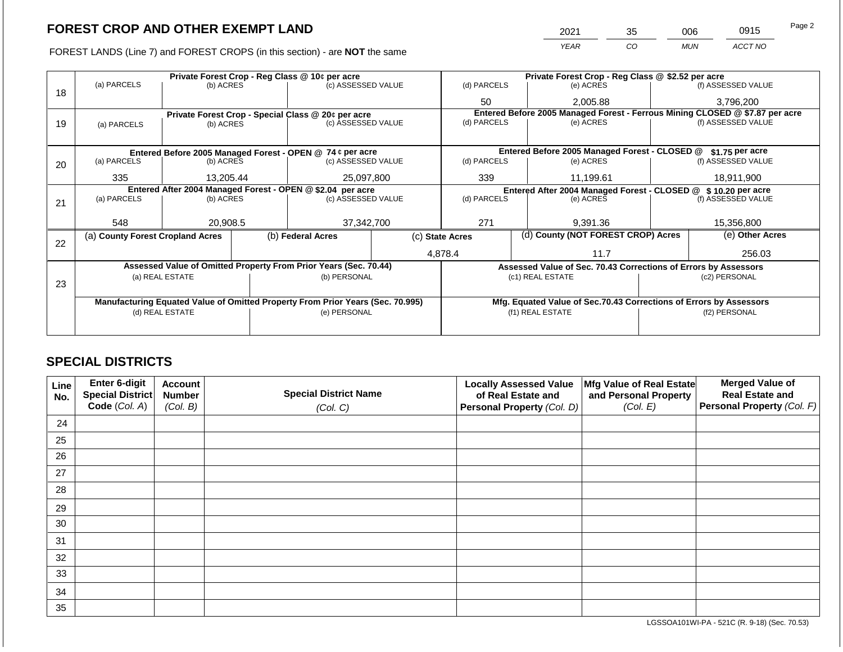FOREST LANDS (Line 7) and FOREST CROPS (in this section) - are **NOT** the same

| 2021 | 35 | 006        | 0915    | Page 2 |
|------|----|------------|---------|--------|
| YFAR | CO | <b>MUN</b> | ACCT NO |        |

|    |                                  |                 | Private Forest Crop - Reg Class @ 10¢ per acre                                 |                 |             | Private Forest Crop - Reg Class @ \$2.52 per acre                            |  |                    |  |
|----|----------------------------------|-----------------|--------------------------------------------------------------------------------|-----------------|-------------|------------------------------------------------------------------------------|--|--------------------|--|
| 18 | (a) PARCELS                      | (b) ACRES       | (c) ASSESSED VALUE                                                             |                 | (d) PARCELS | (e) ACRES                                                                    |  | (f) ASSESSED VALUE |  |
|    |                                  |                 |                                                                                |                 | 50          | 2,005.88                                                                     |  | 3,796,200          |  |
|    |                                  |                 | Private Forest Crop - Special Class @ 20¢ per acre                             |                 |             | Entered Before 2005 Managed Forest - Ferrous Mining CLOSED @ \$7.87 per acre |  |                    |  |
| 19 | (b) ACRES<br>(a) PARCELS         |                 | (c) ASSESSED VALUE                                                             |                 | (d) PARCELS | (e) ACRES                                                                    |  | (f) ASSESSED VALUE |  |
|    |                                  |                 |                                                                                |                 |             |                                                                              |  |                    |  |
|    |                                  |                 | Entered Before 2005 Managed Forest - OPEN @ 74 ¢ per acre                      |                 |             | Entered Before 2005 Managed Forest - CLOSED @                                |  | $$1.75$ per acre   |  |
| 20 | (a) PARCELS                      | (b) ACRES       | (c) ASSESSED VALUE                                                             |                 | (d) PARCELS | (e) ACRES                                                                    |  | (f) ASSESSED VALUE |  |
|    |                                  |                 |                                                                                |                 |             |                                                                              |  |                    |  |
|    | 335                              | 13,205.44       | 25,097,800                                                                     |                 | 339         | 11,199.61                                                                    |  | 18,911,900         |  |
|    |                                  |                 | Entered After 2004 Managed Forest - OPEN @ \$2.04 per acre                     |                 |             | Entered After 2004 Managed Forest - CLOSED @ \$10.20 per acre                |  |                    |  |
| 21 | (a) PARCELS                      | (b) ACRES       | (c) ASSESSED VALUE                                                             |                 | (d) PARCELS | (e) ACRES                                                                    |  | (f) ASSESSED VALUE |  |
|    |                                  |                 |                                                                                |                 |             |                                                                              |  |                    |  |
|    | 548                              | 20,908.5        | 37,342,700                                                                     |                 | 271         | 9,391.36                                                                     |  |                    |  |
| 22 | (a) County Forest Cropland Acres |                 | (b) Federal Acres                                                              | (c) State Acres |             | (d) County (NOT FOREST CROP) Acres                                           |  | (e) Other Acres    |  |
|    |                                  |                 |                                                                                |                 | 4,878.4     | 11.7                                                                         |  | 256.03             |  |
|    |                                  |                 | Assessed Value of Omitted Property From Prior Years (Sec. 70.44)               |                 |             | Assessed Value of Sec. 70.43 Corrections of Errors by Assessors              |  |                    |  |
|    |                                  | (a) REAL ESTATE | (b) PERSONAL                                                                   |                 |             | (c1) REAL ESTATE                                                             |  | (c2) PERSONAL      |  |
| 23 |                                  |                 |                                                                                |                 |             |                                                                              |  |                    |  |
|    |                                  |                 | Manufacturing Equated Value of Omitted Property From Prior Years (Sec. 70.995) |                 |             | Mfg. Equated Value of Sec.70.43 Corrections of Errors by Assessors           |  |                    |  |
|    |                                  | (d) REAL ESTATE | (e) PERSONAL                                                                   |                 |             | (f1) REAL ESTATE                                                             |  | (f2) PERSONAL      |  |
|    |                                  |                 |                                                                                |                 |             |                                                                              |  |                    |  |
|    |                                  |                 |                                                                                |                 |             |                                                                              |  |                    |  |
|    |                                  |                 |                                                                                |                 |             |                                                                              |  |                    |  |

### **SPECIAL DISTRICTS**

| Line<br>No. | Enter 6-digit<br>Special District<br>Code (Col. A) | <b>Account</b><br><b>Number</b><br>(Col. B) | <b>Special District Name</b><br>(Col. C) | <b>Locally Assessed Value</b><br>of Real Estate and<br>Personal Property (Col. D) | Mfg Value of Real Estate<br>and Personal Property<br>(Col. E) | <b>Merged Value of</b><br><b>Real Estate and</b><br>Personal Property (Col. F) |
|-------------|----------------------------------------------------|---------------------------------------------|------------------------------------------|-----------------------------------------------------------------------------------|---------------------------------------------------------------|--------------------------------------------------------------------------------|
| 24          |                                                    |                                             |                                          |                                                                                   |                                                               |                                                                                |
| 25          |                                                    |                                             |                                          |                                                                                   |                                                               |                                                                                |
| 26          |                                                    |                                             |                                          |                                                                                   |                                                               |                                                                                |
| 27          |                                                    |                                             |                                          |                                                                                   |                                                               |                                                                                |
| 28          |                                                    |                                             |                                          |                                                                                   |                                                               |                                                                                |
| 29          |                                                    |                                             |                                          |                                                                                   |                                                               |                                                                                |
| 30          |                                                    |                                             |                                          |                                                                                   |                                                               |                                                                                |
| 31          |                                                    |                                             |                                          |                                                                                   |                                                               |                                                                                |
| 32          |                                                    |                                             |                                          |                                                                                   |                                                               |                                                                                |
| 33          |                                                    |                                             |                                          |                                                                                   |                                                               |                                                                                |
| 34          |                                                    |                                             |                                          |                                                                                   |                                                               |                                                                                |
| 35          |                                                    |                                             |                                          |                                                                                   |                                                               |                                                                                |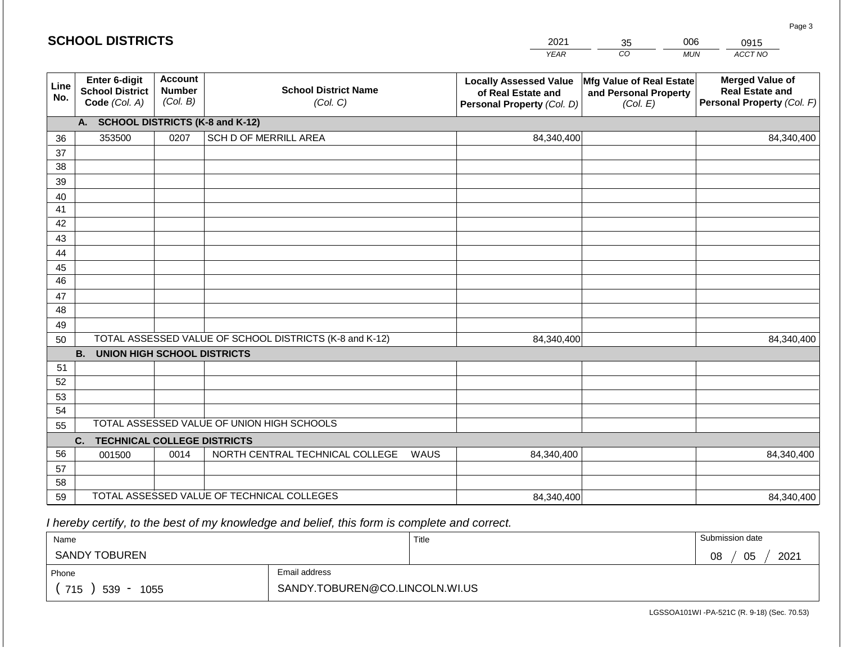|             | <b>SCHOOL DISTRICTS</b>                                  |                                             |                                                         |      | 2021                                                                              | 35                                                            | 006        | 0915                                                                           |
|-------------|----------------------------------------------------------|---------------------------------------------|---------------------------------------------------------|------|-----------------------------------------------------------------------------------|---------------------------------------------------------------|------------|--------------------------------------------------------------------------------|
|             |                                                          |                                             |                                                         |      | <b>YEAR</b>                                                                       | CO                                                            | <b>MUN</b> | ACCT NO                                                                        |
| Line<br>No. | Enter 6-digit<br><b>School District</b><br>Code (Col. A) | <b>Account</b><br><b>Number</b><br>(Col. B) | <b>School District Name</b><br>(Col. C)                 |      | <b>Locally Assessed Value</b><br>of Real Estate and<br>Personal Property (Col. D) | Mfg Value of Real Estate<br>and Personal Property<br>(Col. E) |            | <b>Merged Value of</b><br><b>Real Estate and</b><br>Personal Property (Col. F) |
|             | A. SCHOOL DISTRICTS (K-8 and K-12)                       |                                             |                                                         |      |                                                                                   |                                                               |            |                                                                                |
| 36          | 353500                                                   | 0207                                        | SCH D OF MERRILL AREA                                   |      | 84,340,400                                                                        |                                                               |            | 84,340,400                                                                     |
| 37          |                                                          |                                             |                                                         |      |                                                                                   |                                                               |            |                                                                                |
| 38          |                                                          |                                             |                                                         |      |                                                                                   |                                                               |            |                                                                                |
| 39          |                                                          |                                             |                                                         |      |                                                                                   |                                                               |            |                                                                                |
| 40<br>41    |                                                          |                                             |                                                         |      |                                                                                   |                                                               |            |                                                                                |
| 42          |                                                          |                                             |                                                         |      |                                                                                   |                                                               |            |                                                                                |
| 43          |                                                          |                                             |                                                         |      |                                                                                   |                                                               |            |                                                                                |
| 44          |                                                          |                                             |                                                         |      |                                                                                   |                                                               |            |                                                                                |
| 45          |                                                          |                                             |                                                         |      |                                                                                   |                                                               |            |                                                                                |
| 46          |                                                          |                                             |                                                         |      |                                                                                   |                                                               |            |                                                                                |
| 47          |                                                          |                                             |                                                         |      |                                                                                   |                                                               |            |                                                                                |
| 48          |                                                          |                                             |                                                         |      |                                                                                   |                                                               |            |                                                                                |
| 49          |                                                          |                                             | TOTAL ASSESSED VALUE OF SCHOOL DISTRICTS (K-8 and K-12) |      |                                                                                   |                                                               |            |                                                                                |
| 50          | <b>B. UNION HIGH SCHOOL DISTRICTS</b>                    |                                             |                                                         |      | 84,340,400                                                                        |                                                               |            | 84,340,400                                                                     |
| 51          |                                                          |                                             |                                                         |      |                                                                                   |                                                               |            |                                                                                |
| 52          |                                                          |                                             |                                                         |      |                                                                                   |                                                               |            |                                                                                |
| 53          |                                                          |                                             |                                                         |      |                                                                                   |                                                               |            |                                                                                |
| 54          |                                                          |                                             |                                                         |      |                                                                                   |                                                               |            |                                                                                |
| 55          |                                                          |                                             | TOTAL ASSESSED VALUE OF UNION HIGH SCHOOLS              |      |                                                                                   |                                                               |            |                                                                                |
|             | C.<br><b>TECHNICAL COLLEGE DISTRICTS</b>                 |                                             |                                                         |      |                                                                                   |                                                               |            |                                                                                |
| 56          | 001500                                                   | 0014                                        | NORTH CENTRAL TECHNICAL COLLEGE                         | WAUS | 84,340,400                                                                        |                                                               |            | 84,340,400                                                                     |
| 57          |                                                          |                                             |                                                         |      |                                                                                   |                                                               |            |                                                                                |
| 58          |                                                          |                                             | TOTAL ASSESSED VALUE OF TECHNICAL COLLEGES              |      |                                                                                   |                                                               |            |                                                                                |
| 59          |                                                          |                                             |                                                         |      | 84,340,400                                                                        |                                                               |            | 84,340,400                                                                     |

 *I hereby certify, to the best of my knowledge and belief, this form is complete and correct.*

| Name                                           |                                | Title | Submission date  |
|------------------------------------------------|--------------------------------|-------|------------------|
| SANDY TOBUREN                                  |                                |       | 2021<br>05<br>08 |
| Phone                                          | Email address                  |       |                  |
| 715<br>539<br>1055<br>$\overline{\phantom{0}}$ | SANDY.TOBUREN@CO.LINCOLN.WI.US |       |                  |

Page 3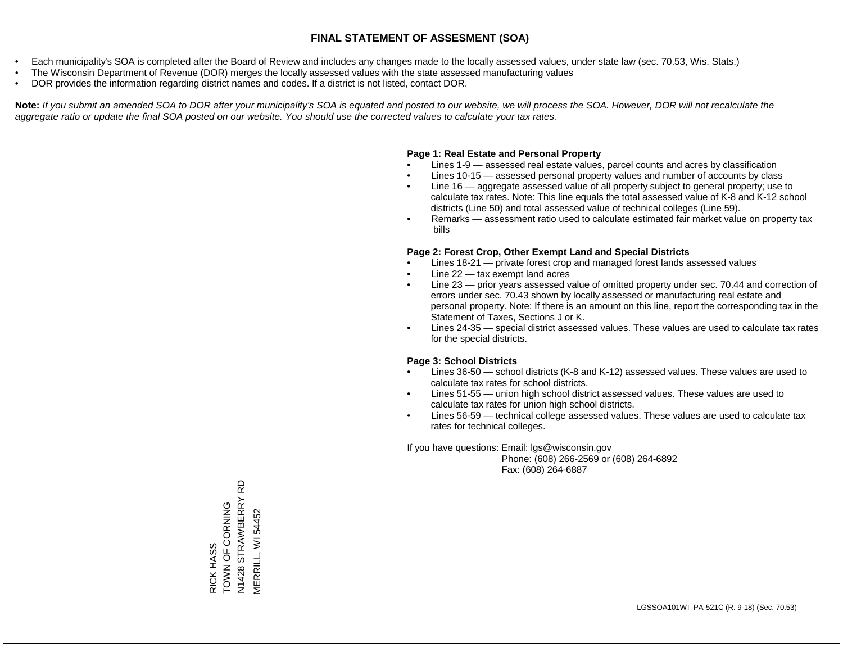- Each municipality's SOA is completed after the Board of Review and includes any changes made to the locally assessed values, under state law (sec. 70.53, Wis. Stats.)
- The Wisconsin Department of Revenue (DOR) merges the locally assessed values with the state assessed manufacturing values
- DOR provides the information regarding district names and codes. If a district is not listed, contact DOR.

Note: If you submit an amended SOA to DOR after your municipality's SOA is equated and posted to our website, we will process the SOA. However, DOR will not recalculate the *aggregate ratio or update the final SOA posted on our website. You should use the corrected values to calculate your tax rates.*

### **Page 1: Real Estate and Personal Property**

- Lines 1-9 assessed real estate values, parcel counts and acres by classification
- Lines 10-15 assessed personal property values and number of accounts by class
- Line 16 aggregate assessed value of all property subject to general property; use to calculate tax rates. Note: This line equals the total assessed value of K-8 and K-12 school districts (Line 50) and total assessed value of technical colleges (Line 59).
- Remarks assessment ratio used to calculate estimated fair market value on property tax bills

### **Page 2: Forest Crop, Other Exempt Land and Special Districts**

- Lines 18-21 private forest crop and managed forest lands assessed values
- Line  $22 -$  tax exempt land acres
- Line 23 prior years assessed value of omitted property under sec. 70.44 and correction of errors under sec. 70.43 shown by locally assessed or manufacturing real estate and personal property. Note: If there is an amount on this line, report the corresponding tax in the Statement of Taxes, Sections J or K.
- Lines 24-35 special district assessed values. These values are used to calculate tax rates for the special districts.

### **Page 3: School Districts**

- Lines 36-50 school districts (K-8 and K-12) assessed values. These values are used to calculate tax rates for school districts.
- Lines 51-55 union high school district assessed values. These values are used to calculate tax rates for union high school districts.
- Lines 56-59 technical college assessed values. These values are used to calculate tax rates for technical colleges.

If you have questions: Email: lgs@wisconsin.gov

 Phone: (608) 266-2569 or (608) 264-6892 Fax: (608) 264-6887

**Q** N1428 STRAWBERRY RD **STRAWBERRY** ONN OF CORNOL RICK HASS<br>TOWN OF CORNING VERRILL, WI 54452 MERRILL, WI 54452N1428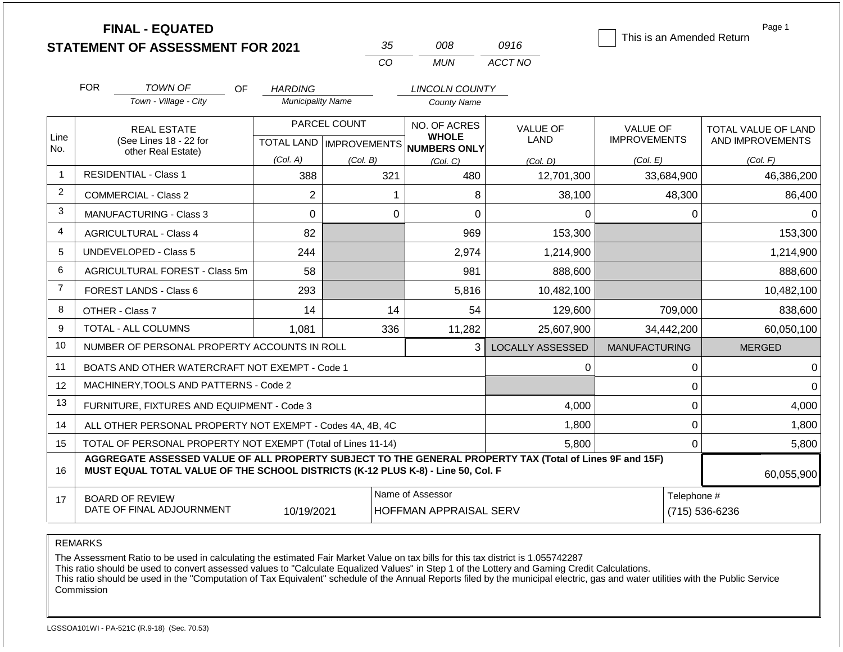|                |                                     | <b>FINAL - EQUATED</b><br><b>STATEMENT OF ASSESSMENT FOR 2021</b>                                                                                                                            |                          | 35           | 008                                               | 0916                    | This is an Amended Return | Page 1                        |  |
|----------------|-------------------------------------|----------------------------------------------------------------------------------------------------------------------------------------------------------------------------------------------|--------------------------|--------------|---------------------------------------------------|-------------------------|---------------------------|-------------------------------|--|
|                |                                     |                                                                                                                                                                                              |                          | CO           | <b>MUN</b>                                        | ACCT NO                 |                           |                               |  |
|                | <b>FOR</b>                          | <b>TOWN OF</b><br>OF.                                                                                                                                                                        | <b>HARDING</b>           |              | LINCOLN COUNTY                                    |                         |                           |                               |  |
|                |                                     | Town - Village - City                                                                                                                                                                        | <b>Municipality Name</b> |              | <b>County Name</b>                                |                         |                           |                               |  |
| Line           | <b>REAL ESTATE</b>                  |                                                                                                                                                                                              |                          | PARCEL COUNT | NO. OF ACRES<br><b>WHOLE</b>                      | <b>VALUE OF</b>         | <b>VALUE OF</b>           | TOTAL VALUE OF LAND           |  |
| No.            |                                     | (See Lines 18 - 22 for<br>other Real Estate)                                                                                                                                                 |                          |              | TOTAL LAND MPROVEMENTS NUMBERS ONLY               | LAND                    | <b>IMPROVEMENTS</b>       | AND IMPROVEMENTS              |  |
|                |                                     |                                                                                                                                                                                              | (Col. A)                 | (Col. B)     | (Col, C)                                          | (Col. D)                | (Col. E)                  | (Col. F)                      |  |
| 1              |                                     | <b>RESIDENTIAL - Class 1</b>                                                                                                                                                                 | 388                      | 321          | 480                                               | 12,701,300              | 33,684,900                | 46,386,200                    |  |
| $\overline{2}$ |                                     | <b>COMMERCIAL - Class 2</b>                                                                                                                                                                  | $\overline{2}$           |              | 8<br>1                                            | 38,100                  | 48,300                    | 86,400                        |  |
| 3              | 0<br><b>MANUFACTURING - Class 3</b> |                                                                                                                                                                                              |                          |              | $\Omega$<br>$\overline{0}$                        | $\Omega$                | 0                         | $\Omega$                      |  |
| 4              | <b>AGRICULTURAL - Class 4</b><br>82 |                                                                                                                                                                                              |                          |              | 969                                               | 153,300                 |                           | 153,300                       |  |
| 5              |                                     | UNDEVELOPED - Class 5                                                                                                                                                                        | 244                      |              | 2,974                                             | 1,214,900               |                           | 1,214,900                     |  |
| 6              |                                     | AGRICULTURAL FOREST - Class 5m                                                                                                                                                               | 58                       |              | 981                                               | 888,600                 |                           | 888,600                       |  |
| $\overline{7}$ |                                     | <b>FOREST LANDS - Class 6</b>                                                                                                                                                                | 293                      |              | 5,816                                             | 10,482,100              |                           | 10,482,100                    |  |
| 8              |                                     | OTHER - Class 7                                                                                                                                                                              | 14                       | 14           | 54                                                | 129,600                 | 709,000                   | 838,600                       |  |
| 9              |                                     | <b>TOTAL - ALL COLUMNS</b>                                                                                                                                                                   | 1.081                    | 336          | 11,282                                            | 25,607,900              | 34,442,200                | 60,050,100                    |  |
| 10             |                                     | NUMBER OF PERSONAL PROPERTY ACCOUNTS IN ROLL                                                                                                                                                 |                          |              | 3                                                 | <b>LOCALLY ASSESSED</b> | <b>MANUFACTURING</b>      | <b>MERGED</b>                 |  |
| 11             |                                     | BOATS AND OTHER WATERCRAFT NOT EXEMPT - Code 1                                                                                                                                               |                          |              |                                                   | 0                       | $\boldsymbol{0}$          | $\mathbf 0$                   |  |
| 12             |                                     | MACHINERY, TOOLS AND PATTERNS - Code 2                                                                                                                                                       |                          |              |                                                   |                         | $\Omega$                  | $\Omega$                      |  |
| 13             |                                     | FURNITURE, FIXTURES AND EQUIPMENT - Code 3                                                                                                                                                   |                          |              |                                                   | 4,000                   | $\mathbf 0$               | 4,000                         |  |
| 14             |                                     | ALL OTHER PERSONAL PROPERTY NOT EXEMPT - Codes 4A, 4B, 4C                                                                                                                                    |                          |              |                                                   | 1,800                   | $\mathbf 0$               | 1,800                         |  |
| 15             |                                     | TOTAL OF PERSONAL PROPERTY NOT EXEMPT (Total of Lines 11-14)                                                                                                                                 |                          |              |                                                   | 5,800                   | 0                         | 5,800                         |  |
| 16             |                                     | AGGREGATE ASSESSED VALUE OF ALL PROPERTY SUBJECT TO THE GENERAL PROPERTY TAX (Total of Lines 9F and 15F)<br>MUST EQUAL TOTAL VALUE OF THE SCHOOL DISTRICTS (K-12 PLUS K-8) - Line 50, Col. F |                          |              |                                                   |                         |                           | 60,055,900                    |  |
| 17             |                                     | <b>BOARD OF REVIEW</b><br>DATE OF FINAL ADJOURNMENT                                                                                                                                          | 10/19/2021               |              | Name of Assessor<br><b>HOFFMAN APPRAISAL SERV</b> |                         |                           | Telephone #<br>(715) 536-6236 |  |

REMARKS

The Assessment Ratio to be used in calculating the estimated Fair Market Value on tax bills for this tax district is 1.055742287

This ratio should be used to convert assessed values to "Calculate Equalized Values" in Step 1 of the Lottery and Gaming Credit Calculations.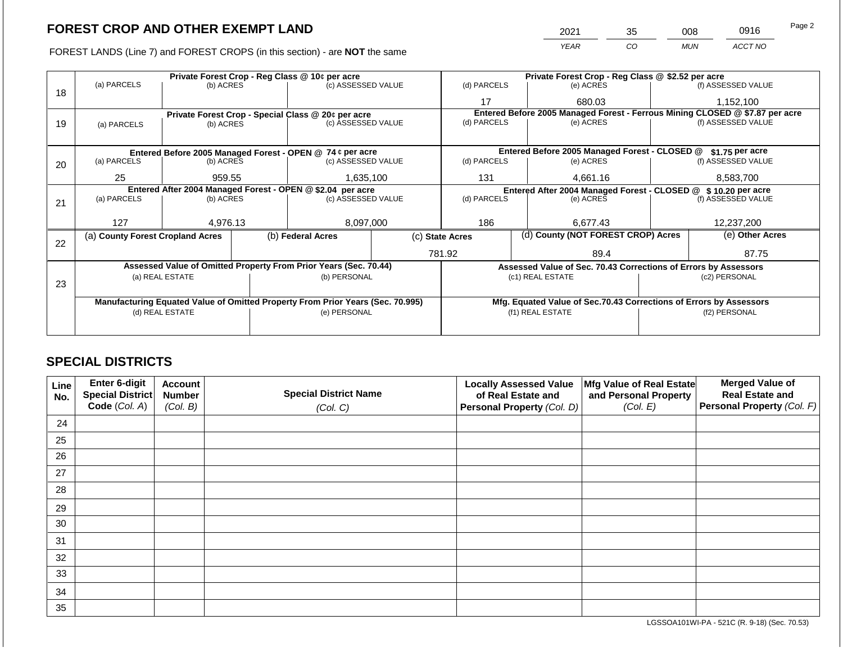FOREST LANDS (Line 7) and FOREST CROPS (in this section) - are **NOT** the same

| 2021        | 35 | 008        | 0916    | Page 2 |
|-------------|----|------------|---------|--------|
| <b>YFAR</b> | CO | <b>MUN</b> | ACCT NO |        |

|    |                                  |                                                            |  | Private Forest Crop - Reg Class @ 10¢ per acre                                 |                 |                | Private Forest Crop - Reg Class @ \$2.52 per acre                  |  |                                                                              |  |
|----|----------------------------------|------------------------------------------------------------|--|--------------------------------------------------------------------------------|-----------------|----------------|--------------------------------------------------------------------|--|------------------------------------------------------------------------------|--|
| 18 | (a) PARCELS                      | (b) ACRES                                                  |  | (c) ASSESSED VALUE                                                             |                 | (d) PARCELS    | (e) ACRES                                                          |  | (f) ASSESSED VALUE                                                           |  |
|    |                                  |                                                            |  |                                                                                |                 | 17             | 680.03                                                             |  | 1,152,100                                                                    |  |
|    |                                  |                                                            |  | Private Forest Crop - Special Class @ 20¢ per acre                             |                 |                |                                                                    |  | Entered Before 2005 Managed Forest - Ferrous Mining CLOSED @ \$7.87 per acre |  |
| 19 | (a) PARCELS                      | (b) ACRES                                                  |  | (c) ASSESSED VALUE                                                             |                 | (d) PARCELS    | (e) ACRES                                                          |  | (f) ASSESSED VALUE                                                           |  |
|    |                                  |                                                            |  |                                                                                |                 |                |                                                                    |  |                                                                              |  |
|    |                                  |                                                            |  | Entered Before 2005 Managed Forest - OPEN @ 74 ¢ per acre                      |                 |                | Entered Before 2005 Managed Forest - CLOSED @                      |  | $$1.75$ per acre                                                             |  |
| 20 | (a) PARCELS                      | (b) ACRES                                                  |  | (c) ASSESSED VALUE                                                             |                 | (d) PARCELS    | (e) ACRES                                                          |  | (f) ASSESSED VALUE                                                           |  |
|    |                                  |                                                            |  |                                                                                |                 |                |                                                                    |  |                                                                              |  |
|    | 25                               | 959.55                                                     |  | 1,635,100                                                                      |                 | 131            | 4,661.16                                                           |  | 8,583,700                                                                    |  |
|    |                                  | Entered After 2004 Managed Forest - OPEN @ \$2.04 per acre |  |                                                                                |                 |                | Entered After 2004 Managed Forest - CLOSED @ \$ 10.20 per acre     |  |                                                                              |  |
| 21 | (a) PARCELS                      | (b) ACRES                                                  |  | (c) ASSESSED VALUE                                                             | (d) PARCELS     |                | (e) ACRES                                                          |  | (f) ASSESSED VALUE                                                           |  |
|    |                                  |                                                            |  |                                                                                |                 |                |                                                                    |  |                                                                              |  |
|    | 127                              | 4,976.13                                                   |  | 8,097,000                                                                      | 186             |                | 6,677.43                                                           |  |                                                                              |  |
|    | (a) County Forest Cropland Acres |                                                            |  | (b) Federal Acres                                                              | (c) State Acres |                | (d) County (NOT FOREST CROP) Acres                                 |  | (e) Other Acres                                                              |  |
| 22 |                                  |                                                            |  |                                                                                |                 |                |                                                                    |  |                                                                              |  |
|    |                                  |                                                            |  |                                                                                |                 | 781.92<br>89.4 |                                                                    |  | 87.75                                                                        |  |
|    |                                  |                                                            |  | Assessed Value of Omitted Property From Prior Years (Sec. 70.44)               |                 |                | Assessed Value of Sec. 70.43 Corrections of Errors by Assessors    |  |                                                                              |  |
|    |                                  | (a) REAL ESTATE                                            |  | (b) PERSONAL                                                                   |                 |                | (c1) REAL ESTATE                                                   |  | (c2) PERSONAL                                                                |  |
| 23 |                                  |                                                            |  |                                                                                |                 |                |                                                                    |  |                                                                              |  |
|    |                                  |                                                            |  | Manufacturing Equated Value of Omitted Property From Prior Years (Sec. 70.995) |                 |                | Mfg. Equated Value of Sec.70.43 Corrections of Errors by Assessors |  |                                                                              |  |
|    |                                  | (d) REAL ESTATE                                            |  | (e) PERSONAL                                                                   |                 |                | (f1) REAL ESTATE                                                   |  | (f2) PERSONAL                                                                |  |
|    |                                  |                                                            |  |                                                                                |                 |                |                                                                    |  |                                                                              |  |
|    |                                  |                                                            |  |                                                                                |                 |                |                                                                    |  |                                                                              |  |

### **SPECIAL DISTRICTS**

| Line<br>No. | Enter 6-digit<br>Special District<br>Code (Col. A) | <b>Account</b><br><b>Number</b><br>(Col. B) | <b>Special District Name</b><br>(Col. C) | <b>Locally Assessed Value</b><br>of Real Estate and<br>Personal Property (Col. D) | Mfg Value of Real Estate<br>and Personal Property<br>(Col. E) | <b>Merged Value of</b><br><b>Real Estate and</b><br>Personal Property (Col. F) |
|-------------|----------------------------------------------------|---------------------------------------------|------------------------------------------|-----------------------------------------------------------------------------------|---------------------------------------------------------------|--------------------------------------------------------------------------------|
| 24          |                                                    |                                             |                                          |                                                                                   |                                                               |                                                                                |
| 25          |                                                    |                                             |                                          |                                                                                   |                                                               |                                                                                |
| 26          |                                                    |                                             |                                          |                                                                                   |                                                               |                                                                                |
| 27          |                                                    |                                             |                                          |                                                                                   |                                                               |                                                                                |
| 28          |                                                    |                                             |                                          |                                                                                   |                                                               |                                                                                |
| 29          |                                                    |                                             |                                          |                                                                                   |                                                               |                                                                                |
| 30          |                                                    |                                             |                                          |                                                                                   |                                                               |                                                                                |
| 31          |                                                    |                                             |                                          |                                                                                   |                                                               |                                                                                |
| 32          |                                                    |                                             |                                          |                                                                                   |                                                               |                                                                                |
| 33          |                                                    |                                             |                                          |                                                                                   |                                                               |                                                                                |
| 34          |                                                    |                                             |                                          |                                                                                   |                                                               |                                                                                |
| 35          |                                                    |                                             |                                          |                                                                                   |                                                               |                                                                                |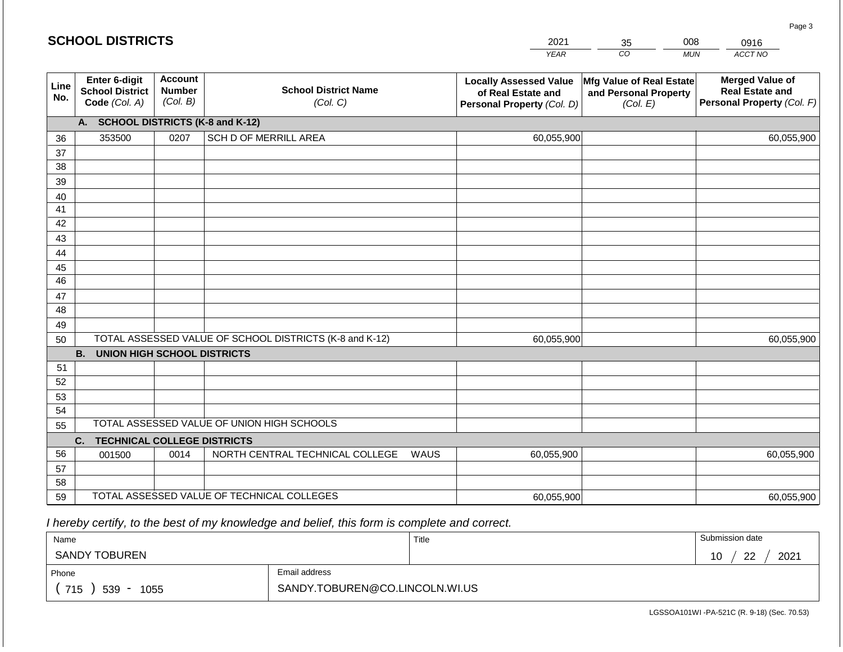|             | <b>SCHOOL DISTRICTS</b>                                         |                                             |                                                         |      | 2021                                                                              | 35                                                            | 008        | 0916                                                                           |
|-------------|-----------------------------------------------------------------|---------------------------------------------|---------------------------------------------------------|------|-----------------------------------------------------------------------------------|---------------------------------------------------------------|------------|--------------------------------------------------------------------------------|
|             |                                                                 |                                             |                                                         |      | <b>YEAR</b>                                                                       | CO                                                            | <b>MUN</b> | ACCT NO                                                                        |
| Line<br>No. | <b>Enter 6-digit</b><br><b>School District</b><br>Code (Col. A) | <b>Account</b><br><b>Number</b><br>(Col. B) | <b>School District Name</b><br>(Col. C)                 |      | <b>Locally Assessed Value</b><br>of Real Estate and<br>Personal Property (Col. D) | Mfg Value of Real Estate<br>and Personal Property<br>(Col. E) |            | <b>Merged Value of</b><br><b>Real Estate and</b><br>Personal Property (Col. F) |
|             | A. SCHOOL DISTRICTS (K-8 and K-12)                              |                                             |                                                         |      |                                                                                   |                                                               |            |                                                                                |
| 36          | 353500                                                          | 0207                                        | SCH D OF MERRILL AREA                                   |      | 60,055,900                                                                        |                                                               |            | 60,055,900                                                                     |
| 37          |                                                                 |                                             |                                                         |      |                                                                                   |                                                               |            |                                                                                |
| 38          |                                                                 |                                             |                                                         |      |                                                                                   |                                                               |            |                                                                                |
| 39          |                                                                 |                                             |                                                         |      |                                                                                   |                                                               |            |                                                                                |
| 40<br>41    |                                                                 |                                             |                                                         |      |                                                                                   |                                                               |            |                                                                                |
| 42          |                                                                 |                                             |                                                         |      |                                                                                   |                                                               |            |                                                                                |
| 43          |                                                                 |                                             |                                                         |      |                                                                                   |                                                               |            |                                                                                |
| 44          |                                                                 |                                             |                                                         |      |                                                                                   |                                                               |            |                                                                                |
| 45          |                                                                 |                                             |                                                         |      |                                                                                   |                                                               |            |                                                                                |
| 46          |                                                                 |                                             |                                                         |      |                                                                                   |                                                               |            |                                                                                |
| 47          |                                                                 |                                             |                                                         |      |                                                                                   |                                                               |            |                                                                                |
| 48          |                                                                 |                                             |                                                         |      |                                                                                   |                                                               |            |                                                                                |
| 49<br>50    |                                                                 |                                             | TOTAL ASSESSED VALUE OF SCHOOL DISTRICTS (K-8 and K-12) |      | 60,055,900                                                                        |                                                               |            | 60,055,900                                                                     |
|             | <b>B. UNION HIGH SCHOOL DISTRICTS</b>                           |                                             |                                                         |      |                                                                                   |                                                               |            |                                                                                |
| 51          |                                                                 |                                             |                                                         |      |                                                                                   |                                                               |            |                                                                                |
| 52          |                                                                 |                                             |                                                         |      |                                                                                   |                                                               |            |                                                                                |
| 53          |                                                                 |                                             |                                                         |      |                                                                                   |                                                               |            |                                                                                |
| 54          |                                                                 |                                             |                                                         |      |                                                                                   |                                                               |            |                                                                                |
| 55          |                                                                 |                                             | TOTAL ASSESSED VALUE OF UNION HIGH SCHOOLS              |      |                                                                                   |                                                               |            |                                                                                |
|             | <b>TECHNICAL COLLEGE DISTRICTS</b><br>C.                        |                                             |                                                         |      |                                                                                   |                                                               |            |                                                                                |
| 56          | 001500                                                          | 0014                                        | NORTH CENTRAL TECHNICAL COLLEGE                         | WAUS | 60,055,900                                                                        |                                                               |            | 60,055,900                                                                     |
| 57<br>58    |                                                                 |                                             |                                                         |      |                                                                                   |                                                               |            |                                                                                |
| 59          |                                                                 |                                             | TOTAL ASSESSED VALUE OF TECHNICAL COLLEGES              |      | 60,055,900                                                                        |                                                               |            | 60,055,900                                                                     |

 *I hereby certify, to the best of my knowledge and belief, this form is complete and correct.*

| Name                                           |                                | Title | Submission date               |
|------------------------------------------------|--------------------------------|-------|-------------------------------|
| SANDY TOBUREN                                  |                                |       | 2021<br>ററ<br>1 N<br>ັບ<br>-- |
| Phone                                          | Email address                  |       |                               |
| 715<br>539<br>1055<br>$\overline{\phantom{a}}$ | SANDY.TOBUREN@CO.LINCOLN.WI.US |       |                               |

Page 3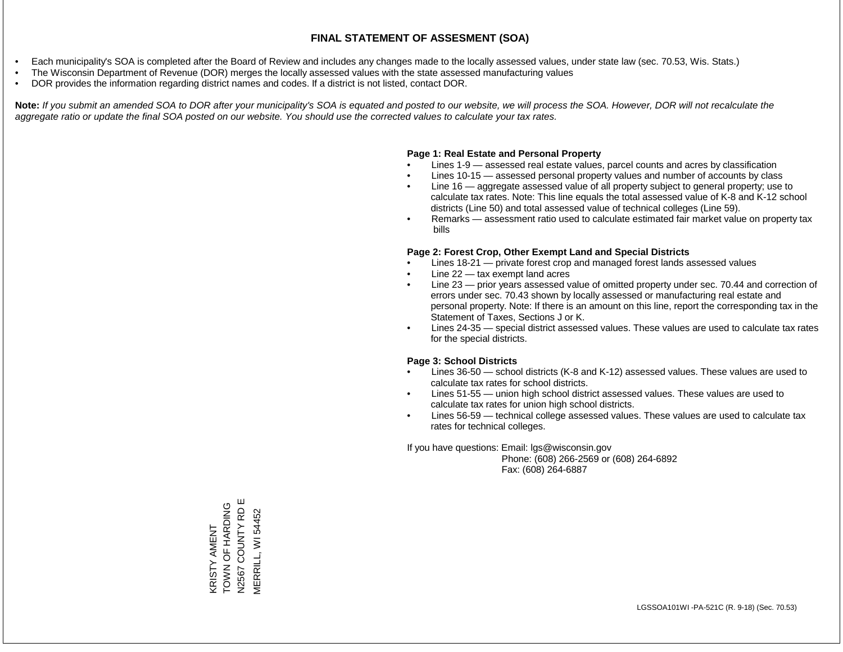- Each municipality's SOA is completed after the Board of Review and includes any changes made to the locally assessed values, under state law (sec. 70.53, Wis. Stats.)
- The Wisconsin Department of Revenue (DOR) merges the locally assessed values with the state assessed manufacturing values
- DOR provides the information regarding district names and codes. If a district is not listed, contact DOR.

Note: If you submit an amended SOA to DOR after your municipality's SOA is equated and posted to our website, we will process the SOA. However, DOR will not recalculate the *aggregate ratio or update the final SOA posted on our website. You should use the corrected values to calculate your tax rates.*

#### **Page 1: Real Estate and Personal Property**

- Lines 1-9 assessed real estate values, parcel counts and acres by classification
- Lines 10-15 assessed personal property values and number of accounts by class
- Line 16 aggregate assessed value of all property subject to general property; use to calculate tax rates. Note: This line equals the total assessed value of K-8 and K-12 school districts (Line 50) and total assessed value of technical colleges (Line 59).
- Remarks assessment ratio used to calculate estimated fair market value on property tax bills

#### **Page 2: Forest Crop, Other Exempt Land and Special Districts**

- Lines 18-21 private forest crop and managed forest lands assessed values
- Line  $22 -$  tax exempt land acres
- Line 23 prior years assessed value of omitted property under sec. 70.44 and correction of errors under sec. 70.43 shown by locally assessed or manufacturing real estate and personal property. Note: If there is an amount on this line, report the corresponding tax in the Statement of Taxes, Sections J or K.
- Lines 24-35 special district assessed values. These values are used to calculate tax rates for the special districts.

#### **Page 3: School Districts**

- Lines 36-50 school districts (K-8 and K-12) assessed values. These values are used to calculate tax rates for school districts.
- Lines 51-55 union high school district assessed values. These values are used to calculate tax rates for union high school districts.
- Lines 56-59 technical college assessed values. These values are used to calculate tax rates for technical colleges.

If you have questions: Email: lgs@wisconsin.gov

 Phone: (608) 266-2569 or (608) 264-6892 Fax: (608) 264-6887

KRISTY AMENT<br>TOWN OF HARDING<br>N2567 COUNTY RD E COUNTY RD E N2567 COUNTY RD E TOWN OF HARDING VERRILL, WI 54452 MERRILL, WI 54452KRISTY AMENT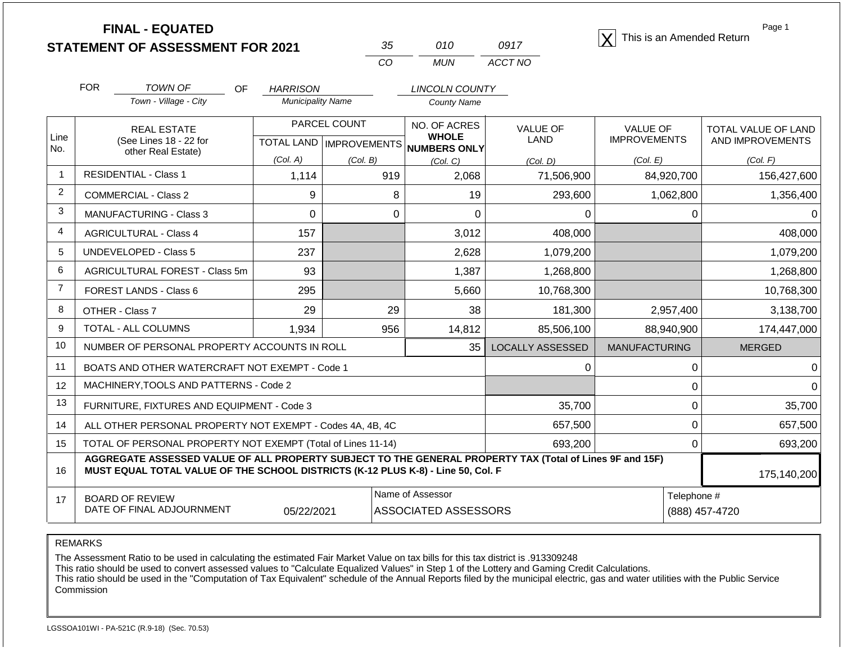| <b>FINAL - EQUATED</b>                  |  |      | This is an Amended Return |
|-----------------------------------------|--|------|---------------------------|
| <b>STATEMENT OF ASSESSMENT FOR 2021</b> |  | 0917 |                           |

| 35  | 01 O | 0917    |
|-----|------|---------|
| CO. | MUN  | ACCT NO |

Page 1

|                | <b>FOR</b>                                                   | TOWN OF<br>OF                                                                                                                                                                                | <b>HARRISON</b>          |                                     | <b>LINCOLN COUNTY</b>        |                         |                      |                     |
|----------------|--------------------------------------------------------------|----------------------------------------------------------------------------------------------------------------------------------------------------------------------------------------------|--------------------------|-------------------------------------|------------------------------|-------------------------|----------------------|---------------------|
|                |                                                              | Town - Village - City                                                                                                                                                                        | <b>Municipality Name</b> |                                     | <b>County Name</b>           |                         |                      |                     |
| Line           |                                                              | <b>REAL ESTATE</b>                                                                                                                                                                           |                          | PARCEL COUNT                        | NO. OF ACRES<br><b>WHOLE</b> | <b>VALUE OF</b>         | <b>VALUE OF</b>      | TOTAL VALUE OF LAND |
| No.            |                                                              | (See Lines 18 - 22 for<br>other Real Estate)                                                                                                                                                 |                          | TOTAL LAND MPROVEMENTS NUMBERS ONLY |                              | <b>LAND</b>             | <b>IMPROVEMENTS</b>  | AND IMPROVEMENTS    |
|                |                                                              |                                                                                                                                                                                              | (Col. A)                 | (Col. B)                            | (Col, C)                     | (Col, D)                | (Col. E)             | (Col. F)            |
| -1             |                                                              | <b>RESIDENTIAL - Class 1</b>                                                                                                                                                                 | 1,114                    | 919                                 | 2,068                        | 71,506,900              | 84,920,700           | 156,427,600         |
| $\overline{2}$ |                                                              | <b>COMMERCIAL - Class 2</b>                                                                                                                                                                  | 9                        | 8                                   | 19                           | 293,600                 | 1,062,800            | 1,356,400           |
| 3              |                                                              | MANUFACTURING - Class 3                                                                                                                                                                      | 0                        | 0                                   | 0                            | 0                       | 0                    |                     |
| $\overline{4}$ |                                                              | <b>AGRICULTURAL - Class 4</b>                                                                                                                                                                | 157                      |                                     | 3,012                        | 408,000                 |                      | 408,000             |
| 5              |                                                              | <b>UNDEVELOPED - Class 5</b>                                                                                                                                                                 | 237                      |                                     | 2,628                        | 1,079,200               |                      | 1,079,200           |
| 6              |                                                              | AGRICULTURAL FOREST - Class 5m                                                                                                                                                               | 93                       |                                     | 1,387                        | 1,268,800               |                      | 1,268,800           |
| $\overline{7}$ |                                                              | FOREST LANDS - Class 6                                                                                                                                                                       | 295                      |                                     | 5,660                        | 10,768,300              |                      | 10,768,300          |
| 8              |                                                              | OTHER - Class 7                                                                                                                                                                              | 29                       | 29                                  | 38                           | 181,300                 | 2,957,400            | 3,138,700           |
| 9              |                                                              | TOTAL - ALL COLUMNS                                                                                                                                                                          | 1,934                    | 956                                 | 14,812                       | 85,506,100              | 88,940,900           | 174,447,000         |
| 10             |                                                              | NUMBER OF PERSONAL PROPERTY ACCOUNTS IN ROLL                                                                                                                                                 |                          |                                     | 35                           | <b>LOCALLY ASSESSED</b> | <b>MANUFACTURING</b> | <b>MERGED</b>       |
| 11             |                                                              | BOATS AND OTHER WATERCRAFT NOT EXEMPT - Code 1                                                                                                                                               |                          |                                     |                              | 0                       | 0                    |                     |
| 12             |                                                              | MACHINERY, TOOLS AND PATTERNS - Code 2                                                                                                                                                       |                          |                                     |                              |                         | 0                    | n                   |
| 13             |                                                              | FURNITURE, FIXTURES AND EQUIPMENT - Code 3                                                                                                                                                   |                          |                                     |                              | 35,700                  | 0                    | 35,700              |
| 14             | ALL OTHER PERSONAL PROPERTY NOT EXEMPT - Codes 4A, 4B, 4C    |                                                                                                                                                                                              |                          |                                     |                              | 657,500                 | 0                    | 657,500             |
| 15             | TOTAL OF PERSONAL PROPERTY NOT EXEMPT (Total of Lines 11-14) |                                                                                                                                                                                              |                          |                                     |                              | 693,200                 | $\Omega$             | 693,200             |
| 16             |                                                              | AGGREGATE ASSESSED VALUE OF ALL PROPERTY SUBJECT TO THE GENERAL PROPERTY TAX (Total of Lines 9F and 15F)<br>MUST EQUAL TOTAL VALUE OF THE SCHOOL DISTRICTS (K-12 PLUS K-8) - Line 50, Col. F |                          |                                     |                              |                         |                      | 175,140,200         |
| 17             |                                                              | <b>BOARD OF REVIEW</b>                                                                                                                                                                       |                          |                                     | Name of Assessor             |                         | Telephone #          |                     |
|                |                                                              | DATE OF FINAL ADJOURNMENT                                                                                                                                                                    | 05/22/2021               |                                     | <b>ASSOCIATED ASSESSORS</b>  |                         |                      | (888) 457-4720      |

REMARKS

The Assessment Ratio to be used in calculating the estimated Fair Market Value on tax bills for this tax district is .913309248

This ratio should be used to convert assessed values to "Calculate Equalized Values" in Step 1 of the Lottery and Gaming Credit Calculations.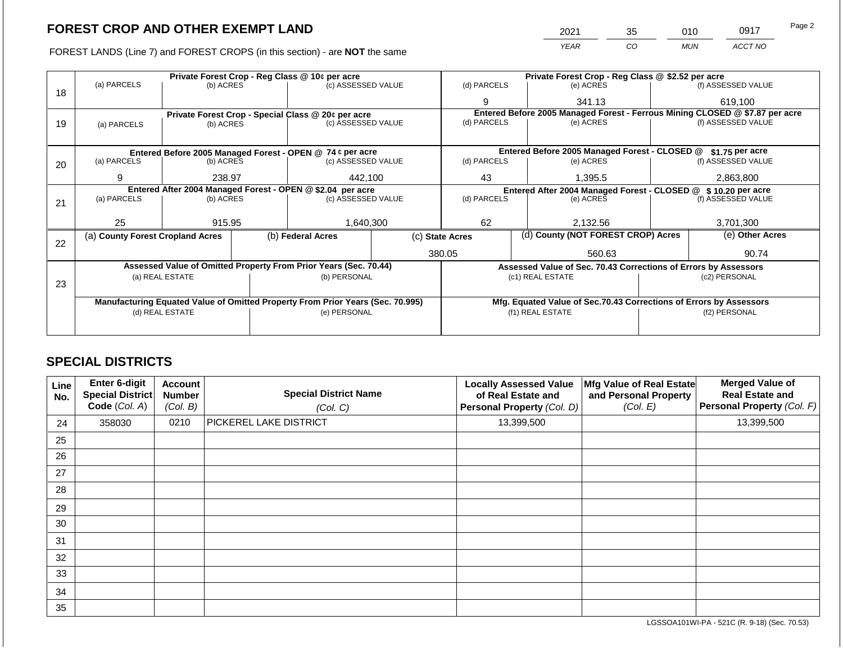FOREST LANDS (Line 7) and FOREST CROPS (in this section) - are **NOT** the same

| 2021 | 35 | 010 | 0917    | Page 2 |
|------|----|-----|---------|--------|
| YFAR | CO | MUN | ACCT NO |        |

|    | Private Forest Crop - Reg Class @ 10¢ per acre |                 |                                                                                                                             |                                                                                |  | Private Forest Crop - Reg Class @ \$2.52 per acre     |                                                                              |                    |                    |
|----|------------------------------------------------|-----------------|-----------------------------------------------------------------------------------------------------------------------------|--------------------------------------------------------------------------------|--|-------------------------------------------------------|------------------------------------------------------------------------------|--------------------|--------------------|
| 18 | (a) PARCELS                                    | (b) ACRES       |                                                                                                                             | (c) ASSESSED VALUE                                                             |  | (d) PARCELS                                           | (e) ACRES                                                                    |                    | (f) ASSESSED VALUE |
|    |                                                |                 |                                                                                                                             |                                                                                |  | 9                                                     | 341.13                                                                       |                    | 619,100            |
|    |                                                |                 |                                                                                                                             | Private Forest Crop - Special Class $@20¢$ per acre                            |  |                                                       | Entered Before 2005 Managed Forest - Ferrous Mining CLOSED @ \$7.87 per acre |                    |                    |
| 19 | (a) PARCELS                                    | (b) ACRES       |                                                                                                                             | (c) ASSESSED VALUE                                                             |  | (d) PARCELS                                           | (e) ACRES                                                                    |                    | (f) ASSESSED VALUE |
|    |                                                |                 |                                                                                                                             |                                                                                |  |                                                       |                                                                              |                    |                    |
|    |                                                |                 |                                                                                                                             | Entered Before 2005 Managed Forest - OPEN @ 74 ¢ per acre                      |  |                                                       | Entered Before 2005 Managed Forest - CLOSED @                                |                    | \$1.75 per acre    |
| 20 | (a) PARCELS                                    | (b) ACRES       |                                                                                                                             | (c) ASSESSED VALUE                                                             |  | (d) PARCELS                                           | (e) ACRES                                                                    |                    | (f) ASSESSED VALUE |
|    |                                                |                 |                                                                                                                             |                                                                                |  |                                                       |                                                                              |                    |                    |
|    | 9                                              | 238.97          |                                                                                                                             | 442,100                                                                        |  | 43<br>1.395.5                                         |                                                                              | 2,863,800          |                    |
|    |                                                |                 | Entered After 2004 Managed Forest - OPEN @ \$2.04 per acre<br>Entered After 2004 Managed Forest - CLOSED @ \$10.20 per acre |                                                                                |  |                                                       |                                                                              |                    |                    |
| 21 | (a) PARCELS                                    | (b) ACRES       |                                                                                                                             | (c) ASSESSED VALUE                                                             |  | (d) PARCELS<br>(e) ACRES                              |                                                                              | (f) ASSESSED VALUE |                    |
|    |                                                |                 |                                                                                                                             |                                                                                |  |                                                       |                                                                              |                    |                    |
|    | 25                                             | 915.95          |                                                                                                                             | 1,640,300                                                                      |  | 62                                                    | 2,132.56                                                                     |                    | 3,701,300          |
| 22 | (a) County Forest Cropland Acres               |                 |                                                                                                                             | (b) Federal Acres                                                              |  | (d) County (NOT FOREST CROP) Acres<br>(c) State Acres |                                                                              |                    | (e) Other Acres    |
|    |                                                |                 |                                                                                                                             |                                                                                |  |                                                       |                                                                              |                    |                    |
|    |                                                |                 |                                                                                                                             |                                                                                |  | 380.05                                                | 560.63                                                                       |                    | 90.74              |
|    |                                                |                 |                                                                                                                             | Assessed Value of Omitted Property From Prior Years (Sec. 70.44)               |  |                                                       | Assessed Value of Sec. 70.43 Corrections of Errors by Assessors              |                    |                    |
| 23 |                                                | (a) REAL ESTATE |                                                                                                                             | (b) PERSONAL                                                                   |  |                                                       | (c1) REAL ESTATE                                                             |                    | (c2) PERSONAL      |
|    |                                                |                 |                                                                                                                             |                                                                                |  |                                                       |                                                                              |                    |                    |
|    |                                                |                 |                                                                                                                             | Manufacturing Equated Value of Omitted Property From Prior Years (Sec. 70.995) |  |                                                       | Mfg. Equated Value of Sec.70.43 Corrections of Errors by Assessors           |                    |                    |
|    |                                                | (d) REAL ESTATE |                                                                                                                             | (e) PERSONAL                                                                   |  |                                                       | (f1) REAL ESTATE                                                             |                    | (f2) PERSONAL      |
|    |                                                |                 |                                                                                                                             |                                                                                |  |                                                       |                                                                              |                    |                    |
|    |                                                |                 |                                                                                                                             |                                                                                |  |                                                       |                                                                              |                    |                    |

## **SPECIAL DISTRICTS**

| <b>Line</b><br>No. | Enter 6-digit<br><b>Special District</b><br>Code (Col. A) | <b>Account</b><br><b>Number</b><br>(Col. B) | <b>Special District Name</b><br>(Col. C) | <b>Locally Assessed Value</b><br>of Real Estate and<br>Personal Property (Col. D) | Mfg Value of Real Estate<br>and Personal Property<br>(Col. E) | <b>Merged Value of</b><br><b>Real Estate and</b><br>Personal Property (Col. F) |
|--------------------|-----------------------------------------------------------|---------------------------------------------|------------------------------------------|-----------------------------------------------------------------------------------|---------------------------------------------------------------|--------------------------------------------------------------------------------|
| 24                 | 358030                                                    | 0210                                        | PICKEREL LAKE DISTRICT                   | 13,399,500                                                                        |                                                               | 13,399,500                                                                     |
| 25                 |                                                           |                                             |                                          |                                                                                   |                                                               |                                                                                |
| 26                 |                                                           |                                             |                                          |                                                                                   |                                                               |                                                                                |
| 27                 |                                                           |                                             |                                          |                                                                                   |                                                               |                                                                                |
| 28                 |                                                           |                                             |                                          |                                                                                   |                                                               |                                                                                |
| 29                 |                                                           |                                             |                                          |                                                                                   |                                                               |                                                                                |
| 30                 |                                                           |                                             |                                          |                                                                                   |                                                               |                                                                                |
| 31                 |                                                           |                                             |                                          |                                                                                   |                                                               |                                                                                |
| 32                 |                                                           |                                             |                                          |                                                                                   |                                                               |                                                                                |
| 33                 |                                                           |                                             |                                          |                                                                                   |                                                               |                                                                                |
| 34                 |                                                           |                                             |                                          |                                                                                   |                                                               |                                                                                |
| 35                 |                                                           |                                             |                                          |                                                                                   |                                                               |                                                                                |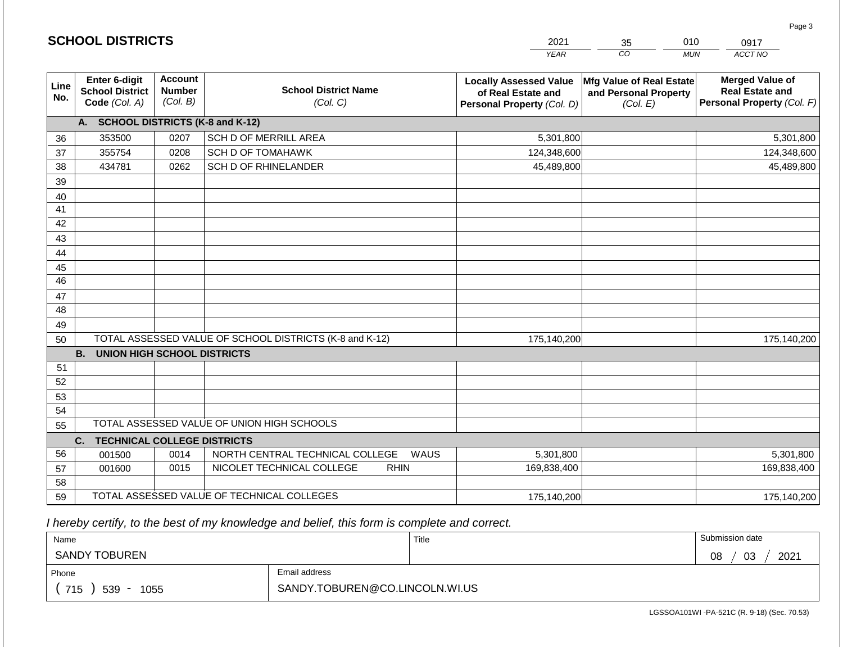|                 | <b>SCHOOL DISTRICTS</b>                                  |                                             |                                                         | 2021                                                                              | 010<br>35<br>0917                                             |                                                                                |  |
|-----------------|----------------------------------------------------------|---------------------------------------------|---------------------------------------------------------|-----------------------------------------------------------------------------------|---------------------------------------------------------------|--------------------------------------------------------------------------------|--|
|                 |                                                          |                                             |                                                         | <b>YEAR</b>                                                                       | CO                                                            | ACCT NO<br><b>MUN</b>                                                          |  |
| Line<br>No.     | Enter 6-digit<br><b>School District</b><br>Code (Col. A) | <b>Account</b><br><b>Number</b><br>(Col. B) | <b>School District Name</b><br>(Col. C)                 | <b>Locally Assessed Value</b><br>of Real Estate and<br>Personal Property (Col. D) | Mfg Value of Real Estate<br>and Personal Property<br>(Col. E) | <b>Merged Value of</b><br><b>Real Estate and</b><br>Personal Property (Col. F) |  |
|                 | A.                                                       |                                             | <b>SCHOOL DISTRICTS (K-8 and K-12)</b>                  |                                                                                   |                                                               |                                                                                |  |
| 36              | 353500                                                   | 0207                                        | SCH D OF MERRILL AREA                                   | 5,301,800                                                                         |                                                               | 5,301,800                                                                      |  |
| 37              | 355754                                                   | 0208                                        | <b>SCH D OF TOMAHAWK</b>                                | 124,348,600                                                                       |                                                               | 124,348,600                                                                    |  |
| 38              | 434781                                                   | 0262                                        | SCH D OF RHINELANDER                                    | 45,489,800                                                                        |                                                               | 45,489,800                                                                     |  |
| 39              |                                                          |                                             |                                                         |                                                                                   |                                                               |                                                                                |  |
| 40              |                                                          |                                             |                                                         |                                                                                   |                                                               |                                                                                |  |
| 41              |                                                          |                                             |                                                         |                                                                                   |                                                               |                                                                                |  |
| 42              |                                                          |                                             |                                                         |                                                                                   |                                                               |                                                                                |  |
| 43              |                                                          |                                             |                                                         |                                                                                   |                                                               |                                                                                |  |
| 44              |                                                          |                                             |                                                         |                                                                                   |                                                               |                                                                                |  |
| 45              |                                                          |                                             |                                                         |                                                                                   |                                                               |                                                                                |  |
| $\overline{46}$ |                                                          |                                             |                                                         |                                                                                   |                                                               |                                                                                |  |
| 47<br>48        |                                                          |                                             |                                                         |                                                                                   |                                                               |                                                                                |  |
| 49              |                                                          |                                             |                                                         |                                                                                   |                                                               |                                                                                |  |
| 50              |                                                          |                                             | TOTAL ASSESSED VALUE OF SCHOOL DISTRICTS (K-8 and K-12) | 175,140,200                                                                       |                                                               | 175,140,200                                                                    |  |
|                 | <b>B.</b><br><b>UNION HIGH SCHOOL DISTRICTS</b>          |                                             |                                                         |                                                                                   |                                                               |                                                                                |  |
| 51              |                                                          |                                             |                                                         |                                                                                   |                                                               |                                                                                |  |
| 52              |                                                          |                                             |                                                         |                                                                                   |                                                               |                                                                                |  |
| 53              |                                                          |                                             |                                                         |                                                                                   |                                                               |                                                                                |  |
| 54              |                                                          |                                             |                                                         |                                                                                   |                                                               |                                                                                |  |
| 55              |                                                          |                                             | TOTAL ASSESSED VALUE OF UNION HIGH SCHOOLS              |                                                                                   |                                                               |                                                                                |  |
|                 | <b>TECHNICAL COLLEGE DISTRICTS</b><br>C.                 |                                             |                                                         |                                                                                   |                                                               |                                                                                |  |
| 56              | 001500                                                   | 0014                                        | NORTH CENTRAL TECHNICAL COLLEGE<br>WAUS                 | 5,301,800                                                                         |                                                               | 5,301,800                                                                      |  |
| 57              | 001600                                                   | 0015                                        | NICOLET TECHNICAL COLLEGE<br><b>RHIN</b>                | 169,838,400                                                                       |                                                               | 169,838,400                                                                    |  |
| 58              |                                                          |                                             |                                                         |                                                                                   |                                                               |                                                                                |  |
| 59              |                                                          |                                             | TOTAL ASSESSED VALUE OF TECHNICAL COLLEGES              | 175,140,200                                                                       |                                                               | 175,140,200                                                                    |  |

 *I hereby certify, to the best of my knowledge and belief, this form is complete and correct.*

**SCHOOL DISTRICTS**

| Name                                           |                                | Title | Submission date  |
|------------------------------------------------|--------------------------------|-------|------------------|
| SANDY TOBUREN                                  |                                |       | 2021<br>03<br>08 |
| Phone                                          | Email address                  |       |                  |
| 715<br>539<br>1055<br>$\overline{\phantom{a}}$ | SANDY.TOBUREN@CO.LINCOLN.WI.US |       |                  |

Page 3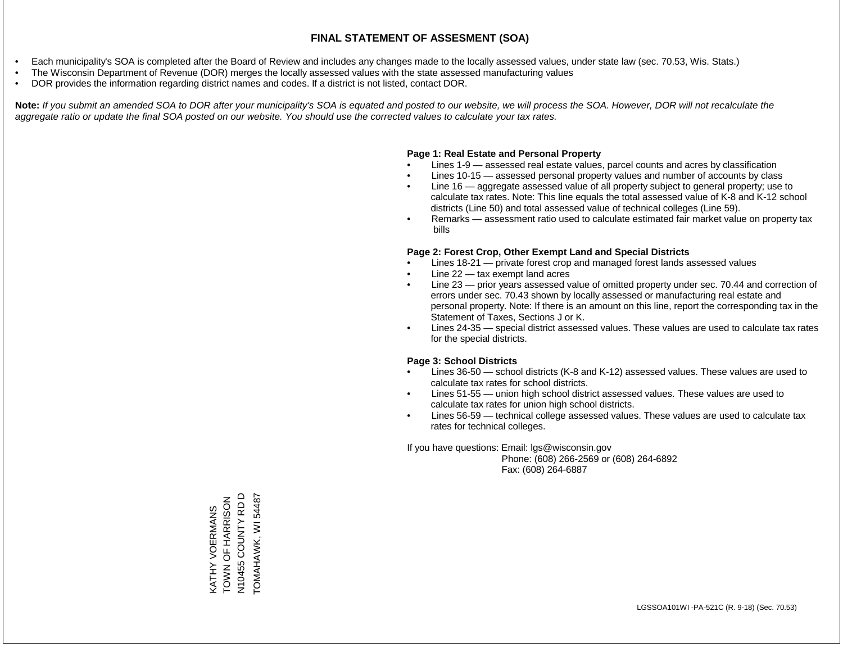- Each municipality's SOA is completed after the Board of Review and includes any changes made to the locally assessed values, under state law (sec. 70.53, Wis. Stats.)
- The Wisconsin Department of Revenue (DOR) merges the locally assessed values with the state assessed manufacturing values
- DOR provides the information regarding district names and codes. If a district is not listed, contact DOR.

Note: If you submit an amended SOA to DOR after your municipality's SOA is equated and posted to our website, we will process the SOA. However, DOR will not recalculate the *aggregate ratio or update the final SOA posted on our website. You should use the corrected values to calculate your tax rates.*

### **Page 1: Real Estate and Personal Property**

- Lines 1-9 assessed real estate values, parcel counts and acres by classification
- Lines 10-15 assessed personal property values and number of accounts by class
- Line 16 aggregate assessed value of all property subject to general property; use to calculate tax rates. Note: This line equals the total assessed value of K-8 and K-12 school districts (Line 50) and total assessed value of technical colleges (Line 59).
- Remarks assessment ratio used to calculate estimated fair market value on property tax bills

### **Page 2: Forest Crop, Other Exempt Land and Special Districts**

- Lines 18-21 private forest crop and managed forest lands assessed values
- Line  $22 -$  tax exempt land acres
- Line 23 prior years assessed value of omitted property under sec. 70.44 and correction of errors under sec. 70.43 shown by locally assessed or manufacturing real estate and personal property. Note: If there is an amount on this line, report the corresponding tax in the Statement of Taxes, Sections J or K.
- Lines 24-35 special district assessed values. These values are used to calculate tax rates for the special districts.

### **Page 3: School Districts**

- Lines 36-50 school districts (K-8 and K-12) assessed values. These values are used to calculate tax rates for school districts.
- Lines 51-55 union high school district assessed values. These values are used to calculate tax rates for union high school districts.
- Lines 56-59 technical college assessed values. These values are used to calculate tax rates for technical colleges.

If you have questions: Email: lgs@wisconsin.gov

 Phone: (608) 266-2569 or (608) 264-6892 Fax: (608) 264-6887

N10455 COUNTY RD D 54487 TOWN OF HARRISON N10455 COUNTY RD D TOMAHAWK, WI 54487KATHY VOERMANS<br>TOWN OF HARRISON KATHY VOERMANS TOMAHAWK, WI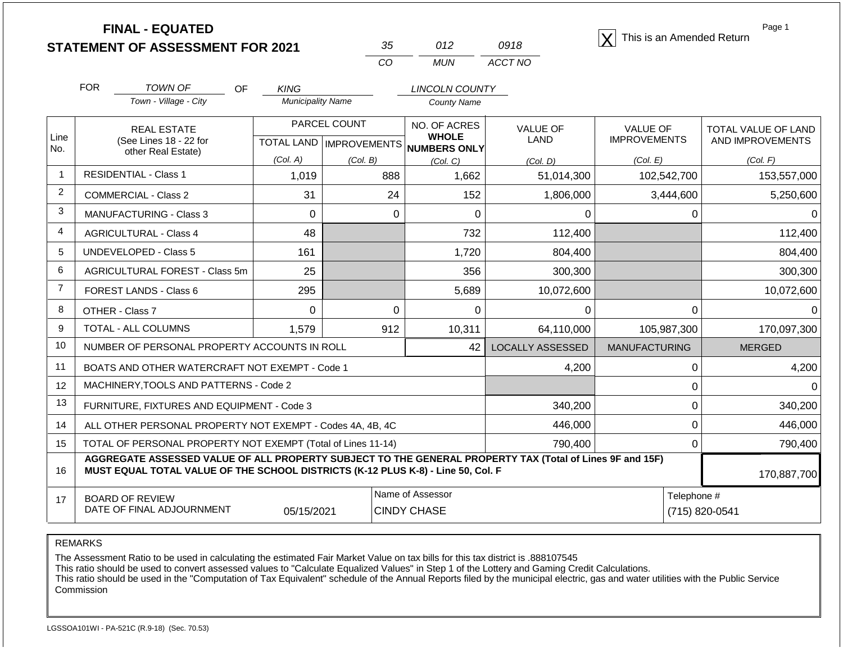| 35  | 012   | 0918    |
|-----|-------|---------|
| CO. | MI IN | ACCT NO |

**FINAL - EQUATED**<br> **ENT OF ASSESSMENT FOR 2021**  $35$  012 0918  $\boxed{\text{X}}$  This is an Amended Return

Page 1

|                | <b>FOR</b><br><b>TOWN OF</b><br>OF                                                                                                                                                           | <b>KING</b>              |                                     | <b>LINCOLN COUNTY</b>        |                  |                      |                            |
|----------------|----------------------------------------------------------------------------------------------------------------------------------------------------------------------------------------------|--------------------------|-------------------------------------|------------------------------|------------------|----------------------|----------------------------|
|                | Town - Village - City                                                                                                                                                                        | <b>Municipality Name</b> |                                     | <b>County Name</b>           |                  |                      |                            |
| Line           | <b>REAL ESTATE</b>                                                                                                                                                                           |                          | PARCEL COUNT                        | NO. OF ACRES<br><b>WHOLE</b> | <b>VALUE OF</b>  | <b>VALUE OF</b>      | <b>TOTAL VALUE OF LAND</b> |
| No.            | (See Lines 18 - 22 for<br>other Real Estate)                                                                                                                                                 |                          | TOTAL LAND MPROVEMENTS NUMBERS ONLY |                              | LAND             | <b>IMPROVEMENTS</b>  | AND IMPROVEMENTS           |
|                |                                                                                                                                                                                              | (Col. A)                 | (Col. B)                            | (Col, C)                     | (Col. D)         | (Col. E)             | (Col. F)                   |
| $\overline{1}$ | <b>RESIDENTIAL - Class 1</b>                                                                                                                                                                 | 1,019                    | 888                                 | 1,662                        | 51,014,300       | 102,542,700          | 153,557,000                |
| 2              | <b>COMMERCIAL - Class 2</b>                                                                                                                                                                  | 31                       | 24                                  | 152                          | 1,806,000        | 3,444,600            | 5,250,600                  |
| 3              | <b>MANUFACTURING - Class 3</b>                                                                                                                                                               | $\Omega$                 | 0                                   | $\Omega$                     | 0                | 0                    | <sup>n</sup>               |
| 4              | <b>AGRICULTURAL - Class 4</b>                                                                                                                                                                | 48                       |                                     | 732                          | 112,400          |                      | 112,400                    |
| 5              | <b>UNDEVELOPED - Class 5</b>                                                                                                                                                                 | 161                      |                                     | 1,720                        | 804,400          |                      | 804,400                    |
| 6              | AGRICULTURAL FOREST - Class 5m                                                                                                                                                               | 25                       |                                     | 356                          | 300,300          |                      | 300,300                    |
| 7              | FOREST LANDS - Class 6                                                                                                                                                                       | 295                      |                                     | 5,689                        | 10,072,600       |                      | 10,072,600                 |
| 8              | OTHER - Class 7                                                                                                                                                                              | $\Omega$                 | 0                                   | $\Omega$                     | 0                | 0                    | $\Omega$                   |
| 9              | TOTAL - ALL COLUMNS                                                                                                                                                                          | 1,579                    | 912                                 | 10,311                       | 64,110,000       | 105,987,300          | 170,097,300                |
| 10             | NUMBER OF PERSONAL PROPERTY ACCOUNTS IN ROLL                                                                                                                                                 |                          |                                     | 42                           | LOCALLY ASSESSED | <b>MANUFACTURING</b> | <b>MERGED</b>              |
| 11             | BOATS AND OTHER WATERCRAFT NOT EXEMPT - Code 1                                                                                                                                               |                          |                                     |                              | 4,200            | 0                    | 4,200                      |
| 12             | MACHINERY, TOOLS AND PATTERNS - Code 2                                                                                                                                                       |                          |                                     |                              |                  | 0                    |                            |
| 13             | FURNITURE, FIXTURES AND EQUIPMENT - Code 3                                                                                                                                                   |                          |                                     |                              | 340,200          | 0                    | 340,200                    |
| 14             | ALL OTHER PERSONAL PROPERTY NOT EXEMPT - Codes 4A, 4B, 4C                                                                                                                                    |                          |                                     |                              | 446,000          | 0                    | 446,000                    |
| 15             | TOTAL OF PERSONAL PROPERTY NOT EXEMPT (Total of Lines 11-14)<br>790,400                                                                                                                      |                          |                                     |                              |                  |                      | 790,400                    |
| 16             | AGGREGATE ASSESSED VALUE OF ALL PROPERTY SUBJECT TO THE GENERAL PROPERTY TAX (Total of Lines 9F and 15F)<br>MUST EQUAL TOTAL VALUE OF THE SCHOOL DISTRICTS (K-12 PLUS K-8) - Line 50, Col. F |                          |                                     |                              |                  |                      | 170,887,700                |
| 17             | <b>BOARD OF REVIEW</b>                                                                                                                                                                       |                          |                                     | Name of Assessor             |                  | Telephone #          |                            |
|                | DATE OF FINAL ADJOURNMENT                                                                                                                                                                    | 05/15/2021               |                                     | <b>CINDY CHASE</b>           |                  |                      | (715) 820-0541             |

REMARKS

The Assessment Ratio to be used in calculating the estimated Fair Market Value on tax bills for this tax district is .888107545

This ratio should be used to convert assessed values to "Calculate Equalized Values" in Step 1 of the Lottery and Gaming Credit Calculations.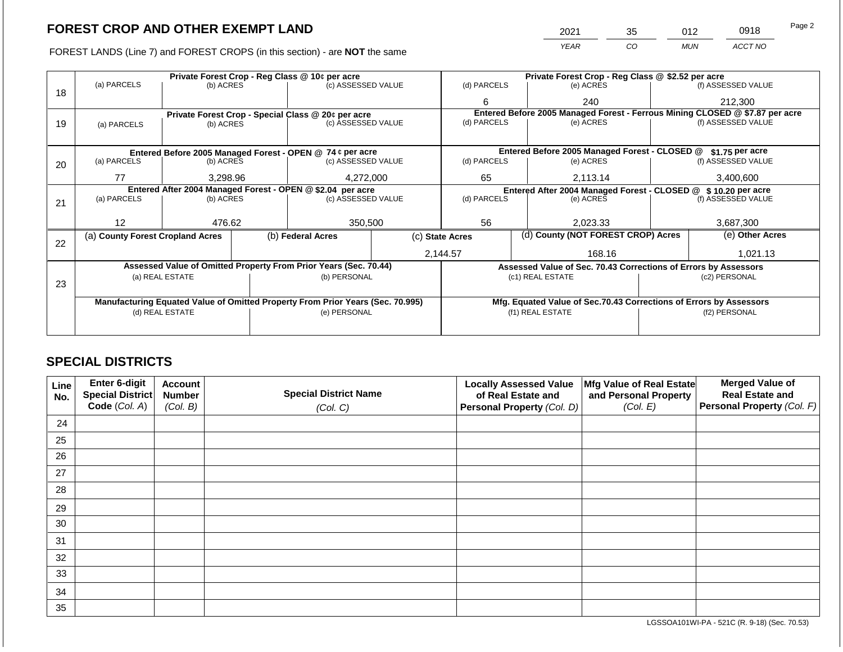FOREST LANDS (Line 7) and FOREST CROPS (in this section) - are **NOT** the same

| 2021 | 35 | 012 | 0918    | Page 2 |
|------|----|-----|---------|--------|
| YFAR | CO | MUN | ACCT NO |        |

|    |                                                            | Private Forest Crop - Reg Class @ 10¢ per acre |  |                                                                                |                                                               | Private Forest Crop - Reg Class @ \$2.52 per acre                            |                                                                    |                    |                    |  |
|----|------------------------------------------------------------|------------------------------------------------|--|--------------------------------------------------------------------------------|---------------------------------------------------------------|------------------------------------------------------------------------------|--------------------------------------------------------------------|--------------------|--------------------|--|
|    | (a) PARCELS                                                | (b) ACRES                                      |  | (c) ASSESSED VALUE                                                             |                                                               | (d) PARCELS                                                                  | (e) ACRES                                                          |                    | (f) ASSESSED VALUE |  |
| 18 |                                                            |                                                |  |                                                                                |                                                               | 6                                                                            | 240                                                                |                    | 212,300            |  |
|    |                                                            |                                                |  | Private Forest Crop - Special Class @ 20¢ per acre                             |                                                               | Entered Before 2005 Managed Forest - Ferrous Mining CLOSED @ \$7.87 per acre |                                                                    |                    |                    |  |
| 19 | (a) PARCELS                                                | (b) ACRES                                      |  | (c) ASSESSED VALUE                                                             |                                                               | (d) PARCELS                                                                  | (e) ACRES                                                          |                    | (f) ASSESSED VALUE |  |
|    |                                                            |                                                |  |                                                                                |                                                               |                                                                              |                                                                    |                    |                    |  |
|    |                                                            |                                                |  | Entered Before 2005 Managed Forest - OPEN @ 74 ¢ per acre                      |                                                               |                                                                              | Entered Before 2005 Managed Forest - CLOSED @                      |                    | \$1.75 per acre    |  |
| 20 | (a) PARCELS                                                | (b) ACRES                                      |  | (c) ASSESSED VALUE                                                             |                                                               | (d) PARCELS                                                                  | (e) ACRES                                                          |                    | (f) ASSESSED VALUE |  |
|    |                                                            |                                                |  |                                                                                |                                                               |                                                                              |                                                                    |                    |                    |  |
|    | 77                                                         | 3.298.96                                       |  | 4,272,000                                                                      |                                                               | 65                                                                           | 2.113.14                                                           |                    | 3,400,600          |  |
|    | Entered After 2004 Managed Forest - OPEN @ \$2.04 per acre |                                                |  |                                                                                | Entered After 2004 Managed Forest - CLOSED @ \$10.20 per acre |                                                                              |                                                                    |                    |                    |  |
| 21 | (a) PARCELS                                                | (b) ACRES                                      |  | (c) ASSESSED VALUE                                                             |                                                               | (d) PARCELS<br>(e) ACRES                                                     |                                                                    | (f) ASSESSED VALUE |                    |  |
|    |                                                            |                                                |  |                                                                                |                                                               |                                                                              |                                                                    |                    |                    |  |
|    | 12                                                         | 476.62                                         |  |                                                                                | 350,500<br>56                                                 |                                                                              | 2,023.33                                                           |                    | 3,687,300          |  |
| 22 | (a) County Forest Cropland Acres                           |                                                |  | (b) Federal Acres                                                              | (c) State Acres                                               |                                                                              | (d) County (NOT FOREST CROP) Acres                                 |                    | (e) Other Acres    |  |
|    |                                                            |                                                |  |                                                                                |                                                               | 2,144.57                                                                     | 168.16                                                             |                    | 1,021.13           |  |
|    |                                                            |                                                |  | Assessed Value of Omitted Property From Prior Years (Sec. 70.44)               |                                                               |                                                                              | Assessed Value of Sec. 70.43 Corrections of Errors by Assessors    |                    |                    |  |
|    |                                                            | (a) REAL ESTATE                                |  | (b) PERSONAL                                                                   |                                                               |                                                                              | (c1) REAL ESTATE                                                   |                    | (c2) PERSONAL      |  |
| 23 |                                                            |                                                |  |                                                                                |                                                               |                                                                              |                                                                    |                    |                    |  |
|    |                                                            |                                                |  | Manufacturing Equated Value of Omitted Property From Prior Years (Sec. 70.995) |                                                               |                                                                              | Mfg. Equated Value of Sec.70.43 Corrections of Errors by Assessors |                    |                    |  |
|    |                                                            | (d) REAL ESTATE                                |  | (e) PERSONAL                                                                   |                                                               |                                                                              | (f1) REAL ESTATE                                                   |                    | (f2) PERSONAL      |  |
|    |                                                            |                                                |  |                                                                                |                                                               |                                                                              |                                                                    |                    |                    |  |
|    |                                                            |                                                |  |                                                                                |                                                               |                                                                              |                                                                    |                    |                    |  |

### **SPECIAL DISTRICTS**

| <b>Line</b><br>No. | Enter 6-digit<br><b>Special District</b> | <b>Account</b><br><b>Number</b> | <b>Special District Name</b> | <b>Locally Assessed Value</b><br>of Real Estate and | Mfg Value of Real Estate<br>and Personal Property | <b>Merged Value of</b><br><b>Real Estate and</b> |
|--------------------|------------------------------------------|---------------------------------|------------------------------|-----------------------------------------------------|---------------------------------------------------|--------------------------------------------------|
|                    | Code (Col. A)                            | (Col. B)                        | (Col. C)                     | Personal Property (Col. D)                          | (Col. E)                                          | Personal Property (Col. F)                       |
| 24                 |                                          |                                 |                              |                                                     |                                                   |                                                  |
| 25                 |                                          |                                 |                              |                                                     |                                                   |                                                  |
| 26                 |                                          |                                 |                              |                                                     |                                                   |                                                  |
| 27                 |                                          |                                 |                              |                                                     |                                                   |                                                  |
| 28                 |                                          |                                 |                              |                                                     |                                                   |                                                  |
| 29                 |                                          |                                 |                              |                                                     |                                                   |                                                  |
| 30                 |                                          |                                 |                              |                                                     |                                                   |                                                  |
| 31                 |                                          |                                 |                              |                                                     |                                                   |                                                  |
| 32                 |                                          |                                 |                              |                                                     |                                                   |                                                  |
| 33                 |                                          |                                 |                              |                                                     |                                                   |                                                  |
| 34                 |                                          |                                 |                              |                                                     |                                                   |                                                  |
| 35                 |                                          |                                 |                              |                                                     |                                                   |                                                  |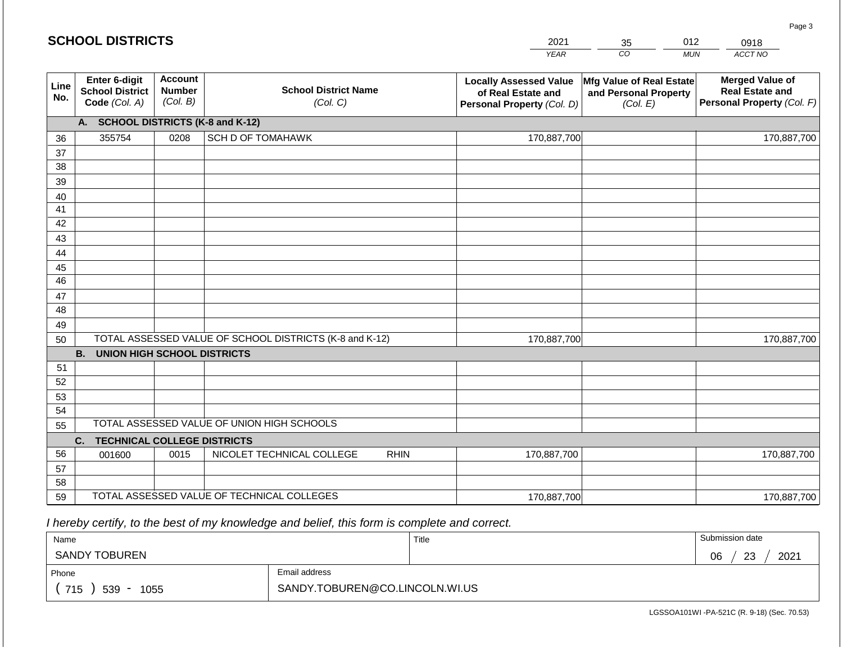#### *YEAR*  2021  $\overline{co}$ 35 *MUN*  012 *ACCT NO*  0918 **SCHOOL DISTRICTS Line No. Enter 6-digit School District Code** *(Col. A)* **Account Number** *(Col. B)* **School District Name** *(Col. C)* **Locally Assessed Value of Real Estate and Personal Property** *(Col. D)* **Mfg Value of Real Estate and Personal Property** *(Col. E)* **Merged Value of Real Estate and Personal Property** *(Col. F)* **A. SCHOOL DISTRICTS (K-8 and K-12)** 36 37 38 39 40 41 42 43 44 45 46 47 48 49 50 TOTAL ASSESSED VALUE OF SCHOOL DISTRICTS (K-8 and K-12) **B. UNION HIGH SCHOOL DISTRICTS** 51 52 53 54 55 **C. TECHNICAL COLLEGE DISTRICTS** 56 57 58 59 TOTAL ASSESSED VALUE OF TECHNICAL COLLEGES TOTAL ASSESSED VALUE OF UNION HIGH SCHOOLS 355754 0208 SCH D OF TOMAHAWK 170,887,700 170,887,700 001600 | 0015 | NICOLET TECHNICAL COLLEGE RHIN 170,887,700 170,887,700 170,887,700 170,887,700 170,887,700 170,887,700

 *I hereby certify, to the best of my knowledge and belief, this form is complete and correct.*

| Name                   |                                | Title | Submission date  |
|------------------------|--------------------------------|-------|------------------|
| <b>SANDY TOBUREN</b>   |                                |       | 23<br>2021<br>06 |
| Phone                  | Email address                  |       |                  |
| 715<br>$539 -$<br>1055 | SANDY.TOBUREN@CO.LINCOLN.WI.US |       |                  |

LGSSOA101WI -PA-521C (R. 9-18) (Sec. 70.53)

Page 3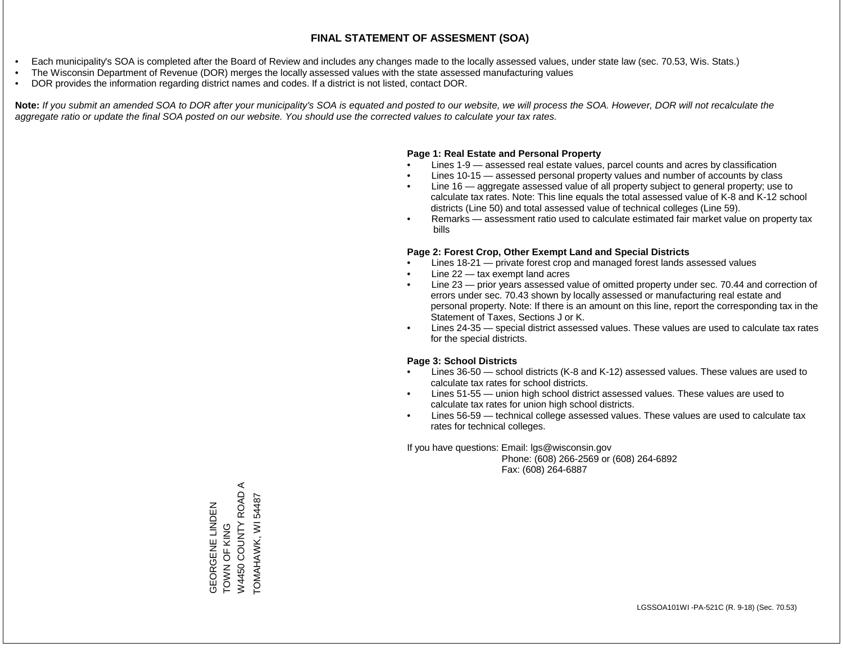- Each municipality's SOA is completed after the Board of Review and includes any changes made to the locally assessed values, under state law (sec. 70.53, Wis. Stats.)
- The Wisconsin Department of Revenue (DOR) merges the locally assessed values with the state assessed manufacturing values
- DOR provides the information regarding district names and codes. If a district is not listed, contact DOR.

Note: If you submit an amended SOA to DOR after your municipality's SOA is equated and posted to our website, we will process the SOA. However, DOR will not recalculate the *aggregate ratio or update the final SOA posted on our website. You should use the corrected values to calculate your tax rates.*

### **Page 1: Real Estate and Personal Property**

- Lines 1-9 assessed real estate values, parcel counts and acres by classification
- Lines 10-15 assessed personal property values and number of accounts by class
- Line 16 aggregate assessed value of all property subject to general property; use to calculate tax rates. Note: This line equals the total assessed value of K-8 and K-12 school districts (Line 50) and total assessed value of technical colleges (Line 59).
- Remarks assessment ratio used to calculate estimated fair market value on property tax bills

### **Page 2: Forest Crop, Other Exempt Land and Special Districts**

- Lines 18-21 private forest crop and managed forest lands assessed values
- Line  $22 -$  tax exempt land acres
- Line 23 prior years assessed value of omitted property under sec. 70.44 and correction of errors under sec. 70.43 shown by locally assessed or manufacturing real estate and personal property. Note: If there is an amount on this line, report the corresponding tax in the Statement of Taxes, Sections J or K.
- Lines 24-35 special district assessed values. These values are used to calculate tax rates for the special districts.

### **Page 3: School Districts**

- Lines 36-50 school districts (K-8 and K-12) assessed values. These values are used to calculate tax rates for school districts.
- Lines 51-55 union high school district assessed values. These values are used to calculate tax rates for union high school districts.
- Lines 56-59 technical college assessed values. These values are used to calculate tax rates for technical colleges.

If you have questions: Email: lgs@wisconsin.gov

 Phone: (608) 266-2569 or (608) 264-6892 Fax: (608) 264-6887

 $\prec$ W4450 COUNTY ROAD A ROAD. 54487 TOMAHAWK, WI 54487GEORGENE LINDEN<br>TOWN OF KING GEORGENE LINDEN W4450 COUNTY TOMAHAWK, WI TOWN OF KING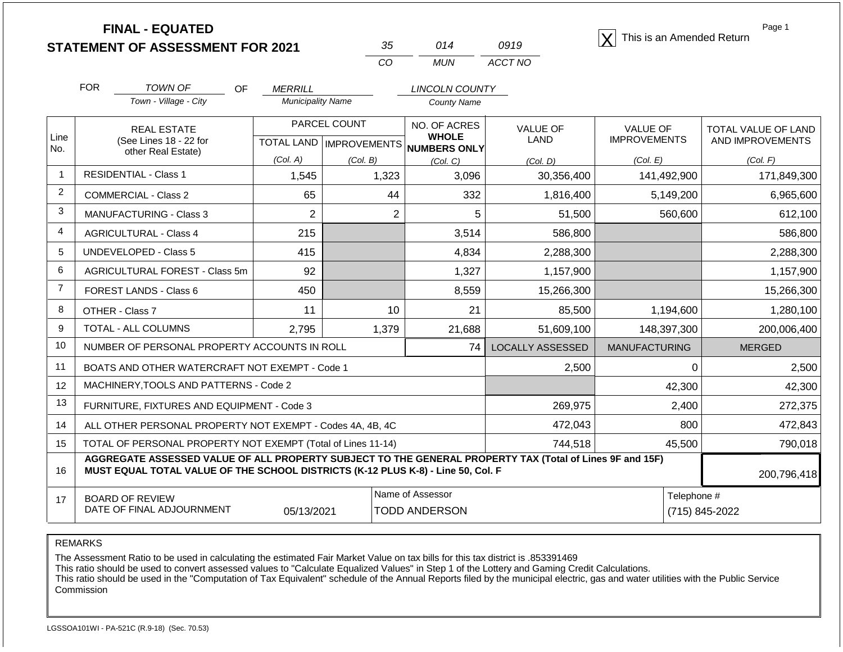| <b>FINAL - EQUATED</b>                  |  |      | This is an Amended Return |
|-----------------------------------------|--|------|---------------------------|
| <b>STATEMENT OF ASSESSMENT FOR 2021</b> |  | 0919 |                           |

| -35 | 014   | 0919    |
|-----|-------|---------|
| ററ  | MI IN | ACCT NO |

Page 1

|                | <b>FOR</b>                                                   | TOWN OF<br><b>OF</b>                                                                                                                                                                         | <b>MERRILL</b>           |                | <b>LINCOLN COUNTY</b>                    |                                |                                 |                            |
|----------------|--------------------------------------------------------------|----------------------------------------------------------------------------------------------------------------------------------------------------------------------------------------------|--------------------------|----------------|------------------------------------------|--------------------------------|---------------------------------|----------------------------|
|                |                                                              | Town - Village - City                                                                                                                                                                        | <b>Municipality Name</b> |                | <b>County Name</b>                       |                                |                                 |                            |
| Line           |                                                              | <b>REAL ESTATE</b>                                                                                                                                                                           |                          | PARCEL COUNT   | NO. OF ACRES<br><b>WHOLE</b>             | <b>VALUE OF</b><br><b>LAND</b> | VALUE OF<br><b>IMPROVEMENTS</b> | <b>TOTAL VALUE OF LAND</b> |
| No.            |                                                              | (See Lines 18 - 22 for<br>other Real Estate)                                                                                                                                                 |                          |                | TOTAL LAND   IMPROVEMENTS   NUMBERS ONLY |                                |                                 | AND IMPROVEMENTS           |
|                |                                                              |                                                                                                                                                                                              | (Col. A)                 | (Col. B)       | (Col, C)                                 | (Col. D)                       | (Col. E)                        | (Col. F)                   |
| $\mathbf{1}$   |                                                              | <b>RESIDENTIAL - Class 1</b>                                                                                                                                                                 | 1,545                    | 1,323          | 3,096                                    | 30,356,400                     | 141,492,900                     | 171,849,300                |
| $\overline{2}$ |                                                              | <b>COMMERCIAL - Class 2</b>                                                                                                                                                                  | 65                       | 44             | 332                                      | 1,816,400                      | 5,149,200                       | 6,965,600                  |
| 3              |                                                              | <b>MANUFACTURING - Class 3</b>                                                                                                                                                               | $\overline{2}$           | $\overline{2}$ | 5                                        | 51,500                         | 560,600                         | 612,100                    |
| 4              |                                                              | <b>AGRICULTURAL - Class 4</b>                                                                                                                                                                | 215                      |                | 3,514                                    | 586,800                        |                                 | 586,800                    |
| 5              |                                                              | <b>UNDEVELOPED - Class 5</b>                                                                                                                                                                 | 415                      |                | 4,834                                    | 2,288,300                      |                                 | 2,288,300                  |
| 6              |                                                              | AGRICULTURAL FOREST - Class 5m                                                                                                                                                               | 92                       |                | 1,327                                    | 1,157,900                      |                                 | 1,157,900                  |
| $\overline{7}$ |                                                              | FOREST LANDS - Class 6                                                                                                                                                                       | 450                      |                | 8,559                                    | 15,266,300                     |                                 | 15,266,300                 |
| 8              |                                                              | OTHER - Class 7                                                                                                                                                                              | 11                       | 10             | 21                                       | 85,500                         | 1,194,600                       | 1,280,100                  |
| 9              |                                                              | <b>TOTAL - ALL COLUMNS</b>                                                                                                                                                                   | 2,795                    | 1,379          | 21,688                                   | 51,609,100                     | 148,397,300                     | 200,006,400                |
| 10             |                                                              | NUMBER OF PERSONAL PROPERTY ACCOUNTS IN ROLL                                                                                                                                                 |                          |                | 74                                       | <b>LOCALLY ASSESSED</b>        | <b>MANUFACTURING</b>            | <b>MERGED</b>              |
| 11             |                                                              | BOATS AND OTHER WATERCRAFT NOT EXEMPT - Code 1                                                                                                                                               |                          |                |                                          | 2,500                          | $\Omega$                        | 2,500                      |
| 12             |                                                              | MACHINERY, TOOLS AND PATTERNS - Code 2                                                                                                                                                       |                          |                |                                          |                                | 42,300                          | 42,300                     |
| 13             |                                                              | FURNITURE, FIXTURES AND EQUIPMENT - Code 3                                                                                                                                                   |                          |                |                                          | 269,975                        | 2,400                           | 272,375                    |
| 14             |                                                              | ALL OTHER PERSONAL PROPERTY NOT EXEMPT - Codes 4A, 4B, 4C                                                                                                                                    |                          |                |                                          | 472,043                        | 800                             | 472,843                    |
| 15             | TOTAL OF PERSONAL PROPERTY NOT EXEMPT (Total of Lines 11-14) |                                                                                                                                                                                              |                          |                |                                          | 744,518                        | 45,500                          | 790,018                    |
| 16             |                                                              | AGGREGATE ASSESSED VALUE OF ALL PROPERTY SUBJECT TO THE GENERAL PROPERTY TAX (Total of Lines 9F and 15F)<br>MUST EQUAL TOTAL VALUE OF THE SCHOOL DISTRICTS (K-12 PLUS K-8) - Line 50, Col. F |                          |                |                                          |                                |                                 | 200,796,418                |
| 17             |                                                              | <b>BOARD OF REVIEW</b>                                                                                                                                                                       |                          |                | Name of Assessor                         |                                | Telephone #                     |                            |
|                |                                                              | DATE OF FINAL ADJOURNMENT                                                                                                                                                                    | 05/13/2021               |                | <b>TODD ANDERSON</b>                     |                                |                                 | (715) 845-2022             |

REMARKS

The Assessment Ratio to be used in calculating the estimated Fair Market Value on tax bills for this tax district is .853391469

This ratio should be used to convert assessed values to "Calculate Equalized Values" in Step 1 of the Lottery and Gaming Credit Calculations.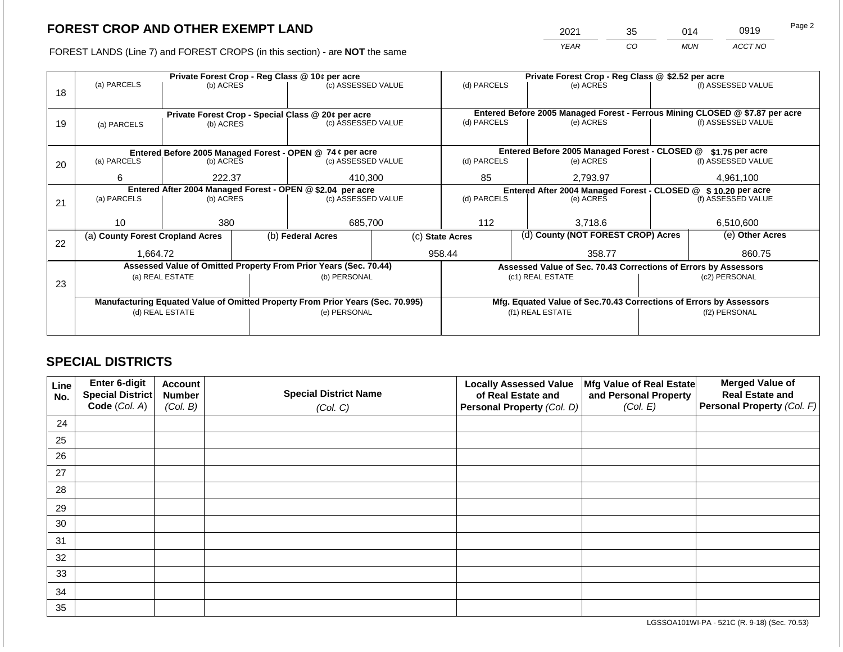2021 35 014 0919

FOREST LANDS (Line 7) and FOREST CROPS (in this section) - are **NOT** the same *YEAR CO MUN ACCT NO*

|    | Private Forest Crop - Reg Class @ 10¢ per acre                                 |                 |  |                                                                  |  | Private Forest Crop - Reg Class @ \$2.52 per acre             |                                                                              |                                                                    |  |                    |
|----|--------------------------------------------------------------------------------|-----------------|--|------------------------------------------------------------------|--|---------------------------------------------------------------|------------------------------------------------------------------------------|--------------------------------------------------------------------|--|--------------------|
|    | (a) PARCELS                                                                    | (b) ACRES       |  | (c) ASSESSED VALUE                                               |  | (d) PARCELS                                                   |                                                                              | (e) ACRES                                                          |  | (f) ASSESSED VALUE |
| 18 |                                                                                |                 |  |                                                                  |  |                                                               |                                                                              |                                                                    |  |                    |
|    |                                                                                |                 |  |                                                                  |  |                                                               | Entered Before 2005 Managed Forest - Ferrous Mining CLOSED @ \$7.87 per acre |                                                                    |  |                    |
|    |                                                                                |                 |  | Private Forest Crop - Special Class @ 20¢ per acre               |  | (d) PARCELS                                                   |                                                                              | (e) ACRES                                                          |  | (f) ASSESSED VALUE |
| 19 | (a) PARCELS                                                                    | (b) ACRES       |  | (c) ASSESSED VALUE                                               |  |                                                               |                                                                              |                                                                    |  |                    |
|    |                                                                                |                 |  |                                                                  |  |                                                               |                                                                              |                                                                    |  |                    |
|    |                                                                                |                 |  | Entered Before 2005 Managed Forest - OPEN @ 74 ¢ per acre        |  |                                                               |                                                                              | Entered Before 2005 Managed Forest - CLOSED @                      |  | \$1.75 per acre    |
| 20 | (a) PARCELS                                                                    | (b) ACRES       |  | (c) ASSESSED VALUE                                               |  | (d) PARCELS                                                   |                                                                              | (e) ACRES                                                          |  | (f) ASSESSED VALUE |
|    |                                                                                |                 |  |                                                                  |  |                                                               |                                                                              |                                                                    |  |                    |
|    | 6                                                                              | 222.37          |  | 410,300                                                          |  | 85                                                            |                                                                              | 2,793.97                                                           |  | 4,961,100          |
|    |                                                                                |                 |  | Entered After 2004 Managed Forest - OPEN @ \$2.04 per acre       |  | Entered After 2004 Managed Forest - CLOSED @ \$10.20 per acre |                                                                              |                                                                    |  |                    |
| 21 | (a) PARCELS                                                                    | (b) ACRES       |  | (c) ASSESSED VALUE                                               |  | (d) PARCELS<br>(e) ACRES                                      |                                                                              | (f) ASSESSED VALUE                                                 |  |                    |
|    |                                                                                |                 |  |                                                                  |  |                                                               |                                                                              |                                                                    |  |                    |
|    | 10                                                                             | 380             |  | 685,700                                                          |  | 112                                                           |                                                                              | 3,718.6                                                            |  | 6,510,600          |
|    | (a) County Forest Cropland Acres                                               |                 |  | (b) Federal Acres                                                |  | (c) State Acres                                               |                                                                              | (d) County (NOT FOREST CROP) Acres                                 |  | (e) Other Acres    |
| 22 |                                                                                |                 |  |                                                                  |  |                                                               |                                                                              |                                                                    |  |                    |
|    | 1,664.72                                                                       |                 |  |                                                                  |  | 958.44                                                        |                                                                              | 358.77                                                             |  | 860.75             |
|    |                                                                                |                 |  | Assessed Value of Omitted Property From Prior Years (Sec. 70.44) |  |                                                               |                                                                              | Assessed Value of Sec. 70.43 Corrections of Errors by Assessors    |  |                    |
|    |                                                                                | (a) REAL ESTATE |  | (b) PERSONAL                                                     |  |                                                               |                                                                              | (c1) REAL ESTATE                                                   |  | (c2) PERSONAL      |
| 23 |                                                                                |                 |  |                                                                  |  |                                                               |                                                                              |                                                                    |  |                    |
|    | Manufacturing Equated Value of Omitted Property From Prior Years (Sec. 70.995) |                 |  |                                                                  |  |                                                               |                                                                              | Mfg. Equated Value of Sec.70.43 Corrections of Errors by Assessors |  |                    |
|    |                                                                                | (d) REAL ESTATE |  | (e) PERSONAL                                                     |  |                                                               |                                                                              | (f1) REAL ESTATE                                                   |  | (f2) PERSONAL      |
|    |                                                                                |                 |  |                                                                  |  |                                                               |                                                                              |                                                                    |  |                    |
|    |                                                                                |                 |  |                                                                  |  |                                                               |                                                                              |                                                                    |  |                    |

### **SPECIAL DISTRICTS**

| Line<br>No. | <b>Enter 6-digit</b><br>Special District | <b>Account</b><br><b>Number</b> | <b>Special District Name</b> | <b>Locally Assessed Value</b><br>of Real Estate and | Mfg Value of Real Estate<br>and Personal Property | <b>Merged Value of</b><br><b>Real Estate and</b> |
|-------------|------------------------------------------|---------------------------------|------------------------------|-----------------------------------------------------|---------------------------------------------------|--------------------------------------------------|
|             | Code (Col. A)                            | (Col. B)                        | (Col. C)                     | Personal Property (Col. D)                          | (Col. E)                                          | Personal Property (Col. F)                       |
| 24          |                                          |                                 |                              |                                                     |                                                   |                                                  |
| 25          |                                          |                                 |                              |                                                     |                                                   |                                                  |
| 26          |                                          |                                 |                              |                                                     |                                                   |                                                  |
| 27          |                                          |                                 |                              |                                                     |                                                   |                                                  |
| 28          |                                          |                                 |                              |                                                     |                                                   |                                                  |
| 29          |                                          |                                 |                              |                                                     |                                                   |                                                  |
| 30          |                                          |                                 |                              |                                                     |                                                   |                                                  |
| 31          |                                          |                                 |                              |                                                     |                                                   |                                                  |
| 32          |                                          |                                 |                              |                                                     |                                                   |                                                  |
| 33          |                                          |                                 |                              |                                                     |                                                   |                                                  |
| 34          |                                          |                                 |                              |                                                     |                                                   |                                                  |
| 35          |                                          |                                 |                              |                                                     |                                                   |                                                  |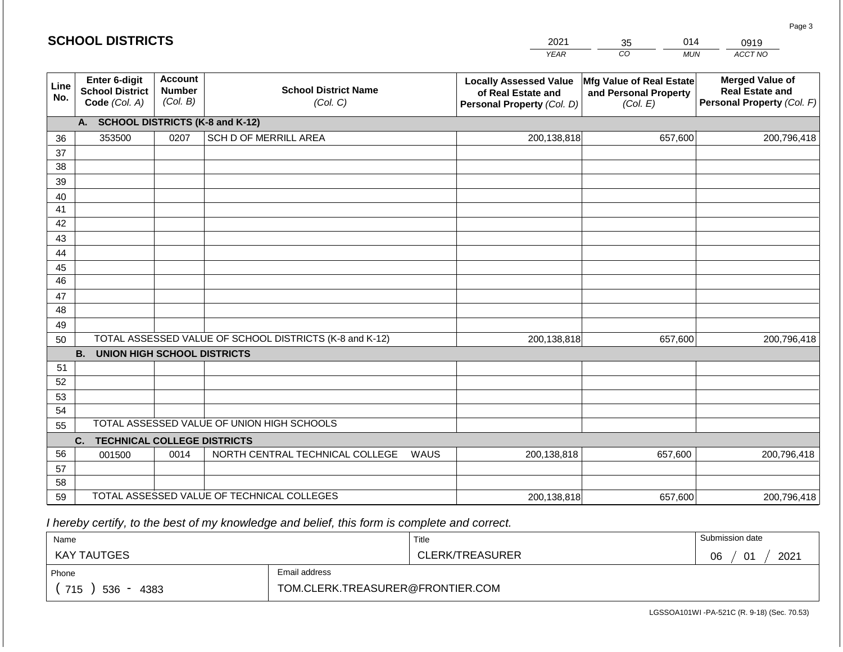#### $YE$ **20** *CO MUN*   $\overline{\text{CT NO}}$ 0919 **Line No. Enter 6-digit School District Code** *(Col. A)* **Account Number** *(Col. B)* **School District Name** *(Col. C)* **Locally Assessed Value of Real Estate and Personal Property** *(Col. D)* **Mfg Value of Real Estate and Personal Property** *(Col. E)* **Merged Value of Real Estate and Personal Property** *(Col. F)* **A. SCHOOL DISTRICTS (K-8 and K-12)** 36 37 38 39 40 41 42 43 44 45 46 47 48 49 50 TOTAL ASSESSED VALUE OF SCHOOL DISTRICTS (K-8 and K-12) **B. UNION HIGH SCHOOL DISTRICTS** 51 52 53 54 55 **C. TECHNICAL COLLEGE DISTRICTS** 56 57 58 59 TOTAL ASSESSED VALUE OF TECHNICAL COLLEGES TOTAL ASSESSED VALUE OF UNION HIGH SCHOOLS 353500 0207 SCH D OF MERRILL AREA 200,138,818 200,138,818 001500 | 0014 | NORTH CENTRAL TECHNICAL COLLEGE WAUS 200,138,818 657,600 200,796,418 657,600 200,796,418 657,600 200,796,418 200,138,818 657,600 200,796,418

 *I hereby certify, to the best of my knowledge and belief, this form is complete and correct.*

| Name               |                                  | Title           | Submission date                       |
|--------------------|----------------------------------|-----------------|---------------------------------------|
| <b>KAY TAUTGES</b> |                                  | CLERK/TREASURER | 2021<br>በፍ<br>$\mathbf{A}$<br>vv<br>U |
| Phone              | Email address                    |                 |                                       |
| 715<br>4383<br>536 | TOM.CLERK.TREASURER@FRONTIER.COM |                 |                                       |

Page 3

| 021 | 35 | 014        |    |
|-----|----|------------|----|
| EAR | CO | <b>MUN</b> | AC |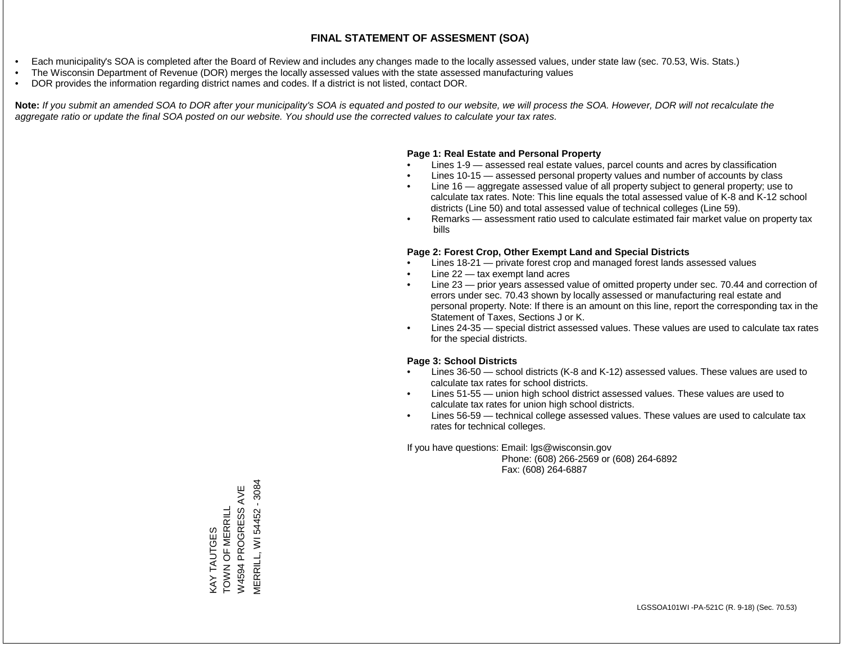- Each municipality's SOA is completed after the Board of Review and includes any changes made to the locally assessed values, under state law (sec. 70.53, Wis. Stats.)
- The Wisconsin Department of Revenue (DOR) merges the locally assessed values with the state assessed manufacturing values
- DOR provides the information regarding district names and codes. If a district is not listed, contact DOR.

Note: If you submit an amended SOA to DOR after your municipality's SOA is equated and posted to our website, we will process the SOA. However, DOR will not recalculate the *aggregate ratio or update the final SOA posted on our website. You should use the corrected values to calculate your tax rates.*

### **Page 1: Real Estate and Personal Property**

- Lines 1-9 assessed real estate values, parcel counts and acres by classification
- Lines 10-15 assessed personal property values and number of accounts by class
- Line 16 aggregate assessed value of all property subject to general property; use to calculate tax rates. Note: This line equals the total assessed value of K-8 and K-12 school districts (Line 50) and total assessed value of technical colleges (Line 59).
- Remarks assessment ratio used to calculate estimated fair market value on property tax bills

### **Page 2: Forest Crop, Other Exempt Land and Special Districts**

- Lines 18-21 private forest crop and managed forest lands assessed values
- Line  $22 -$  tax exempt land acres
- Line 23 prior years assessed value of omitted property under sec. 70.44 and correction of errors under sec. 70.43 shown by locally assessed or manufacturing real estate and personal property. Note: If there is an amount on this line, report the corresponding tax in the Statement of Taxes, Sections J or K.
- Lines 24-35 special district assessed values. These values are used to calculate tax rates for the special districts.

### **Page 3: School Districts**

- Lines 36-50 school districts (K-8 and K-12) assessed values. These values are used to calculate tax rates for school districts.
- Lines 51-55 union high school district assessed values. These values are used to calculate tax rates for union high school districts.
- Lines 56-59 technical college assessed values. These values are used to calculate tax rates for technical colleges.

If you have questions: Email: lgs@wisconsin.gov

 Phone: (608) 266-2569 or (608) 264-6892 Fax: (608) 264-6887

**MERRILL, WI 54452 - 3084** MERRILL, WI 54452 - 3084W4594 PROGRESS AVE W4594 PROGRESS AVE KAY TAUTGES<br>TOWN OF MERRILL TOWN OF MERRILL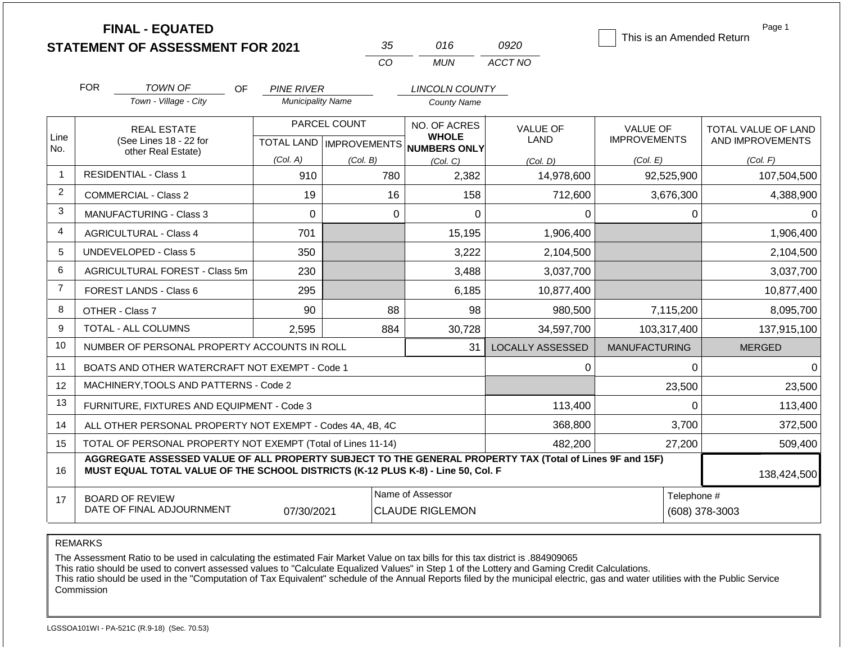|                |                                                                                                                                                                                              | <b>FINAL - EQUATED</b><br><b>STATEMENT OF ASSESSMENT FOR 2021</b> |                           |              | 35          | 016                                        | 0920                    | This is an Amended Return | Page 1              |
|----------------|----------------------------------------------------------------------------------------------------------------------------------------------------------------------------------------------|-------------------------------------------------------------------|---------------------------|--------------|-------------|--------------------------------------------|-------------------------|---------------------------|---------------------|
|                |                                                                                                                                                                                              |                                                                   |                           |              | CO          | <b>MUN</b>                                 | ACCT NO                 |                           |                     |
|                | <b>FOR</b>                                                                                                                                                                                   | TOWN OF<br>OF.                                                    | <b>PINE RIVER</b>         |              |             | LINCOLN COUNTY                             |                         |                           |                     |
|                |                                                                                                                                                                                              | Town - Village - City                                             | <b>Municipality Name</b>  |              |             | <b>County Name</b>                         |                         |                           |                     |
|                |                                                                                                                                                                                              | <b>REAL ESTATE</b>                                                |                           | PARCEL COUNT |             | NO. OF ACRES                               | <b>VALUE OF</b>         | <b>VALUE OF</b>           | TOTAL VALUE OF LAND |
| Line<br>No.    |                                                                                                                                                                                              | (See Lines 18 - 22 for<br>other Real Estate)                      | TOTAL LAND   IMPROVEMENTS |              |             | <b>WHOLE</b><br><b>NUMBERS ONLY</b>        | LAND                    | <b>IMPROVEMENTS</b>       | AND IMPROVEMENTS    |
|                |                                                                                                                                                                                              |                                                                   | (Col. A)                  | (Col. B)     |             | (Col. C)                                   | (Col, D)                | (Col. E)                  | (Col. F)            |
| $\mathbf{1}$   |                                                                                                                                                                                              | <b>RESIDENTIAL - Class 1</b>                                      | 910                       |              | 780         | 2,382                                      | 14,978,600              | 92,525,900                | 107,504,500         |
| $\overline{2}$ |                                                                                                                                                                                              | <b>COMMERCIAL - Class 2</b>                                       | 19                        |              | 16          | 158                                        | 712,600                 | 3,676,300                 | 4,388,900           |
| 3              |                                                                                                                                                                                              | <b>MANUFACTURING - Class 3</b>                                    | $\overline{0}$            |              | $\mathbf 0$ | $\mathbf 0$                                | 0                       | 0                         | 0                   |
| 4              |                                                                                                                                                                                              | <b>AGRICULTURAL - Class 4</b>                                     | 701                       |              |             | 15,195                                     | 1,906,400               |                           | 1,906,400           |
| 5              |                                                                                                                                                                                              | <b>UNDEVELOPED - Class 5</b>                                      | 350                       |              |             | 3,222                                      | 2,104,500               |                           | 2,104,500           |
| 6              |                                                                                                                                                                                              | AGRICULTURAL FOREST - Class 5m                                    | 230                       |              |             | 3,488                                      | 3,037,700               |                           | 3,037,700           |
| $\overline{7}$ |                                                                                                                                                                                              | FOREST LANDS - Class 6                                            | 295                       |              |             | 6,185                                      | 10,877,400              |                           | 10,877,400          |
| 8              |                                                                                                                                                                                              | OTHER - Class 7                                                   | 90                        |              | 88          | 98                                         | 980,500                 | 7,115,200                 | 8,095,700           |
| 9              |                                                                                                                                                                                              | <b>TOTAL - ALL COLUMNS</b>                                        | 2.595                     |              | 884         | 30,728                                     | 34,597,700              | 103,317,400               | 137,915,100         |
| 10             |                                                                                                                                                                                              | NUMBER OF PERSONAL PROPERTY ACCOUNTS IN ROLL                      |                           |              |             | 31                                         | <b>LOCALLY ASSESSED</b> | <b>MANUFACTURING</b>      | <b>MERGED</b>       |
| 11             |                                                                                                                                                                                              | BOATS AND OTHER WATERCRAFT NOT EXEMPT - Code 1                    |                           |              |             |                                            | 0                       | $\Omega$                  | $\Omega$            |
| 12             |                                                                                                                                                                                              | MACHINERY, TOOLS AND PATTERNS - Code 2                            |                           |              |             |                                            |                         | 23,500                    | 23,500              |
| 13             |                                                                                                                                                                                              | FURNITURE, FIXTURES AND EQUIPMENT - Code 3                        |                           |              |             |                                            | 113,400                 | $\Omega$                  | 113,400             |
| 14             | ALL OTHER PERSONAL PROPERTY NOT EXEMPT - Codes 4A, 4B, 4C                                                                                                                                    |                                                                   |                           |              |             | 368,800                                    | 3,700                   | 372,500                   |                     |
| 15             | TOTAL OF PERSONAL PROPERTY NOT EXEMPT (Total of Lines 11-14)                                                                                                                                 |                                                                   |                           |              |             | 482,200                                    | 27,200                  | 509,400                   |                     |
| 16             | AGGREGATE ASSESSED VALUE OF ALL PROPERTY SUBJECT TO THE GENERAL PROPERTY TAX (Total of Lines 9F and 15F)<br>MUST EQUAL TOTAL VALUE OF THE SCHOOL DISTRICTS (K-12 PLUS K-8) - Line 50, Col. F |                                                                   |                           |              |             |                                            |                         | 138,424,500               |                     |
| 17             |                                                                                                                                                                                              | <b>BOARD OF REVIEW</b><br>DATE OF FINAL ADJOURNMENT               | 07/30/2021                |              |             | Name of Assessor<br><b>CLAUDE RIGLEMON</b> |                         | Telephone #               | (608) 378-3003      |

REMARKS

The Assessment Ratio to be used in calculating the estimated Fair Market Value on tax bills for this tax district is .884909065

This ratio should be used to convert assessed values to "Calculate Equalized Values" in Step 1 of the Lottery and Gaming Credit Calculations.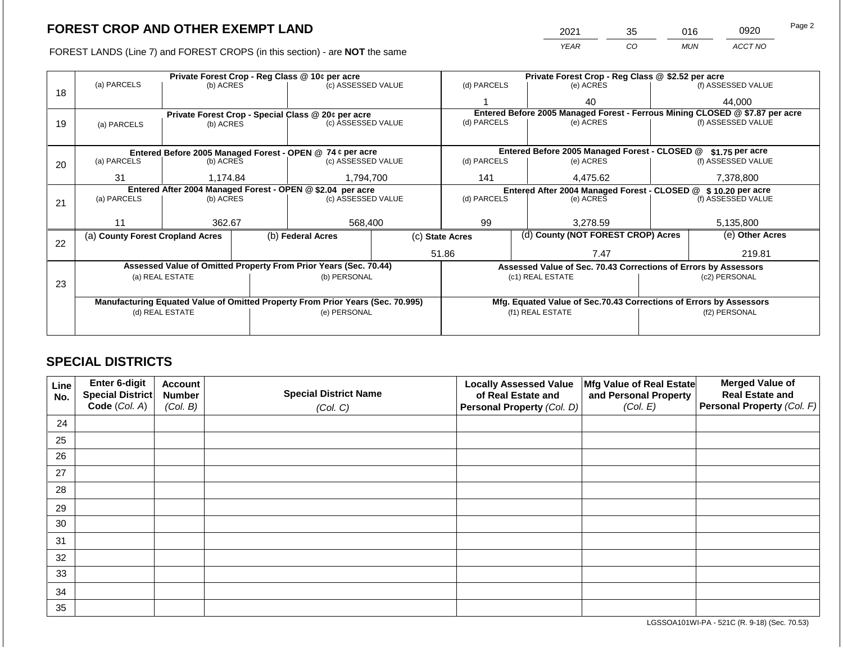FOREST LANDS (Line 7) and FOREST CROPS (in this section) - are **NOT** the same

| 2021 | 35 | 016        | 0920    | Page 2 |
|------|----|------------|---------|--------|
| YFAR | 20 | <b>MUN</b> | ACCT NO |        |

|    |                                                            |                 |  | Private Forest Crop - Reg Class @ 10¢ per acre                                 |                                                               | Private Forest Crop - Reg Class @ \$2.52 per acre     |                                                                              |                    |                    |  |
|----|------------------------------------------------------------|-----------------|--|--------------------------------------------------------------------------------|---------------------------------------------------------------|-------------------------------------------------------|------------------------------------------------------------------------------|--------------------|--------------------|--|
|    | (a) PARCELS                                                | (b) ACRES       |  | (c) ASSESSED VALUE                                                             |                                                               | (d) PARCELS                                           | (e) ACRES                                                                    |                    | (f) ASSESSED VALUE |  |
| 18 |                                                            |                 |  |                                                                                |                                                               |                                                       | 40                                                                           |                    | 44,000             |  |
|    |                                                            |                 |  | Private Forest Crop - Special Class @ 20¢ per acre                             |                                                               |                                                       | Entered Before 2005 Managed Forest - Ferrous Mining CLOSED @ \$7.87 per acre |                    |                    |  |
| 19 | (a) PARCELS                                                | (b) ACRES       |  | (c) ASSESSED VALUE                                                             |                                                               | (d) PARCELS                                           | (e) ACRES                                                                    |                    | (f) ASSESSED VALUE |  |
|    |                                                            |                 |  |                                                                                |                                                               |                                                       |                                                                              |                    |                    |  |
|    |                                                            |                 |  | Entered Before 2005 Managed Forest - OPEN @ 74 ¢ per acre                      |                                                               |                                                       | Entered Before 2005 Managed Forest - CLOSED @                                |                    | $$1.75$ per acre   |  |
| 20 | (a) PARCELS                                                | (b) ACRES       |  | (c) ASSESSED VALUE                                                             |                                                               | (d) PARCELS                                           | (e) ACRES                                                                    |                    | (f) ASSESSED VALUE |  |
|    |                                                            |                 |  |                                                                                |                                                               |                                                       |                                                                              |                    |                    |  |
|    | 31                                                         | 1,174.84        |  | 1,794,700                                                                      |                                                               | 141<br>4,475.62                                       |                                                                              |                    | 7,378,800          |  |
|    | Entered After 2004 Managed Forest - OPEN @ \$2.04 per acre |                 |  |                                                                                | Entered After 2004 Managed Forest - CLOSED @ \$10.20 per acre |                                                       |                                                                              |                    |                    |  |
| 21 | (a) PARCELS                                                | (b) ACRES       |  | (c) ASSESSED VALUE                                                             |                                                               | (d) PARCELS                                           | (e) ACRES                                                                    | (f) ASSESSED VALUE |                    |  |
|    |                                                            |                 |  |                                                                                |                                                               |                                                       |                                                                              |                    |                    |  |
|    | 11                                                         | 362.67          |  | 568,400                                                                        |                                                               | 99<br>3,278.59                                        |                                                                              | 5,135,800          |                    |  |
|    | (a) County Forest Cropland Acres                           |                 |  | (b) Federal Acres                                                              |                                                               | (d) County (NOT FOREST CROP) Acres<br>(c) State Acres |                                                                              |                    | (e) Other Acres    |  |
| 22 |                                                            |                 |  |                                                                                |                                                               |                                                       |                                                                              |                    |                    |  |
|    |                                                            |                 |  |                                                                                |                                                               | 51.86                                                 | 7.47                                                                         |                    | 219.81             |  |
|    |                                                            |                 |  | Assessed Value of Omitted Property From Prior Years (Sec. 70.44)               |                                                               |                                                       | Assessed Value of Sec. 70.43 Corrections of Errors by Assessors              |                    |                    |  |
|    |                                                            | (a) REAL ESTATE |  | (b) PERSONAL                                                                   |                                                               |                                                       | (c1) REAL ESTATE                                                             |                    | (c2) PERSONAL      |  |
| 23 |                                                            |                 |  |                                                                                |                                                               |                                                       |                                                                              |                    |                    |  |
|    |                                                            |                 |  |                                                                                |                                                               |                                                       |                                                                              |                    |                    |  |
|    |                                                            |                 |  | Manufacturing Equated Value of Omitted Property From Prior Years (Sec. 70.995) |                                                               |                                                       | Mfg. Equated Value of Sec.70.43 Corrections of Errors by Assessors           |                    |                    |  |
|    |                                                            | (d) REAL ESTATE |  | (e) PERSONAL                                                                   |                                                               |                                                       | (f1) REAL ESTATE                                                             |                    | (f2) PERSONAL      |  |
|    |                                                            |                 |  |                                                                                |                                                               |                                                       |                                                                              |                    |                    |  |
|    |                                                            |                 |  |                                                                                |                                                               |                                                       |                                                                              |                    |                    |  |

### **SPECIAL DISTRICTS**

| Line<br>No. | <b>Enter 6-digit</b><br>Special District | <b>Account</b><br><b>Number</b> | <b>Special District Name</b> | <b>Locally Assessed Value</b><br>of Real Estate and | Mfg Value of Real Estate<br>and Personal Property | <b>Merged Value of</b><br><b>Real Estate and</b> |
|-------------|------------------------------------------|---------------------------------|------------------------------|-----------------------------------------------------|---------------------------------------------------|--------------------------------------------------|
|             | Code (Col. A)                            | (Col. B)                        | (Col. C)                     | Personal Property (Col. D)                          | (Col. E)                                          | <b>Personal Property (Col. F)</b>                |
| 24          |                                          |                                 |                              |                                                     |                                                   |                                                  |
| 25          |                                          |                                 |                              |                                                     |                                                   |                                                  |
| 26          |                                          |                                 |                              |                                                     |                                                   |                                                  |
| 27          |                                          |                                 |                              |                                                     |                                                   |                                                  |
| 28          |                                          |                                 |                              |                                                     |                                                   |                                                  |
| 29          |                                          |                                 |                              |                                                     |                                                   |                                                  |
| 30          |                                          |                                 |                              |                                                     |                                                   |                                                  |
| 31          |                                          |                                 |                              |                                                     |                                                   |                                                  |
| 32          |                                          |                                 |                              |                                                     |                                                   |                                                  |
| 33          |                                          |                                 |                              |                                                     |                                                   |                                                  |
| 34          |                                          |                                 |                              |                                                     |                                                   |                                                  |
| 35          |                                          |                                 |                              |                                                     |                                                   |                                                  |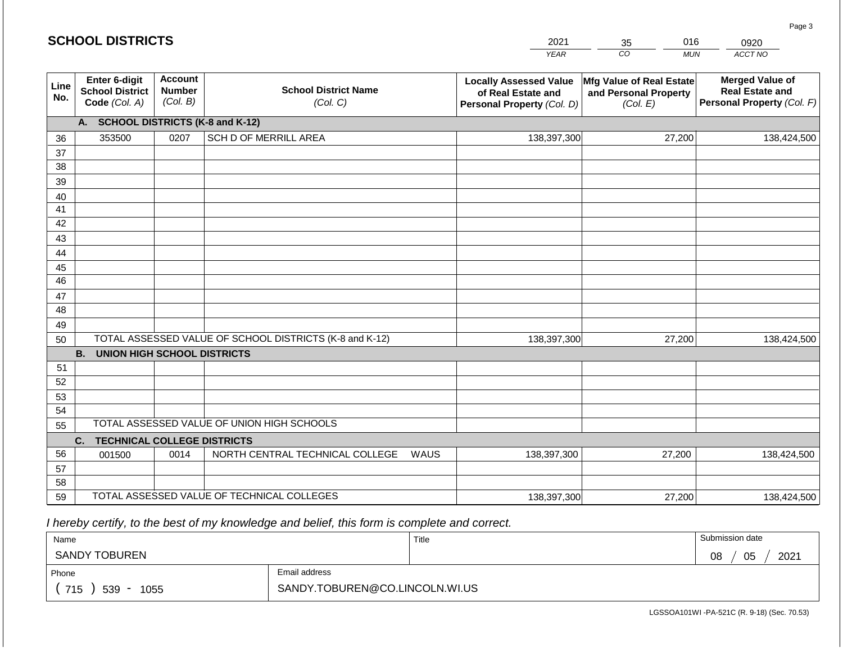|                 | <b>SCHOOL DISTRICTS</b>                                  |                                             |                                                         | 2021                                                                              | 016<br>35                                                            | 0920                                                                           |
|-----------------|----------------------------------------------------------|---------------------------------------------|---------------------------------------------------------|-----------------------------------------------------------------------------------|----------------------------------------------------------------------|--------------------------------------------------------------------------------|
|                 |                                                          |                                             |                                                         | <b>YEAR</b>                                                                       | CO<br><b>MUN</b>                                                     | ACCT NO                                                                        |
| Line<br>No.     | Enter 6-digit<br><b>School District</b><br>Code (Col. A) | <b>Account</b><br><b>Number</b><br>(Col. B) | <b>School District Name</b><br>(Col. C)                 | <b>Locally Assessed Value</b><br>of Real Estate and<br>Personal Property (Col. D) | <b>Mfg Value of Real Estate</b><br>and Personal Property<br>(Col. E) | <b>Merged Value of</b><br><b>Real Estate and</b><br>Personal Property (Col. F) |
|                 | A.                                                       |                                             | <b>SCHOOL DISTRICTS (K-8 and K-12)</b>                  |                                                                                   |                                                                      |                                                                                |
| 36              | 353500                                                   | 0207                                        | SCH D OF MERRILL AREA                                   | 138,397,300                                                                       | 27,200                                                               | 138,424,500                                                                    |
| 37              |                                                          |                                             |                                                         |                                                                                   |                                                                      |                                                                                |
| 38              |                                                          |                                             |                                                         |                                                                                   |                                                                      |                                                                                |
| 39              |                                                          |                                             |                                                         |                                                                                   |                                                                      |                                                                                |
| 40              |                                                          |                                             |                                                         |                                                                                   |                                                                      |                                                                                |
| 41<br>42        |                                                          |                                             |                                                         |                                                                                   |                                                                      |                                                                                |
| 43              |                                                          |                                             |                                                         |                                                                                   |                                                                      |                                                                                |
| 44              |                                                          |                                             |                                                         |                                                                                   |                                                                      |                                                                                |
| 45              |                                                          |                                             |                                                         |                                                                                   |                                                                      |                                                                                |
| $\overline{46}$ |                                                          |                                             |                                                         |                                                                                   |                                                                      |                                                                                |
| 47              |                                                          |                                             |                                                         |                                                                                   |                                                                      |                                                                                |
| 48              |                                                          |                                             |                                                         |                                                                                   |                                                                      |                                                                                |
| 49              |                                                          |                                             |                                                         |                                                                                   |                                                                      |                                                                                |
| 50              |                                                          |                                             | TOTAL ASSESSED VALUE OF SCHOOL DISTRICTS (K-8 and K-12) | 138,397,300                                                                       | 27,200                                                               | 138,424,500                                                                    |
|                 | <b>B.</b><br><b>UNION HIGH SCHOOL DISTRICTS</b>          |                                             |                                                         |                                                                                   |                                                                      |                                                                                |
| 51              |                                                          |                                             |                                                         |                                                                                   |                                                                      |                                                                                |
| 52              |                                                          |                                             |                                                         |                                                                                   |                                                                      |                                                                                |
| 53              |                                                          |                                             |                                                         |                                                                                   |                                                                      |                                                                                |
| 54              |                                                          |                                             | TOTAL ASSESSED VALUE OF UNION HIGH SCHOOLS              |                                                                                   |                                                                      |                                                                                |
| 55              |                                                          |                                             |                                                         |                                                                                   |                                                                      |                                                                                |
| 56              | <b>TECHNICAL COLLEGE DISTRICTS</b><br>C.                 | 0014                                        | NORTH CENTRAL TECHNICAL COLLEGE<br><b>WAUS</b>          | 138,397,300                                                                       | 27,200                                                               | 138,424,500                                                                    |
| 57              | 001500                                                   |                                             |                                                         |                                                                                   |                                                                      |                                                                                |
| 58              |                                                          |                                             |                                                         |                                                                                   |                                                                      |                                                                                |
| 59              |                                                          |                                             | TOTAL ASSESSED VALUE OF TECHNICAL COLLEGES              | 138,397,300                                                                       | 27,200                                                               | 138,424,500                                                                    |

 *I hereby certify, to the best of my knowledge and belief, this form is complete and correct.*

| Name                 |                                | Title | Submission date  |  |  |  |
|----------------------|--------------------------------|-------|------------------|--|--|--|
| <b>SANDY TOBUREN</b> |                                |       | 05<br>2021<br>08 |  |  |  |
| Phone                | Email address                  |       |                  |  |  |  |
| 715<br>539<br>1055   | SANDY.TOBUREN@CO.LINCOLN.WI.US |       |                  |  |  |  |

LGSSOA101WI -PA-521C (R. 9-18) (Sec. 70.53)

Page 3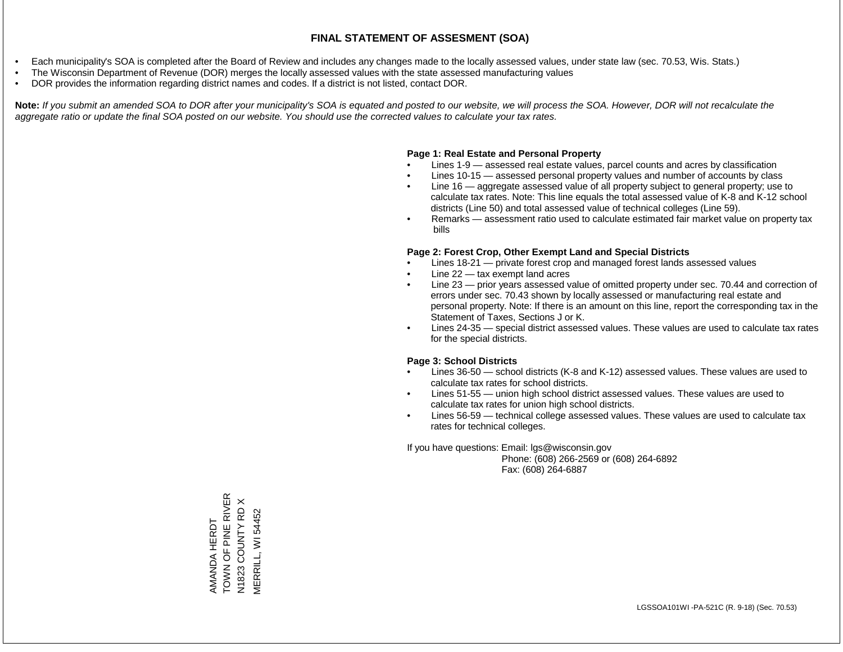- Each municipality's SOA is completed after the Board of Review and includes any changes made to the locally assessed values, under state law (sec. 70.53, Wis. Stats.)
- The Wisconsin Department of Revenue (DOR) merges the locally assessed values with the state assessed manufacturing values
- DOR provides the information regarding district names and codes. If a district is not listed, contact DOR.

Note: If you submit an amended SOA to DOR after your municipality's SOA is equated and posted to our website, we will process the SOA. However, DOR will not recalculate the *aggregate ratio or update the final SOA posted on our website. You should use the corrected values to calculate your tax rates.*

### **Page 1: Real Estate and Personal Property**

- Lines 1-9 assessed real estate values, parcel counts and acres by classification
- Lines 10-15 assessed personal property values and number of accounts by class
- Line 16 aggregate assessed value of all property subject to general property; use to calculate tax rates. Note: This line equals the total assessed value of K-8 and K-12 school districts (Line 50) and total assessed value of technical colleges (Line 59).
- Remarks assessment ratio used to calculate estimated fair market value on property tax bills

### **Page 2: Forest Crop, Other Exempt Land and Special Districts**

- Lines 18-21 private forest crop and managed forest lands assessed values
- Line  $22 -$  tax exempt land acres
- Line 23 prior years assessed value of omitted property under sec. 70.44 and correction of errors under sec. 70.43 shown by locally assessed or manufacturing real estate and personal property. Note: If there is an amount on this line, report the corresponding tax in the Statement of Taxes, Sections J or K.
- Lines 24-35 special district assessed values. These values are used to calculate tax rates for the special districts.

### **Page 3: School Districts**

- Lines 36-50 school districts (K-8 and K-12) assessed values. These values are used to calculate tax rates for school districts.
- Lines 51-55 union high school district assessed values. These values are used to calculate tax rates for union high school districts.
- Lines 56-59 technical college assessed values. These values are used to calculate tax rates for technical colleges.

If you have questions: Email: lgs@wisconsin.gov

 Phone: (608) 266-2569 or (608) 264-6892 Fax: (608) 264-6887

TOWN OF PINE RIVER AMANDA HERDT<br>TOWN OF PINE RIVER  $\times$ N1823 COUNTY RD X N1823 COUNTY RD VERRILL, WI 54452 MERRILL, WI 54452AMANDA HERDT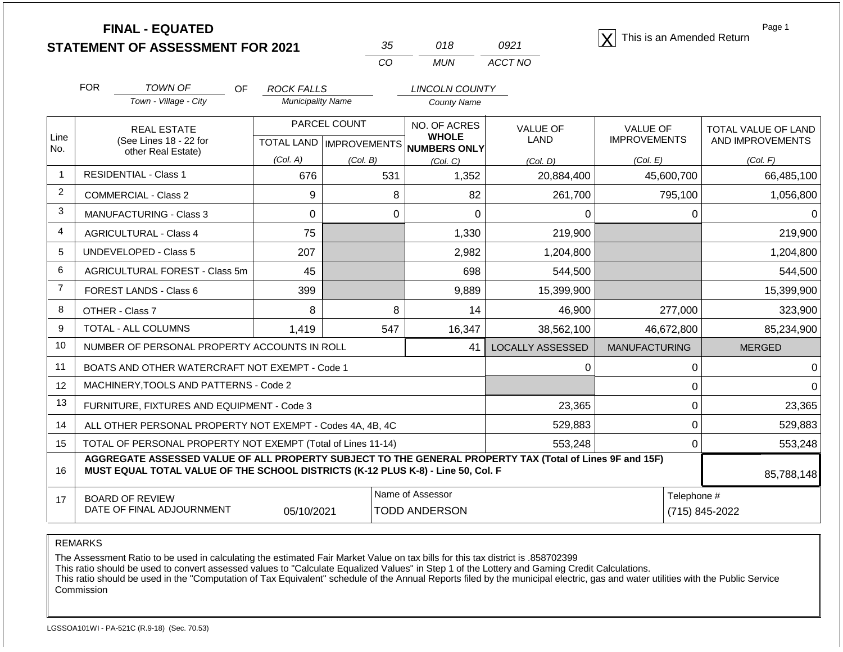| <b>FINAL - EQUATED</b>                  |  |       | $ \mathbf{Y} $ This is an Amended Return |
|-----------------------------------------|--|-------|------------------------------------------|
| <b>STATEMENT OF ASSESSMENT FOR 2021</b> |  | 092 1 |                                          |

| 35 | 018 | O921    |
|----|-----|---------|
| cо | MUN | ACCT NO |

Page 1

85,788,148

 0 529,883  $0$  553,248

|                | <b>FOR</b><br><b>TOWN OF</b><br><b>OF</b><br>Town - Village - City | ROCK FALLS<br><b>Municipality Name</b>   |          | <b>LINCOLN COUNTY</b><br><b>County Name</b>               |                         |                                        |                                         |
|----------------|--------------------------------------------------------------------|------------------------------------------|----------|-----------------------------------------------------------|-------------------------|----------------------------------------|-----------------------------------------|
| Line<br>No.    | <b>REAL ESTATE</b><br>(See Lines 18 - 22 for<br>other Real Estate) | <b>PARCEL COUNT</b><br><b>TOTAL LAND</b> |          | NO. OF ACRES<br><b>WHOLE</b><br>IMPROVEMENTS NUMBERS ONLY | <b>VALUE OF</b><br>LAND | <b>VALUE OF</b><br><b>IMPROVEMENTS</b> | TOTAL VALUE OF LAND<br>AND IMPROVEMENTS |
|                |                                                                    | (Col. A)                                 | (Col. B) | (Col. C)                                                  | (Col, D)                | (Col. E)                               | (Col. F)                                |
| $\mathbf{1}$   | <b>RESIDENTIAL - Class 1</b>                                       | 676                                      | 531      | 1,352                                                     | 20,884,400              | 45,600,700                             | 66,485,100                              |
| 2              | COMMERCIAL - Class 2                                               | 9                                        | 8        | 82                                                        | 261,700                 | 795,100                                | 1,056,800                               |
| 3              | <b>MANUFACTURING - Class 3</b>                                     | $\Omega$                                 | 0        | 0                                                         | 0                       | 0                                      |                                         |
| $\overline{4}$ | <b>AGRICULTURAL - Class 4</b>                                      | 75                                       |          | 1,330                                                     | 219,900                 |                                        | 219,900                                 |
| 5              | <b>UNDEVELOPED - Class 5</b>                                       | 207                                      |          | 2,982                                                     | 1,204,800               |                                        | 1,204,800                               |
| 6              | <b>AGRICULTURAL FOREST - Class 5m</b>                              | 45                                       |          | 698                                                       | 544,500                 |                                        | 544,500                                 |
| $\overline{7}$ | FOREST LANDS - Class 6                                             | 399                                      |          | 9,889                                                     | 15,399,900              |                                        | 15,399,900                              |
| 8              | OTHER - Class 7                                                    | 8                                        | 8        | 14                                                        | 46,900                  | 277,000                                | 323,900                                 |
| 9              | <b>TOTAL - ALL COLUMNS</b>                                         | 1,419                                    | 547      | 16,347                                                    | 38,562,100              | 46,672,800                             | 85,234,900                              |
| 10             | NUMBER OF PERSONAL PROPERTY ACCOUNTS IN ROLL                       |                                          | 41       | LOCALLY ASSESSED                                          | <b>MANUFACTURING</b>    | <b>MERGED</b>                          |                                         |
| 11             | BOATS AND OTHER WATERCRAFT NOT EXEMPT - Code 1                     |                                          |          |                                                           | 0                       | 0                                      | 0                                       |
| 12             | MACHINERY, TOOLS AND PATTERNS - Code 2                             |                                          |          |                                                           |                         | 0                                      |                                         |
| 13             | FURNITURE, FIXTURES AND EQUIPMENT - Code 3                         |                                          |          |                                                           | 23,365                  | 0                                      | 23,365                                  |
|                |                                                                    |                                          |          |                                                           |                         |                                        |                                         |

REMARKS

14 15

16

17

The Assessment Ratio to be used in calculating the estimated Fair Market Value on tax bills for this tax district is .858702399

**MUST EQUAL TOTAL VALUE OF THE SCHOOL DISTRICTS (K-12 PLUS K-8) - Line 50, Col. F**

TOTAL OF PERSONAL PROPERTY NOT EXEMPT (Total of Lines 11-14)

ALL OTHER PERSONAL PROPERTY NOT EXEMPT - Codes 4A, 4B, 4C

This ratio should be used to convert assessed values to "Calculate Equalized Values" in Step 1 of the Lottery and Gaming Credit Calculations.

**AGGREGATE ASSESSED VALUE OF ALL PROPERTY SUBJECT TO THE GENERAL PROPERTY TAX (Total of Lines 9F and 15F)**

 This ratio should be used in the "Computation of Tax Equivalent" schedule of the Annual Reports filed by the municipal electric, gas and water utilities with the Public Service Commission

Name of Assessor **Telephone #** 

05/10/2021 TODD ANDERSON (715) 845-2022

 529,883 553,248

BOARD OF REVIEW

DATE OF FINAL ADJOURNMENT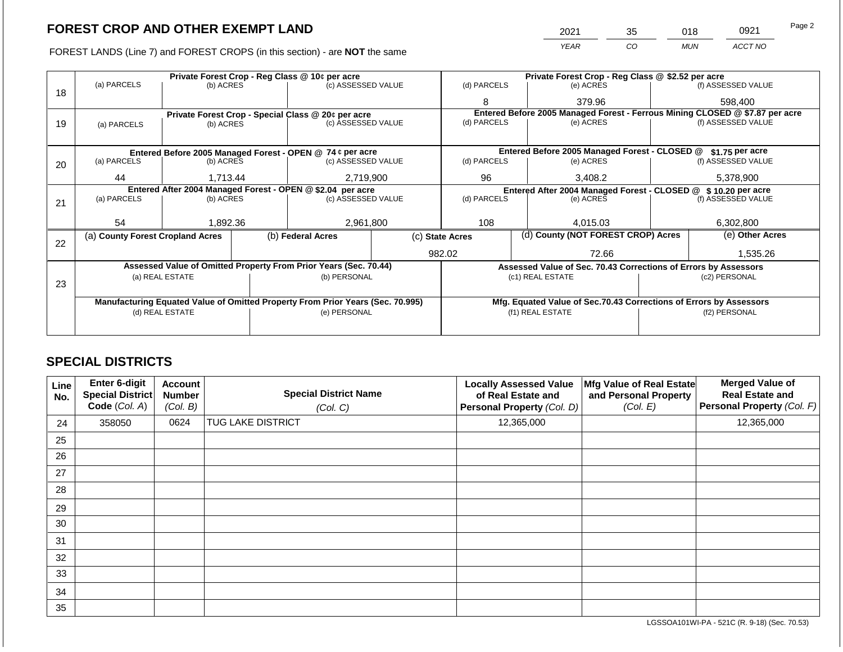FOREST LANDS (Line 7) and FOREST CROPS (in this section) - are NOT the same

| 2021 | 35 | 018        | 0921    | Page 2 |
|------|----|------------|---------|--------|
| YEAR | CO | <b>MUN</b> | ACCT NO |        |

|    | Private Forest Crop - Reg Class @ 10¢ per acre                                 |                                                                  |  |                                                                          |                                                                 |                                                                              | Private Forest Crop - Reg Class @ \$2.52 per acre |               |  |                    |  |
|----|--------------------------------------------------------------------------------|------------------------------------------------------------------|--|--------------------------------------------------------------------------|-----------------------------------------------------------------|------------------------------------------------------------------------------|---------------------------------------------------|---------------|--|--------------------|--|
| 18 | (a) PARCELS                                                                    | (b) ACRES                                                        |  | (c) ASSESSED VALUE                                                       |                                                                 | (d) PARCELS                                                                  |                                                   | (e) ACRES     |  | (f) ASSESSED VALUE |  |
|    |                                                                                |                                                                  |  |                                                                          |                                                                 | 8                                                                            |                                                   | 379.96        |  | 598,400            |  |
|    | Private Forest Crop - Special Class @ 20¢ per acre                             |                                                                  |  |                                                                          |                                                                 | Entered Before 2005 Managed Forest - Ferrous Mining CLOSED @ \$7.87 per acre |                                                   |               |  |                    |  |
| 19 | (a) PARCELS                                                                    | (b) ACRES                                                        |  | (c) ASSESSED VALUE                                                       |                                                                 | (d) PARCELS                                                                  |                                                   | (e) ACRES     |  | (f) ASSESSED VALUE |  |
|    |                                                                                |                                                                  |  |                                                                          |                                                                 |                                                                              |                                                   |               |  |                    |  |
|    |                                                                                |                                                                  |  | Entered Before 2005 Managed Forest - OPEN @ 74 ¢ per acre                |                                                                 | Entered Before 2005 Managed Forest - CLOSED @<br>\$1.75 per acre             |                                                   |               |  |                    |  |
| 20 | (a) PARCELS<br>(b) ACRES                                                       |                                                                  |  | (c) ASSESSED VALUE                                                       |                                                                 | (d) PARCELS                                                                  |                                                   | (e) ACRES     |  | (f) ASSESSED VALUE |  |
|    |                                                                                |                                                                  |  |                                                                          |                                                                 |                                                                              |                                                   |               |  |                    |  |
|    |                                                                                | 2,719,900<br>44<br>1,713.44                                      |  | 96                                                                       |                                                                 | 3,408.2                                                                      |                                                   | 5,378,900     |  |                    |  |
|    | Entered After 2004 Managed Forest - OPEN @ \$2.04 per acre                     |                                                                  |  |                                                                          |                                                                 | Entered After 2004 Managed Forest - CLOSED @ \$10.20 per acre                |                                                   |               |  |                    |  |
| 21 | (a) PARCELS                                                                    | (b) ACRES                                                        |  | (c) ASSESSED VALUE                                                       |                                                                 | (d) PARCELS                                                                  |                                                   | (e) ACRES     |  | (f) ASSESSED VALUE |  |
|    |                                                                                |                                                                  |  |                                                                          |                                                                 |                                                                              |                                                   |               |  |                    |  |
|    | 54                                                                             | 1,892.36                                                         |  | 2,961,800                                                                |                                                                 | 108                                                                          |                                                   | 4.015.03      |  | 6,302,800          |  |
| 22 |                                                                                | (b) Federal Acres<br>(a) County Forest Cropland Acres            |  | (d) County (NOT FOREST CROP) Acres<br>(e) Other Acres<br>(c) State Acres |                                                                 |                                                                              |                                                   |               |  |                    |  |
|    |                                                                                |                                                                  |  |                                                                          |                                                                 | 982.02                                                                       |                                                   | 72.66         |  | 1,535.26           |  |
|    |                                                                                |                                                                  |  |                                                                          |                                                                 |                                                                              |                                                   |               |  |                    |  |
|    |                                                                                | Assessed Value of Omitted Property From Prior Years (Sec. 70.44) |  |                                                                          | Assessed Value of Sec. 70.43 Corrections of Errors by Assessors |                                                                              |                                                   |               |  |                    |  |
| 23 | (a) REAL ESTATE<br>(b) PERSONAL                                                |                                                                  |  |                                                                          |                                                                 | (c1) REAL ESTATE                                                             |                                                   | (c2) PERSONAL |  |                    |  |
|    |                                                                                |                                                                  |  |                                                                          |                                                                 |                                                                              |                                                   |               |  |                    |  |
|    | Manufacturing Equated Value of Omitted Property From Prior Years (Sec. 70.995) |                                                                  |  |                                                                          |                                                                 | Mfg. Equated Value of Sec.70.43 Corrections of Errors by Assessors           |                                                   |               |  |                    |  |
|    | (d) REAL ESTATE                                                                |                                                                  |  | (e) PERSONAL                                                             |                                                                 | (f1) REAL ESTATE                                                             |                                                   | (f2) PERSONAL |  |                    |  |
|    |                                                                                |                                                                  |  |                                                                          |                                                                 |                                                                              |                                                   |               |  |                    |  |
|    |                                                                                |                                                                  |  |                                                                          |                                                                 |                                                                              |                                                   |               |  |                    |  |

### **SPECIAL DISTRICTS**

| Line<br>No. | Enter 6-digit<br>Special District<br>Code (Col. A) | <b>Account</b><br><b>Number</b><br>(Col. B) | <b>Special District Name</b><br>(Col. C) | <b>Locally Assessed Value</b><br>of Real Estate and<br>Personal Property (Col. D) | Mfg Value of Real Estate<br>and Personal Property<br>(Col. E) | <b>Merged Value of</b><br><b>Real Estate and</b><br>Personal Property (Col. F) |
|-------------|----------------------------------------------------|---------------------------------------------|------------------------------------------|-----------------------------------------------------------------------------------|---------------------------------------------------------------|--------------------------------------------------------------------------------|
| 24          | 358050                                             | 0624                                        | TUG LAKE DISTRICT                        | 12,365,000                                                                        |                                                               | 12,365,000                                                                     |
| 25          |                                                    |                                             |                                          |                                                                                   |                                                               |                                                                                |
| 26          |                                                    |                                             |                                          |                                                                                   |                                                               |                                                                                |
| 27          |                                                    |                                             |                                          |                                                                                   |                                                               |                                                                                |
| 28          |                                                    |                                             |                                          |                                                                                   |                                                               |                                                                                |
| 29          |                                                    |                                             |                                          |                                                                                   |                                                               |                                                                                |
| 30          |                                                    |                                             |                                          |                                                                                   |                                                               |                                                                                |
| 31          |                                                    |                                             |                                          |                                                                                   |                                                               |                                                                                |
| 32          |                                                    |                                             |                                          |                                                                                   |                                                               |                                                                                |
| 33          |                                                    |                                             |                                          |                                                                                   |                                                               |                                                                                |
| 34          |                                                    |                                             |                                          |                                                                                   |                                                               |                                                                                |
| 35          |                                                    |                                             |                                          |                                                                                   |                                                               |                                                                                |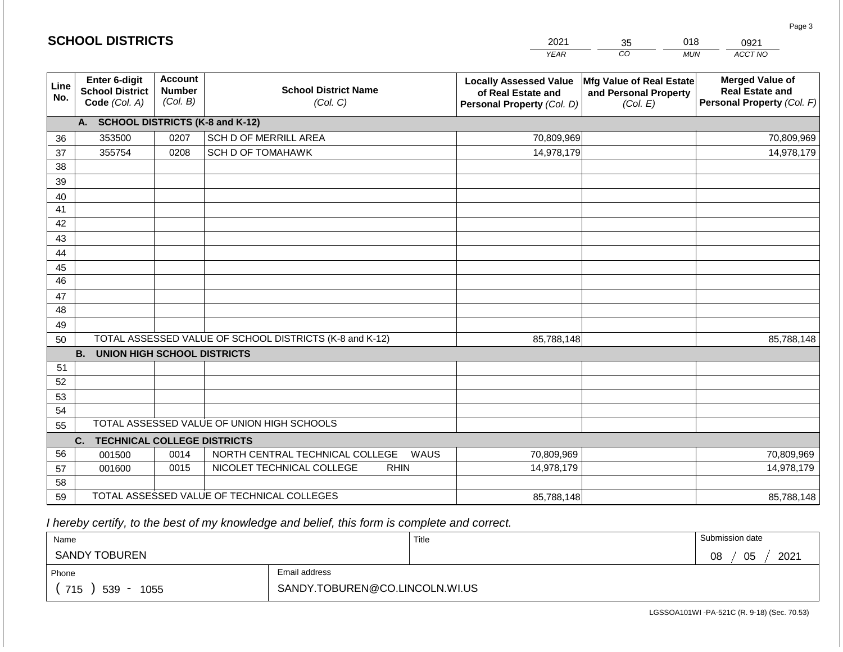|             | <b>SCHOOL DISTRICTS</b>                                  |                                             |                                                         | 2021                                                                              | 35                                                            | 018<br>0921                                                                    |
|-------------|----------------------------------------------------------|---------------------------------------------|---------------------------------------------------------|-----------------------------------------------------------------------------------|---------------------------------------------------------------|--------------------------------------------------------------------------------|
|             |                                                          |                                             |                                                         | <b>YEAR</b>                                                                       | CO                                                            | ACCT NO<br><b>MUN</b>                                                          |
| Line<br>No. | Enter 6-digit<br><b>School District</b><br>Code (Col. A) | <b>Account</b><br><b>Number</b><br>(Col. B) | <b>School District Name</b><br>(Col. C)                 | <b>Locally Assessed Value</b><br>of Real Estate and<br>Personal Property (Col. D) | Mfg Value of Real Estate<br>and Personal Property<br>(Col. E) | <b>Merged Value of</b><br><b>Real Estate and</b><br>Personal Property (Col. F) |
|             | A. SCHOOL DISTRICTS (K-8 and K-12)                       |                                             |                                                         |                                                                                   |                                                               |                                                                                |
| 36          | 353500                                                   | 0207                                        | SCH D OF MERRILL AREA                                   | 70,809,969                                                                        |                                                               | 70,809,969                                                                     |
| 37          | 355754                                                   | 0208                                        | <b>SCH D OF TOMAHAWK</b>                                | 14,978,179                                                                        |                                                               | 14,978,179                                                                     |
| 38          |                                                          |                                             |                                                         |                                                                                   |                                                               |                                                                                |
| 39          |                                                          |                                             |                                                         |                                                                                   |                                                               |                                                                                |
| 40          |                                                          |                                             |                                                         |                                                                                   |                                                               |                                                                                |
| 41          |                                                          |                                             |                                                         |                                                                                   |                                                               |                                                                                |
| 42          |                                                          |                                             |                                                         |                                                                                   |                                                               |                                                                                |
| 43          |                                                          |                                             |                                                         |                                                                                   |                                                               |                                                                                |
| 44<br>45    |                                                          |                                             |                                                         |                                                                                   |                                                               |                                                                                |
| 46          |                                                          |                                             |                                                         |                                                                                   |                                                               |                                                                                |
| 47          |                                                          |                                             |                                                         |                                                                                   |                                                               |                                                                                |
| 48          |                                                          |                                             |                                                         |                                                                                   |                                                               |                                                                                |
| 49          |                                                          |                                             |                                                         |                                                                                   |                                                               |                                                                                |
| 50          |                                                          |                                             | TOTAL ASSESSED VALUE OF SCHOOL DISTRICTS (K-8 and K-12) | 85,788,148                                                                        |                                                               | 85,788,148                                                                     |
|             | <b>B. UNION HIGH SCHOOL DISTRICTS</b>                    |                                             |                                                         |                                                                                   |                                                               |                                                                                |
| 51          |                                                          |                                             |                                                         |                                                                                   |                                                               |                                                                                |
| 52          |                                                          |                                             |                                                         |                                                                                   |                                                               |                                                                                |
| 53          |                                                          |                                             |                                                         |                                                                                   |                                                               |                                                                                |
| 54          |                                                          |                                             |                                                         |                                                                                   |                                                               |                                                                                |
| 55          |                                                          |                                             | TOTAL ASSESSED VALUE OF UNION HIGH SCHOOLS              |                                                                                   |                                                               |                                                                                |
|             | <b>TECHNICAL COLLEGE DISTRICTS</b><br>C.                 |                                             |                                                         |                                                                                   |                                                               |                                                                                |
| 56          | 001500                                                   | 0014                                        | NORTH CENTRAL TECHNICAL COLLEGE<br>WAUS                 | 70,809,969                                                                        |                                                               | 70,809,969                                                                     |
| 57          | 001600                                                   | 0015                                        | NICOLET TECHNICAL COLLEGE<br><b>RHIN</b>                | 14,978,179                                                                        |                                                               | 14,978,179                                                                     |
| 58<br>59    |                                                          |                                             |                                                         | 85,788,148                                                                        |                                                               | 85,788,148                                                                     |
|             | TOTAL ASSESSED VALUE OF TECHNICAL COLLEGES               |                                             |                                                         |                                                                                   |                                                               |                                                                                |

 *I hereby certify, to the best of my knowledge and belief, this form is complete and correct.*

| Name                   |                                | Title | Submission date  |
|------------------------|--------------------------------|-------|------------------|
| SANDY TOBUREN          |                                |       | 2021<br>05<br>08 |
| Email address<br>Phone |                                |       |                  |
| 715<br>539<br>1055     | SANDY.TOBUREN@CO.LINCOLN.WI.US |       |                  |

Page 3

| <b>SCHOOL DISTRICTS</b> |  |
|-------------------------|--|
|-------------------------|--|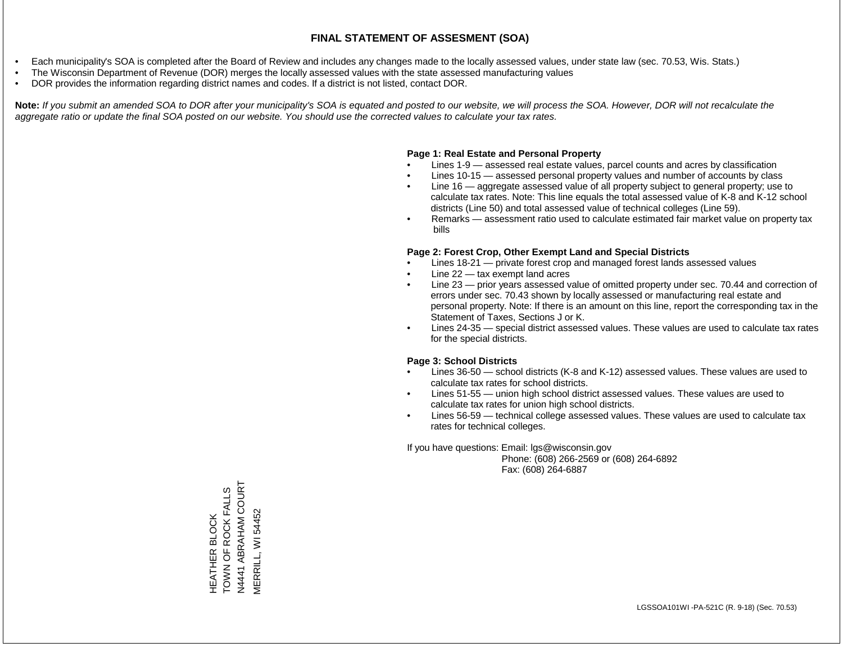- Each municipality's SOA is completed after the Board of Review and includes any changes made to the locally assessed values, under state law (sec. 70.53, Wis. Stats.)
- The Wisconsin Department of Revenue (DOR) merges the locally assessed values with the state assessed manufacturing values
- DOR provides the information regarding district names and codes. If a district is not listed, contact DOR.

Note: If you submit an amended SOA to DOR after your municipality's SOA is equated and posted to our website, we will process the SOA. However, DOR will not recalculate the *aggregate ratio or update the final SOA posted on our website. You should use the corrected values to calculate your tax rates.*

### **Page 1: Real Estate and Personal Property**

- Lines 1-9 assessed real estate values, parcel counts and acres by classification
- Lines 10-15 assessed personal property values and number of accounts by class
- Line 16 aggregate assessed value of all property subject to general property; use to calculate tax rates. Note: This line equals the total assessed value of K-8 and K-12 school districts (Line 50) and total assessed value of technical colleges (Line 59).
- Remarks assessment ratio used to calculate estimated fair market value on property tax bills

### **Page 2: Forest Crop, Other Exempt Land and Special Districts**

- Lines 18-21 private forest crop and managed forest lands assessed values
- Line  $22 -$  tax exempt land acres
- Line 23 prior years assessed value of omitted property under sec. 70.44 and correction of errors under sec. 70.43 shown by locally assessed or manufacturing real estate and personal property. Note: If there is an amount on this line, report the corresponding tax in the Statement of Taxes, Sections J or K.
- Lines 24-35 special district assessed values. These values are used to calculate tax rates for the special districts.

### **Page 3: School Districts**

- Lines 36-50 school districts (K-8 and K-12) assessed values. These values are used to calculate tax rates for school districts.
- Lines 51-55 union high school district assessed values. These values are used to calculate tax rates for union high school districts.
- Lines 56-59 technical college assessed values. These values are used to calculate tax rates for technical colleges.

If you have questions: Email: lgs@wisconsin.gov

 Phone: (608) 266-2569 or (608) 264-6892 Fax: (608) 264-6887

ABRAHAM COURT N4441 ABRAHAM COURT HEATHER BLOCK<br>TOWN OF ROCK FALLS TOWN OF ROCK FALLS VERRILL, WI 54452 MERRILL, WI 54452HEATHER BLOCK N4441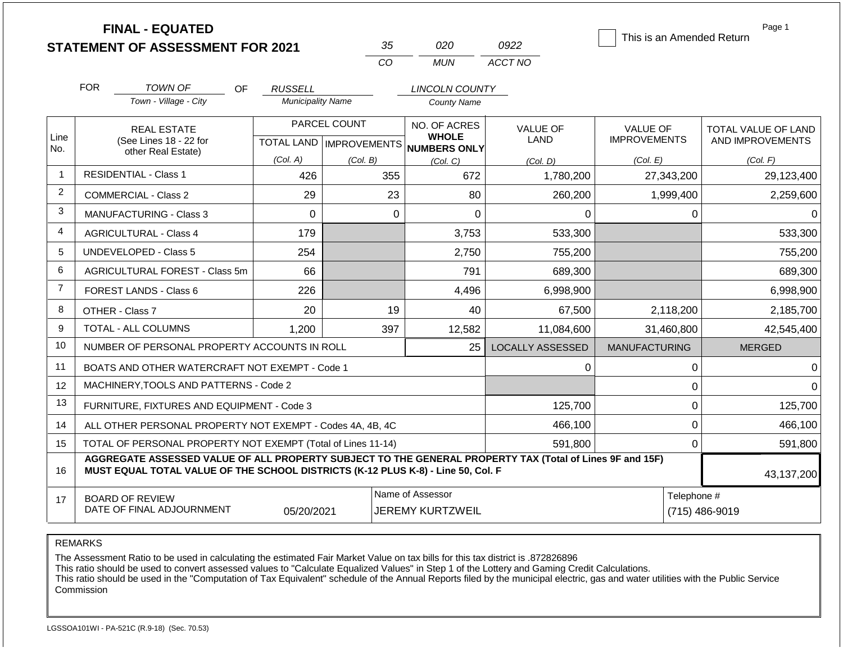|                | <b>FINAL - EQUATED</b><br><b>STATEMENT OF ASSESSMENT FOR 2021</b>                                                                                                                            |                                            | 35                        | 020                                         | 0922                    | This is an Amended Return | Page 1                        |
|----------------|----------------------------------------------------------------------------------------------------------------------------------------------------------------------------------------------|--------------------------------------------|---------------------------|---------------------------------------------|-------------------------|---------------------------|-------------------------------|
|                |                                                                                                                                                                                              |                                            | CO                        | <b>MUN</b>                                  | ACCT NO                 |                           |                               |
|                | <b>FOR</b>                                                                                                                                                                                   |                                            |                           |                                             |                         |                           |                               |
|                | TOWN OF<br>OF.<br>Town - Village - City                                                                                                                                                      | <b>RUSSELL</b><br><b>Municipality Name</b> |                           | <b>LINCOLN COUNTY</b><br><b>County Name</b> |                         |                           |                               |
|                |                                                                                                                                                                                              |                                            |                           |                                             |                         |                           |                               |
| Line           | <b>REAL ESTATE</b>                                                                                                                                                                           | PARCEL COUNT                               |                           | NO. OF ACRES<br><b>WHOLE</b>                | <b>VALUE OF</b>         | <b>VALUE OF</b>           | TOTAL VALUE OF LAND           |
| No.            | (See Lines 18 - 22 for<br>other Real Estate)                                                                                                                                                 |                                            | TOTAL LAND   IMPROVEMENTS | NUMBERS ONLY                                | <b>LAND</b>             | <b>IMPROVEMENTS</b>       | AND IMPROVEMENTS              |
|                |                                                                                                                                                                                              | (Col. A)                                   | (Col. B)                  | (Col, C)                                    | (Col. D)                | (Col. E)                  | (Col. F)                      |
| $\mathbf 1$    | <b>RESIDENTIAL - Class 1</b>                                                                                                                                                                 | 426                                        | 355                       | 672                                         | 1,780,200               | 27,343,200                | 29,123,400                    |
| $\overline{2}$ | <b>COMMERCIAL - Class 2</b>                                                                                                                                                                  | 29                                         | 23                        | 80                                          | 260,200                 | 1,999,400                 | 2,259,600                     |
| 3              | MANUFACTURING - Class 3                                                                                                                                                                      | $\mathbf 0$                                | $\Omega$                  | $\mathbf 0$                                 | 0                       | 0                         | $\Omega$                      |
| $\overline{4}$ | <b>AGRICULTURAL - Class 4</b>                                                                                                                                                                | 179                                        |                           | 3,753                                       | 533,300                 |                           | 533,300                       |
| 5              | <b>UNDEVELOPED - Class 5</b>                                                                                                                                                                 | 254                                        |                           | 2,750                                       | 755,200                 |                           | 755,200                       |
| 6              | AGRICULTURAL FOREST - Class 5m                                                                                                                                                               | 66                                         |                           | 791                                         | 689,300                 |                           | 689,300                       |
| $\overline{7}$ | <b>FOREST LANDS - Class 6</b>                                                                                                                                                                | 226                                        |                           | 4,496                                       | 6,998,900               |                           | 6,998,900                     |
| 8              | OTHER - Class 7                                                                                                                                                                              | 20                                         | 19                        | 40                                          | 67,500                  | 2,118,200                 | 2,185,700                     |
| 9              | <b>TOTAL - ALL COLUMNS</b>                                                                                                                                                                   | 1,200                                      | 397                       | 12,582                                      | 11,084,600              | 31,460,800                | 42,545,400                    |
| 10             | NUMBER OF PERSONAL PROPERTY ACCOUNTS IN ROLL                                                                                                                                                 |                                            |                           | 25                                          | <b>LOCALLY ASSESSED</b> | <b>MANUFACTURING</b>      | <b>MERGED</b>                 |
| 11             | BOATS AND OTHER WATERCRAFT NOT EXEMPT - Code 1                                                                                                                                               |                                            |                           |                                             | 0                       | 0                         | $\Omega$                      |
| 12             | MACHINERY, TOOLS AND PATTERNS - Code 2                                                                                                                                                       |                                            |                           |                                             |                         | $\pmb{0}$                 | $\Omega$                      |
| 13             | FURNITURE, FIXTURES AND EQUIPMENT - Code 3                                                                                                                                                   |                                            |                           |                                             | 125,700                 | $\mathbf 0$               | 125,700                       |
| 14             | ALL OTHER PERSONAL PROPERTY NOT EXEMPT - Codes 4A, 4B, 4C                                                                                                                                    |                                            |                           |                                             | 466,100                 | $\mathbf 0$               | 466,100                       |
| 15             | TOTAL OF PERSONAL PROPERTY NOT EXEMPT (Total of Lines 11-14)                                                                                                                                 |                                            |                           |                                             | 591,800                 | $\mathbf 0$               | 591,800                       |
| 16             | AGGREGATE ASSESSED VALUE OF ALL PROPERTY SUBJECT TO THE GENERAL PROPERTY TAX (Total of Lines 9F and 15F)<br>MUST EQUAL TOTAL VALUE OF THE SCHOOL DISTRICTS (K-12 PLUS K-8) - Line 50, Col. F |                                            |                           | 43,137,200                                  |                         |                           |                               |
| 17             | <b>BOARD OF REVIEW</b><br>DATE OF FINAL ADJOURNMENT                                                                                                                                          | 05/20/2021                                 |                           | Name of Assessor<br><b>JEREMY KURTZWEIL</b> |                         |                           | Telephone #<br>(715) 486-9019 |

The Assessment Ratio to be used in calculating the estimated Fair Market Value on tax bills for this tax district is .872826896

This ratio should be used to convert assessed values to "Calculate Equalized Values" in Step 1 of the Lottery and Gaming Credit Calculations.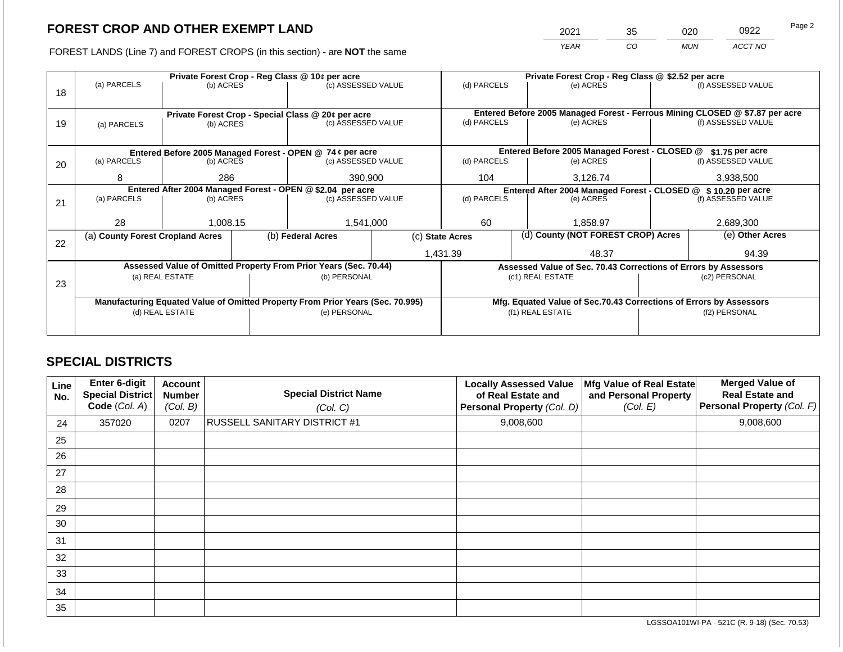2021 35 020 0922

FOREST LANDS (Line 7) and FOREST CROPS (in this section) - are **NOT** the same *YEAR CO MUN ACCT NO*

|    |                                  |           |  | Private Forest Crop - Reg Class @ 10¢ per acre                                 |  | Private Forest Crop - Reg Class @ \$2.52 per acre     |  |                                                                    |  |                                                                              |
|----|----------------------------------|-----------|--|--------------------------------------------------------------------------------|--|-------------------------------------------------------|--|--------------------------------------------------------------------|--|------------------------------------------------------------------------------|
|    | (a) PARCELS                      | (b) ACRES |  | (c) ASSESSED VALUE                                                             |  | (d) PARCELS                                           |  | (e) ACRES                                                          |  | (f) ASSESSED VALUE                                                           |
| 18 |                                  |           |  |                                                                                |  |                                                       |  |                                                                    |  |                                                                              |
|    |                                  |           |  |                                                                                |  |                                                       |  |                                                                    |  |                                                                              |
|    |                                  |           |  | Private Forest Crop - Special Class @ 20¢ per acre                             |  |                                                       |  |                                                                    |  | Entered Before 2005 Managed Forest - Ferrous Mining CLOSED @ \$7.87 per acre |
| 19 | (a) PARCELS                      | (b) ACRES |  | (c) ASSESSED VALUE                                                             |  | (d) PARCELS                                           |  | (e) ACRES                                                          |  | (f) ASSESSED VALUE                                                           |
|    |                                  |           |  |                                                                                |  |                                                       |  |                                                                    |  |                                                                              |
|    |                                  |           |  | Entered Before 2005 Managed Forest - OPEN @ 74 ¢ per acre                      |  |                                                       |  | Entered Before 2005 Managed Forest - CLOSED @                      |  | $$1.75$ per acre                                                             |
| 20 | (a) PARCELS                      | (b) ACRES |  | (c) ASSESSED VALUE                                                             |  | (d) PARCELS                                           |  | (e) ACRES                                                          |  | (f) ASSESSED VALUE                                                           |
|    |                                  |           |  |                                                                                |  |                                                       |  |                                                                    |  |                                                                              |
|    | 8                                | 286       |  | 390,900                                                                        |  | 104                                                   |  | 3,126.74                                                           |  | 3,938,500                                                                    |
|    |                                  |           |  | Entered After 2004 Managed Forest - OPEN @ \$2.04 per acre                     |  | Entered After 2004 Managed Forest - CLOSED @          |  |                                                                    |  | \$10.20 per acre                                                             |
| 21 | (a) PARCELS                      | (b) ACRES |  | (c) ASSESSED VALUE                                                             |  | (d) PARCELS                                           |  | (e) ACRES                                                          |  | (f) ASSESSED VALUE                                                           |
|    |                                  |           |  |                                                                                |  |                                                       |  |                                                                    |  |                                                                              |
|    | 28                               | 1,008.15  |  | 1,541,000                                                                      |  | 60                                                    |  | 1.858.97                                                           |  | 2,689,300                                                                    |
|    | (a) County Forest Cropland Acres |           |  | (b) Federal Acres                                                              |  | (d) County (NOT FOREST CROP) Acres<br>(c) State Acres |  |                                                                    |  | (e) Other Acres                                                              |
| 22 |                                  |           |  |                                                                                |  |                                                       |  |                                                                    |  |                                                                              |
|    |                                  |           |  |                                                                                |  | 1,431.39                                              |  | 48.37                                                              |  | 94.39                                                                        |
|    |                                  |           |  | Assessed Value of Omitted Property From Prior Years (Sec. 70.44)               |  |                                                       |  | Assessed Value of Sec. 70.43 Corrections of Errors by Assessors    |  |                                                                              |
|    | (a) REAL ESTATE                  |           |  | (b) PERSONAL                                                                   |  |                                                       |  | (c1) REAL ESTATE                                                   |  | (c2) PERSONAL                                                                |
| 23 |                                  |           |  |                                                                                |  |                                                       |  |                                                                    |  |                                                                              |
|    |                                  |           |  | Manufacturing Equated Value of Omitted Property From Prior Years (Sec. 70.995) |  |                                                       |  | Mfg. Equated Value of Sec.70.43 Corrections of Errors by Assessors |  |                                                                              |
|    | (d) REAL ESTATE                  |           |  | (e) PERSONAL                                                                   |  |                                                       |  | (f1) REAL ESTATE                                                   |  | (f2) PERSONAL                                                                |
|    |                                  |           |  |                                                                                |  |                                                       |  |                                                                    |  |                                                                              |
|    |                                  |           |  |                                                                                |  |                                                       |  |                                                                    |  |                                                                              |

## **SPECIAL DISTRICTS**

| Line<br>No. | <b>Enter 6-digit</b><br>Special District<br>Code (Col. A) | <b>Account</b><br><b>Number</b><br>(Col. B) | <b>Special District Name</b><br>(Col. C) | <b>Locally Assessed Value</b><br>of Real Estate and<br>Personal Property (Col. D) | Mfg Value of Real Estate<br>and Personal Property<br>(Col. E) | <b>Merged Value of</b><br><b>Real Estate and</b><br>Personal Property (Col. F) |
|-------------|-----------------------------------------------------------|---------------------------------------------|------------------------------------------|-----------------------------------------------------------------------------------|---------------------------------------------------------------|--------------------------------------------------------------------------------|
| 24          | 357020                                                    | 0207                                        | <b>RUSSELL SANITARY DISTRICT #1</b>      | 9,008,600                                                                         |                                                               | 9,008,600                                                                      |
| 25          |                                                           |                                             |                                          |                                                                                   |                                                               |                                                                                |
| 26          |                                                           |                                             |                                          |                                                                                   |                                                               |                                                                                |
| 27          |                                                           |                                             |                                          |                                                                                   |                                                               |                                                                                |
| 28          |                                                           |                                             |                                          |                                                                                   |                                                               |                                                                                |
| 29          |                                                           |                                             |                                          |                                                                                   |                                                               |                                                                                |
| 30          |                                                           |                                             |                                          |                                                                                   |                                                               |                                                                                |
| 31          |                                                           |                                             |                                          |                                                                                   |                                                               |                                                                                |
| 32          |                                                           |                                             |                                          |                                                                                   |                                                               |                                                                                |
| 33          |                                                           |                                             |                                          |                                                                                   |                                                               |                                                                                |
| 34          |                                                           |                                             |                                          |                                                                                   |                                                               |                                                                                |
| 35          |                                                           |                                             |                                          |                                                                                   |                                                               |                                                                                |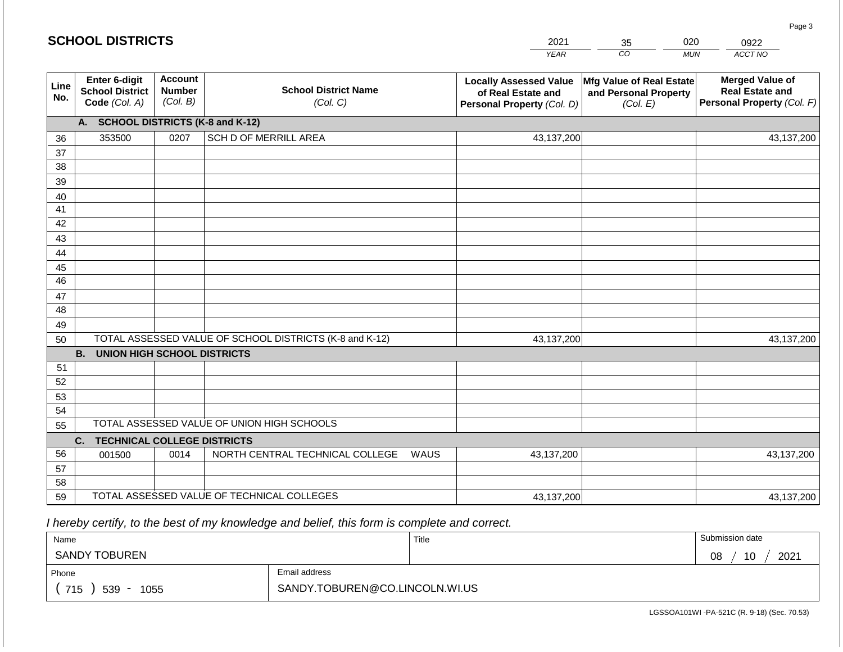|             | <b>SCHOOL DISTRICTS</b>                                         |                                             |                                                         |             | 2021                                                                              | 35                                                            | 020        | 0922                                                                           |
|-------------|-----------------------------------------------------------------|---------------------------------------------|---------------------------------------------------------|-------------|-----------------------------------------------------------------------------------|---------------------------------------------------------------|------------|--------------------------------------------------------------------------------|
|             |                                                                 |                                             |                                                         |             | <b>YEAR</b>                                                                       | CO                                                            | <b>MUN</b> | ACCT NO                                                                        |
| Line<br>No. | <b>Enter 6-digit</b><br><b>School District</b><br>Code (Col. A) | <b>Account</b><br><b>Number</b><br>(Col. B) | <b>School District Name</b><br>(Col. C)                 |             | <b>Locally Assessed Value</b><br>of Real Estate and<br>Personal Property (Col. D) | Mfg Value of Real Estate<br>and Personal Property<br>(Col. E) |            | <b>Merged Value of</b><br><b>Real Estate and</b><br>Personal Property (Col. F) |
|             | A. SCHOOL DISTRICTS (K-8 and K-12)                              |                                             |                                                         |             |                                                                                   |                                                               |            |                                                                                |
| 36          | 353500                                                          | 0207                                        | SCH D OF MERRILL AREA                                   |             | 43,137,200                                                                        |                                                               |            | 43,137,200                                                                     |
| 37          |                                                                 |                                             |                                                         |             |                                                                                   |                                                               |            |                                                                                |
| 38          |                                                                 |                                             |                                                         |             |                                                                                   |                                                               |            |                                                                                |
| 39          |                                                                 |                                             |                                                         |             |                                                                                   |                                                               |            |                                                                                |
| 40<br>41    |                                                                 |                                             |                                                         |             |                                                                                   |                                                               |            |                                                                                |
| 42          |                                                                 |                                             |                                                         |             |                                                                                   |                                                               |            |                                                                                |
| 43          |                                                                 |                                             |                                                         |             |                                                                                   |                                                               |            |                                                                                |
| 44          |                                                                 |                                             |                                                         |             |                                                                                   |                                                               |            |                                                                                |
| 45          |                                                                 |                                             |                                                         |             |                                                                                   |                                                               |            |                                                                                |
| 46          |                                                                 |                                             |                                                         |             |                                                                                   |                                                               |            |                                                                                |
| 47          |                                                                 |                                             |                                                         |             |                                                                                   |                                                               |            |                                                                                |
| 48          |                                                                 |                                             |                                                         |             |                                                                                   |                                                               |            |                                                                                |
| 49          |                                                                 |                                             | TOTAL ASSESSED VALUE OF SCHOOL DISTRICTS (K-8 and K-12) |             |                                                                                   |                                                               |            |                                                                                |
| 50          | <b>B. UNION HIGH SCHOOL DISTRICTS</b>                           |                                             |                                                         |             | 43,137,200                                                                        |                                                               |            | 43,137,200                                                                     |
| 51          |                                                                 |                                             |                                                         |             |                                                                                   |                                                               |            |                                                                                |
| 52          |                                                                 |                                             |                                                         |             |                                                                                   |                                                               |            |                                                                                |
| 53          |                                                                 |                                             |                                                         |             |                                                                                   |                                                               |            |                                                                                |
| 54          |                                                                 |                                             |                                                         |             |                                                                                   |                                                               |            |                                                                                |
| 55          |                                                                 |                                             | TOTAL ASSESSED VALUE OF UNION HIGH SCHOOLS              |             |                                                                                   |                                                               |            |                                                                                |
|             | <b>TECHNICAL COLLEGE DISTRICTS</b><br>C.                        |                                             |                                                         |             |                                                                                   |                                                               |            |                                                                                |
| 56          | 001500                                                          | 0014                                        | NORTH CENTRAL TECHNICAL COLLEGE                         | <b>WAUS</b> | 43,137,200                                                                        |                                                               |            | 43,137,200                                                                     |
| 57          |                                                                 |                                             |                                                         |             |                                                                                   |                                                               |            |                                                                                |
| 58<br>59    |                                                                 |                                             | TOTAL ASSESSED VALUE OF TECHNICAL COLLEGES              |             | 43,137,200                                                                        |                                                               |            | 43,137,200                                                                     |
|             |                                                                 |                                             |                                                         |             |                                                                                   |                                                               |            |                                                                                |

 *I hereby certify, to the best of my knowledge and belief, this form is complete and correct.*

| Name                                           |                                | Title | Submission date  |
|------------------------------------------------|--------------------------------|-------|------------------|
| SANDY TOBUREN                                  |                                |       | 10<br>2021<br>08 |
| Phone                                          | Email address                  |       |                  |
| 715<br>539<br>1055<br>$\overline{\phantom{0}}$ | SANDY.TOBUREN@CO.LINCOLN.WI.US |       |                  |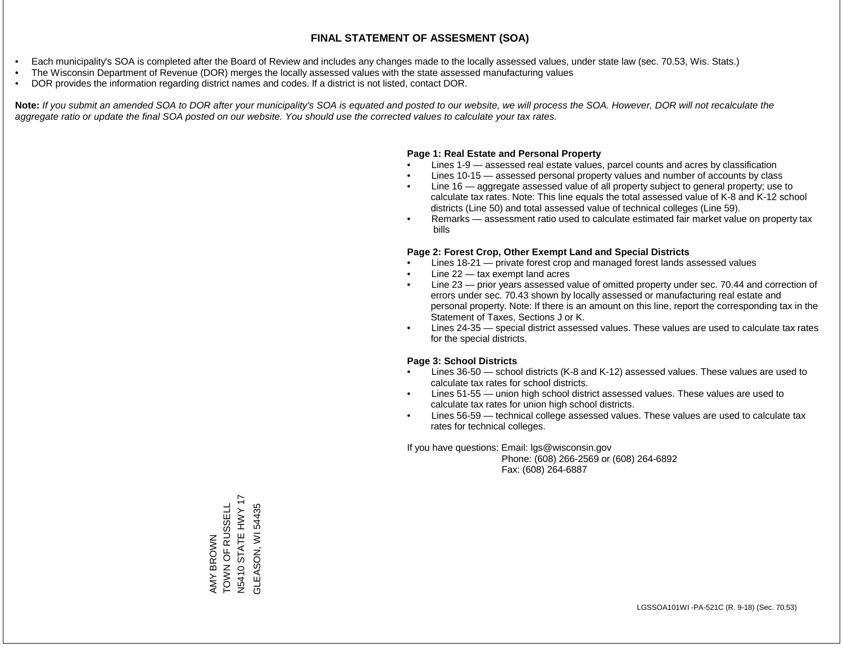- Each municipality's SOA is completed after the Board of Review and includes any changes made to the locally assessed values, under state law (sec. 70.53, Wis. Stats.)
- The Wisconsin Department of Revenue (DOR) merges the locally assessed values with the state assessed manufacturing values
- DOR provides the information regarding district names and codes. If a district is not listed, contact DOR.

Note: If you submit an amended SOA to DOR after your municipality's SOA is equated and posted to our website, we will process the SOA. However, DOR will not recalculate the *aggregate ratio or update the final SOA posted on our website. You should use the corrected values to calculate your tax rates.*

### **Page 1: Real Estate and Personal Property**

- Lines 1-9 assessed real estate values, parcel counts and acres by classification
- Lines 10-15 assessed personal property values and number of accounts by class
- Line 16 aggregate assessed value of all property subject to general property; use to calculate tax rates. Note: This line equals the total assessed value of K-8 and K-12 school districts (Line 50) and total assessed value of technical colleges (Line 59).
- Remarks assessment ratio used to calculate estimated fair market value on property tax bills

### **Page 2: Forest Crop, Other Exempt Land and Special Districts**

- Lines 18-21 private forest crop and managed forest lands assessed values
- Line  $22 -$  tax exempt land acres
- Line 23 prior years assessed value of omitted property under sec. 70.44 and correction of errors under sec. 70.43 shown by locally assessed or manufacturing real estate and personal property. Note: If there is an amount on this line, report the corresponding tax in the Statement of Taxes, Sections J or K.
- Lines 24-35 special district assessed values. These values are used to calculate tax rates for the special districts.

### **Page 3: School Districts**

- Lines 36-50 school districts (K-8 and K-12) assessed values. These values are used to calculate tax rates for school districts.
- Lines 51-55 union high school district assessed values. These values are used to calculate tax rates for union high school districts.
- Lines 56-59 technical college assessed values. These values are used to calculate tax rates for technical colleges.

If you have questions: Email: lgs@wisconsin.gov

 Phone: (608) 266-2569 or (608) 264-6892 Fax: (608) 264-6887

STATE HWY 17 N5410 STATE HWY 17 AMY BROWN<br>TOWN OF RUSSELL<br>N5410 STATE HWY 17 TOWN OF RUSSELL 54435 GLEASON, WI 54435**GLEASON, WI**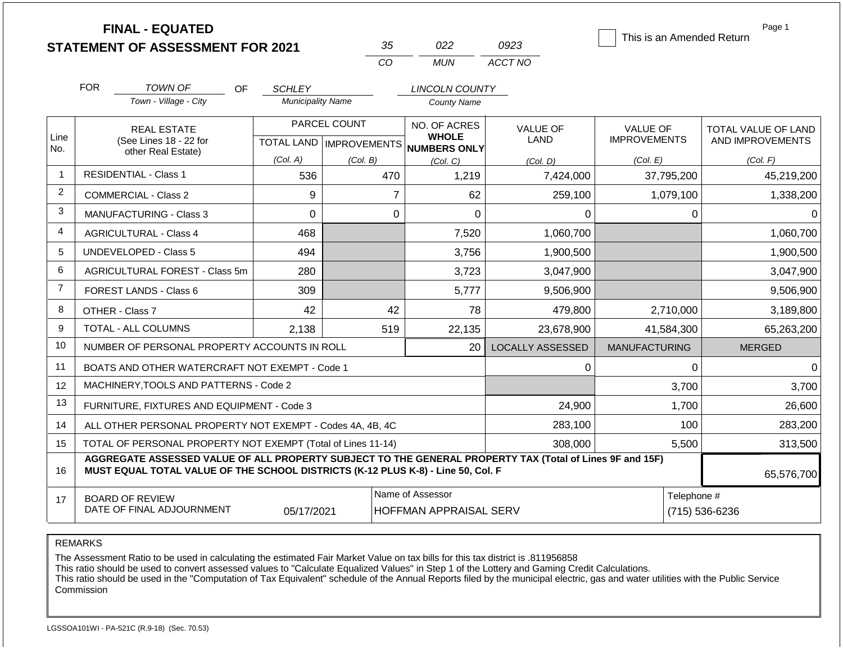|                |                                                                                  | <b>FINAL - EQUATED</b><br><b>STATEMENT OF ASSESSMENT FOR 2021</b>                                        |                          | 35             | 022                                      | 0923                    | This is an Amended Return | Page 1              |
|----------------|----------------------------------------------------------------------------------|----------------------------------------------------------------------------------------------------------|--------------------------|----------------|------------------------------------------|-------------------------|---------------------------|---------------------|
|                |                                                                                  |                                                                                                          |                          | CO             | <b>MUN</b>                               | ACCT NO                 |                           |                     |
|                | <b>FOR</b>                                                                       | <b>TOWN OF</b><br><b>OF</b>                                                                              | <b>SCHLEY</b>            |                | <b>LINCOLN COUNTY</b>                    |                         |                           |                     |
|                |                                                                                  | Town - Village - City                                                                                    | <b>Municipality Name</b> |                | <b>County Name</b>                       |                         |                           |                     |
| Line           |                                                                                  | <b>REAL ESTATE</b>                                                                                       |                          | PARCEL COUNT   | NO. OF ACRES<br><b>WHOLE</b>             | <b>VALUE OF</b>         | <b>VALUE OF</b>           | TOTAL VALUE OF LAND |
| No.            |                                                                                  | (See Lines 18 - 22 for<br>other Real Estate)                                                             |                          |                | TOTAL LAND   IMPROVEMENTS   NUMBERS ONLY | <b>LAND</b>             | <b>IMPROVEMENTS</b>       | AND IMPROVEMENTS    |
|                |                                                                                  | <b>RESIDENTIAL - Class 1</b>                                                                             | (Col. A)                 | (Col. B)       | (Col, C)                                 | (Col. D)                | (Col. E)                  | (Col. F)            |
| $\mathbf 1$    |                                                                                  |                                                                                                          | 536                      | 470            | 1,219                                    | 7,424,000               | 37,795,200                | 45,219,200          |
| 2              |                                                                                  | <b>COMMERCIAL - Class 2</b>                                                                              | 9                        |                | $\overline{7}$<br>62                     | 259,100                 | 1,079,100                 | 1,338,200           |
| 3              |                                                                                  | <b>MANUFACTURING - Class 3</b>                                                                           | $\Omega$                 |                | $\Omega$<br>$\Omega$                     | 0                       | $\Omega$                  | 0                   |
| 4              |                                                                                  | <b>AGRICULTURAL - Class 4</b>                                                                            | 468                      |                | 7,520                                    | 1,060,700               |                           | 1,060,700           |
| 5              |                                                                                  | <b>UNDEVELOPED - Class 5</b>                                                                             | 494                      |                | 3,756                                    | 1,900,500               |                           | 1,900,500           |
| 6              |                                                                                  | AGRICULTURAL FOREST - Class 5m                                                                           | 280                      |                | 3,723                                    | 3,047,900               |                           | 3,047,900           |
| $\overline{7}$ |                                                                                  | <b>FOREST LANDS - Class 6</b>                                                                            | 309                      |                | 5,777                                    | 9,506,900               |                           | 9,506,900           |
| 8              |                                                                                  | OTHER - Class 7                                                                                          | 42                       | 42             | 78                                       | 479,800                 | 2,710,000                 | 3,189,800           |
| 9              |                                                                                  | TOTAL - ALL COLUMNS                                                                                      | 2,138                    | 519            | 22,135                                   | 23.678.900              | 41,584,300                | 65,263,200          |
| 10             |                                                                                  | NUMBER OF PERSONAL PROPERTY ACCOUNTS IN ROLL                                                             |                          |                | 20                                       | <b>LOCALLY ASSESSED</b> | <b>MANUFACTURING</b>      | <b>MERGED</b>       |
| 11             |                                                                                  | BOATS AND OTHER WATERCRAFT NOT EXEMPT - Code 1                                                           |                          |                |                                          | 0                       | 0                         | 0                   |
| 12             |                                                                                  | MACHINERY, TOOLS AND PATTERNS - Code 2                                                                   |                          |                |                                          |                         | 3,700                     | 3,700               |
| 13             |                                                                                  | FURNITURE, FIXTURES AND EQUIPMENT - Code 3                                                               |                          |                |                                          | 24,900                  | 1,700                     | 26,600              |
| 14             |                                                                                  | ALL OTHER PERSONAL PROPERTY NOT EXEMPT - Codes 4A, 4B, 4C                                                |                          |                |                                          | 283,100                 | 100                       | 283,200             |
| 15             |                                                                                  | TOTAL OF PERSONAL PROPERTY NOT EXEMPT (Total of Lines 11-14)                                             |                          |                |                                          | 308.000                 | 5,500                     | 313,500             |
| 16             | MUST EQUAL TOTAL VALUE OF THE SCHOOL DISTRICTS (K-12 PLUS K-8) - Line 50, Col. F | AGGREGATE ASSESSED VALUE OF ALL PROPERTY SUBJECT TO THE GENERAL PROPERTY TAX (Total of Lines 9F and 15F) | 65,576,700               |                |                                          |                         |                           |                     |
| 17             |                                                                                  | <b>BOARD OF REVIEW</b><br>DATE OF FINAL ADJOURNMENT                                                      | Telephone #              | (715) 536-6236 |                                          |                         |                           |                     |

The Assessment Ratio to be used in calculating the estimated Fair Market Value on tax bills for this tax district is .811956858

This ratio should be used to convert assessed values to "Calculate Equalized Values" in Step 1 of the Lottery and Gaming Credit Calculations.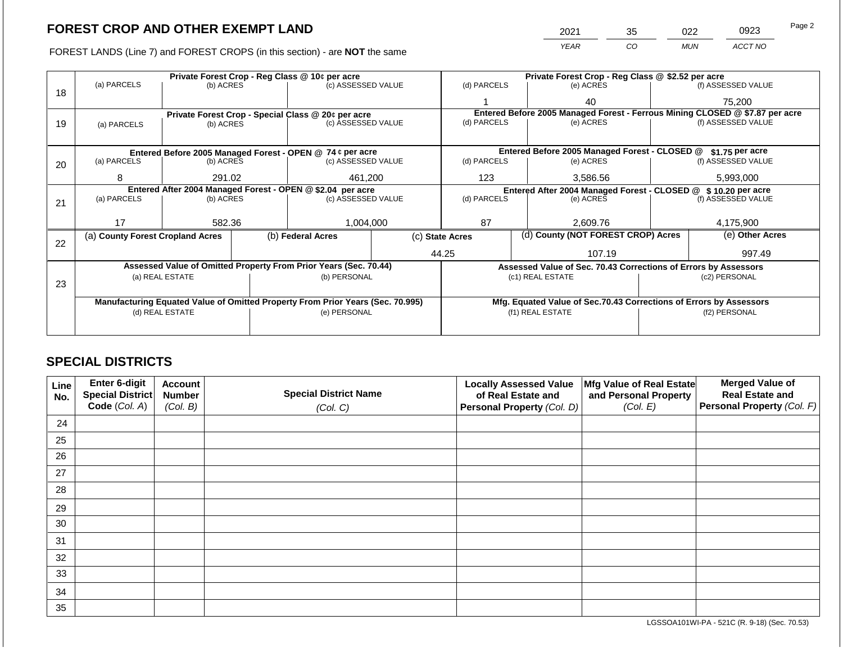FOREST LANDS (Line 7) and FOREST CROPS (in this section) - are NOT the same

| 2021        | 35 | 022        | 0923    | Page 2 |
|-------------|----|------------|---------|--------|
| <b>YEAR</b> | CO | <b>MUN</b> | ACCT NO |        |
|             |    |            |         |        |

|    |                                  |                 |                                                                                | Private Forest Crop - Reg Class @ 10¢ per acre                   |                                                                              | Private Forest Crop - Reg Class @ \$2.52 per acre             |                                                                    |                                                                 |        |                    |  |
|----|----------------------------------|-----------------|--------------------------------------------------------------------------------|------------------------------------------------------------------|------------------------------------------------------------------------------|---------------------------------------------------------------|--------------------------------------------------------------------|-----------------------------------------------------------------|--------|--------------------|--|
| 18 | (a) PARCELS                      | (b) ACRES       |                                                                                | (c) ASSESSED VALUE                                               |                                                                              | (d) PARCELS                                                   |                                                                    | (e) ACRES                                                       |        | (f) ASSESSED VALUE |  |
|    |                                  |                 |                                                                                |                                                                  |                                                                              |                                                               |                                                                    | 40                                                              |        | 75,200             |  |
|    |                                  |                 |                                                                                | Private Forest Crop - Special Class @ 20¢ per acre               | Entered Before 2005 Managed Forest - Ferrous Mining CLOSED @ \$7.87 per acre |                                                               |                                                                    |                                                                 |        |                    |  |
| 19 | (a) PARCELS                      | (b) ACRES       |                                                                                | (c) ASSESSED VALUE                                               |                                                                              | (d) PARCELS                                                   |                                                                    | (e) ACRES                                                       |        | (f) ASSESSED VALUE |  |
|    |                                  |                 |                                                                                |                                                                  |                                                                              |                                                               |                                                                    |                                                                 |        |                    |  |
|    |                                  |                 |                                                                                | Entered Before 2005 Managed Forest - OPEN @ 74 ¢ per acre        |                                                                              |                                                               |                                                                    | Entered Before 2005 Managed Forest - CLOSED @                   |        | $$1.75$ per acre   |  |
| 20 | (a) PARCELS                      | (b) ACRES       |                                                                                | (c) ASSESSED VALUE                                               |                                                                              | (d) PARCELS                                                   |                                                                    | (e) ACRES                                                       |        | (f) ASSESSED VALUE |  |
|    |                                  |                 |                                                                                |                                                                  |                                                                              |                                                               |                                                                    |                                                                 |        |                    |  |
|    | 8                                | 291.02          |                                                                                | 461,200                                                          |                                                                              | 123                                                           |                                                                    | 3,586.56                                                        |        | 5,993,000          |  |
|    |                                  |                 |                                                                                | Entered After 2004 Managed Forest - OPEN @ \$2.04 per acre       |                                                                              | Entered After 2004 Managed Forest - CLOSED @ \$10.20 per acre |                                                                    |                                                                 |        |                    |  |
| 21 | (a) PARCELS                      | (b) ACRES       |                                                                                | (c) ASSESSED VALUE                                               |                                                                              | (d) PARCELS                                                   |                                                                    | (e) ACRES                                                       |        | (f) ASSESSED VALUE |  |
|    |                                  |                 |                                                                                |                                                                  |                                                                              |                                                               |                                                                    |                                                                 |        |                    |  |
|    | 17                               | 582.36          |                                                                                | 1,004,000                                                        |                                                                              | 87                                                            |                                                                    | 2,609.76                                                        |        | 4,175,900          |  |
| 22 | (a) County Forest Cropland Acres |                 |                                                                                | (b) Federal Acres                                                |                                                                              | (c) State Acres                                               |                                                                    | (d) County (NOT FOREST CROP) Acres                              |        | (e) Other Acres    |  |
|    |                                  |                 |                                                                                |                                                                  |                                                                              | 44.25                                                         |                                                                    | 107.19                                                          | 997.49 |                    |  |
|    |                                  |                 |                                                                                | Assessed Value of Omitted Property From Prior Years (Sec. 70.44) |                                                                              |                                                               |                                                                    | Assessed Value of Sec. 70.43 Corrections of Errors by Assessors |        |                    |  |
|    |                                  | (a) REAL ESTATE |                                                                                | (b) PERSONAL                                                     |                                                                              |                                                               |                                                                    | (c1) REAL ESTATE                                                |        | (c2) PERSONAL      |  |
| 23 |                                  |                 |                                                                                |                                                                  |                                                                              |                                                               |                                                                    |                                                                 |        |                    |  |
|    |                                  |                 | Manufacturing Equated Value of Omitted Property From Prior Years (Sec. 70.995) |                                                                  |                                                                              |                                                               | Mfg. Equated Value of Sec.70.43 Corrections of Errors by Assessors |                                                                 |        |                    |  |
|    |                                  | (d) REAL ESTATE |                                                                                | (e) PERSONAL                                                     |                                                                              |                                                               | (f1) REAL ESTATE                                                   |                                                                 |        | (f2) PERSONAL      |  |
|    |                                  |                 |                                                                                |                                                                  |                                                                              |                                                               |                                                                    |                                                                 |        |                    |  |
|    |                                  |                 |                                                                                |                                                                  |                                                                              |                                                               |                                                                    |                                                                 |        |                    |  |

## **SPECIAL DISTRICTS**

| Line<br>No. | <b>Enter 6-digit</b><br>Special District | <b>Account</b><br><b>Number</b> | <b>Special District Name</b> | <b>Locally Assessed Value</b><br>of Real Estate and | Mfg Value of Real Estate<br>and Personal Property | <b>Merged Value of</b><br><b>Real Estate and</b> |
|-------------|------------------------------------------|---------------------------------|------------------------------|-----------------------------------------------------|---------------------------------------------------|--------------------------------------------------|
|             | Code (Col. A)                            | (Col. B)                        | (Col. C)                     | Personal Property (Col. D)                          | (Col. E)                                          | Personal Property (Col. F)                       |
| 24          |                                          |                                 |                              |                                                     |                                                   |                                                  |
| 25          |                                          |                                 |                              |                                                     |                                                   |                                                  |
| 26          |                                          |                                 |                              |                                                     |                                                   |                                                  |
| 27          |                                          |                                 |                              |                                                     |                                                   |                                                  |
| 28          |                                          |                                 |                              |                                                     |                                                   |                                                  |
| 29          |                                          |                                 |                              |                                                     |                                                   |                                                  |
| 30          |                                          |                                 |                              |                                                     |                                                   |                                                  |
| 31          |                                          |                                 |                              |                                                     |                                                   |                                                  |
| 32          |                                          |                                 |                              |                                                     |                                                   |                                                  |
| 33          |                                          |                                 |                              |                                                     |                                                   |                                                  |
| 34          |                                          |                                 |                              |                                                     |                                                   |                                                  |
| 35          |                                          |                                 |                              |                                                     |                                                   |                                                  |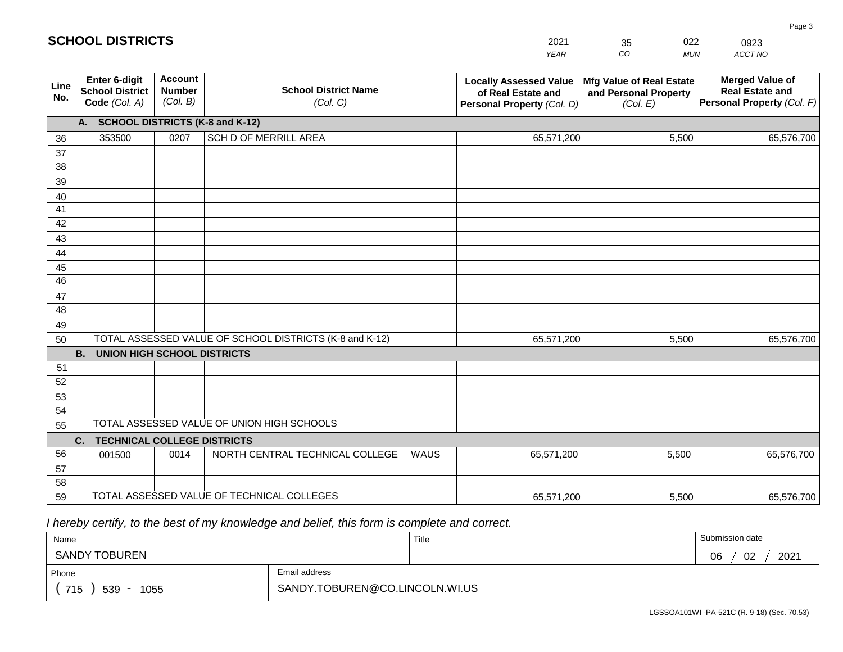|             | <b>SCHOOL DISTRICTS</b>                                  |                                             |                                                         |      | 2021                                                                              | 022<br>35                                                     | 0923                                                                           |
|-------------|----------------------------------------------------------|---------------------------------------------|---------------------------------------------------------|------|-----------------------------------------------------------------------------------|---------------------------------------------------------------|--------------------------------------------------------------------------------|
|             |                                                          |                                             |                                                         |      | <b>YEAR</b>                                                                       | CO<br><b>MUN</b>                                              | ACCT NO                                                                        |
| Line<br>No. | Enter 6-digit<br><b>School District</b><br>Code (Col. A) | <b>Account</b><br><b>Number</b><br>(Col. B) | <b>School District Name</b><br>(Col. C)                 |      | <b>Locally Assessed Value</b><br>of Real Estate and<br>Personal Property (Col. D) | Mfg Value of Real Estate<br>and Personal Property<br>(Col. E) | <b>Merged Value of</b><br><b>Real Estate and</b><br>Personal Property (Col. F) |
|             | <b>SCHOOL DISTRICTS (K-8 and K-12)</b><br>А.             |                                             |                                                         |      |                                                                                   |                                                               |                                                                                |
| 36          | 353500                                                   | 0207                                        | SCH D OF MERRILL AREA                                   |      | 65,571,200                                                                        | 5,500                                                         | 65,576,700                                                                     |
| 37          |                                                          |                                             |                                                         |      |                                                                                   |                                                               |                                                                                |
| 38          |                                                          |                                             |                                                         |      |                                                                                   |                                                               |                                                                                |
| 39          |                                                          |                                             |                                                         |      |                                                                                   |                                                               |                                                                                |
| 40<br>41    |                                                          |                                             |                                                         |      |                                                                                   |                                                               |                                                                                |
| 42          |                                                          |                                             |                                                         |      |                                                                                   |                                                               |                                                                                |
| 43          |                                                          |                                             |                                                         |      |                                                                                   |                                                               |                                                                                |
| 44          |                                                          |                                             |                                                         |      |                                                                                   |                                                               |                                                                                |
| 45          |                                                          |                                             |                                                         |      |                                                                                   |                                                               |                                                                                |
| 46          |                                                          |                                             |                                                         |      |                                                                                   |                                                               |                                                                                |
| 47          |                                                          |                                             |                                                         |      |                                                                                   |                                                               |                                                                                |
| 48          |                                                          |                                             |                                                         |      |                                                                                   |                                                               |                                                                                |
| 49          |                                                          |                                             |                                                         |      |                                                                                   |                                                               |                                                                                |
| 50          |                                                          |                                             | TOTAL ASSESSED VALUE OF SCHOOL DISTRICTS (K-8 and K-12) |      | 65,571,200                                                                        | 5,500                                                         | 65,576,700                                                                     |
|             | <b>B.</b><br><b>UNION HIGH SCHOOL DISTRICTS</b>          |                                             |                                                         |      |                                                                                   |                                                               |                                                                                |
| 51          |                                                          |                                             |                                                         |      |                                                                                   |                                                               |                                                                                |
| 52<br>53    |                                                          |                                             |                                                         |      |                                                                                   |                                                               |                                                                                |
| 54          |                                                          |                                             |                                                         |      |                                                                                   |                                                               |                                                                                |
| 55          |                                                          |                                             | TOTAL ASSESSED VALUE OF UNION HIGH SCHOOLS              |      |                                                                                   |                                                               |                                                                                |
|             | <b>TECHNICAL COLLEGE DISTRICTS</b><br>C.                 |                                             |                                                         |      |                                                                                   |                                                               |                                                                                |
| 56          | 001500                                                   | 0014                                        | NORTH CENTRAL TECHNICAL COLLEGE                         | WAUS | 65,571,200                                                                        | 5,500                                                         | 65,576,700                                                                     |
| 57          |                                                          |                                             |                                                         |      |                                                                                   |                                                               |                                                                                |
| 58          |                                                          |                                             |                                                         |      |                                                                                   |                                                               |                                                                                |
| 59          |                                                          |                                             | TOTAL ASSESSED VALUE OF TECHNICAL COLLEGES              |      | 65,571,200                                                                        | 5,500                                                         | 65,576,700                                                                     |

 *I hereby certify, to the best of my knowledge and belief, this form is complete and correct.*

| Name                 |                                | Title | Submission date  |
|----------------------|--------------------------------|-------|------------------|
| <b>SANDY TOBUREN</b> |                                |       | 2021<br>02<br>06 |
| Phone                | Email address                  |       |                  |
| 715<br>539 -<br>1055 | SANDY.TOBUREN@CO.LINCOLN.WI.US |       |                  |

LGSSOA101WI -PA-521C (R. 9-18) (Sec. 70.53)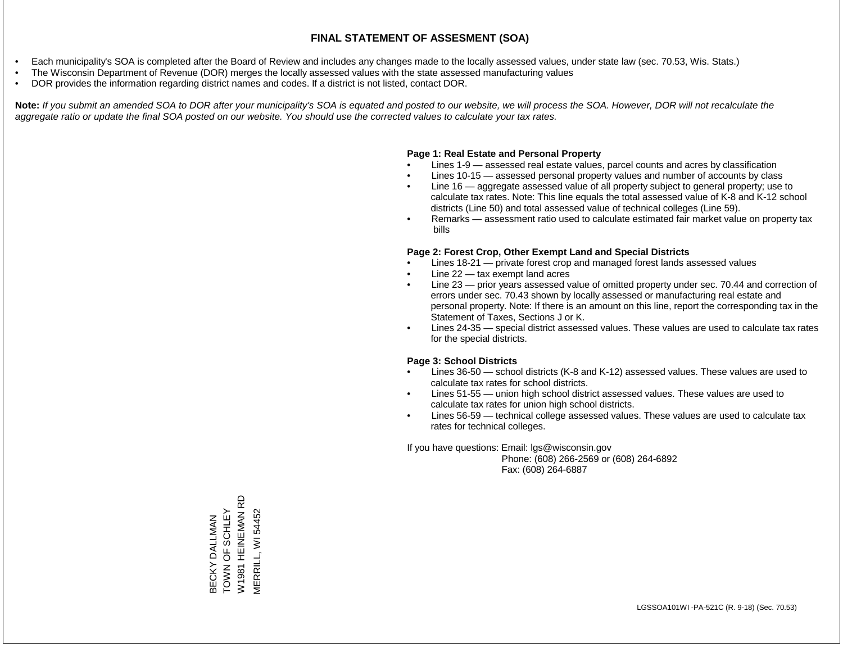- Each municipality's SOA is completed after the Board of Review and includes any changes made to the locally assessed values, under state law (sec. 70.53, Wis. Stats.)
- The Wisconsin Department of Revenue (DOR) merges the locally assessed values with the state assessed manufacturing values
- DOR provides the information regarding district names and codes. If a district is not listed, contact DOR.

Note: If you submit an amended SOA to DOR after your municipality's SOA is equated and posted to our website, we will process the SOA. However, DOR will not recalculate the *aggregate ratio or update the final SOA posted on our website. You should use the corrected values to calculate your tax rates.*

### **Page 1: Real Estate and Personal Property**

- Lines 1-9 assessed real estate values, parcel counts and acres by classification
- Lines 10-15 assessed personal property values and number of accounts by class
- Line 16 aggregate assessed value of all property subject to general property; use to calculate tax rates. Note: This line equals the total assessed value of K-8 and K-12 school districts (Line 50) and total assessed value of technical colleges (Line 59).
- Remarks assessment ratio used to calculate estimated fair market value on property tax bills

### **Page 2: Forest Crop, Other Exempt Land and Special Districts**

- Lines 18-21 private forest crop and managed forest lands assessed values
- Line  $22 -$  tax exempt land acres
- Line 23 prior years assessed value of omitted property under sec. 70.44 and correction of errors under sec. 70.43 shown by locally assessed or manufacturing real estate and personal property. Note: If there is an amount on this line, report the corresponding tax in the Statement of Taxes, Sections J or K.
- Lines 24-35 special district assessed values. These values are used to calculate tax rates for the special districts.

### **Page 3: School Districts**

- Lines 36-50 school districts (K-8 and K-12) assessed values. These values are used to calculate tax rates for school districts.
- Lines 51-55 union high school district assessed values. These values are used to calculate tax rates for union high school districts.
- Lines 56-59 technical college assessed values. These values are used to calculate tax rates for technical colleges.

If you have questions: Email: lgs@wisconsin.gov

 Phone: (608) 266-2569 or (608) 264-6892 Fax: (608) 264-6887

**HEINEMAN RD** W1981 HEINEMAN RD BECKY DALLMAN<br>TOWN OF SCHLEY<br>W1981 HEINEMAN R YEHLEO A NO NOW MERRILL, WI 54452 MERRILL, WI 54452BECKY DALLMAN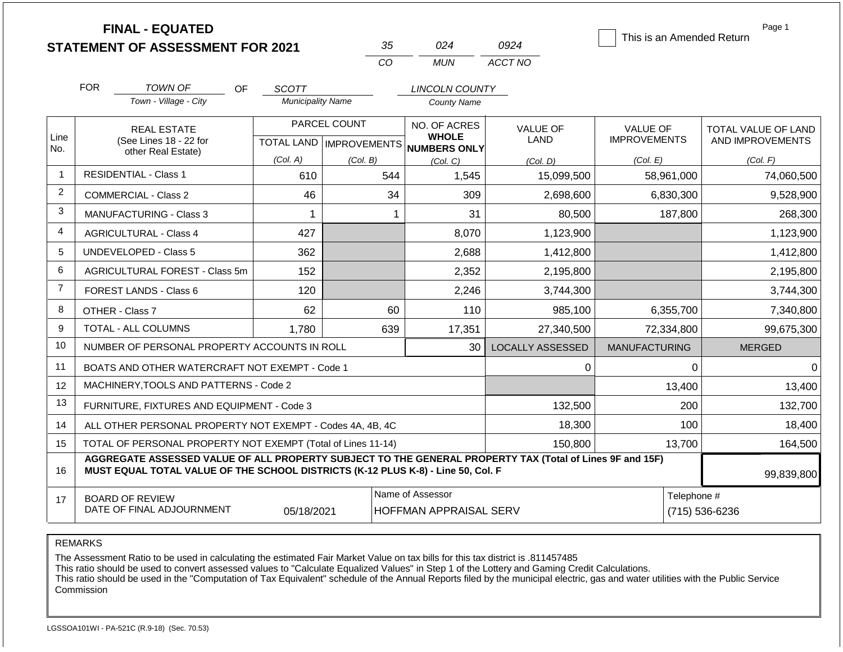|                |                                              | <b>FINAL - EQUATED</b><br><b>STATEMENT OF ASSESSMENT FOR 2021</b>                                                                                                                            |                          | 35             | 024                                                      | 0924                    | This is an Amended Return | Page 1              |
|----------------|----------------------------------------------|----------------------------------------------------------------------------------------------------------------------------------------------------------------------------------------------|--------------------------|----------------|----------------------------------------------------------|-------------------------|---------------------------|---------------------|
|                |                                              |                                                                                                                                                                                              |                          | CO             | <b>MUN</b>                                               | ACCT NO                 |                           |                     |
|                | <b>FOR</b>                                   | TOWN OF<br><b>OF</b>                                                                                                                                                                         | <b>SCOTT</b>             |                | <b>LINCOLN COUNTY</b>                                    |                         |                           |                     |
|                |                                              | Town - Village - City                                                                                                                                                                        | <b>Municipality Name</b> |                | <b>County Name</b>                                       |                         |                           |                     |
|                |                                              | <b>REAL ESTATE</b>                                                                                                                                                                           |                          | PARCEL COUNT   | NO. OF ACRES                                             | <b>VALUE OF</b>         | <b>VALUE OF</b>           | TOTAL VALUE OF LAND |
| Line<br>No.    | (See Lines 18 - 22 for<br>other Real Estate) |                                                                                                                                                                                              |                          |                | <b>WHOLE</b><br>TOTAL LAND   IMPROVEMENTS   NUMBERS ONLY | LAND                    | <b>IMPROVEMENTS</b>       | AND IMPROVEMENTS    |
|                |                                              |                                                                                                                                                                                              | (Col. A)                 | (Col. B)       | (Col, C)                                                 | (Col. D)                | (Col. E)                  | (Col. F)            |
| -1             |                                              | <b>RESIDENTIAL - Class 1</b>                                                                                                                                                                 | 610                      | 544            | 1,545                                                    | 15,099,500              | 58,961,000                | 74,060,500          |
| $\overline{2}$ |                                              | <b>COMMERCIAL - Class 2</b>                                                                                                                                                                  | 46                       |                | 34<br>309                                                | 2,698,600               | 6,830,300                 | 9,528,900           |
| 3              |                                              | MANUFACTURING - Class 3                                                                                                                                                                      | 1                        |                | 31<br>1                                                  | 80,500                  | 187,800                   | 268,300             |
| 4              |                                              | <b>AGRICULTURAL - Class 4</b>                                                                                                                                                                | 427                      |                | 8,070                                                    | 1,123,900               |                           | 1,123,900           |
| 5              |                                              | UNDEVELOPED - Class 5                                                                                                                                                                        | 362                      |                | 2,688                                                    | 1,412,800               |                           | 1,412,800           |
| 6              |                                              | <b>AGRICULTURAL FOREST - Class 5m</b>                                                                                                                                                        | 152                      |                | 2,352                                                    | 2,195,800               |                           | 2,195,800           |
| $\overline{7}$ |                                              | <b>FOREST LANDS - Class 6</b>                                                                                                                                                                | 120                      |                | 2,246                                                    | 3,744,300               |                           | 3,744,300           |
| 8              |                                              | OTHER - Class 7                                                                                                                                                                              | 62                       |                | 60<br>110                                                | 985,100                 | 6,355,700                 | 7,340,800           |
| 9              |                                              | <b>TOTAL - ALL COLUMNS</b>                                                                                                                                                                   | 1,780                    | 639            | 17,351                                                   | 27,340,500              | 72,334,800                | 99,675,300          |
| 10             |                                              | NUMBER OF PERSONAL PROPERTY ACCOUNTS IN ROLL                                                                                                                                                 |                          |                | 30                                                       | <b>LOCALLY ASSESSED</b> | <b>MANUFACTURING</b>      | <b>MERGED</b>       |
| 11             |                                              | BOATS AND OTHER WATERCRAFT NOT EXEMPT - Code 1                                                                                                                                               |                          |                |                                                          | 0                       | 0                         | $\Omega$            |
| 12             |                                              | MACHINERY, TOOLS AND PATTERNS - Code 2                                                                                                                                                       |                          |                |                                                          |                         | 13,400                    | 13,400              |
| 13             |                                              | FURNITURE, FIXTURES AND EQUIPMENT - Code 3                                                                                                                                                   |                          |                |                                                          | 132,500                 | 200                       | 132,700             |
| 14             |                                              | ALL OTHER PERSONAL PROPERTY NOT EXEMPT - Codes 4A, 4B, 4C                                                                                                                                    |                          |                |                                                          | 18,300                  | 100                       | 18,400              |
| 15             |                                              | TOTAL OF PERSONAL PROPERTY NOT EXEMPT (Total of Lines 11-14)                                                                                                                                 |                          |                |                                                          | 150,800                 | 13,700                    | 164,500             |
| 16             |                                              | AGGREGATE ASSESSED VALUE OF ALL PROPERTY SUBJECT TO THE GENERAL PROPERTY TAX (Total of Lines 9F and 15F)<br>MUST EQUAL TOTAL VALUE OF THE SCHOOL DISTRICTS (K-12 PLUS K-8) - Line 50, Col. F |                          | 99,839,800     |                                                          |                         |                           |                     |
| 17             |                                              | <b>BOARD OF REVIEW</b><br>DATE OF FINAL ADJOURNMENT                                                                                                                                          | Telephone #              | (715) 536-6236 |                                                          |                         |                           |                     |

The Assessment Ratio to be used in calculating the estimated Fair Market Value on tax bills for this tax district is .811457485

This ratio should be used to convert assessed values to "Calculate Equalized Values" in Step 1 of the Lottery and Gaming Credit Calculations.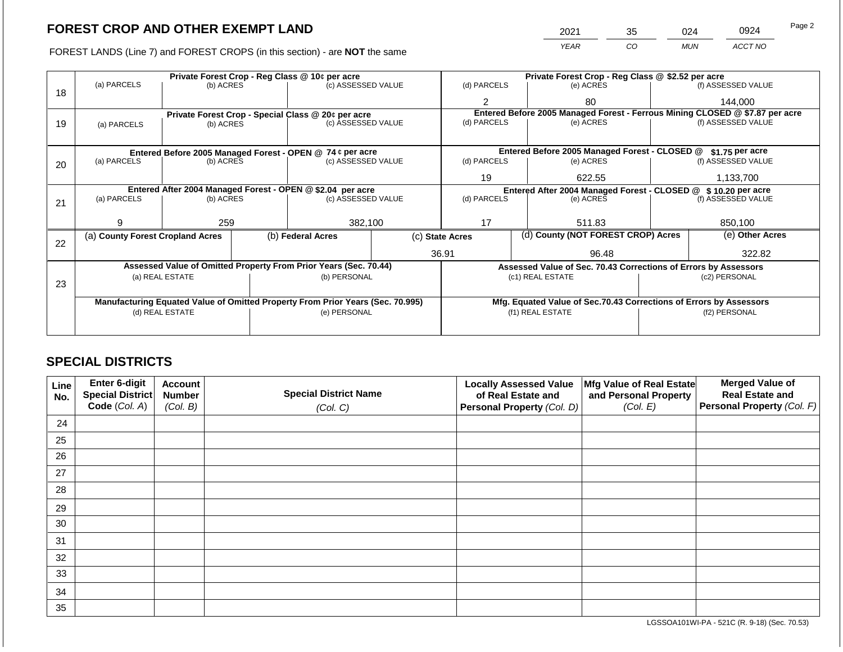FOREST LANDS (Line 7) and FOREST CROPS (in this section) - are **NOT** the same

| 2021 | 35 | )24        | 0924    | Page 2 |
|------|----|------------|---------|--------|
| YEAR | CO | <b>MUN</b> | ACCT NO |        |

|    |                                                            |                 |                                 | Private Forest Crop - Reg Class @ 10¢ per acre                                 |             | Private Forest Crop - Reg Class @ \$2.52 per acre                            |                                                                    |                    |                    |  |
|----|------------------------------------------------------------|-----------------|---------------------------------|--------------------------------------------------------------------------------|-------------|------------------------------------------------------------------------------|--------------------------------------------------------------------|--------------------|--------------------|--|
| 18 | (a) PARCELS                                                | (b) ACRES       |                                 | (c) ASSESSED VALUE                                                             |             | (d) PARCELS                                                                  | (e) ACRES                                                          |                    | (f) ASSESSED VALUE |  |
|    |                                                            |                 |                                 |                                                                                |             | 2                                                                            | 80                                                                 |                    | 144,000            |  |
|    |                                                            |                 |                                 | Private Forest Crop - Special Class @ 20¢ per acre                             |             | Entered Before 2005 Managed Forest - Ferrous Mining CLOSED @ \$7.87 per acre |                                                                    |                    |                    |  |
| 19 | (a) PARCELS                                                | (b) ACRES       |                                 | (c) ASSESSED VALUE                                                             |             | (d) PARCELS                                                                  | (e) ACRES                                                          |                    | (f) ASSESSED VALUE |  |
|    |                                                            |                 |                                 |                                                                                |             |                                                                              |                                                                    |                    |                    |  |
|    | Entered Before 2005 Managed Forest - OPEN @ 74 ¢ per acre  |                 |                                 |                                                                                |             |                                                                              | Entered Before 2005 Managed Forest - CLOSED @                      |                    | \$1.75 per acre    |  |
| 20 | (a) PARCELS                                                |                 | (b) ACRES<br>(c) ASSESSED VALUE |                                                                                | (d) PARCELS | (e) ACRES                                                                    |                                                                    | (f) ASSESSED VALUE |                    |  |
|    |                                                            |                 |                                 |                                                                                |             |                                                                              |                                                                    |                    |                    |  |
|    |                                                            |                 |                                 |                                                                                |             | 19                                                                           | 622.55                                                             |                    | 1,133,700          |  |
|    | Entered After 2004 Managed Forest - OPEN @ \$2.04 per acre |                 |                                 |                                                                                |             |                                                                              | Entered After 2004 Managed Forest - CLOSED @ \$10.20 per acre      |                    |                    |  |
| 21 | (a) PARCELS                                                | (b) ACRES       |                                 | (c) ASSESSED VALUE                                                             |             | (d) PARCELS                                                                  | (e) ACRES                                                          |                    | (f) ASSESSED VALUE |  |
|    |                                                            |                 |                                 |                                                                                |             |                                                                              |                                                                    |                    |                    |  |
|    | 9.                                                         | 259             |                                 | 382,100                                                                        |             | 17                                                                           | 511.83                                                             |                    | 850,100            |  |
| 22 | (a) County Forest Cropland Acres                           |                 |                                 | (b) Federal Acres                                                              |             | (d) County (NOT FOREST CROP) Acres<br>(c) State Acres                        |                                                                    | (e) Other Acres    |                    |  |
|    |                                                            |                 |                                 |                                                                                |             | 36.91                                                                        | 96.48                                                              |                    | 322.82             |  |
|    |                                                            |                 |                                 | Assessed Value of Omitted Property From Prior Years (Sec. 70.44)               |             |                                                                              | Assessed Value of Sec. 70.43 Corrections of Errors by Assessors    |                    |                    |  |
|    |                                                            | (a) REAL ESTATE |                                 | (b) PERSONAL                                                                   |             |                                                                              | (c1) REAL ESTATE                                                   |                    | (c2) PERSONAL      |  |
| 23 |                                                            |                 |                                 |                                                                                |             |                                                                              |                                                                    |                    |                    |  |
|    |                                                            |                 |                                 | Manufacturing Equated Value of Omitted Property From Prior Years (Sec. 70.995) |             |                                                                              | Mfg. Equated Value of Sec.70.43 Corrections of Errors by Assessors |                    |                    |  |
|    | (d) REAL ESTATE                                            |                 |                                 | (e) PERSONAL                                                                   |             |                                                                              | (f1) REAL ESTATE                                                   |                    | (f2) PERSONAL      |  |
|    |                                                            |                 |                                 |                                                                                |             |                                                                              |                                                                    |                    |                    |  |
|    |                                                            |                 |                                 |                                                                                |             |                                                                              |                                                                    |                    |                    |  |

## **SPECIAL DISTRICTS**

| Line<br>No. | Enter 6-digit<br>Special District | <b>Account</b><br><b>Number</b> | <b>Special District Name</b> | <b>Locally Assessed Value</b><br>of Real Estate and | Mfg Value of Real Estate<br>and Personal Property | <b>Merged Value of</b><br><b>Real Estate and</b> |
|-------------|-----------------------------------|---------------------------------|------------------------------|-----------------------------------------------------|---------------------------------------------------|--------------------------------------------------|
|             | Code (Col. A)                     | (Col. B)                        | (Col. C)                     | <b>Personal Property (Col. D)</b>                   | (Col. E)                                          | Personal Property (Col. F)                       |
| 24          |                                   |                                 |                              |                                                     |                                                   |                                                  |
| 25          |                                   |                                 |                              |                                                     |                                                   |                                                  |
| 26          |                                   |                                 |                              |                                                     |                                                   |                                                  |
| 27          |                                   |                                 |                              |                                                     |                                                   |                                                  |
| 28          |                                   |                                 |                              |                                                     |                                                   |                                                  |
| 29          |                                   |                                 |                              |                                                     |                                                   |                                                  |
| 30          |                                   |                                 |                              |                                                     |                                                   |                                                  |
| 31          |                                   |                                 |                              |                                                     |                                                   |                                                  |
| 32          |                                   |                                 |                              |                                                     |                                                   |                                                  |
| 33          |                                   |                                 |                              |                                                     |                                                   |                                                  |
| 34          |                                   |                                 |                              |                                                     |                                                   |                                                  |
| 35          |                                   |                                 |                              |                                                     |                                                   |                                                  |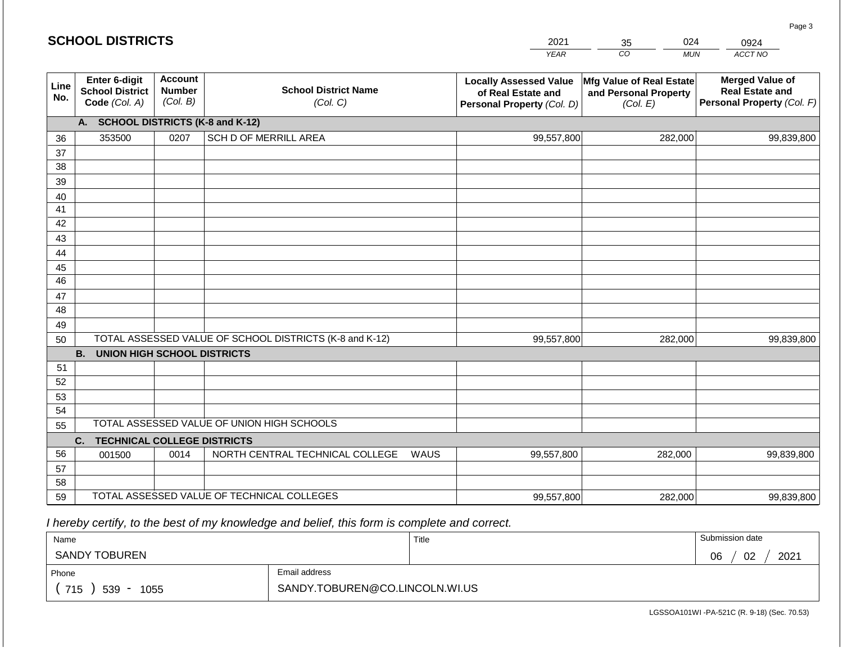|             | <b>SCHOOL DISTRICTS</b>                                                                |                                             |                                                         |      | 2021        | 024<br>35                                                     | 0924                                                                           |  |  |  |
|-------------|----------------------------------------------------------------------------------------|---------------------------------------------|---------------------------------------------------------|------|-------------|---------------------------------------------------------------|--------------------------------------------------------------------------------|--|--|--|
|             |                                                                                        |                                             |                                                         |      | <b>YEAR</b> | CO<br><b>MUN</b>                                              | ACCT NO                                                                        |  |  |  |
| Line<br>No. | Enter 6-digit<br><b>School District</b><br>Code (Col. A)                               | <b>Account</b><br><b>Number</b><br>(Col. B) | <b>School District Name</b><br>(Col. C)                 |      |             | Mfg Value of Real Estate<br>and Personal Property<br>(Col. E) | <b>Merged Value of</b><br><b>Real Estate and</b><br>Personal Property (Col. F) |  |  |  |
|             | A.                                                                                     |                                             | <b>SCHOOL DISTRICTS (K-8 and K-12)</b>                  |      |             |                                                               |                                                                                |  |  |  |
| 36          | 353500                                                                                 | 0207                                        | SCH D OF MERRILL AREA                                   |      | 99,557,800  | 282,000                                                       | 99,839,800                                                                     |  |  |  |
| 37          |                                                                                        |                                             |                                                         |      |             |                                                               |                                                                                |  |  |  |
| 38          |                                                                                        |                                             |                                                         |      |             |                                                               |                                                                                |  |  |  |
| 39          |                                                                                        |                                             |                                                         |      |             |                                                               |                                                                                |  |  |  |
| 40          |                                                                                        |                                             |                                                         |      |             |                                                               |                                                                                |  |  |  |
| 41<br>42    |                                                                                        |                                             |                                                         |      |             |                                                               |                                                                                |  |  |  |
| 43          |                                                                                        |                                             |                                                         |      |             |                                                               |                                                                                |  |  |  |
| 44          |                                                                                        |                                             |                                                         |      |             |                                                               |                                                                                |  |  |  |
| 45          |                                                                                        |                                             |                                                         |      |             |                                                               |                                                                                |  |  |  |
| 46          |                                                                                        |                                             |                                                         |      |             |                                                               |                                                                                |  |  |  |
| 47          |                                                                                        |                                             |                                                         |      |             |                                                               |                                                                                |  |  |  |
| 48          |                                                                                        |                                             |                                                         |      |             |                                                               |                                                                                |  |  |  |
| 49          |                                                                                        |                                             |                                                         |      |             |                                                               |                                                                                |  |  |  |
| 50          |                                                                                        |                                             | TOTAL ASSESSED VALUE OF SCHOOL DISTRICTS (K-8 and K-12) |      | 99,557,800  | 282,000                                                       | 99,839,800                                                                     |  |  |  |
|             | <b>B.</b><br><b>UNION HIGH SCHOOL DISTRICTS</b>                                        |                                             |                                                         |      |             |                                                               |                                                                                |  |  |  |
| 51          |                                                                                        |                                             |                                                         |      |             |                                                               |                                                                                |  |  |  |
| 52          |                                                                                        |                                             |                                                         |      |             |                                                               |                                                                                |  |  |  |
| 53          |                                                                                        |                                             |                                                         |      |             |                                                               |                                                                                |  |  |  |
| 54          |                                                                                        |                                             |                                                         |      |             |                                                               |                                                                                |  |  |  |
|             | TOTAL ASSESSED VALUE OF UNION HIGH SCHOOLS<br>55<br><b>TECHNICAL COLLEGE DISTRICTS</b> |                                             |                                                         |      |             |                                                               |                                                                                |  |  |  |
| 56          | C.                                                                                     | 0014                                        | NORTH CENTRAL TECHNICAL COLLEGE                         | WAUS | 99,557,800  | 282,000                                                       | 99,839,800                                                                     |  |  |  |
| 57          | 001500                                                                                 |                                             |                                                         |      |             |                                                               |                                                                                |  |  |  |
| 58          |                                                                                        |                                             |                                                         |      |             |                                                               |                                                                                |  |  |  |
| 59          |                                                                                        |                                             | TOTAL ASSESSED VALUE OF TECHNICAL COLLEGES              |      | 99,557,800  | 282,000                                                       | 99,839,800                                                                     |  |  |  |

 *I hereby certify, to the best of my knowledge and belief, this form is complete and correct.*

| Name                 |                                | Title | Submission date  |
|----------------------|--------------------------------|-------|------------------|
| <b>SANDY TOBUREN</b> |                                |       | 02<br>2021<br>06 |
| Phone                | Email address                  |       |                  |
| 715<br>539<br>1055   | SANDY.TOBUREN@CO.LINCOLN.WI.US |       |                  |

LGSSOA101WI -PA-521C (R. 9-18) (Sec. 70.53)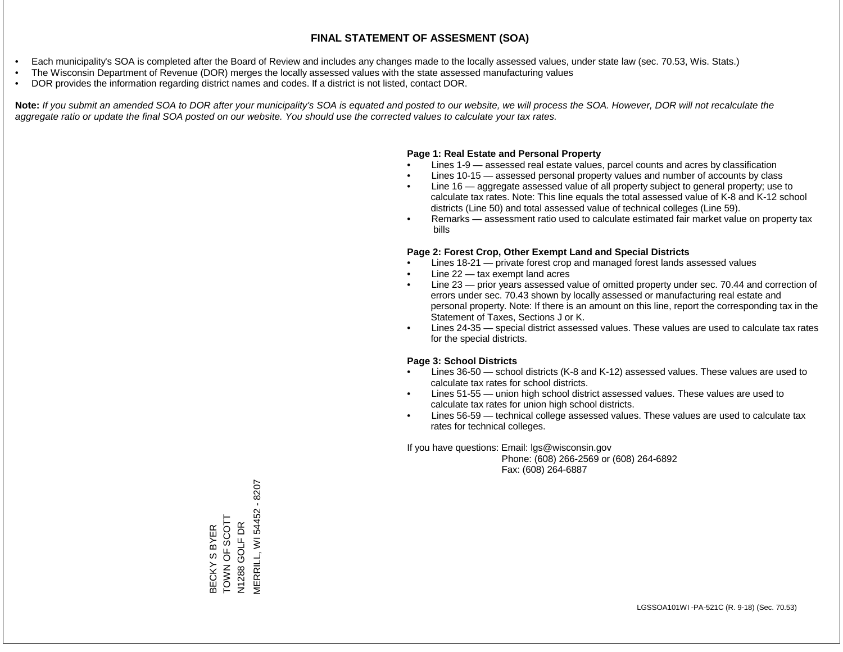- Each municipality's SOA is completed after the Board of Review and includes any changes made to the locally assessed values, under state law (sec. 70.53, Wis. Stats.)
- The Wisconsin Department of Revenue (DOR) merges the locally assessed values with the state assessed manufacturing values
- DOR provides the information regarding district names and codes. If a district is not listed, contact DOR.

Note: If you submit an amended SOA to DOR after your municipality's SOA is equated and posted to our website, we will process the SOA. However, DOR will not recalculate the *aggregate ratio or update the final SOA posted on our website. You should use the corrected values to calculate your tax rates.*

#### **Page 1: Real Estate and Personal Property**

- Lines 1-9 assessed real estate values, parcel counts and acres by classification
- Lines 10-15 assessed personal property values and number of accounts by class
- Line 16 aggregate assessed value of all property subject to general property; use to calculate tax rates. Note: This line equals the total assessed value of K-8 and K-12 school districts (Line 50) and total assessed value of technical colleges (Line 59).
- Remarks assessment ratio used to calculate estimated fair market value on property tax bills

#### **Page 2: Forest Crop, Other Exempt Land and Special Districts**

- Lines 18-21 private forest crop and managed forest lands assessed values
- Line  $22 -$  tax exempt land acres
- Line 23 prior years assessed value of omitted property under sec. 70.44 and correction of errors under sec. 70.43 shown by locally assessed or manufacturing real estate and personal property. Note: If there is an amount on this line, report the corresponding tax in the Statement of Taxes, Sections J or K.
- Lines 24-35 special district assessed values. These values are used to calculate tax rates for the special districts.

#### **Page 3: School Districts**

- Lines 36-50 school districts (K-8 and K-12) assessed values. These values are used to calculate tax rates for school districts.
- Lines 51-55 union high school district assessed values. These values are used to calculate tax rates for union high school districts.
- Lines 56-59 technical college assessed values. These values are used to calculate tax rates for technical colleges.

If you have questions: Email: lgs@wisconsin.gov

 Phone: (608) 266-2569 or (608) 264-6892 Fax: (608) 264-6887

MERRILL, WI 54452 - 8207 MERRILL, WI 54452 - 8207BECKY S BYER<br>TOWN OF SCOTT TOWN OF SCOTT GOLF DR N1288 GOLF DR N1288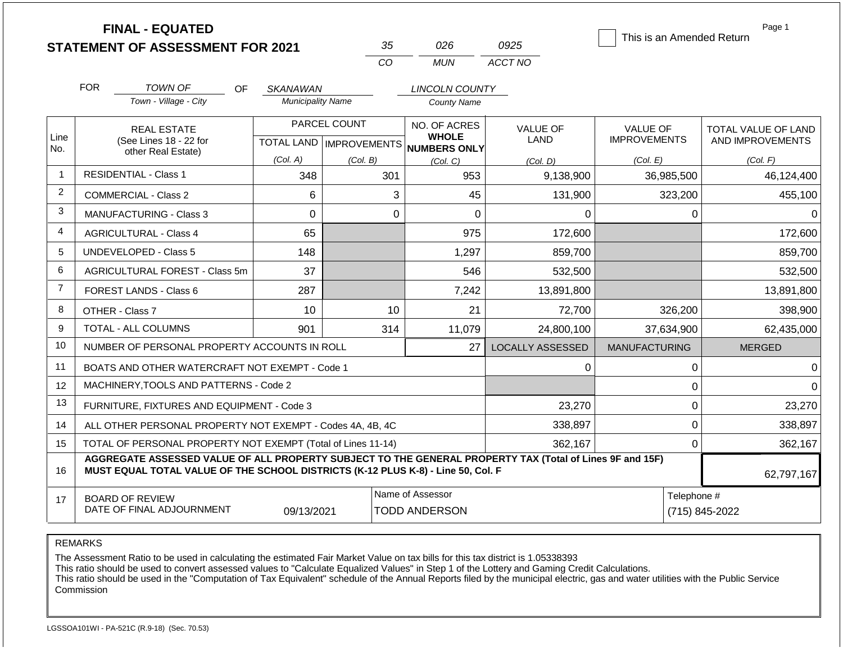|                |                                                                                                                                                                                              | <b>FINAL - EQUATED</b><br><b>STATEMENT OF ASSESSMENT FOR 2021</b> |                          |                                           | 35  | 026                          | 0925                          | This is an Amended Return              |   | Page 1                                  |
|----------------|----------------------------------------------------------------------------------------------------------------------------------------------------------------------------------------------|-------------------------------------------------------------------|--------------------------|-------------------------------------------|-----|------------------------------|-------------------------------|----------------------------------------|---|-----------------------------------------|
|                |                                                                                                                                                                                              |                                                                   |                          | CO                                        |     | <b>MUN</b>                   | ACCT NO                       |                                        |   |                                         |
|                | <b>FOR</b>                                                                                                                                                                                   | <b>TOWN OF</b><br><b>OF</b>                                       | SKANAWAN                 |                                           |     | <b>LINCOLN COUNTY</b>        |                               |                                        |   |                                         |
|                |                                                                                                                                                                                              | Town - Village - City                                             | <b>Municipality Name</b> |                                           |     | <b>County Name</b>           |                               |                                        |   |                                         |
| Line           |                                                                                                                                                                                              | <b>REAL ESTATE</b><br>(See Lines 18 - 22 for                      |                          | PARCEL COUNT<br>TOTAL LAND   IMPROVEMENTS |     | NO. OF ACRES<br><b>WHOLE</b> | <b>VALUE OF</b><br>LAND       | <b>VALUE OF</b><br><b>IMPROVEMENTS</b> |   | TOTAL VALUE OF LAND<br>AND IMPROVEMENTS |
| No.            |                                                                                                                                                                                              | other Real Estate)                                                | (Col. A)                 | (Col. B)                                  |     | NUMBERS ONLY<br>(Col. C)     | (Col. D)                      | (Col. E)                               |   | (Col. F)                                |
| 1              |                                                                                                                                                                                              | <b>RESIDENTIAL - Class 1</b>                                      | 348                      |                                           | 301 | 953                          | 9,138,900                     | 36,985,500                             |   | 46,124,400                              |
| $\overline{2}$ |                                                                                                                                                                                              | <b>COMMERCIAL - Class 2</b>                                       | 6                        |                                           | 3   | 45                           | 131,900                       | 323,200                                |   | 455,100                                 |
| 3              |                                                                                                                                                                                              | <b>MANUFACTURING - Class 3</b>                                    | 0                        |                                           |     | $\mathbf 0$                  | $\Omega$                      |                                        | 0 | 0                                       |
| 4              |                                                                                                                                                                                              | <b>AGRICULTURAL - Class 4</b>                                     | 65                       |                                           |     | 975                          | 172,600                       |                                        |   | 172,600                                 |
| 5              |                                                                                                                                                                                              | UNDEVELOPED - Class 5                                             | 148                      |                                           |     | 1,297                        | 859,700                       |                                        |   | 859,700                                 |
| 6              |                                                                                                                                                                                              | AGRICULTURAL FOREST - Class 5m                                    | 37                       |                                           |     | 546                          | 532,500                       |                                        |   | 532,500                                 |
| $\overline{7}$ |                                                                                                                                                                                              | FOREST LANDS - Class 6                                            | 287                      |                                           |     | 7,242                        | 13,891,800                    |                                        |   | 13,891,800                              |
| 8              |                                                                                                                                                                                              | OTHER - Class 7                                                   | 10                       |                                           | 10  | 21                           | 72,700                        | 326,200                                |   | 398,900                                 |
| 9              |                                                                                                                                                                                              | <b>TOTAL - ALL COLUMNS</b>                                        | 901                      |                                           | 314 | 11,079                       | 24,800,100                    | 37,634,900                             |   | 62,435,000                              |
| 10             |                                                                                                                                                                                              | NUMBER OF PERSONAL PROPERTY ACCOUNTS IN ROLL                      |                          |                                           |     | 27                           | <b>LOCALLY ASSESSED</b>       | <b>MANUFACTURING</b>                   |   | <b>MERGED</b>                           |
| 11             |                                                                                                                                                                                              | BOATS AND OTHER WATERCRAFT NOT EXEMPT - Code 1                    |                          |                                           |     |                              | 0                             |                                        | 0 | $\Omega$                                |
| 12             |                                                                                                                                                                                              | MACHINERY, TOOLS AND PATTERNS - Code 2                            |                          |                                           |     |                              |                               |                                        | 0 | $\Omega$                                |
| 13             |                                                                                                                                                                                              | FURNITURE, FIXTURES AND EQUIPMENT - Code 3                        |                          |                                           |     |                              | 23,270                        |                                        | 0 | 23,270                                  |
| 14             |                                                                                                                                                                                              | ALL OTHER PERSONAL PROPERTY NOT EXEMPT - Codes 4A, 4B, 4C         |                          |                                           |     |                              | 338,897                       |                                        | 0 | 338,897                                 |
| 15             | TOTAL OF PERSONAL PROPERTY NOT EXEMPT (Total of Lines 11-14)                                                                                                                                 |                                                                   |                          |                                           |     |                              | 362,167                       | 0                                      |   | 362,167                                 |
| 16             | AGGREGATE ASSESSED VALUE OF ALL PROPERTY SUBJECT TO THE GENERAL PROPERTY TAX (Total of Lines 9F and 15F)<br>MUST EQUAL TOTAL VALUE OF THE SCHOOL DISTRICTS (K-12 PLUS K-8) - Line 50, Col. F |                                                                   |                          |                                           |     |                              |                               |                                        |   | 62,797,167                              |
| 17             | Name of Assessor<br><b>BOARD OF REVIEW</b><br>DATE OF FINAL ADJOURNMENT<br><b>TODD ANDERSON</b><br>09/13/2021                                                                                |                                                                   |                          |                                           |     |                              | Telephone #<br>(715) 845-2022 |                                        |   |                                         |

The Assessment Ratio to be used in calculating the estimated Fair Market Value on tax bills for this tax district is 1.05338393

This ratio should be used to convert assessed values to "Calculate Equalized Values" in Step 1 of the Lottery and Gaming Credit Calculations.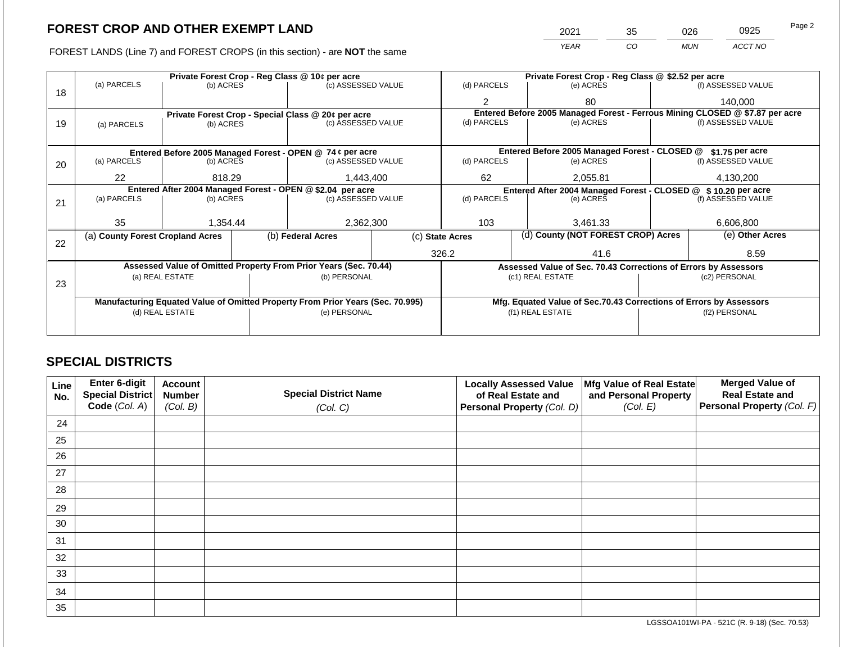FOREST LANDS (Line 7) and FOREST CROPS (in this section) - are NOT the same

| Page 2 | 0925    | 026        | 35 | 2021        |
|--------|---------|------------|----|-------------|
|        | ACCT NO | <b>MUN</b> | CO | <b>YEAR</b> |
|        |         |            |    |             |

|    |                                                           |                 | Private Forest Crop - Reg Class @ 10¢ per acre             |                                                                                | Private Forest Crop - Reg Class @ \$2.52 per acre |                 |                                    |                                                                    |               |                                                                              |  |
|----|-----------------------------------------------------------|-----------------|------------------------------------------------------------|--------------------------------------------------------------------------------|---------------------------------------------------|-----------------|------------------------------------|--------------------------------------------------------------------|---------------|------------------------------------------------------------------------------|--|
| 18 | (a) PARCELS                                               | (b) ACRES       |                                                            | (c) ASSESSED VALUE                                                             |                                                   | (d) PARCELS     |                                    | (e) ACRES                                                          |               | (f) ASSESSED VALUE                                                           |  |
|    |                                                           |                 |                                                            |                                                                                |                                                   | 2               |                                    | 80                                                                 |               | 140,000                                                                      |  |
|    |                                                           |                 |                                                            | Private Forest Crop - Special Class @ 20¢ per acre                             |                                                   |                 |                                    |                                                                    |               | Entered Before 2005 Managed Forest - Ferrous Mining CLOSED @ \$7.87 per acre |  |
| 19 | (a) PARCELS                                               | (b) ACRES       |                                                            | (c) ASSESSED VALUE                                                             |                                                   | (d) PARCELS     |                                    | (e) ACRES                                                          |               | (f) ASSESSED VALUE                                                           |  |
|    |                                                           |                 |                                                            |                                                                                |                                                   |                 |                                    |                                                                    |               |                                                                              |  |
|    | Entered Before 2005 Managed Forest - OPEN @ 74 ¢ per acre |                 |                                                            |                                                                                |                                                   |                 |                                    | Entered Before 2005 Managed Forest - CLOSED @                      |               | \$1.75 per acre                                                              |  |
| 20 | (a) PARCELS                                               | (b) ACRES       |                                                            |                                                                                | (c) ASSESSED VALUE                                |                 |                                    | (e) ACRES                                                          |               | (f) ASSESSED VALUE                                                           |  |
|    |                                                           |                 |                                                            |                                                                                |                                                   |                 |                                    |                                                                    |               |                                                                              |  |
|    | 22                                                        | 818.29          |                                                            | 1,443,400                                                                      |                                                   | 62              |                                    | 2.055.81                                                           |               | 4,130,200                                                                    |  |
|    |                                                           |                 | Entered After 2004 Managed Forest - OPEN @ \$2.04 per acre |                                                                                |                                                   |                 |                                    | Entered After 2004 Managed Forest - CLOSED @ \$10.20 per acre      |               |                                                                              |  |
| 21 | (a) PARCELS                                               | (b) ACRES       |                                                            | (c) ASSESSED VALUE                                                             |                                                   | (d) PARCELS     |                                    | (e) ACRES                                                          |               | (f) ASSESSED VALUE                                                           |  |
|    |                                                           |                 |                                                            |                                                                                |                                                   |                 |                                    |                                                                    |               |                                                                              |  |
|    | 35                                                        | 1,354.44        |                                                            | 2,362,300                                                                      |                                                   | 103             |                                    | 3.461.33                                                           |               | 6,606,800                                                                    |  |
| 22 | (a) County Forest Cropland Acres                          |                 |                                                            | (b) Federal Acres                                                              |                                                   | (c) State Acres | (d) County (NOT FOREST CROP) Acres |                                                                    |               | (e) Other Acres                                                              |  |
|    |                                                           |                 |                                                            |                                                                                |                                                   | 326.2           |                                    | 41.6                                                               |               | 8.59                                                                         |  |
|    |                                                           |                 |                                                            | Assessed Value of Omitted Property From Prior Years (Sec. 70.44)               |                                                   |                 |                                    | Assessed Value of Sec. 70.43 Corrections of Errors by Assessors    |               |                                                                              |  |
|    |                                                           | (a) REAL ESTATE |                                                            | (b) PERSONAL                                                                   |                                                   |                 |                                    | (c1) REAL ESTATE                                                   |               | (c2) PERSONAL                                                                |  |
| 23 |                                                           |                 |                                                            |                                                                                |                                                   |                 |                                    |                                                                    |               |                                                                              |  |
|    |                                                           |                 |                                                            | Manufacturing Equated Value of Omitted Property From Prior Years (Sec. 70.995) |                                                   |                 |                                    | Mfg. Equated Value of Sec.70.43 Corrections of Errors by Assessors |               |                                                                              |  |
|    |                                                           | (d) REAL ESTATE |                                                            | (e) PERSONAL                                                                   |                                                   |                 |                                    | (f1) REAL ESTATE                                                   | (f2) PERSONAL |                                                                              |  |
|    |                                                           |                 |                                                            |                                                                                |                                                   |                 |                                    |                                                                    |               |                                                                              |  |
|    |                                                           |                 |                                                            |                                                                                |                                                   |                 |                                    |                                                                    |               |                                                                              |  |

## **SPECIAL DISTRICTS**

| <b>Line</b><br>No. | Enter 6-digit<br><b>Special District</b> | <b>Account</b><br><b>Number</b> | <b>Special District Name</b> | <b>Locally Assessed Value</b><br>of Real Estate and | Mfg Value of Real Estate<br>and Personal Property | <b>Merged Value of</b><br><b>Real Estate and</b> |
|--------------------|------------------------------------------|---------------------------------|------------------------------|-----------------------------------------------------|---------------------------------------------------|--------------------------------------------------|
|                    | Code (Col. A)                            | (Col. B)                        | (Col. C)                     | Personal Property (Col. D)                          | (Col. E)                                          | Personal Property (Col. F)                       |
| 24                 |                                          |                                 |                              |                                                     |                                                   |                                                  |
| 25                 |                                          |                                 |                              |                                                     |                                                   |                                                  |
| 26                 |                                          |                                 |                              |                                                     |                                                   |                                                  |
| 27                 |                                          |                                 |                              |                                                     |                                                   |                                                  |
| 28                 |                                          |                                 |                              |                                                     |                                                   |                                                  |
| 29                 |                                          |                                 |                              |                                                     |                                                   |                                                  |
| 30                 |                                          |                                 |                              |                                                     |                                                   |                                                  |
| 31                 |                                          |                                 |                              |                                                     |                                                   |                                                  |
| 32                 |                                          |                                 |                              |                                                     |                                                   |                                                  |
| 33                 |                                          |                                 |                              |                                                     |                                                   |                                                  |
| 34                 |                                          |                                 |                              |                                                     |                                                   |                                                  |
| 35                 |                                          |                                 |                              |                                                     |                                                   |                                                  |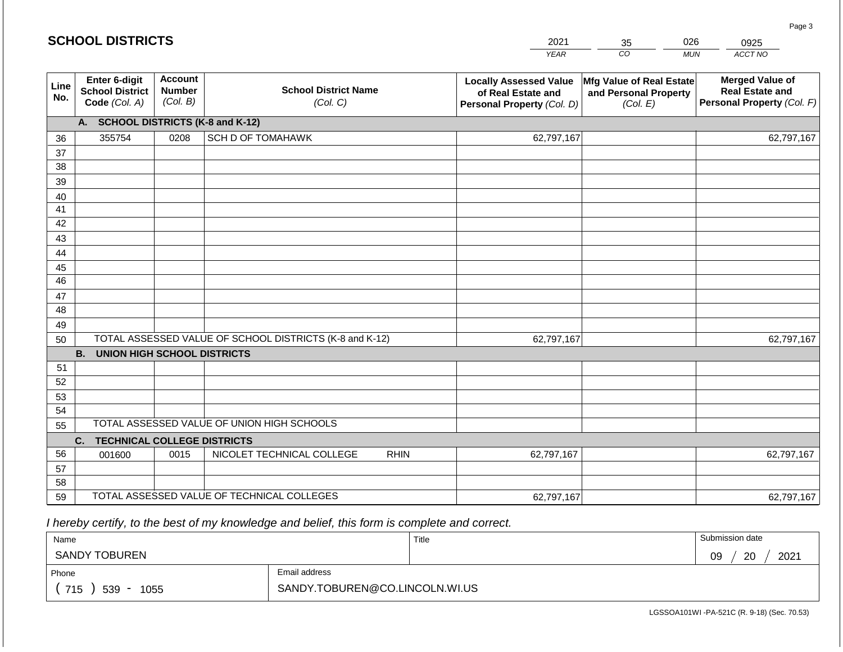| <b>SCHOOL DISTRICTS</b> |                                                                 |                                             |                                                         |             | 2021                                                                              | 35                                                            | 026        | 0925                                                                           |
|-------------------------|-----------------------------------------------------------------|---------------------------------------------|---------------------------------------------------------|-------------|-----------------------------------------------------------------------------------|---------------------------------------------------------------|------------|--------------------------------------------------------------------------------|
|                         |                                                                 |                                             |                                                         |             | <b>YEAR</b>                                                                       | CO                                                            | <b>MUN</b> | ACCT NO                                                                        |
| Line<br>No.             | <b>Enter 6-digit</b><br><b>School District</b><br>Code (Col. A) | <b>Account</b><br><b>Number</b><br>(Col. B) | <b>School District Name</b><br>(Col. C)                 |             | <b>Locally Assessed Value</b><br>of Real Estate and<br>Personal Property (Col. D) | Mfg Value of Real Estate<br>and Personal Property<br>(Col. E) |            | <b>Merged Value of</b><br><b>Real Estate and</b><br>Personal Property (Col. F) |
|                         | A. SCHOOL DISTRICTS (K-8 and K-12)                              |                                             |                                                         |             |                                                                                   |                                                               |            |                                                                                |
| 36                      | 355754                                                          | 0208                                        | <b>SCH D OF TOMAHAWK</b>                                |             | 62,797,167                                                                        |                                                               |            | 62,797,167                                                                     |
| 37                      |                                                                 |                                             |                                                         |             |                                                                                   |                                                               |            |                                                                                |
| 38                      |                                                                 |                                             |                                                         |             |                                                                                   |                                                               |            |                                                                                |
| 39                      |                                                                 |                                             |                                                         |             |                                                                                   |                                                               |            |                                                                                |
| 40<br>41                |                                                                 |                                             |                                                         |             |                                                                                   |                                                               |            |                                                                                |
| 42                      |                                                                 |                                             |                                                         |             |                                                                                   |                                                               |            |                                                                                |
| 43                      |                                                                 |                                             |                                                         |             |                                                                                   |                                                               |            |                                                                                |
| 44                      |                                                                 |                                             |                                                         |             |                                                                                   |                                                               |            |                                                                                |
| 45                      |                                                                 |                                             |                                                         |             |                                                                                   |                                                               |            |                                                                                |
| 46                      |                                                                 |                                             |                                                         |             |                                                                                   |                                                               |            |                                                                                |
| 47                      |                                                                 |                                             |                                                         |             |                                                                                   |                                                               |            |                                                                                |
| 48                      |                                                                 |                                             |                                                         |             |                                                                                   |                                                               |            |                                                                                |
| 49                      |                                                                 |                                             |                                                         |             |                                                                                   |                                                               |            |                                                                                |
| 50                      | <b>B. UNION HIGH SCHOOL DISTRICTS</b>                           |                                             | TOTAL ASSESSED VALUE OF SCHOOL DISTRICTS (K-8 and K-12) |             | 62,797,167                                                                        |                                                               |            | 62,797,167                                                                     |
| 51                      |                                                                 |                                             |                                                         |             |                                                                                   |                                                               |            |                                                                                |
| 52                      |                                                                 |                                             |                                                         |             |                                                                                   |                                                               |            |                                                                                |
| 53                      |                                                                 |                                             |                                                         |             |                                                                                   |                                                               |            |                                                                                |
| 54                      |                                                                 |                                             |                                                         |             |                                                                                   |                                                               |            |                                                                                |
| 55                      |                                                                 |                                             | TOTAL ASSESSED VALUE OF UNION HIGH SCHOOLS              |             |                                                                                   |                                                               |            |                                                                                |
|                         | <b>TECHNICAL COLLEGE DISTRICTS</b><br>C.                        |                                             |                                                         |             |                                                                                   |                                                               |            |                                                                                |
| 56                      | 001600                                                          | 0015                                        | NICOLET TECHNICAL COLLEGE                               | <b>RHIN</b> | 62,797,167                                                                        |                                                               |            | 62,797,167                                                                     |
| 57                      |                                                                 |                                             |                                                         |             |                                                                                   |                                                               |            |                                                                                |
| 58                      |                                                                 |                                             |                                                         |             |                                                                                   |                                                               |            |                                                                                |
| 59                      |                                                                 |                                             | TOTAL ASSESSED VALUE OF TECHNICAL COLLEGES              |             | 62,797,167                                                                        |                                                               |            | 62,797,167                                                                     |

 *I hereby certify, to the best of my knowledge and belief, this form is complete and correct.*

| Name                 |                                | Title | Submission date  |
|----------------------|--------------------------------|-------|------------------|
| <b>SANDY TOBUREN</b> |                                |       | 2021<br>20<br>09 |
| Phone                | Email address                  |       |                  |
| 715<br>539<br>1055   | SANDY.TOBUREN@CO.LINCOLN.WI.US |       |                  |

LGSSOA101WI -PA-521C (R. 9-18) (Sec. 70.53)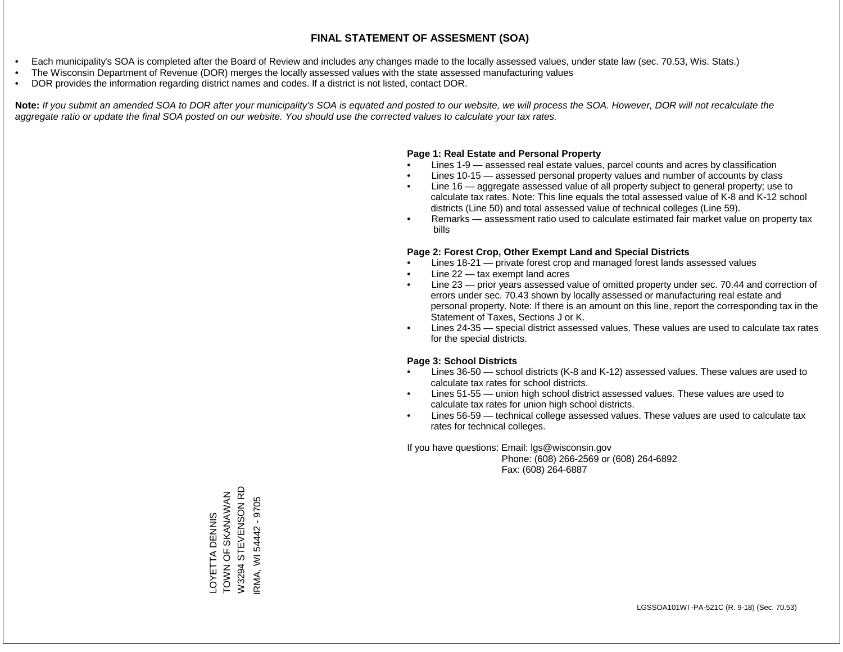- Each municipality's SOA is completed after the Board of Review and includes any changes made to the locally assessed values, under state law (sec. 70.53, Wis. Stats.)
- The Wisconsin Department of Revenue (DOR) merges the locally assessed values with the state assessed manufacturing values
- DOR provides the information regarding district names and codes. If a district is not listed, contact DOR.

Note: If you submit an amended SOA to DOR after your municipality's SOA is equated and posted to our website, we will process the SOA. However, DOR will not recalculate the *aggregate ratio or update the final SOA posted on our website. You should use the corrected values to calculate your tax rates.*

#### **Page 1: Real Estate and Personal Property**

- Lines 1-9 assessed real estate values, parcel counts and acres by classification
- Lines 10-15 assessed personal property values and number of accounts by class
- Line 16 aggregate assessed value of all property subject to general property; use to calculate tax rates. Note: This line equals the total assessed value of K-8 and K-12 school districts (Line 50) and total assessed value of technical colleges (Line 59).
- Remarks assessment ratio used to calculate estimated fair market value on property tax bills

#### **Page 2: Forest Crop, Other Exempt Land and Special Districts**

- Lines 18-21 private forest crop and managed forest lands assessed values
- Line  $22 -$  tax exempt land acres
- Line 23 prior years assessed value of omitted property under sec. 70.44 and correction of errors under sec. 70.43 shown by locally assessed or manufacturing real estate and personal property. Note: If there is an amount on this line, report the corresponding tax in the Statement of Taxes, Sections J or K.
- Lines 24-35 special district assessed values. These values are used to calculate tax rates for the special districts.

#### **Page 3: School Districts**

- Lines 36-50 school districts (K-8 and K-12) assessed values. These values are used to calculate tax rates for school districts.
- Lines 51-55 union high school district assessed values. These values are used to calculate tax rates for union high school districts.
- Lines 56-59 technical college assessed values. These values are used to calculate tax rates for technical colleges.

If you have questions: Email: lgs@wisconsin.gov

 Phone: (608) 266-2569 or (608) 264-6892 Fax: (608) 264-6887

LOYETTA DENNIS<br>TOWN OF SKANAWAN<br>W3294 STEVENSON RD W3294 STEVENSON RD Z Y NAVANA SKANAMANA OSANOH RMA, WI 54442 - 9705 IRMA, WI 54442 - 9705LOYETTA DENNIS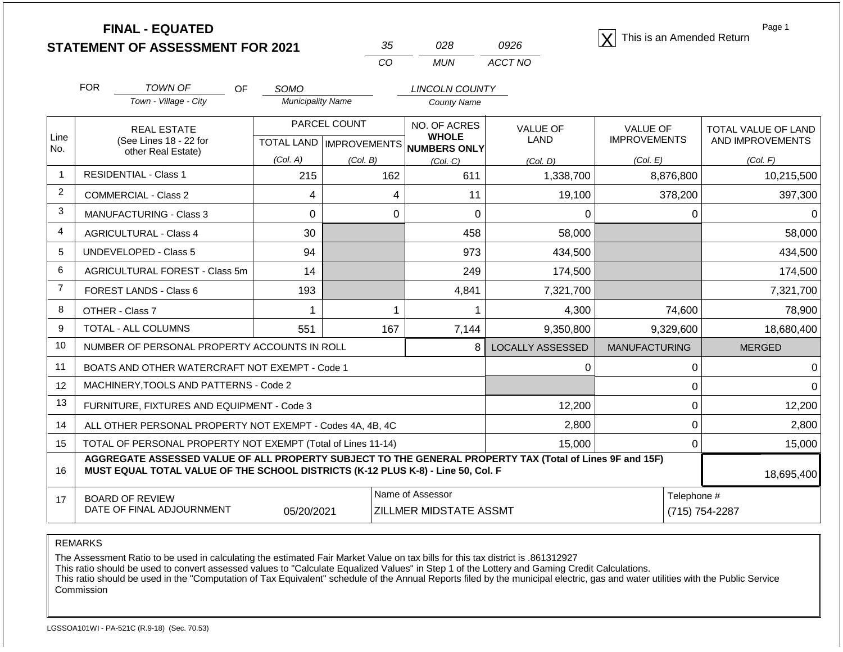| <b>FINAL - EQUATED</b>                  |    |     |      | This is an Amended Return |
|-----------------------------------------|----|-----|------|---------------------------|
| <b>STATEMENT OF ASSESSMENT FOR 2021</b> | 35 | 028 | 0926 |                           |

| 35  | 028. | 0926    |
|-----|------|---------|
| CO. | MUN  | ACCT NO |

Page 1

|                | <b>FOR</b>                                                                                                                                                                                   | <b>TOWN OF</b><br><b>OF</b>                               | <b>SOMO</b>              |                                          | <b>LINCOLN COUNTY</b>         |                         |                      |                            |  |
|----------------|----------------------------------------------------------------------------------------------------------------------------------------------------------------------------------------------|-----------------------------------------------------------|--------------------------|------------------------------------------|-------------------------------|-------------------------|----------------------|----------------------------|--|
|                |                                                                                                                                                                                              | Town - Village - City                                     | <b>Municipality Name</b> |                                          | <b>County Name</b>            |                         |                      |                            |  |
|                |                                                                                                                                                                                              | <b>REAL ESTATE</b>                                        |                          | PARCEL COUNT                             | NO. OF ACRES                  | <b>VALUE OF</b>         | <b>VALUE OF</b>      | <b>TOTAL VALUE OF LAND</b> |  |
| Line<br>No.    |                                                                                                                                                                                              | (See Lines 18 - 22 for<br>other Real Estate)              |                          | TOTAL LAND   IMPROVEMENTS   NUMBERS ONLY | <b>WHOLE</b>                  | LAND                    | <b>IMPROVEMENTS</b>  | AND IMPROVEMENTS           |  |
|                |                                                                                                                                                                                              |                                                           | (Col. A)                 | (Col. B)                                 | (Col, C)                      | (Col, D)                | (Col. E)             | (Col. F)                   |  |
| $\overline{1}$ |                                                                                                                                                                                              | <b>RESIDENTIAL - Class 1</b>                              | 215                      | 162<br>611<br>1,338,700                  |                               | 8,876,800               | 10,215,500           |                            |  |
| 2              | <b>COMMERCIAL - Class 2</b>                                                                                                                                                                  |                                                           | 4                        | 4                                        | 11                            | 19,100                  | 378,200              | 397,300                    |  |
| 3              |                                                                                                                                                                                              | <b>MANUFACTURING - Class 3</b>                            | $\Omega$                 | $\Omega$                                 | $\Omega$                      | $\Omega$                | 0                    |                            |  |
| 4              | <b>AGRICULTURAL - Class 4</b>                                                                                                                                                                |                                                           | 30                       |                                          | 458                           | 58,000                  |                      | 58,000                     |  |
| 5              |                                                                                                                                                                                              | <b>UNDEVELOPED - Class 5</b>                              | 94                       |                                          | 973                           | 434,500                 |                      | 434,500                    |  |
| 6              | AGRICULTURAL FOREST - Class 5m<br>FOREST LANDS - Class 6                                                                                                                                     |                                                           | 14                       |                                          | 249                           | 174,500                 |                      | 174,500                    |  |
| $\overline{7}$ |                                                                                                                                                                                              |                                                           | 193                      |                                          | 4,841                         | 7,321,700               |                      | 7,321,700                  |  |
| 8              |                                                                                                                                                                                              | OTHER - Class 7                                           | 1                        | 1                                        |                               | 4,300                   | 74,600               | 78,900                     |  |
| 9              |                                                                                                                                                                                              | TOTAL - ALL COLUMNS                                       | 551                      | 167                                      | 7,144                         | 9,350,800               | 9,329,600            | 18,680,400                 |  |
| 10             |                                                                                                                                                                                              | NUMBER OF PERSONAL PROPERTY ACCOUNTS IN ROLL              |                          |                                          | 8 <sup>1</sup>                | <b>LOCALLY ASSESSED</b> | <b>MANUFACTURING</b> | <b>MERGED</b>              |  |
| 11             |                                                                                                                                                                                              | BOATS AND OTHER WATERCRAFT NOT EXEMPT - Code 1            |                          |                                          |                               | 0                       | $\Omega$             |                            |  |
| 12             |                                                                                                                                                                                              | MACHINERY, TOOLS AND PATTERNS - Code 2                    |                          |                                          |                               |                         | 0                    |                            |  |
| 13             |                                                                                                                                                                                              | FURNITURE, FIXTURES AND EQUIPMENT - Code 3                |                          |                                          |                               | 12,200                  | $\Omega$             | 12,200                     |  |
| 14             |                                                                                                                                                                                              | ALL OTHER PERSONAL PROPERTY NOT EXEMPT - Codes 4A, 4B, 4C |                          |                                          |                               | 2,800                   | 0                    | 2,800                      |  |
| 15             | TOTAL OF PERSONAL PROPERTY NOT EXEMPT (Total of Lines 11-14)<br>15,000<br>0                                                                                                                  |                                                           |                          |                                          |                               |                         |                      | 15,000                     |  |
| 16             | AGGREGATE ASSESSED VALUE OF ALL PROPERTY SUBJECT TO THE GENERAL PROPERTY TAX (Total of Lines 9F and 15F)<br>MUST EQUAL TOTAL VALUE OF THE SCHOOL DISTRICTS (K-12 PLUS K-8) - Line 50, Col. F |                                                           |                          |                                          |                               |                         |                      |                            |  |
| 17             |                                                                                                                                                                                              | <b>BOARD OF REVIEW</b>                                    |                          |                                          | Name of Assessor              |                         | Telephone #          |                            |  |
|                |                                                                                                                                                                                              | DATE OF FINAL ADJOURNMENT                                 | 05/20/2021               |                                          | <b>ZILLMER MIDSTATE ASSMT</b> |                         |                      | (715) 754-2287             |  |

REMARKS

The Assessment Ratio to be used in calculating the estimated Fair Market Value on tax bills for this tax district is .861312927

This ratio should be used to convert assessed values to "Calculate Equalized Values" in Step 1 of the Lottery and Gaming Credit Calculations.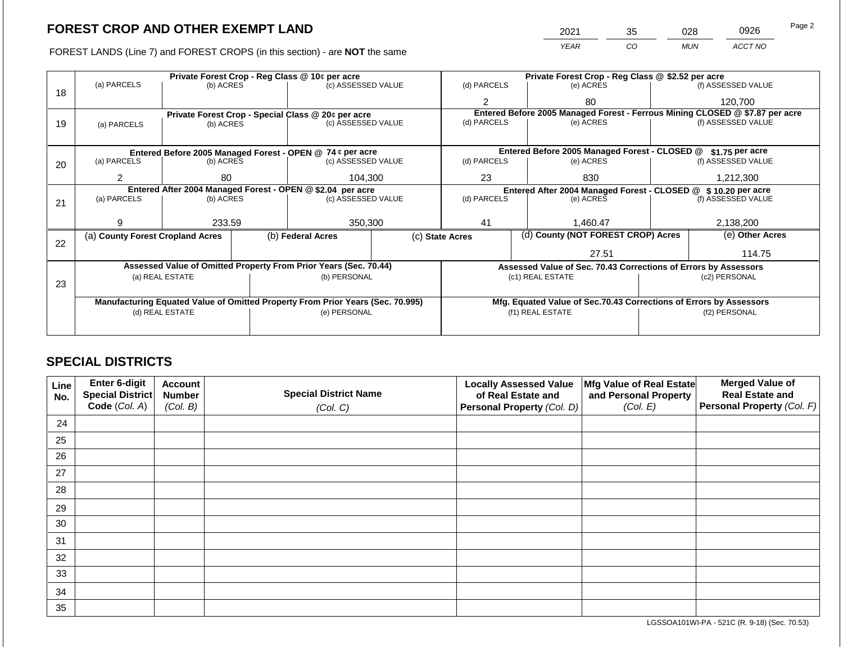FOREST LANDS (Line 7) and FOREST CROPS (in this section) - are **NOT** the same

| 2021 | 35<br>028 |            | 0926    | Page 2 |
|------|-----------|------------|---------|--------|
| YFAR | 20        | <b>MUN</b> | ACCT NO |        |

|    |                                  |                                                            | Private Forest Crop - Reg Class @ 10¢ per acre |                                                                                |                                   | Private Forest Crop - Reg Class @ \$2.52 per acre                            |  |                                                                    |               |                    |  |
|----|----------------------------------|------------------------------------------------------------|------------------------------------------------|--------------------------------------------------------------------------------|-----------------------------------|------------------------------------------------------------------------------|--|--------------------------------------------------------------------|---------------|--------------------|--|
|    | (a) PARCELS                      | (b) ACRES                                                  |                                                | (c) ASSESSED VALUE                                                             |                                   | (d) PARCELS                                                                  |  | (e) ACRES                                                          |               | (f) ASSESSED VALUE |  |
| 18 |                                  |                                                            |                                                |                                                                                |                                   | 2                                                                            |  | 80                                                                 |               | 120,700            |  |
|    |                                  |                                                            |                                                | Private Forest Crop - Special Class @ 20¢ per acre                             |                                   | Entered Before 2005 Managed Forest - Ferrous Mining CLOSED @ \$7.87 per acre |  |                                                                    |               |                    |  |
| 19 | (a) PARCELS                      | (b) ACRES                                                  |                                                | (c) ASSESSED VALUE                                                             |                                   | (d) PARCELS                                                                  |  | (e) ACRES                                                          |               | (f) ASSESSED VALUE |  |
|    |                                  |                                                            |                                                |                                                                                |                                   |                                                                              |  |                                                                    |               |                    |  |
|    |                                  |                                                            |                                                | Entered Before 2005 Managed Forest - OPEN @ 74 ¢ per acre                      |                                   |                                                                              |  | Entered Before 2005 Managed Forest - CLOSED @                      |               | \$1.75 per acre    |  |
| 20 | (a) PARCELS<br>(b) ACRES         |                                                            |                                                | (c) ASSESSED VALUE                                                             |                                   | (d) PARCELS                                                                  |  | (e) ACRES                                                          |               | (f) ASSESSED VALUE |  |
|    |                                  |                                                            |                                                |                                                                                |                                   |                                                                              |  |                                                                    |               |                    |  |
|    |                                  | 104,300<br>80<br>2                                         |                                                |                                                                                |                                   | 23                                                                           |  | 830                                                                |               | 1,212,300          |  |
|    |                                  | Entered After 2004 Managed Forest - OPEN @ \$2.04 per acre |                                                |                                                                                |                                   |                                                                              |  | Entered After 2004 Managed Forest - CLOSED @ \$10.20 per acre      |               |                    |  |
| 21 | (a) PARCELS                      | (b) ACRES                                                  |                                                |                                                                                | (d) PARCELS<br>(c) ASSESSED VALUE |                                                                              |  | (e) ACRES                                                          |               | (f) ASSESSED VALUE |  |
|    |                                  |                                                            |                                                |                                                                                |                                   |                                                                              |  |                                                                    |               |                    |  |
|    | q                                | 233.59                                                     |                                                | 350,300                                                                        |                                   | 41                                                                           |  | 1,460.47                                                           |               | 2,138,200          |  |
|    | (a) County Forest Cropland Acres |                                                            |                                                | (b) Federal Acres                                                              |                                   | (d) County (NOT FOREST CROP) Acres<br>(c) State Acres                        |  |                                                                    |               | (e) Other Acres    |  |
| 22 |                                  |                                                            |                                                |                                                                                |                                   |                                                                              |  |                                                                    |               |                    |  |
|    |                                  |                                                            |                                                |                                                                                |                                   |                                                                              |  | 27.51                                                              |               | 114.75             |  |
|    |                                  |                                                            |                                                | Assessed Value of Omitted Property From Prior Years (Sec. 70.44)               |                                   |                                                                              |  | Assessed Value of Sec. 70.43 Corrections of Errors by Assessors    |               |                    |  |
| 23 |                                  | (a) REAL ESTATE                                            |                                                | (b) PERSONAL                                                                   |                                   |                                                                              |  | (c1) REAL ESTATE                                                   |               | (c2) PERSONAL      |  |
|    |                                  |                                                            |                                                |                                                                                |                                   |                                                                              |  |                                                                    |               |                    |  |
|    |                                  |                                                            |                                                | Manufacturing Equated Value of Omitted Property From Prior Years (Sec. 70.995) |                                   |                                                                              |  | Mfg. Equated Value of Sec.70.43 Corrections of Errors by Assessors |               |                    |  |
|    |                                  | (d) REAL ESTATE                                            |                                                | (e) PERSONAL                                                                   |                                   | (f1) REAL ESTATE                                                             |  |                                                                    | (f2) PERSONAL |                    |  |
|    |                                  |                                                            |                                                |                                                                                |                                   |                                                                              |  |                                                                    |               |                    |  |
|    |                                  |                                                            |                                                |                                                                                |                                   |                                                                              |  |                                                                    |               |                    |  |

## **SPECIAL DISTRICTS**

| <b>Line</b><br>No. | Enter 6-digit<br>Special District | <b>Account</b><br><b>Number</b> | <b>Special District Name</b> | <b>Locally Assessed Value</b><br>of Real Estate and | Mfg Value of Real Estate<br>and Personal Property | <b>Merged Value of</b><br><b>Real Estate and</b> |
|--------------------|-----------------------------------|---------------------------------|------------------------------|-----------------------------------------------------|---------------------------------------------------|--------------------------------------------------|
|                    | Code (Col. A)                     | (Col. B)                        | (Col. C)                     | <b>Personal Property (Col. D)</b>                   | (Col. E)                                          | Personal Property (Col. F)                       |
| 24                 |                                   |                                 |                              |                                                     |                                                   |                                                  |
| 25                 |                                   |                                 |                              |                                                     |                                                   |                                                  |
| 26                 |                                   |                                 |                              |                                                     |                                                   |                                                  |
| 27                 |                                   |                                 |                              |                                                     |                                                   |                                                  |
| 28                 |                                   |                                 |                              |                                                     |                                                   |                                                  |
| 29                 |                                   |                                 |                              |                                                     |                                                   |                                                  |
| 30                 |                                   |                                 |                              |                                                     |                                                   |                                                  |
| 31                 |                                   |                                 |                              |                                                     |                                                   |                                                  |
| 32                 |                                   |                                 |                              |                                                     |                                                   |                                                  |
| 33                 |                                   |                                 |                              |                                                     |                                                   |                                                  |
| 34                 |                                   |                                 |                              |                                                     |                                                   |                                                  |
| 35                 |                                   |                                 |                              |                                                     |                                                   |                                                  |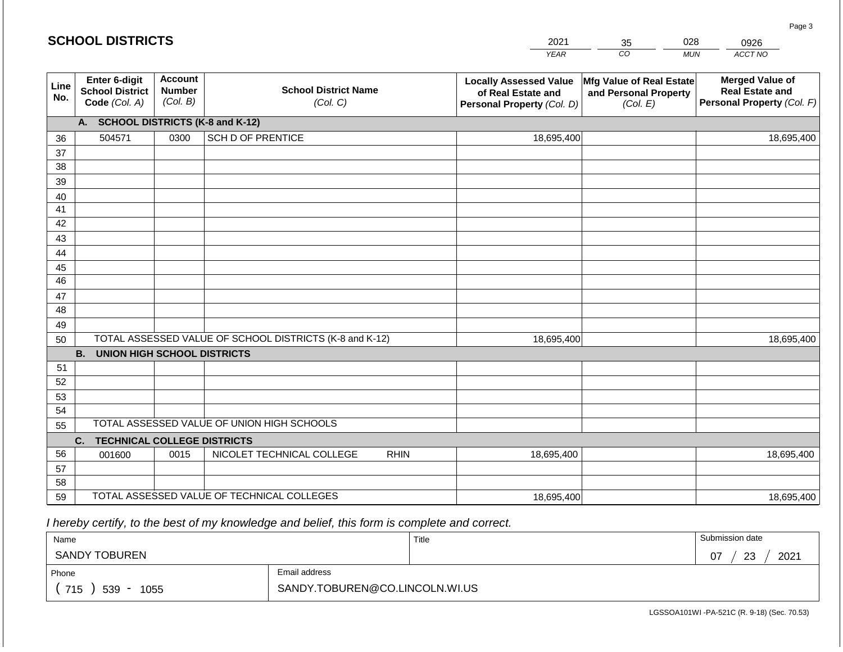|             |                                                          |                                             |                                                         | <b>YEAR</b>                                                                       | CO<br><b>MUN</b>                                              | ACCT NO                                                                 |
|-------------|----------------------------------------------------------|---------------------------------------------|---------------------------------------------------------|-----------------------------------------------------------------------------------|---------------------------------------------------------------|-------------------------------------------------------------------------|
| Line<br>No. | Enter 6-digit<br><b>School District</b><br>Code (Col. A) | <b>Account</b><br><b>Number</b><br>(Col. B) | <b>School District Name</b><br>(Col. C)                 | <b>Locally Assessed Value</b><br>of Real Estate and<br>Personal Property (Col. D) | Mfg Value of Real Estate<br>and Personal Property<br>(Col. E) | <b>Merged Value of</b><br>Real Estate and<br>Personal Property (Col. F) |
|             | A. SCHOOL DISTRICTS (K-8 and K-12)                       |                                             |                                                         |                                                                                   |                                                               |                                                                         |
| 36          | 504571                                                   | 0300                                        | <b>SCH D OF PRENTICE</b>                                | 18,695,400                                                                        |                                                               | 18,695,400                                                              |
| 37          |                                                          |                                             |                                                         |                                                                                   |                                                               |                                                                         |
| 38          |                                                          |                                             |                                                         |                                                                                   |                                                               |                                                                         |
| 39          |                                                          |                                             |                                                         |                                                                                   |                                                               |                                                                         |
| 40          |                                                          |                                             |                                                         |                                                                                   |                                                               |                                                                         |
| 41          |                                                          |                                             |                                                         |                                                                                   |                                                               |                                                                         |
| 42          |                                                          |                                             |                                                         |                                                                                   |                                                               |                                                                         |
| 43          |                                                          |                                             |                                                         |                                                                                   |                                                               |                                                                         |
| 44          |                                                          |                                             |                                                         |                                                                                   |                                                               |                                                                         |
| 45<br>46    |                                                          |                                             |                                                         |                                                                                   |                                                               |                                                                         |
| 47          |                                                          |                                             |                                                         |                                                                                   |                                                               |                                                                         |
| 48          |                                                          |                                             |                                                         |                                                                                   |                                                               |                                                                         |
| 49          |                                                          |                                             |                                                         |                                                                                   |                                                               |                                                                         |
| 50          |                                                          |                                             | TOTAL ASSESSED VALUE OF SCHOOL DISTRICTS (K-8 and K-12) | 18,695,400                                                                        |                                                               | 18,695,400                                                              |
|             | <b>B.</b><br><b>UNION HIGH SCHOOL DISTRICTS</b>          |                                             |                                                         |                                                                                   |                                                               |                                                                         |
| 51          |                                                          |                                             |                                                         |                                                                                   |                                                               |                                                                         |
| 52          |                                                          |                                             |                                                         |                                                                                   |                                                               |                                                                         |
| 53          |                                                          |                                             |                                                         |                                                                                   |                                                               |                                                                         |
| 54          |                                                          |                                             |                                                         |                                                                                   |                                                               |                                                                         |
| 55          |                                                          |                                             | TOTAL ASSESSED VALUE OF UNION HIGH SCHOOLS              |                                                                                   |                                                               |                                                                         |
|             | <b>TECHNICAL COLLEGE DISTRICTS</b><br>C.                 |                                             |                                                         |                                                                                   |                                                               |                                                                         |
| 56          | 001600                                                   | 0015                                        | NICOLET TECHNICAL COLLEGE<br><b>RHIN</b>                | 18,695,400                                                                        |                                                               | 18,695,400                                                              |
| 57<br>58    |                                                          |                                             |                                                         |                                                                                   |                                                               |                                                                         |
| 59          |                                                          |                                             | TOTAL ASSESSED VALUE OF TECHNICAL COLLEGES              | 18,695,400                                                                        |                                                               | 18,695,400                                                              |

2021

35

028

0926

Page 3

 *I hereby certify, to the best of my knowledge and belief, this form is complete and correct.*

**SCHOOL DISTRICTS**

| Name                                           |                                | Title | Submission date        |
|------------------------------------------------|--------------------------------|-------|------------------------|
| TOBUREN<br><b>SANDY</b>                        |                                |       | 2021<br>07<br>າາ<br>نت |
| Phone                                          | Email address                  |       |                        |
| 715<br>539<br>1055<br>$\overline{\phantom{a}}$ | SANDY.TOBUREN@CO.LINCOLN.WI.US |       |                        |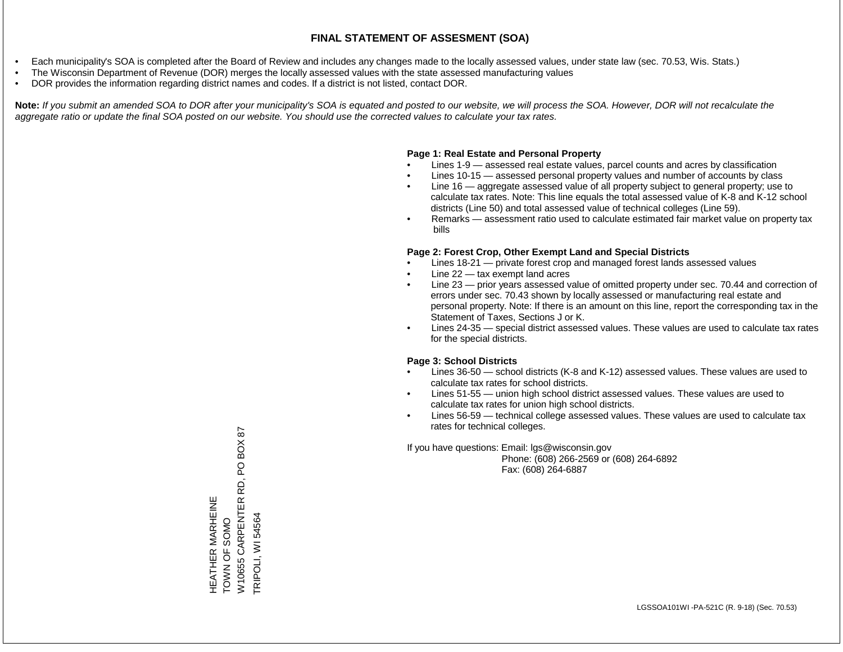- Each municipality's SOA is completed after the Board of Review and includes any changes made to the locally assessed values, under state law (sec. 70.53, Wis. Stats.)
- The Wisconsin Department of Revenue (DOR) merges the locally assessed values with the state assessed manufacturing values
- DOR provides the information regarding district names and codes. If a district is not listed, contact DOR.

Note: If you submit an amended SOA to DOR after your municipality's SOA is equated and posted to our website, we will process the SOA. However, DOR will not recalculate the *aggregate ratio or update the final SOA posted on our website. You should use the corrected values to calculate your tax rates.*

### **Page 1: Real Estate and Personal Property**

- Lines 1-9 assessed real estate values, parcel counts and acres by classification
- Lines 10-15 assessed personal property values and number of accounts by class
- Line 16 aggregate assessed value of all property subject to general property; use to calculate tax rates. Note: This line equals the total assessed value of K-8 and K-12 school districts (Line 50) and total assessed value of technical colleges (Line 59).
- Remarks assessment ratio used to calculate estimated fair market value on property tax bills

### **Page 2: Forest Crop, Other Exempt Land and Special Districts**

- Lines 18-21 private forest crop and managed forest lands assessed values
- Line  $22 -$  tax exempt land acres
- Line 23 prior years assessed value of omitted property under sec. 70.44 and correction of errors under sec. 70.43 shown by locally assessed or manufacturing real estate and personal property. Note: If there is an amount on this line, report the corresponding tax in the Statement of Taxes, Sections J or K.
- Lines 24-35 special district assessed values. These values are used to calculate tax rates for the special districts.

### **Page 3: School Districts**

- Lines 36-50 school districts (K-8 and K-12) assessed values. These values are used to calculate tax rates for school districts.
- Lines 51-55 union high school district assessed values. These values are used to calculate tax rates for union high school districts.
- Lines 56-59 technical college assessed values. These values are used to calculate tax rates for technical colleges.

If you have questions: Email: lgs@wisconsin.gov

 Phone: (608) 266-2569 or (608) 264-6892 Fax: (608) 264-6887

BOX 87 W10655 CARPENTER RD, PO BOX 87  $\overline{Q}$ W10655 CARPENTER RD, HEATHER MARHEINE<br>TOWN OF SOMO HEATHER MARHEINE TRIPOLI, WI 54564 TRIPOLI, WI 54564TOWN OF SOMO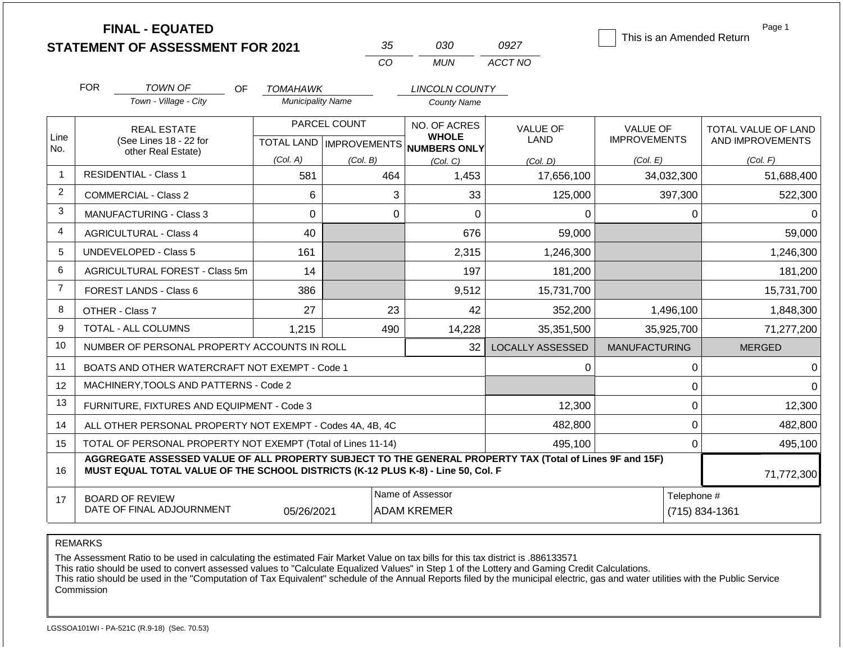|                         |                                                                   | <b>FINAL - EQUATED</b><br><b>STATEMENT OF ASSESSMENT FOR 2021</b>                                                                                                                            |                          | 35                               | 030                                    | 0927                    | This is an Amended Return     | Page 1                     |
|-------------------------|-------------------------------------------------------------------|----------------------------------------------------------------------------------------------------------------------------------------------------------------------------------------------|--------------------------|----------------------------------|----------------------------------------|-------------------------|-------------------------------|----------------------------|
|                         |                                                                   |                                                                                                                                                                                              |                          | CO                               | <b>MUN</b>                             | ACCT NO                 |                               |                            |
|                         | <b>FOR</b>                                                        | <b>TOWN OF</b><br><b>OF</b>                                                                                                                                                                  | TOMAHAWK                 |                                  | <b>LINCOLN COUNTY</b>                  |                         |                               |                            |
|                         |                                                                   | Town - Village - City                                                                                                                                                                        | <b>Municipality Name</b> |                                  | <b>County Name</b>                     |                         |                               |                            |
|                         |                                                                   | <b>REAL ESTATE</b>                                                                                                                                                                           |                          | PARCEL COUNT                     | NO. OF ACRES                           | <b>VALUE OF</b>         | <b>VALUE OF</b>               | <b>TOTAL VALUE OF LAND</b> |
| Line<br>No.             |                                                                   | (See Lines 18 - 22 for<br>other Real Estate)                                                                                                                                                 |                          | <b>TOTAL LAND   IMPROVEMENTS</b> | <b>WHOLE</b><br>NUMBERS ONLY           | <b>LAND</b>             | <b>IMPROVEMENTS</b>           | AND IMPROVEMENTS           |
|                         |                                                                   |                                                                                                                                                                                              | (Col. A)                 | (Col. B)                         | (Col, C)                               | (Col. D)                | (Col. E)                      | (Col. F)                   |
| $\mathbf{1}$            | <b>RESIDENTIAL - Class 1</b><br>581<br>464<br>1,453               |                                                                                                                                                                                              | 17,656,100               | 34,032,300                       | 51,688,400                             |                         |                               |                            |
| $\overline{\mathbf{c}}$ | COMMERCIAL - Class 2                                              |                                                                                                                                                                                              | 6                        |                                  | 3<br>33                                | 125,000                 | 397,300                       | 522,300                    |
| 3                       | <b>MANUFACTURING - Class 3</b>                                    |                                                                                                                                                                                              | 0                        |                                  | $\overline{0}$<br>0                    | 0                       | 0                             | 0                          |
| $\overline{4}$          | <b>AGRICULTURAL - Class 4</b>                                     |                                                                                                                                                                                              | 40                       |                                  | 676                                    | 59,000                  |                               | 59,000                     |
| 5                       |                                                                   | <b>UNDEVELOPED - Class 5</b>                                                                                                                                                                 | 161                      |                                  | 2,315                                  | 1,246,300               |                               | 1,246,300                  |
| 6                       |                                                                   | AGRICULTURAL FOREST - Class 5m                                                                                                                                                               | 14                       |                                  | 197                                    | 181,200                 |                               | 181,200                    |
| $\overline{7}$          |                                                                   | FOREST LANDS - Class 6                                                                                                                                                                       | 386                      |                                  | 9,512                                  | 15,731,700              |                               | 15,731,700                 |
| 8                       |                                                                   | OTHER - Class 7                                                                                                                                                                              | 27                       | 23                               | 42                                     | 352,200                 | 1,496,100                     | 1,848,300                  |
| 9                       |                                                                   | <b>TOTAL - ALL COLUMNS</b>                                                                                                                                                                   | 1,215                    | 490                              | 14,228                                 | 35,351,500              | 35,925,700                    | 71,277,200                 |
| 10                      |                                                                   | NUMBER OF PERSONAL PROPERTY ACCOUNTS IN ROLL                                                                                                                                                 |                          |                                  | 32                                     | <b>LOCALLY ASSESSED</b> | <b>MANUFACTURING</b>          | <b>MERGED</b>              |
| 11                      |                                                                   | BOATS AND OTHER WATERCRAFT NOT EXEMPT - Code 1                                                                                                                                               |                          |                                  |                                        | 0                       | 0                             | $\Omega$                   |
| 12                      |                                                                   | MACHINERY, TOOLS AND PATTERNS - Code 2                                                                                                                                                       |                          |                                  |                                        |                         | 0                             |                            |
| 13                      |                                                                   | FURNITURE, FIXTURES AND EQUIPMENT - Code 3                                                                                                                                                   |                          |                                  |                                        | 12,300                  | 0                             | 12,300                     |
| 14                      |                                                                   | ALL OTHER PERSONAL PROPERTY NOT EXEMPT - Codes 4A, 4B, 4C                                                                                                                                    |                          |                                  |                                        | 482,800                 | 0                             | 482,800                    |
| 15                      |                                                                   | TOTAL OF PERSONAL PROPERTY NOT EXEMPT (Total of Lines 11-14)                                                                                                                                 |                          |                                  |                                        | 495,100                 | $\Omega$                      | 495,100                    |
| 16                      |                                                                   | AGGREGATE ASSESSED VALUE OF ALL PROPERTY SUBJECT TO THE GENERAL PROPERTY TAX (Total of Lines 9F and 15F)<br>MUST EQUAL TOTAL VALUE OF THE SCHOOL DISTRICTS (K-12 PLUS K-8) - Line 50, Col. F |                          |                                  |                                        |                         |                               | 71,772,300                 |
| 17                      | <b>BOARD OF REVIEW</b><br>DATE OF FINAL ADJOURNMENT<br>05/26/2021 |                                                                                                                                                                                              |                          |                                  | Name of Assessor<br><b>ADAM KREMER</b> |                         | Telephone #<br>(715) 834-1361 |                            |

The Assessment Ratio to be used in calculating the estimated Fair Market Value on tax bills for this tax district is .886133571

This ratio should be used to convert assessed values to "Calculate Equalized Values" in Step 1 of the Lottery and Gaming Credit Calculations.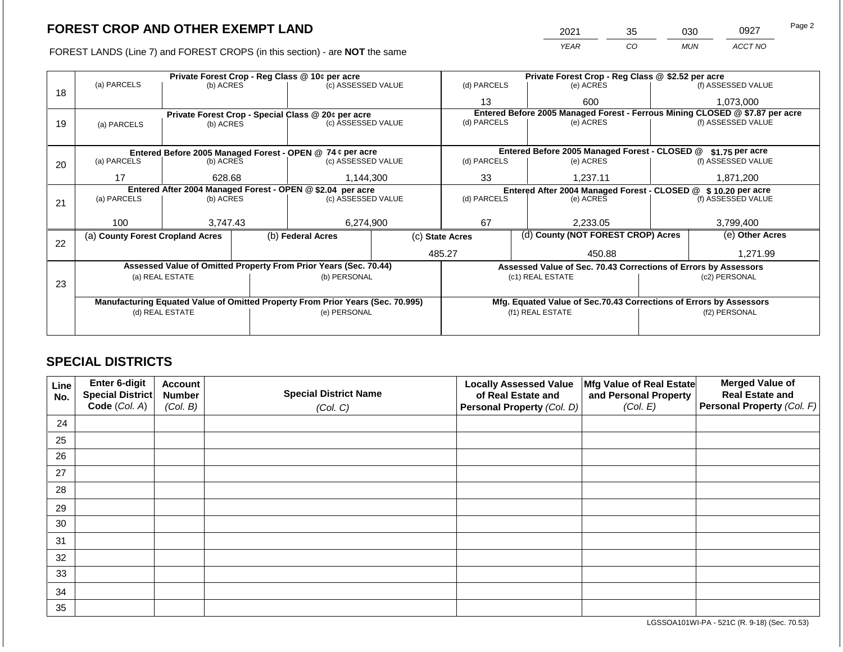FOREST LANDS (Line 7) and FOREST CROPS (in this section) - are **NOT** the same

| 2021        | 35 | J30 . | 0927    | Page 2 |
|-------------|----|-------|---------|--------|
| <b>YFAR</b> | CΟ | MUN   | ACCT NO |        |

|    |                                                            |                 |  | Private Forest Crop - Reg Class @ 10¢ per acre                                 |                    | Private Forest Crop - Reg Class @ \$2.52 per acre     |                                                                    |           |  |                                                                              |  |
|----|------------------------------------------------------------|-----------------|--|--------------------------------------------------------------------------------|--------------------|-------------------------------------------------------|--------------------------------------------------------------------|-----------|--|------------------------------------------------------------------------------|--|
|    | (a) PARCELS                                                | (b) ACRES       |  | (c) ASSESSED VALUE                                                             |                    | (d) PARCELS                                           | (e) ACRES                                                          |           |  | (f) ASSESSED VALUE                                                           |  |
| 18 |                                                            |                 |  |                                                                                |                    | 13                                                    |                                                                    | 600       |  | 1,073,000                                                                    |  |
|    |                                                            |                 |  | Private Forest Crop - Special Class @ 20¢ per acre                             |                    |                                                       |                                                                    |           |  | Entered Before 2005 Managed Forest - Ferrous Mining CLOSED @ \$7.87 per acre |  |
| 19 | (a) PARCELS                                                | (b) ACRES       |  | (c) ASSESSED VALUE                                                             |                    | (d) PARCELS                                           |                                                                    | (e) ACRES |  | (f) ASSESSED VALUE                                                           |  |
|    |                                                            |                 |  |                                                                                |                    |                                                       |                                                                    |           |  |                                                                              |  |
|    |                                                            |                 |  | Entered Before 2005 Managed Forest - OPEN @ 74 ¢ per acre                      |                    |                                                       | Entered Before 2005 Managed Forest - CLOSED @                      |           |  | \$1.75 per acre                                                              |  |
| 20 | (a) PARCELS<br>(b) ACRES                                   |                 |  | (c) ASSESSED VALUE                                                             |                    | (d) PARCELS                                           | (e) ACRES                                                          |           |  | (f) ASSESSED VALUE                                                           |  |
|    |                                                            |                 |  |                                                                                |                    |                                                       |                                                                    |           |  |                                                                              |  |
|    | 17                                                         | 628.68          |  | 1,144,300                                                                      |                    | 33                                                    |                                                                    | 1,237.11  |  | 1,871,200                                                                    |  |
|    | Entered After 2004 Managed Forest - OPEN @ \$2.04 per acre |                 |  |                                                                                |                    | (d) PARCELS                                           | Entered After 2004 Managed Forest - CLOSED @ \$10.20 per acre      |           |  |                                                                              |  |
| 21 | (a) PARCELS                                                | (b) ACRES       |  |                                                                                | (c) ASSESSED VALUE |                                                       | (e) ACRES                                                          |           |  | (f) ASSESSED VALUE                                                           |  |
|    |                                                            |                 |  |                                                                                |                    |                                                       |                                                                    |           |  |                                                                              |  |
|    | 100                                                        | 3,747.43        |  | 6,274,900                                                                      |                    | 67                                                    |                                                                    | 2,233.05  |  | 3,799,400                                                                    |  |
| 22 | (a) County Forest Cropland Acres                           |                 |  | (b) Federal Acres                                                              |                    | (d) County (NOT FOREST CROP) Acres<br>(c) State Acres |                                                                    |           |  | (e) Other Acres                                                              |  |
|    |                                                            |                 |  |                                                                                |                    | 485.27<br>450.88                                      |                                                                    |           |  | 1,271.99                                                                     |  |
|    |                                                            |                 |  | Assessed Value of Omitted Property From Prior Years (Sec. 70.44)               |                    |                                                       | Assessed Value of Sec. 70.43 Corrections of Errors by Assessors    |           |  |                                                                              |  |
|    |                                                            | (a) REAL ESTATE |  | (b) PERSONAL                                                                   |                    |                                                       | (c1) REAL ESTATE                                                   |           |  | (c2) PERSONAL                                                                |  |
| 23 |                                                            |                 |  |                                                                                |                    |                                                       |                                                                    |           |  |                                                                              |  |
|    |                                                            |                 |  |                                                                                |                    |                                                       |                                                                    |           |  |                                                                              |  |
|    |                                                            |                 |  | Manufacturing Equated Value of Omitted Property From Prior Years (Sec. 70.995) |                    |                                                       | Mfg. Equated Value of Sec.70.43 Corrections of Errors by Assessors |           |  |                                                                              |  |
|    |                                                            | (d) REAL ESTATE |  | (e) PERSONAL                                                                   |                    |                                                       | (f1) REAL ESTATE                                                   |           |  | (f2) PERSONAL                                                                |  |
|    |                                                            |                 |  |                                                                                |                    |                                                       |                                                                    |           |  |                                                                              |  |
|    |                                                            |                 |  |                                                                                |                    |                                                       |                                                                    |           |  |                                                                              |  |

## **SPECIAL DISTRICTS**

| <b>Line</b><br>No. | Enter 6-digit<br>Special District | <b>Account</b><br><b>Number</b> | <b>Special District Name</b> | <b>Locally Assessed Value</b><br>of Real Estate and | Mfg Value of Real Estate<br>and Personal Property | <b>Merged Value of</b><br><b>Real Estate and</b> |
|--------------------|-----------------------------------|---------------------------------|------------------------------|-----------------------------------------------------|---------------------------------------------------|--------------------------------------------------|
|                    | Code (Col. A)                     | (Col. B)                        | (Col. C)                     | <b>Personal Property (Col. D)</b>                   | (Col. E)                                          | Personal Property (Col. F)                       |
| 24                 |                                   |                                 |                              |                                                     |                                                   |                                                  |
| 25                 |                                   |                                 |                              |                                                     |                                                   |                                                  |
| 26                 |                                   |                                 |                              |                                                     |                                                   |                                                  |
| 27                 |                                   |                                 |                              |                                                     |                                                   |                                                  |
| 28                 |                                   |                                 |                              |                                                     |                                                   |                                                  |
| 29                 |                                   |                                 |                              |                                                     |                                                   |                                                  |
| 30                 |                                   |                                 |                              |                                                     |                                                   |                                                  |
| 31                 |                                   |                                 |                              |                                                     |                                                   |                                                  |
| 32                 |                                   |                                 |                              |                                                     |                                                   |                                                  |
| 33                 |                                   |                                 |                              |                                                     |                                                   |                                                  |
| 34                 |                                   |                                 |                              |                                                     |                                                   |                                                  |
| 35                 |                                   |                                 |                              |                                                     |                                                   |                                                  |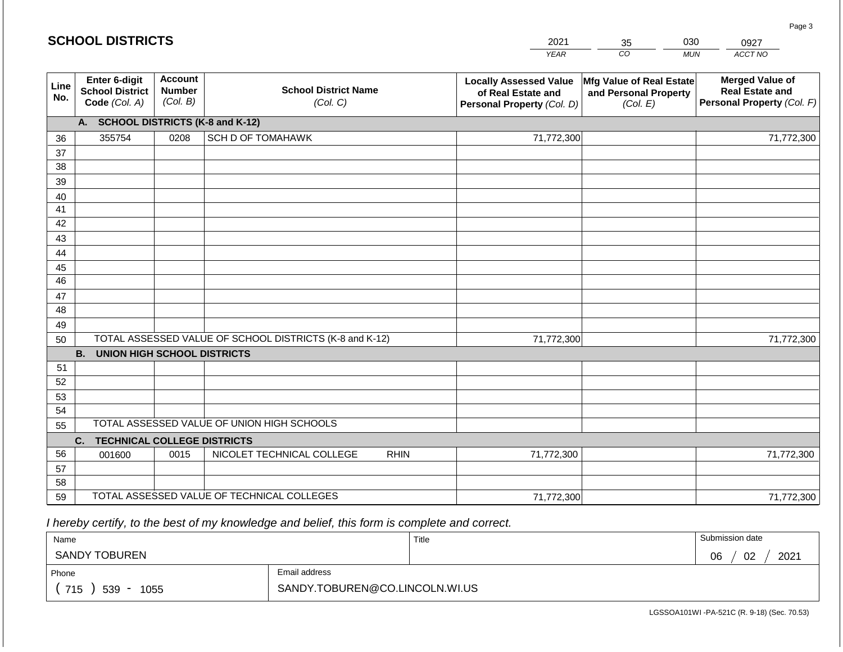|             | <b>SCHOOL DISTRICTS</b>                                  |                                             |                                                         |             | 2021                                                                              | 35                                                            | 030        | 0927                                                                           |
|-------------|----------------------------------------------------------|---------------------------------------------|---------------------------------------------------------|-------------|-----------------------------------------------------------------------------------|---------------------------------------------------------------|------------|--------------------------------------------------------------------------------|
|             |                                                          |                                             |                                                         |             | <b>YEAR</b>                                                                       | CO                                                            | <b>MUN</b> | ACCT NO                                                                        |
| Line<br>No. | Enter 6-digit<br><b>School District</b><br>Code (Col. A) | <b>Account</b><br><b>Number</b><br>(Col. B) | <b>School District Name</b><br>(Col. C)                 |             | <b>Locally Assessed Value</b><br>of Real Estate and<br>Personal Property (Col. D) | Mfg Value of Real Estate<br>and Personal Property<br>(Col. E) |            | <b>Merged Value of</b><br><b>Real Estate and</b><br>Personal Property (Col. F) |
|             | A. SCHOOL DISTRICTS (K-8 and K-12)                       |                                             |                                                         |             |                                                                                   |                                                               |            |                                                                                |
| 36          | 355754                                                   | 0208                                        | <b>SCH D OF TOMAHAWK</b>                                |             | 71,772,300                                                                        |                                                               |            | 71,772,300                                                                     |
| 37          |                                                          |                                             |                                                         |             |                                                                                   |                                                               |            |                                                                                |
| 38          |                                                          |                                             |                                                         |             |                                                                                   |                                                               |            |                                                                                |
| 39          |                                                          |                                             |                                                         |             |                                                                                   |                                                               |            |                                                                                |
| 40<br>41    |                                                          |                                             |                                                         |             |                                                                                   |                                                               |            |                                                                                |
| 42          |                                                          |                                             |                                                         |             |                                                                                   |                                                               |            |                                                                                |
| 43          |                                                          |                                             |                                                         |             |                                                                                   |                                                               |            |                                                                                |
| 44          |                                                          |                                             |                                                         |             |                                                                                   |                                                               |            |                                                                                |
| 45          |                                                          |                                             |                                                         |             |                                                                                   |                                                               |            |                                                                                |
| 46          |                                                          |                                             |                                                         |             |                                                                                   |                                                               |            |                                                                                |
| 47          |                                                          |                                             |                                                         |             |                                                                                   |                                                               |            |                                                                                |
| 48          |                                                          |                                             |                                                         |             |                                                                                   |                                                               |            |                                                                                |
| 49          |                                                          |                                             |                                                         |             |                                                                                   |                                                               |            |                                                                                |
| 50          |                                                          |                                             | TOTAL ASSESSED VALUE OF SCHOOL DISTRICTS (K-8 and K-12) |             | 71,772,300                                                                        |                                                               |            | 71,772,300                                                                     |
|             | <b>B. UNION HIGH SCHOOL DISTRICTS</b>                    |                                             |                                                         |             |                                                                                   |                                                               |            |                                                                                |
| 51<br>52    |                                                          |                                             |                                                         |             |                                                                                   |                                                               |            |                                                                                |
| 53          |                                                          |                                             |                                                         |             |                                                                                   |                                                               |            |                                                                                |
| 54          |                                                          |                                             |                                                         |             |                                                                                   |                                                               |            |                                                                                |
| 55          |                                                          |                                             | TOTAL ASSESSED VALUE OF UNION HIGH SCHOOLS              |             |                                                                                   |                                                               |            |                                                                                |
|             | <b>TECHNICAL COLLEGE DISTRICTS</b><br>C.                 |                                             |                                                         |             |                                                                                   |                                                               |            |                                                                                |
| 56          | 001600                                                   | 0015                                        | NICOLET TECHNICAL COLLEGE                               | <b>RHIN</b> | 71,772,300                                                                        |                                                               |            | 71,772,300                                                                     |
| 57          |                                                          |                                             |                                                         |             |                                                                                   |                                                               |            |                                                                                |
| 58          |                                                          |                                             |                                                         |             |                                                                                   |                                                               |            |                                                                                |
| 59          |                                                          |                                             | TOTAL ASSESSED VALUE OF TECHNICAL COLLEGES              |             | 71,772,300                                                                        |                                                               |            | 71,772,300                                                                     |

 *I hereby certify, to the best of my knowledge and belief, this form is complete and correct.*

| Name                 |                                | Title | Submission date  |
|----------------------|--------------------------------|-------|------------------|
| <b>SANDY TOBUREN</b> |                                |       | 2021<br>02<br>06 |
| Phone                | Email address                  |       |                  |
| 715<br>539<br>1055   | SANDY.TOBUREN@CO.LINCOLN.WI.US |       |                  |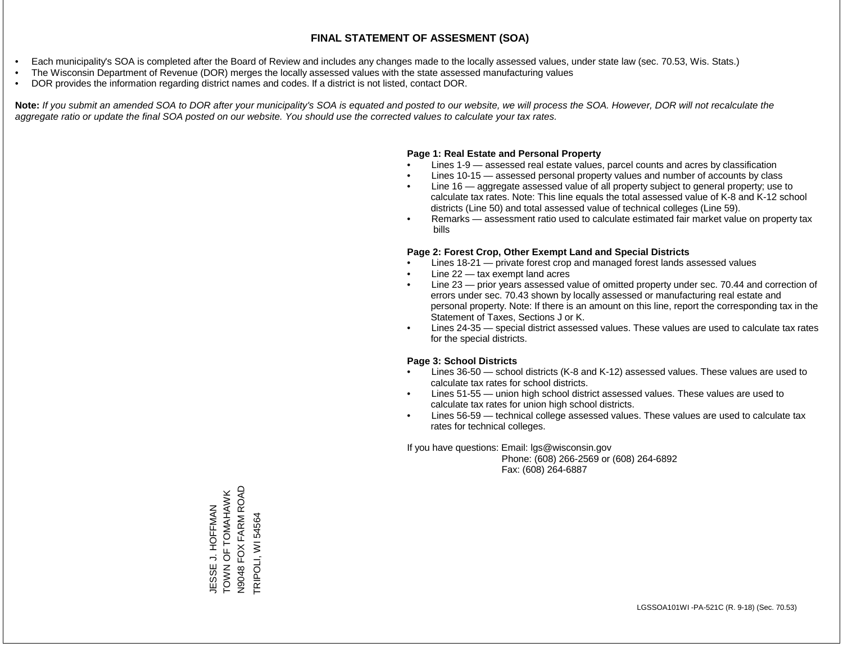- Each municipality's SOA is completed after the Board of Review and includes any changes made to the locally assessed values, under state law (sec. 70.53, Wis. Stats.)
- The Wisconsin Department of Revenue (DOR) merges the locally assessed values with the state assessed manufacturing values
- DOR provides the information regarding district names and codes. If a district is not listed, contact DOR.

Note: If you submit an amended SOA to DOR after your municipality's SOA is equated and posted to our website, we will process the SOA. However, DOR will not recalculate the *aggregate ratio or update the final SOA posted on our website. You should use the corrected values to calculate your tax rates.*

### **Page 1: Real Estate and Personal Property**

- Lines 1-9 assessed real estate values, parcel counts and acres by classification
- Lines 10-15 assessed personal property values and number of accounts by class
- Line 16 aggregate assessed value of all property subject to general property; use to calculate tax rates. Note: This line equals the total assessed value of K-8 and K-12 school districts (Line 50) and total assessed value of technical colleges (Line 59).
- Remarks assessment ratio used to calculate estimated fair market value on property tax bills

### **Page 2: Forest Crop, Other Exempt Land and Special Districts**

- Lines 18-21 private forest crop and managed forest lands assessed values
- Line  $22 -$  tax exempt land acres
- Line 23 prior years assessed value of omitted property under sec. 70.44 and correction of errors under sec. 70.43 shown by locally assessed or manufacturing real estate and personal property. Note: If there is an amount on this line, report the corresponding tax in the Statement of Taxes, Sections J or K.
- Lines 24-35 special district assessed values. These values are used to calculate tax rates for the special districts.

### **Page 3: School Districts**

- Lines 36-50 school districts (K-8 and K-12) assessed values. These values are used to calculate tax rates for school districts.
- Lines 51-55 union high school district assessed values. These values are used to calculate tax rates for union high school districts.
- Lines 56-59 technical college assessed values. These values are used to calculate tax rates for technical colleges.

If you have questions: Email: lgs@wisconsin.gov

 Phone: (608) 266-2569 or (608) 264-6892 Fax: (608) 264-6887

FOX FARM ROAD N9048 FOX FARM ROAD TOWN OF TOMAHAWK JESSE J. HOFFMAN<br>TOWN OF TOMAHAWK JESSE J. HOFFMAN TRIPOLI, WI 54564 TRIPOLI, WI 54564N9048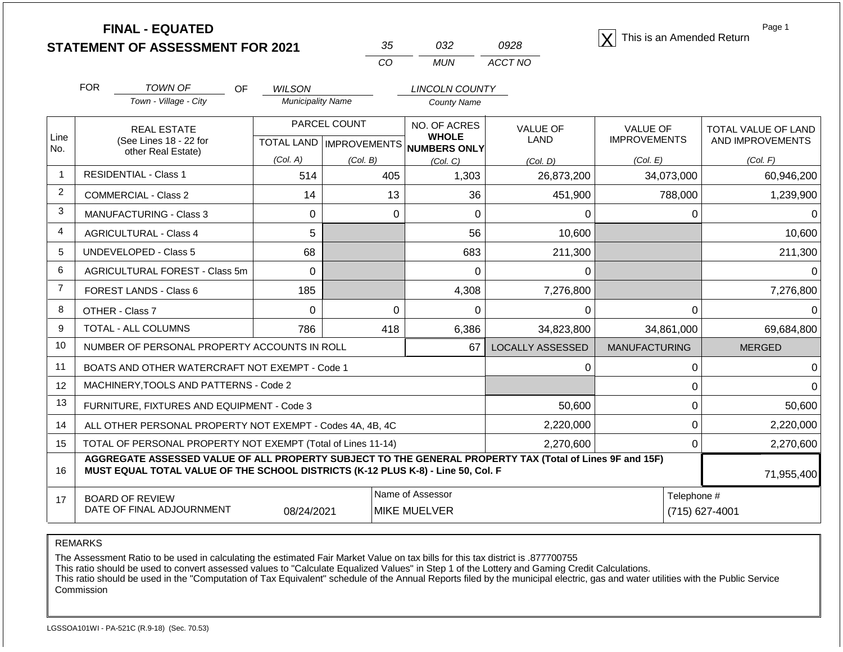|                |            | <b>FINAL - EQUATED</b><br><b>STATEMENT OF ASSESSMENT FOR 2021</b>                                                                                                                            |                                                       | 35                                        | 032                                          | 0928                          |                                 |             | Page 1<br>This is an Amended Return     |
|----------------|------------|----------------------------------------------------------------------------------------------------------------------------------------------------------------------------------------------|-------------------------------------------------------|-------------------------------------------|----------------------------------------------|-------------------------------|---------------------------------|-------------|-----------------------------------------|
|                |            |                                                                                                                                                                                              |                                                       | CO                                        | <b>MUN</b>                                   | ACCT NO                       |                                 |             |                                         |
|                | <b>FOR</b> | <b>TOWN OF</b><br>OF.                                                                                                                                                                        | <b>WILSON</b>                                         |                                           | <b>LINCOLN COUNTY</b>                        |                               |                                 |             |                                         |
|                |            | Town - Village - City                                                                                                                                                                        | <b>Municipality Name</b>                              |                                           | <b>County Name</b>                           |                               |                                 |             |                                         |
| Line           |            | <b>REAL ESTATE</b><br>(See Lines 18 - 22 for                                                                                                                                                 |                                                       | PARCEL COUNT<br>TOTAL LAND   IMPROVEMENTS | NO. OF ACRES<br><b>WHOLE</b><br>NUMBERS ONLY | <b>VALUE OF</b><br>LAND       | VALUE OF<br><b>IMPROVEMENTS</b> |             | TOTAL VALUE OF LAND<br>AND IMPROVEMENTS |
| No.            |            | other Real Estate)                                                                                                                                                                           | (Col. A)                                              | (Col. B)                                  | (Col. C)                                     | (Col. D)                      | (Col. E)                        |             | (Col. F)                                |
| $\overline{1}$ |            | <b>RESIDENTIAL - Class 1</b>                                                                                                                                                                 | 514                                                   |                                           | 405<br>1,303                                 | 26,873,200                    |                                 | 34,073,000  | 60,946,200                              |
| 2              |            | <b>COMMERCIAL - Class 2</b>                                                                                                                                                                  | 14                                                    |                                           | 13                                           | 36                            | 451,900                         | 788,000     | 1,239,900                               |
| 3              |            | <b>MANUFACTURING - Class 3</b>                                                                                                                                                               | 0                                                     |                                           | 0                                            | $\mathbf 0$                   | 0                               | 0           | $\Omega$                                |
| 4              |            | <b>AGRICULTURAL - Class 4</b>                                                                                                                                                                | 5                                                     |                                           |                                              | 56                            | 10,600                          |             | 10,600                                  |
| 5              |            | UNDEVELOPED - Class 5                                                                                                                                                                        | 68                                                    |                                           |                                              | 683                           | 211,300                         |             | 211,300                                 |
| 6              |            | <b>AGRICULTURAL FOREST - Class 5m</b>                                                                                                                                                        | $\Omega$                                              |                                           |                                              | $\Omega$                      | 0                               |             | $\Omega$                                |
| $\overline{7}$ |            | FOREST LANDS - Class 6                                                                                                                                                                       | 185                                                   |                                           | 4,308                                        | 7,276,800                     |                                 |             | 7,276,800                               |
| 8              |            | OTHER - Class 7                                                                                                                                                                              | $\Omega$                                              |                                           | $\Omega$                                     | $\mathbf 0$                   | 0                               | $\mathbf 0$ | $\Omega$                                |
| 9              |            | TOTAL - ALL COLUMNS                                                                                                                                                                          | 786                                                   | 418                                       | 6,386                                        | 34,823,800                    |                                 | 34,861,000  | 69,684,800                              |
| 10             |            | NUMBER OF PERSONAL PROPERTY ACCOUNTS IN ROLL                                                                                                                                                 |                                                       |                                           |                                              | 67<br><b>LOCALLY ASSESSED</b> | <b>MANUFACTURING</b>            |             | <b>MERGED</b>                           |
| 11             |            | BOATS AND OTHER WATERCRAFT NOT EXEMPT - Code 1                                                                                                                                               |                                                       |                                           |                                              |                               | $\Omega$                        | 0           | $\Omega$                                |
| 12             |            | MACHINERY, TOOLS AND PATTERNS - Code 2                                                                                                                                                       |                                                       |                                           |                                              |                               |                                 | 0           | ∩                                       |
| 13             |            | FURNITURE, FIXTURES AND EQUIPMENT - Code 3                                                                                                                                                   |                                                       |                                           |                                              |                               | 50,600                          | 0           | 50,600                                  |
| 14             |            | ALL OTHER PERSONAL PROPERTY NOT EXEMPT - Codes 4A, 4B, 4C                                                                                                                                    |                                                       |                                           |                                              | 2,220,000                     |                                 | 0           | 2,220,000                               |
| 15             |            | TOTAL OF PERSONAL PROPERTY NOT EXEMPT (Total of Lines 11-14)                                                                                                                                 |                                                       |                                           |                                              | 2,270,600                     |                                 | 0           | 2,270,600                               |
| 16             |            | AGGREGATE ASSESSED VALUE OF ALL PROPERTY SUBJECT TO THE GENERAL PROPERTY TAX (Total of Lines 9F and 15F)<br>MUST EQUAL TOTAL VALUE OF THE SCHOOL DISTRICTS (K-12 PLUS K-8) - Line 50, Col. F |                                                       |                                           |                                              |                               |                                 |             | 71,955,400                              |
| 17             |            | <b>BOARD OF REVIEW</b><br>DATE OF FINAL ADJOURNMENT                                                                                                                                          | Name of Assessor<br>08/24/2021<br><b>MIKE MUELVER</b> |                                           |                                              | Telephone #                   | (715) 627-4001                  |             |                                         |

The Assessment Ratio to be used in calculating the estimated Fair Market Value on tax bills for this tax district is .877700755

This ratio should be used to convert assessed values to "Calculate Equalized Values" in Step 1 of the Lottery and Gaming Credit Calculations.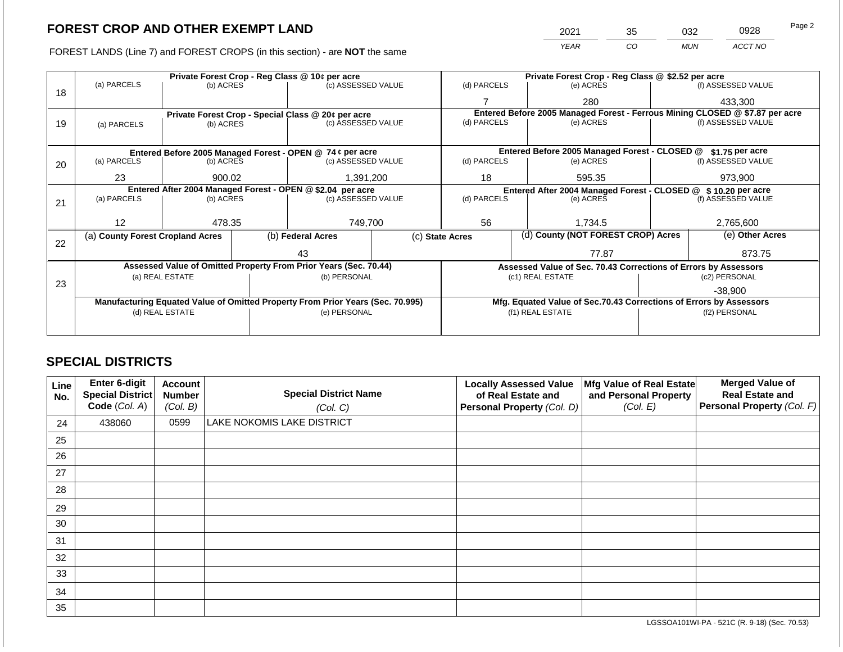FOREST LANDS (Line 7) and FOREST CROPS (in this section) - are **NOT** the same

| 2021 | 35 | 032        | 0928    | Page 2 |
|------|----|------------|---------|--------|
| YEAR | CO | <b>MUN</b> | ACCT NO |        |

|    | Private Forest Crop - Reg Class @ 10¢ per acre            |                 |  |                                                                                |       | Private Forest Crop - Reg Class @ \$2.52 per acre             |           |                                                                    |                                                                              |                    |
|----|-----------------------------------------------------------|-----------------|--|--------------------------------------------------------------------------------|-------|---------------------------------------------------------------|-----------|--------------------------------------------------------------------|------------------------------------------------------------------------------|--------------------|
|    | (a) PARCELS                                               | (b) ACRES       |  | (c) ASSESSED VALUE                                                             |       | (d) PARCELS                                                   |           | (e) ACRES                                                          |                                                                              | (f) ASSESSED VALUE |
| 18 |                                                           |                 |  |                                                                                |       |                                                               |           | 280                                                                |                                                                              | 433,300            |
|    |                                                           |                 |  | Private Forest Crop - Special Class @ 20¢ per acre                             |       |                                                               |           |                                                                    | Entered Before 2005 Managed Forest - Ferrous Mining CLOSED @ \$7.87 per acre |                    |
| 19 | (a) PARCELS                                               | (b) ACRES       |  | (c) ASSESSED VALUE                                                             |       | (d) PARCELS                                                   |           | (e) ACRES                                                          |                                                                              | (f) ASSESSED VALUE |
|    |                                                           |                 |  |                                                                                |       |                                                               |           |                                                                    |                                                                              |                    |
|    | Entered Before 2005 Managed Forest - OPEN @ 74 ¢ per acre |                 |  |                                                                                |       |                                                               |           | Entered Before 2005 Managed Forest - CLOSED @                      |                                                                              | \$1.75 per acre    |
| 20 | (a) PARCELS                                               | (b) ACRES       |  | (c) ASSESSED VALUE                                                             |       | (d) PARCELS                                                   |           | (e) ACRES                                                          |                                                                              | (f) ASSESSED VALUE |
|    |                                                           |                 |  |                                                                                |       |                                                               |           |                                                                    |                                                                              |                    |
|    | 23                                                        | 900.02          |  | 1,391,200                                                                      |       | 18                                                            |           | 595.35                                                             |                                                                              | 973,900            |
|    |                                                           |                 |  | Entered After 2004 Managed Forest - OPEN @ \$2.04 per acre                     |       | Entered After 2004 Managed Forest - CLOSED @ \$10.20 per acre |           |                                                                    |                                                                              |                    |
| 21 | (a) PARCELS                                               | (b) ACRES       |  | (c) ASSESSED VALUE                                                             |       | (d) PARCELS                                                   | (e) ACRES |                                                                    |                                                                              | (f) ASSESSED VALUE |
|    |                                                           |                 |  |                                                                                |       |                                                               |           |                                                                    |                                                                              |                    |
|    | 12                                                        | 478.35          |  | 749,700                                                                        |       | 56<br>1,734.5                                                 |           |                                                                    | 2,765,600                                                                    |                    |
| 22 | (a) County Forest Cropland Acres                          |                 |  | (b) Federal Acres                                                              |       | (d) County (NOT FOREST CROP) Acres<br>(c) State Acres         |           | (e) Other Acres                                                    |                                                                              |                    |
|    |                                                           |                 |  | 43                                                                             | 77.87 |                                                               |           | 873.75                                                             |                                                                              |                    |
|    |                                                           |                 |  | Assessed Value of Omitted Property From Prior Years (Sec. 70.44)               |       |                                                               |           | Assessed Value of Sec. 70.43 Corrections of Errors by Assessors    |                                                                              |                    |
|    |                                                           | (a) REAL ESTATE |  | (b) PERSONAL                                                                   |       |                                                               |           | (c1) REAL ESTATE                                                   |                                                                              | (c2) PERSONAL      |
| 23 |                                                           |                 |  |                                                                                |       |                                                               |           |                                                                    |                                                                              | $-38.900$          |
|    |                                                           |                 |  | Manufacturing Equated Value of Omitted Property From Prior Years (Sec. 70.995) |       |                                                               |           | Mfg. Equated Value of Sec.70.43 Corrections of Errors by Assessors |                                                                              |                    |
|    |                                                           | (d) REAL ESTATE |  | (e) PERSONAL                                                                   |       | (f1) REAL ESTATE                                              |           |                                                                    | (f2) PERSONAL                                                                |                    |
|    |                                                           |                 |  |                                                                                |       |                                                               |           |                                                                    |                                                                              |                    |
|    |                                                           |                 |  |                                                                                |       |                                                               |           |                                                                    |                                                                              |                    |

## **SPECIAL DISTRICTS**

| <b>Line</b><br>No. | Enter 6-digit<br>Special District<br>Code (Col. A) | <b>Account</b><br><b>Number</b><br>(Col. B) | <b>Special District Name</b><br>(Col. C) | <b>Locally Assessed Value</b><br>of Real Estate and<br>Personal Property (Col. D) | Mfg Value of Real Estate<br>and Personal Property<br>(Col. E) | <b>Merged Value of</b><br><b>Real Estate and</b><br>Personal Property (Col. F) |
|--------------------|----------------------------------------------------|---------------------------------------------|------------------------------------------|-----------------------------------------------------------------------------------|---------------------------------------------------------------|--------------------------------------------------------------------------------|
| 24                 | 438060                                             | 0599                                        | <b>LAKE NOKOMIS LAKE DISTRICT</b>        |                                                                                   |                                                               |                                                                                |
| 25                 |                                                    |                                             |                                          |                                                                                   |                                                               |                                                                                |
| 26                 |                                                    |                                             |                                          |                                                                                   |                                                               |                                                                                |
| 27                 |                                                    |                                             |                                          |                                                                                   |                                                               |                                                                                |
| 28                 |                                                    |                                             |                                          |                                                                                   |                                                               |                                                                                |
| 29                 |                                                    |                                             |                                          |                                                                                   |                                                               |                                                                                |
| 30                 |                                                    |                                             |                                          |                                                                                   |                                                               |                                                                                |
| 31                 |                                                    |                                             |                                          |                                                                                   |                                                               |                                                                                |
| 32                 |                                                    |                                             |                                          |                                                                                   |                                                               |                                                                                |
| 33                 |                                                    |                                             |                                          |                                                                                   |                                                               |                                                                                |
| 34                 |                                                    |                                             |                                          |                                                                                   |                                                               |                                                                                |
| 35                 |                                                    |                                             |                                          |                                                                                   |                                                               |                                                                                |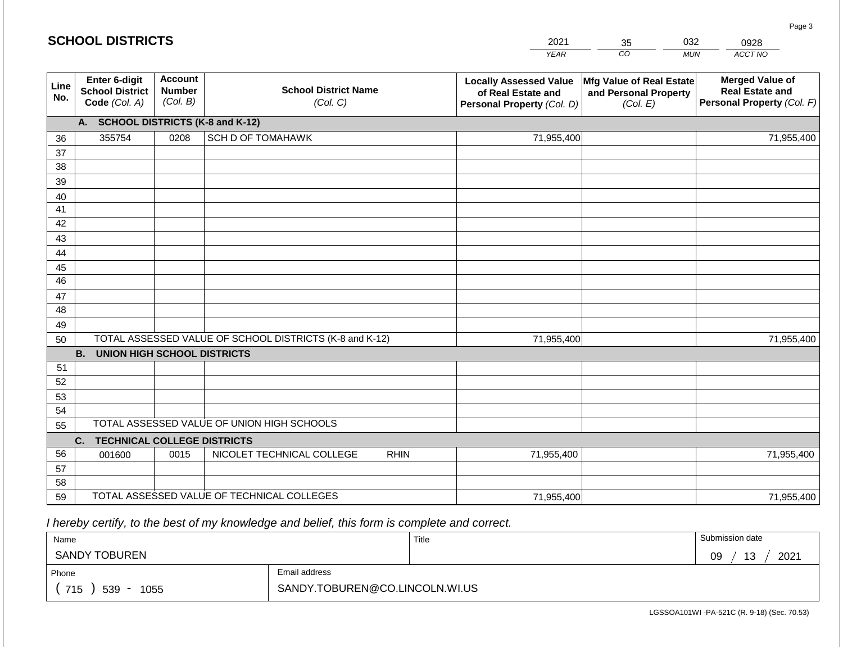|             | <b>SCHOOL DISTRICTS</b>                                  |                                             |                                                         |             | 2021                                                                              | 35                                                            | 032        | 0928                                                                           |
|-------------|----------------------------------------------------------|---------------------------------------------|---------------------------------------------------------|-------------|-----------------------------------------------------------------------------------|---------------------------------------------------------------|------------|--------------------------------------------------------------------------------|
|             |                                                          |                                             |                                                         |             | <b>YEAR</b>                                                                       | CO                                                            | <b>MUN</b> | ACCT NO                                                                        |
| Line<br>No. | Enter 6-digit<br><b>School District</b><br>Code (Col. A) | <b>Account</b><br><b>Number</b><br>(Col. B) | <b>School District Name</b><br>(Col. C)                 |             | <b>Locally Assessed Value</b><br>of Real Estate and<br>Personal Property (Col. D) | Mfg Value of Real Estate<br>and Personal Property<br>(Col. E) |            | <b>Merged Value of</b><br><b>Real Estate and</b><br>Personal Property (Col. F) |
|             | <b>A.</b>                                                |                                             | <b>SCHOOL DISTRICTS (K-8 and K-12)</b>                  |             |                                                                                   |                                                               |            |                                                                                |
| 36          | 355754                                                   | 0208                                        | <b>SCH D OF TOMAHAWK</b>                                |             | 71,955,400                                                                        |                                                               |            | 71,955,400                                                                     |
| 37          |                                                          |                                             |                                                         |             |                                                                                   |                                                               |            |                                                                                |
| 38          |                                                          |                                             |                                                         |             |                                                                                   |                                                               |            |                                                                                |
| 39          |                                                          |                                             |                                                         |             |                                                                                   |                                                               |            |                                                                                |
| 40          |                                                          |                                             |                                                         |             |                                                                                   |                                                               |            |                                                                                |
| 41<br>42    |                                                          |                                             |                                                         |             |                                                                                   |                                                               |            |                                                                                |
| 43          |                                                          |                                             |                                                         |             |                                                                                   |                                                               |            |                                                                                |
| 44          |                                                          |                                             |                                                         |             |                                                                                   |                                                               |            |                                                                                |
| 45          |                                                          |                                             |                                                         |             |                                                                                   |                                                               |            |                                                                                |
| 46          |                                                          |                                             |                                                         |             |                                                                                   |                                                               |            |                                                                                |
| 47          |                                                          |                                             |                                                         |             |                                                                                   |                                                               |            |                                                                                |
| 48          |                                                          |                                             |                                                         |             |                                                                                   |                                                               |            |                                                                                |
| 49          |                                                          |                                             |                                                         |             |                                                                                   |                                                               |            |                                                                                |
| 50          |                                                          |                                             | TOTAL ASSESSED VALUE OF SCHOOL DISTRICTS (K-8 and K-12) |             | 71,955,400                                                                        |                                                               |            | 71,955,400                                                                     |
|             | <b>B. UNION HIGH SCHOOL DISTRICTS</b>                    |                                             |                                                         |             |                                                                                   |                                                               |            |                                                                                |
| 51          |                                                          |                                             |                                                         |             |                                                                                   |                                                               |            |                                                                                |
| 52<br>53    |                                                          |                                             |                                                         |             |                                                                                   |                                                               |            |                                                                                |
| 54          |                                                          |                                             |                                                         |             |                                                                                   |                                                               |            |                                                                                |
| 55          |                                                          |                                             | TOTAL ASSESSED VALUE OF UNION HIGH SCHOOLS              |             |                                                                                   |                                                               |            |                                                                                |
|             | C.<br><b>TECHNICAL COLLEGE DISTRICTS</b>                 |                                             |                                                         |             |                                                                                   |                                                               |            |                                                                                |
| 56          | 001600                                                   | 0015                                        | NICOLET TECHNICAL COLLEGE                               | <b>RHIN</b> | 71,955,400                                                                        |                                                               |            | 71,955,400                                                                     |
| 57          |                                                          |                                             |                                                         |             |                                                                                   |                                                               |            |                                                                                |
| 58          |                                                          |                                             |                                                         |             |                                                                                   |                                                               |            |                                                                                |
| 59          |                                                          |                                             | TOTAL ASSESSED VALUE OF TECHNICAL COLLEGES              | 71,955,400  |                                                                                   |                                                               | 71,955,400 |                                                                                |

 *I hereby certify, to the best of my knowledge and belief, this form is complete and correct.*

| Name                                           |                                | Title | Submission date  |
|------------------------------------------------|--------------------------------|-------|------------------|
| <b>SANDY TOBUREN</b>                           |                                |       | 2021<br>13<br>09 |
| Phone                                          | Email address                  |       |                  |
| 715<br>539<br>1055<br>$\overline{\phantom{a}}$ | SANDY.TOBUREN@CO.LINCOLN.WI.US |       |                  |

LGSSOA101WI -PA-521C (R. 9-18) (Sec. 70.53)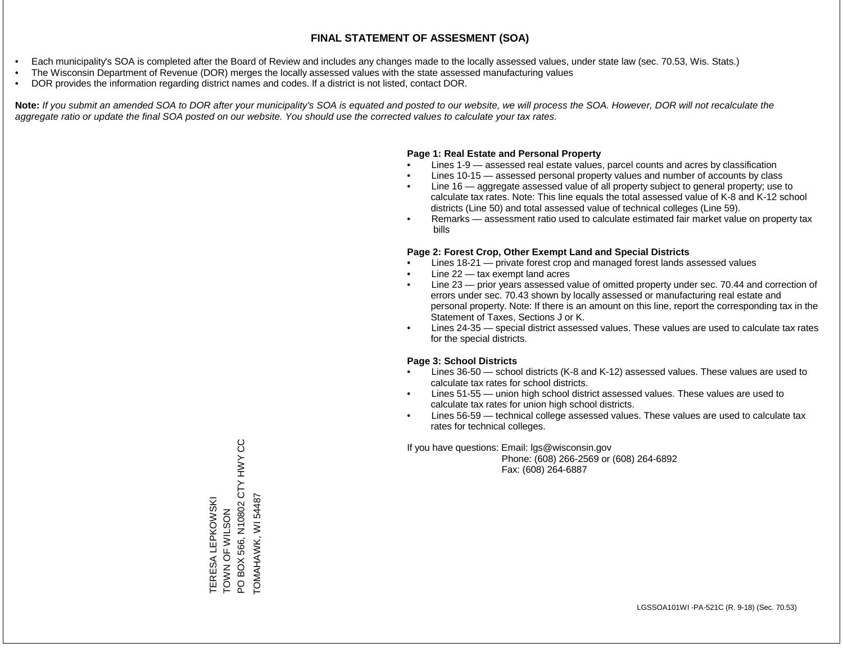- Each municipality's SOA is completed after the Board of Review and includes any changes made to the locally assessed values, under state law (sec. 70.53, Wis. Stats.)
- The Wisconsin Department of Revenue (DOR) merges the locally assessed values with the state assessed manufacturing values
- DOR provides the information regarding district names and codes. If a district is not listed, contact DOR.

Note: If you submit an amended SOA to DOR after your municipality's SOA is equated and posted to our website, we will process the SOA. However, DOR will not recalculate the *aggregate ratio or update the final SOA posted on our website. You should use the corrected values to calculate your tax rates.*

### **Page 1: Real Estate and Personal Property**

- Lines 1-9 assessed real estate values, parcel counts and acres by classification
- Lines 10-15 assessed personal property values and number of accounts by class
- Line 16 aggregate assessed value of all property subject to general property; use to calculate tax rates. Note: This line equals the total assessed value of K-8 and K-12 school districts (Line 50) and total assessed value of technical colleges (Line 59).
- Remarks assessment ratio used to calculate estimated fair market value on property tax bills

### **Page 2: Forest Crop, Other Exempt Land and Special Districts**

- Lines 18-21 private forest crop and managed forest lands assessed values
- Line  $22 -$  tax exempt land acres
- Line 23 prior years assessed value of omitted property under sec. 70.44 and correction of errors under sec. 70.43 shown by locally assessed or manufacturing real estate and personal property. Note: If there is an amount on this line, report the corresponding tax in the Statement of Taxes, Sections J or K.
- Lines 24-35 special district assessed values. These values are used to calculate tax rates for the special districts.

### **Page 3: School Districts**

- Lines 36-50 school districts (K-8 and K-12) assessed values. These values are used to calculate tax rates for school districts.
- Lines 51-55 union high school district assessed values. These values are used to calculate tax rates for union high school districts.
- Lines 56-59 technical college assessed values. These values are used to calculate tax rates for technical colleges.

If you have questions: Email: lgs@wisconsin.gov

 Phone: (608) 266-2569 or (608) 264-6892 Fax: (608) 264-6887

PO BOX 566, N10802 CTY HWY CC PO BOX 566, N10802 CTY HWY CC TOMAHAWK, WI 54487 TOMAHAWK, WI 54487TERESA LEPKOWSKI<br>TOWN OF WILSON TERESA LEPKOWSKI ZOSTS FOR WILSON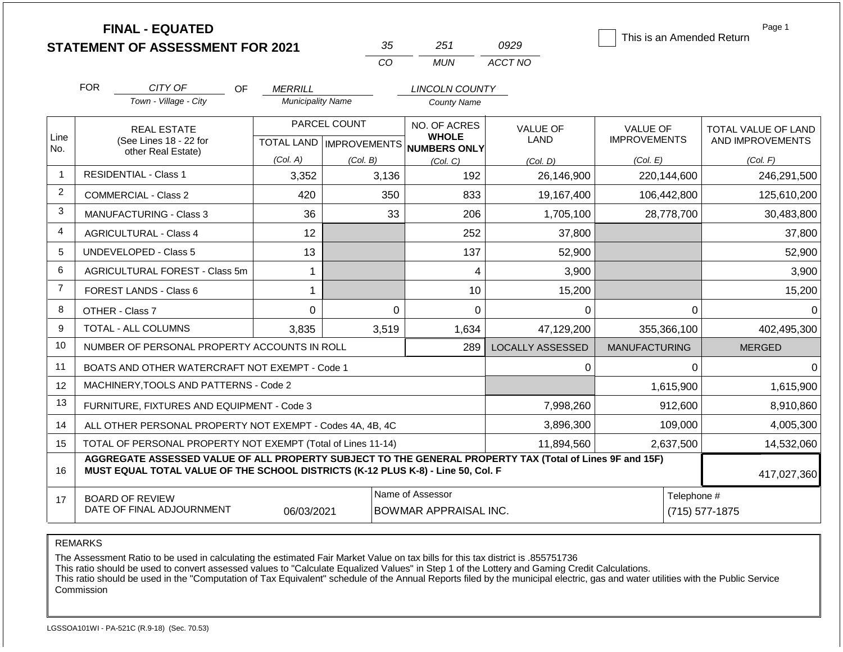|                |                                                                            | <b>FINAL - EQUATED</b>                                                                                                                                                                       |                          |                           |                                                  | 0929                    | This is an Amended Return | Page 1              |
|----------------|----------------------------------------------------------------------------|----------------------------------------------------------------------------------------------------------------------------------------------------------------------------------------------|--------------------------|---------------------------|--------------------------------------------------|-------------------------|---------------------------|---------------------|
|                |                                                                            | <b>STATEMENT OF ASSESSMENT FOR 2021</b>                                                                                                                                                      |                          | 35<br>CO                  | 251<br><b>MUN</b>                                | ACCT NO                 |                           |                     |
|                |                                                                            |                                                                                                                                                                                              |                          |                           |                                                  |                         |                           |                     |
|                | <b>FOR</b>                                                                 | CITY OF<br><b>OF</b>                                                                                                                                                                         | <b>MERRILL</b>           |                           | <b>LINCOLN COUNTY</b>                            |                         |                           |                     |
|                |                                                                            | Town - Village - City                                                                                                                                                                        | <b>Municipality Name</b> |                           | <b>County Name</b>                               |                         |                           |                     |
|                |                                                                            | <b>REAL ESTATE</b>                                                                                                                                                                           |                          | PARCEL COUNT              | NO. OF ACRES                                     | <b>VALUE OF</b>         | <b>VALUE OF</b>           | TOTAL VALUE OF LAND |
| Line<br>No.    |                                                                            | (See Lines 18 - 22 for<br>other Real Estate)                                                                                                                                                 |                          | TOTAL LAND   IMPROVEMENTS | <b>WHOLE</b><br>NUMBERS ONLY                     | LAND                    | <b>IMPROVEMENTS</b>       | AND IMPROVEMENTS    |
|                |                                                                            |                                                                                                                                                                                              | (Col. A)                 | (Col. B)                  | (Col, C)                                         | (Col. D)                | (Col. E)                  | (Col. F)            |
| -1             |                                                                            | <b>RESIDENTIAL - Class 1</b>                                                                                                                                                                 | 3,352                    | 3,136                     | 192                                              | 26,146,900              | 220,144,600               | 246,291,500         |
| $\overline{2}$ |                                                                            | <b>COMMERCIAL - Class 2</b>                                                                                                                                                                  | 420                      | 350                       | 833                                              | 19,167,400              | 106,442,800               | 125,610,200         |
| 3              |                                                                            | <b>MANUFACTURING - Class 3</b>                                                                                                                                                               | 36                       |                           | 33<br>206                                        | 1,705,100               | 28,778,700                | 30,483,800          |
| 4              |                                                                            | <b>AGRICULTURAL - Class 4</b>                                                                                                                                                                | 12                       |                           | 252                                              | 37,800                  |                           | 37,800              |
| 5              |                                                                            | UNDEVELOPED - Class 5                                                                                                                                                                        | 13                       |                           | 137                                              | 52,900                  |                           | 52,900              |
| 6              |                                                                            | AGRICULTURAL FOREST - Class 5m                                                                                                                                                               | 1                        |                           | 4                                                | 3,900                   |                           | 3,900               |
| $\overline{7}$ |                                                                            | <b>FOREST LANDS - Class 6</b>                                                                                                                                                                | 1                        |                           | 10                                               | 15,200                  |                           | 15,200              |
| 8              |                                                                            | OTHER - Class 7                                                                                                                                                                              | $\Omega$                 |                           | $\Omega$<br>$\Omega$                             | $\Omega$                | $\Omega$                  | $\Omega$            |
| 9              |                                                                            | <b>TOTAL - ALL COLUMNS</b>                                                                                                                                                                   | 3,835                    | 3,519                     | 1,634                                            | 47,129,200              | 355,366,100               | 402,495,300         |
| 10             |                                                                            | NUMBER OF PERSONAL PROPERTY ACCOUNTS IN ROLL                                                                                                                                                 |                          |                           | 289                                              | <b>LOCALLY ASSESSED</b> | <b>MANUFACTURING</b>      | <b>MERGED</b>       |
| 11             |                                                                            | BOATS AND OTHER WATERCRAFT NOT EXEMPT - Code 1                                                                                                                                               |                          |                           |                                                  | 0                       | $\Omega$                  | $\Omega$            |
| 12             |                                                                            | MACHINERY, TOOLS AND PATTERNS - Code 2                                                                                                                                                       |                          |                           |                                                  |                         | 1,615,900                 | 1,615,900           |
| 13             |                                                                            | FURNITURE, FIXTURES AND EQUIPMENT - Code 3                                                                                                                                                   |                          |                           |                                                  | 7,998,260               | 912,600                   | 8,910,860           |
| 14             |                                                                            | ALL OTHER PERSONAL PROPERTY NOT EXEMPT - Codes 4A, 4B, 4C                                                                                                                                    |                          |                           |                                                  | 3,896,300               | 109,000                   | 4,005,300           |
| 15             | TOTAL OF PERSONAL PROPERTY NOT EXEMPT (Total of Lines 11-14)<br>11,894,560 |                                                                                                                                                                                              |                          |                           |                                                  |                         |                           | 14,532,060          |
| 16             |                                                                            | AGGREGATE ASSESSED VALUE OF ALL PROPERTY SUBJECT TO THE GENERAL PROPERTY TAX (Total of Lines 9F and 15F)<br>MUST EQUAL TOTAL VALUE OF THE SCHOOL DISTRICTS (K-12 PLUS K-8) - Line 50, Col. F |                          |                           |                                                  |                         |                           | 417,027,360         |
| 17             |                                                                            | <b>BOARD OF REVIEW</b><br>DATE OF FINAL ADJOURNMENT                                                                                                                                          | 06/03/2021               |                           | Name of Assessor<br><b>BOWMAR APPRAISAL INC.</b> |                         | Telephone #               | $(715)$ 577-1875    |

The Assessment Ratio to be used in calculating the estimated Fair Market Value on tax bills for this tax district is .855751736

This ratio should be used to convert assessed values to "Calculate Equalized Values" in Step 1 of the Lottery and Gaming Credit Calculations.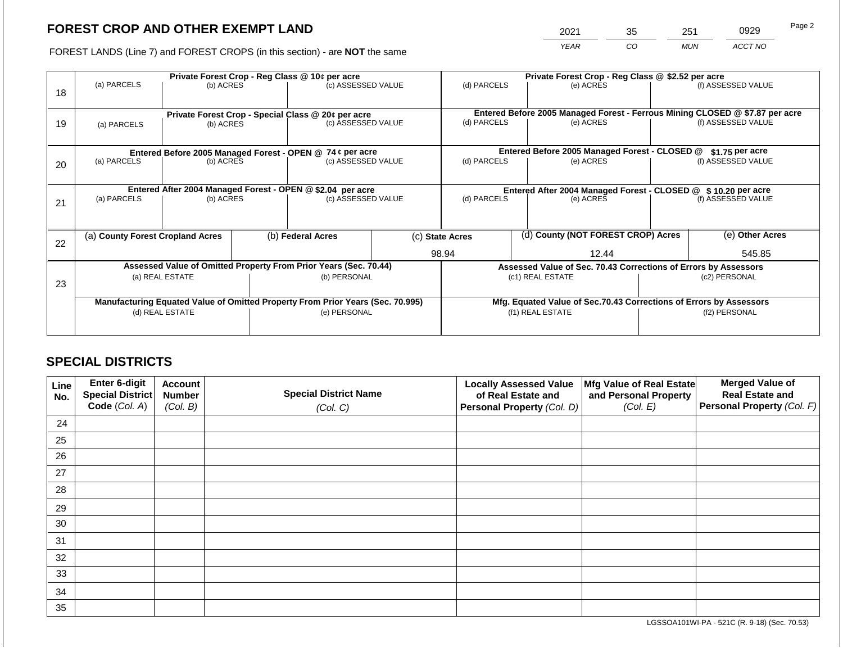2021 35 251 0929

FOREST LANDS (Line 7) and FOREST CROPS (in this section) - are **NOT** the same *YEAR CO MUN ACCT NO*

| 18 | (a) PARCELS                                                                      | (b) ACRES       |                                 | Private Forest Crop - Reg Class @ 10¢ per acre<br>(c) ASSESSED VALUE | (d) PARCELS                                   |                                                                 | Private Forest Crop - Reg Class @ \$2.52 per acre<br>(e) ACRES |                                                                    | (f) ASSESSED VALUE |                    |  |                                                                                                    |
|----|----------------------------------------------------------------------------------|-----------------|---------------------------------|----------------------------------------------------------------------|-----------------------------------------------|-----------------------------------------------------------------|----------------------------------------------------------------|--------------------------------------------------------------------|--------------------|--------------------|--|----------------------------------------------------------------------------------------------------|
| 19 | (a) PARCELS                                                                      |                 | (c) ASSESSED VALUE              |                                                                      |                                               | Private Forest Crop - Special Class @ 20¢ per acre<br>(b) ACRES |                                                                | (d) PARCELS                                                        |                    | (e) ACRES          |  | Entered Before 2005 Managed Forest - Ferrous Mining CLOSED @ \$7.87 per acre<br>(f) ASSESSED VALUE |
|    | Entered Before 2005 Managed Forest - OPEN @ 74 ¢ per acre                        |                 |                                 |                                                                      | Entered Before 2005 Managed Forest - CLOSED @ |                                                                 | $$1.75$ per acre                                               |                                                                    |                    |                    |  |                                                                                                    |
| 20 | (a) PARCELS                                                                      |                 | (b) ACRES<br>(c) ASSESSED VALUE |                                                                      |                                               | (d) PARCELS<br>(e) ACRES                                        |                                                                |                                                                    |                    | (f) ASSESSED VALUE |  |                                                                                                    |
|    | Entered After 2004 Managed Forest - OPEN @ \$2.04 per acre<br>(c) ASSESSED VALUE |                 |                                 |                                                                      |                                               |                                                                 |                                                                | Entered After 2004 Managed Forest - CLOSED @ \$10.20 per acre      |                    |                    |  |                                                                                                    |
| 21 | (a) PARCELS                                                                      | (b) ACRES       |                                 |                                                                      |                                               | (d) PARCELS                                                     |                                                                | (e) ACRES                                                          |                    | (f) ASSESSED VALUE |  |                                                                                                    |
|    |                                                                                  |                 |                                 |                                                                      |                                               |                                                                 |                                                                |                                                                    |                    |                    |  |                                                                                                    |
| 22 | (a) County Forest Cropland Acres                                                 |                 |                                 | (b) Federal Acres                                                    |                                               | (d) County (NOT FOREST CROP) Acres<br>(c) State Acres           |                                                                |                                                                    | (e) Other Acres    |                    |  |                                                                                                    |
|    |                                                                                  |                 |                                 |                                                                      |                                               | 98.94                                                           |                                                                | 12.44                                                              |                    | 545.85             |  |                                                                                                    |
|    |                                                                                  |                 |                                 | Assessed Value of Omitted Property From Prior Years (Sec. 70.44)     |                                               |                                                                 |                                                                | Assessed Value of Sec. 70.43 Corrections of Errors by Assessors    |                    |                    |  |                                                                                                    |
| 23 |                                                                                  | (a) REAL ESTATE |                                 | (b) PERSONAL                                                         |                                               |                                                                 |                                                                | (c1) REAL ESTATE                                                   | (c2) PERSONAL      |                    |  |                                                                                                    |
|    | Manufacturing Equated Value of Omitted Property From Prior Years (Sec. 70.995)   |                 |                                 |                                                                      |                                               |                                                                 |                                                                | Mfg. Equated Value of Sec.70.43 Corrections of Errors by Assessors |                    |                    |  |                                                                                                    |
|    |                                                                                  | (d) REAL ESTATE |                                 | (e) PERSONAL                                                         |                                               |                                                                 | (f1) REAL ESTATE                                               |                                                                    | (f2) PERSONAL      |                    |  |                                                                                                    |
|    |                                                                                  |                 |                                 |                                                                      |                                               |                                                                 |                                                                |                                                                    |                    |                    |  |                                                                                                    |

## **SPECIAL DISTRICTS**

| Line<br>No. | <b>Enter 6-digit</b><br>Special District | <b>Account</b><br><b>Number</b> | <b>Special District Name</b> | <b>Locally Assessed Value</b><br>of Real Estate and | Mfg Value of Real Estate<br>and Personal Property | <b>Merged Value of</b><br><b>Real Estate and</b> |
|-------------|------------------------------------------|---------------------------------|------------------------------|-----------------------------------------------------|---------------------------------------------------|--------------------------------------------------|
|             | Code (Col. A)                            | (Col. B)                        | (Col. C)                     | Personal Property (Col. D)                          | (Col. E)                                          | <b>Personal Property (Col. F)</b>                |
| 24          |                                          |                                 |                              |                                                     |                                                   |                                                  |
| 25          |                                          |                                 |                              |                                                     |                                                   |                                                  |
| 26          |                                          |                                 |                              |                                                     |                                                   |                                                  |
| 27          |                                          |                                 |                              |                                                     |                                                   |                                                  |
| 28          |                                          |                                 |                              |                                                     |                                                   |                                                  |
| 29          |                                          |                                 |                              |                                                     |                                                   |                                                  |
| 30          |                                          |                                 |                              |                                                     |                                                   |                                                  |
| 31          |                                          |                                 |                              |                                                     |                                                   |                                                  |
| 32          |                                          |                                 |                              |                                                     |                                                   |                                                  |
| 33          |                                          |                                 |                              |                                                     |                                                   |                                                  |
| 34          |                                          |                                 |                              |                                                     |                                                   |                                                  |
| 35          |                                          |                                 |                              |                                                     |                                                   |                                                  |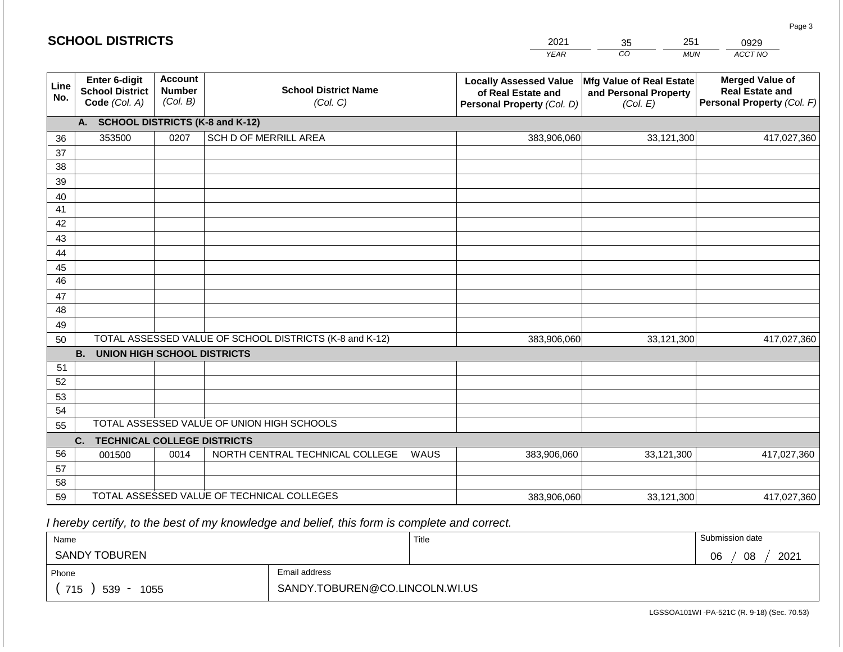#### *YEAR*  2021  $\overline{co}$ 35 *MUN*  251 *ACCT NO*  0929 **Line No. Enter 6-digit School District Code** *(Col. A)* **Account Number** *(Col. B)* **School District Name** *(Col. C)* **Locally Assessed Value of Real Estate and Personal Property** *(Col. D)* **Mfg Value of Real Estate and Personal Property** *(Col. E)* **Merged Value of Real Estate and Personal Property** *(Col. F)* **A. SCHOOL DISTRICTS (K-8 and K-12)** 36 37 38 39 40 41 42 43 44 45 46 47 48 49 50 TOTAL ASSESSED VALUE OF SCHOOL DISTRICTS (K-8 and K-12) **B. UNION HIGH SCHOOL DISTRICTS** 51 52 53 54 55 **C. TECHNICAL COLLEGE DISTRICTS** 56 57 58 59 TOTAL ASSESSED VALUE OF TECHNICAL COLLEGES TOTAL ASSESSED VALUE OF UNION HIGH SCHOOLS 353500 0207 SCH D OF MERRILL AREA 383,906,060 383,906,060 001500 | 0014 | NORTH CENTRAL TECHNICAL COLLEGE WAUS 383,906,060 33,121,300 417,027,360 33,121,300 417,027,360 33,121,300 417,027,360 383,906,060 33,121,300 417,027,360

 *I hereby certify, to the best of my knowledge and belief, this form is complete and correct.*

| Name                                           |                                | Title | Submission date  |
|------------------------------------------------|--------------------------------|-------|------------------|
| <b>SANDY TOBUREN</b>                           |                                |       | 2021<br>08<br>06 |
| Phone                                          | Email address                  |       |                  |
| 715<br>539<br>1055<br>$\overline{\phantom{0}}$ | SANDY.TOBUREN@CO.LINCOLN.WI.US |       |                  |

LGSSOA101WI -PA-521C (R. 9-18) (Sec. 70.53)

| <b>SCHOOL DISTRICTS</b> |  |
|-------------------------|--|
|-------------------------|--|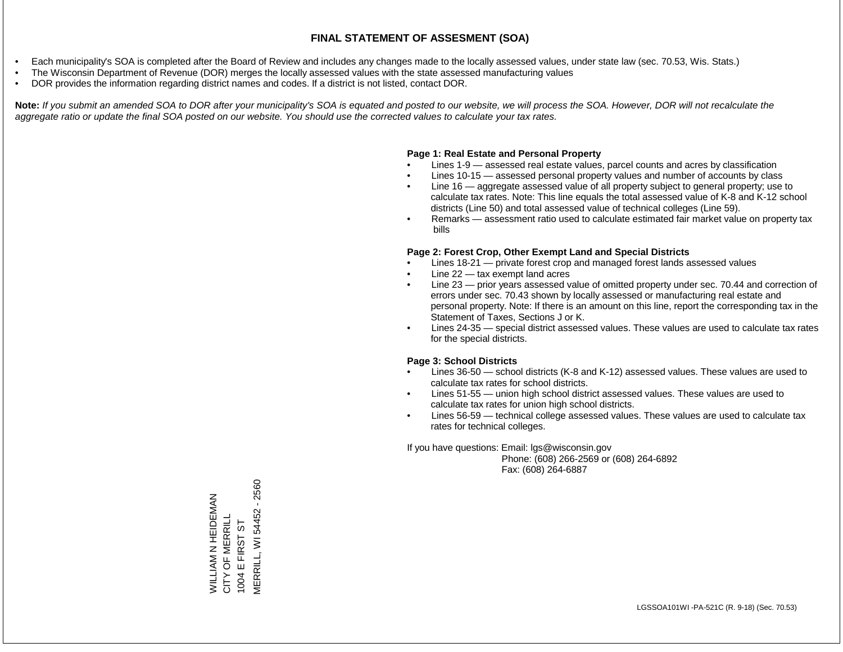- Each municipality's SOA is completed after the Board of Review and includes any changes made to the locally assessed values, under state law (sec. 70.53, Wis. Stats.)
- The Wisconsin Department of Revenue (DOR) merges the locally assessed values with the state assessed manufacturing values
- DOR provides the information regarding district names and codes. If a district is not listed, contact DOR.

Note: If you submit an amended SOA to DOR after your municipality's SOA is equated and posted to our website, we will process the SOA. However, DOR will not recalculate the *aggregate ratio or update the final SOA posted on our website. You should use the corrected values to calculate your tax rates.*

#### **Page 1: Real Estate and Personal Property**

- Lines 1-9 assessed real estate values, parcel counts and acres by classification
- Lines 10-15 assessed personal property values and number of accounts by class
- Line 16 aggregate assessed value of all property subject to general property; use to calculate tax rates. Note: This line equals the total assessed value of K-8 and K-12 school districts (Line 50) and total assessed value of technical colleges (Line 59).
- Remarks assessment ratio used to calculate estimated fair market value on property tax bills

#### **Page 2: Forest Crop, Other Exempt Land and Special Districts**

- Lines 18-21 private forest crop and managed forest lands assessed values
- Line  $22 -$  tax exempt land acres
- Line 23 prior years assessed value of omitted property under sec. 70.44 and correction of errors under sec. 70.43 shown by locally assessed or manufacturing real estate and personal property. Note: If there is an amount on this line, report the corresponding tax in the Statement of Taxes, Sections J or K.
- Lines 24-35 special district assessed values. These values are used to calculate tax rates for the special districts.

#### **Page 3: School Districts**

- Lines 36-50 school districts (K-8 and K-12) assessed values. These values are used to calculate tax rates for school districts.
- Lines 51-55 union high school district assessed values. These values are used to calculate tax rates for union high school districts.
- Lines 56-59 technical college assessed values. These values are used to calculate tax rates for technical colleges.

If you have questions: Email: lgs@wisconsin.gov

 Phone: (608) 266-2569 or (608) 264-6892 Fax: (608) 264-6887

**MERRILL, WI 54452 - 2560** MERRILL, WI 54452 - 2560WILLIAM N HEIDEMAN<br>CITY OF MERRILL WILLIAM N HEIDEMAN CITY OF MERRILL 57 1004 E FIRST ST E FIRST<sub>S</sub> 1004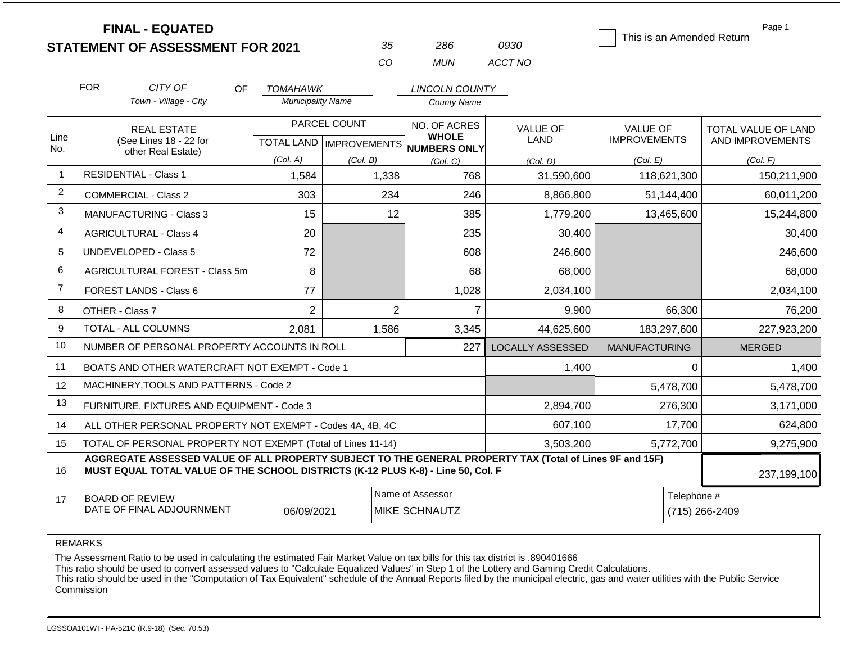|                |                                                                   | <b>FINAL - EQUATED</b><br><b>STATEMENT OF ASSESSMENT FOR 2021</b>                                                                                                                                           |                          | 35       | 286                                                  | 0930                    | This is an Amended Return | Page 1                        |  |
|----------------|-------------------------------------------------------------------|-------------------------------------------------------------------------------------------------------------------------------------------------------------------------------------------------------------|--------------------------|----------|------------------------------------------------------|-------------------------|---------------------------|-------------------------------|--|
|                |                                                                   |                                                                                                                                                                                                             |                          | CO       | <b>MUN</b>                                           | ACCT NO                 |                           |                               |  |
|                | <b>FOR</b>                                                        | CITY OF<br>OF.                                                                                                                                                                                              | <b>TOMAHAWK</b>          |          | <b>LINCOLN COUNTY</b>                                |                         |                           |                               |  |
|                |                                                                   | Town - Village - City                                                                                                                                                                                       | <b>Municipality Name</b> |          | <b>County Name</b>                                   |                         |                           |                               |  |
|                |                                                                   | <b>REAL ESTATE</b><br>(See Lines 18 - 22 for                                                                                                                                                                | PARCEL COUNT             |          | NO. OF ACRES                                         | <b>VALUE OF</b>         | VALUE OF                  | TOTAL VALUE OF LAND           |  |
| Line<br>No.    |                                                                   |                                                                                                                                                                                                             |                          |          | <b>WHOLE</b><br>TOTAL LAND IMPROVEMENTS NUMBERS ONLY | LAND                    | <b>IMPROVEMENTS</b>       | AND IMPROVEMENTS              |  |
|                |                                                                   | other Real Estate)                                                                                                                                                                                          | (Col. A)                 | (Col. B) | (Col, C)                                             | (Col, D)                | (Col. E)                  | (Col. F)                      |  |
| $\mathbf{1}$   |                                                                   | <b>RESIDENTIAL - Class 1</b>                                                                                                                                                                                | 1,584                    | 1,338    | 768                                                  | 31,590,600              | 118,621,300               | 150,211,900                   |  |
| $\overline{2}$ |                                                                   | <b>COMMERCIAL - Class 2</b>                                                                                                                                                                                 | 303                      | 234      | 246                                                  | 8,866,800               | 51,144,400                | 60,011,200                    |  |
| 3              |                                                                   | <b>MANUFACTURING - Class 3</b>                                                                                                                                                                              | 15                       | 12       | 385                                                  | 1,779,200               | 13,465,600                | 15,244,800                    |  |
| 4              |                                                                   | <b>AGRICULTURAL - Class 4</b>                                                                                                                                                                               | 20                       |          | 235                                                  | 30,400                  |                           | 30,400                        |  |
| 5              |                                                                   | <b>UNDEVELOPED - Class 5</b>                                                                                                                                                                                | 72                       |          | 608                                                  | 246,600                 |                           | 246,600                       |  |
| 6              |                                                                   | AGRICULTURAL FOREST - Class 5m                                                                                                                                                                              | 8                        |          | 68                                                   | 68,000                  |                           | 68,000                        |  |
| $\overline{7}$ |                                                                   | FOREST LANDS - Class 6                                                                                                                                                                                      | 77                       |          | 1,028                                                | 2,034,100               |                           | 2,034,100                     |  |
| 8              | OTHER - Class 7                                                   |                                                                                                                                                                                                             | $\overline{2}$           |          | $\overline{2}$<br>$\overline{7}$                     | 9,900                   | 66,300                    | 76,200                        |  |
| 9              |                                                                   | <b>TOTAL - ALL COLUMNS</b>                                                                                                                                                                                  | 2,081                    | 1,586    | 3,345                                                | 44,625,600              | 183,297,600               | 227,923,200                   |  |
| 10             | NUMBER OF PERSONAL PROPERTY ACCOUNTS IN ROLL                      |                                                                                                                                                                                                             |                          |          | 227                                                  | <b>LOCALLY ASSESSED</b> | <b>MANUFACTURING</b>      | <b>MERGED</b>                 |  |
| 11             |                                                                   | BOATS AND OTHER WATERCRAFT NOT EXEMPT - Code 1                                                                                                                                                              |                          |          |                                                      | 1,400                   | 0                         | 1,400                         |  |
| 12             |                                                                   | MACHINERY, TOOLS AND PATTERNS - Code 2                                                                                                                                                                      |                          |          |                                                      |                         | 5,478,700                 | 5,478,700                     |  |
| 13             | FURNITURE, FIXTURES AND EQUIPMENT - Code 3                        |                                                                                                                                                                                                             |                          |          |                                                      | 2,894,700               | 276,300                   | 3,171,000                     |  |
| 14             | ALL OTHER PERSONAL PROPERTY NOT EXEMPT - Codes 4A, 4B, 4C         |                                                                                                                                                                                                             |                          |          |                                                      | 607,100                 | 17,700                    | 624,800                       |  |
| 15             | TOTAL OF PERSONAL PROPERTY NOT EXEMPT (Total of Lines 11-14)      |                                                                                                                                                                                                             |                          |          |                                                      | 3,503,200               | 5,772,700                 | 9,275,900                     |  |
| 16             |                                                                   | AGGREGATE ASSESSED VALUE OF ALL PROPERTY SUBJECT TO THE GENERAL PROPERTY TAX (Total of Lines 9F and 15F)<br>MUST EQUAL TOTAL VALUE OF THE SCHOOL DISTRICTS (K-12 PLUS K-8) - Line 50, Col. F<br>237,199,100 |                          |          |                                                      |                         |                           |                               |  |
| 17             | <b>BOARD OF REVIEW</b><br>DATE OF FINAL ADJOURNMENT<br>06/09/2021 |                                                                                                                                                                                                             |                          |          | Name of Assessor<br><b>MIKE SCHNAUTZ</b>             |                         |                           | Telephone #<br>(715) 266-2409 |  |

The Assessment Ratio to be used in calculating the estimated Fair Market Value on tax bills for this tax district is .890401666

This ratio should be used to convert assessed values to "Calculate Equalized Values" in Step 1 of the Lottery and Gaming Credit Calculations.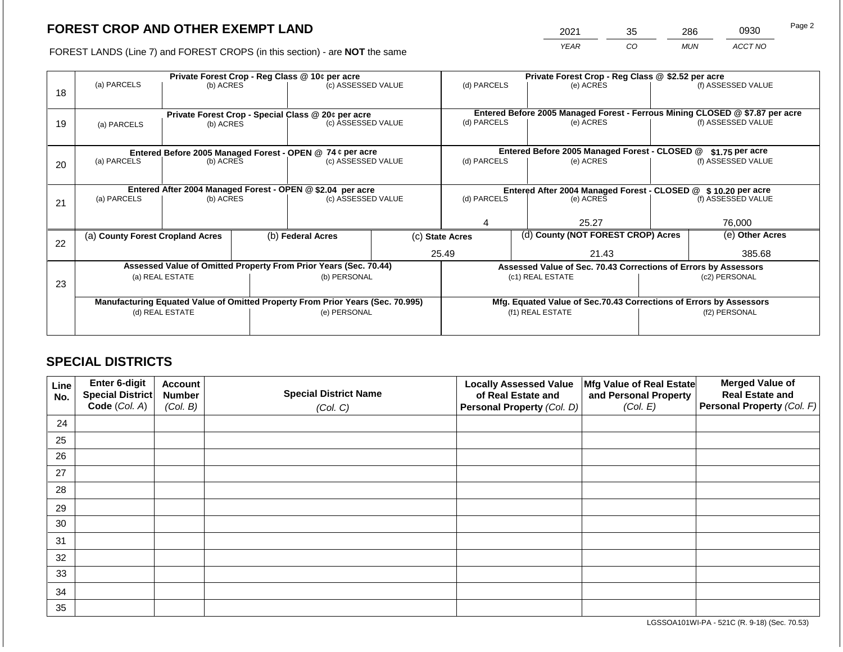2021 35 286 0930

FOREST LANDS (Line 7) and FOREST CROPS (in this section) - are **NOT** the same *YEAR CO MUN ACCT NO*

|    | Private Forest Crop - Reg Class @ 10¢ per acre                                 |                                                    |  |                                                           |                                                                              | Private Forest Crop - Reg Class @ \$2.52 per acre                  |                    |                 |  |                    |
|----|--------------------------------------------------------------------------------|----------------------------------------------------|--|-----------------------------------------------------------|------------------------------------------------------------------------------|--------------------------------------------------------------------|--------------------|-----------------|--|--------------------|
| 18 | (a) PARCELS                                                                    | (b) ACRES                                          |  | (c) ASSESSED VALUE                                        |                                                                              | (d) PARCELS                                                        |                    | (e) ACRES       |  | (f) ASSESSED VALUE |
|    |                                                                                |                                                    |  |                                                           |                                                                              |                                                                    |                    |                 |  |                    |
|    |                                                                                | Private Forest Crop - Special Class @ 20¢ per acre |  |                                                           | Entered Before 2005 Managed Forest - Ferrous Mining CLOSED @ \$7.87 per acre |                                                                    |                    |                 |  |                    |
| 19 | (a) PARCELS                                                                    | (b) ACRES                                          |  | (c) ASSESSED VALUE                                        |                                                                              | (d) PARCELS                                                        |                    | (e) ACRES       |  | (f) ASSESSED VALUE |
|    |                                                                                |                                                    |  |                                                           |                                                                              |                                                                    |                    |                 |  |                    |
|    |                                                                                |                                                    |  | Entered Before 2005 Managed Forest - OPEN @ 74 ¢ per acre |                                                                              | Entered Before 2005 Managed Forest - CLOSED @<br>\$1.75 per acre   |                    |                 |  |                    |
| 20 | (a) PARCELS                                                                    | (b) ACRES                                          |  | (c) ASSESSED VALUE                                        |                                                                              | (d) PARCELS                                                        |                    | (e) ACRES       |  | (f) ASSESSED VALUE |
|    |                                                                                |                                                    |  |                                                           |                                                                              |                                                                    |                    |                 |  |                    |
|    | Entered After 2004 Managed Forest - OPEN @ \$2.04 per acre                     |                                                    |  |                                                           |                                                                              | Entered After 2004 Managed Forest - CLOSED @ \$ 10.20 per acre     |                    |                 |  |                    |
| 21 | (a) PARCELS                                                                    | (c) ASSESSED VALUE<br>(b) ACRES                    |  |                                                           | (d) PARCELS<br>(e) ACRES                                                     |                                                                    | (f) ASSESSED VALUE |                 |  |                    |
|    |                                                                                |                                                    |  |                                                           |                                                                              |                                                                    |                    |                 |  |                    |
|    |                                                                                |                                                    |  |                                                           |                                                                              |                                                                    |                    | 25.27           |  | 76,000             |
| 22 | (a) County Forest Cropland Acres                                               |                                                    |  | (b) Federal Acres<br>(c) State Acres                      |                                                                              | (d) County (NOT FOREST CROP) Acres                                 |                    | (e) Other Acres |  |                    |
|    |                                                                                |                                                    |  |                                                           |                                                                              | 25.49<br>21.43                                                     |                    |                 |  | 385.68             |
|    | Assessed Value of Omitted Property From Prior Years (Sec. 70.44)               |                                                    |  |                                                           |                                                                              | Assessed Value of Sec. 70.43 Corrections of Errors by Assessors    |                    |                 |  |                    |
|    | (a) REAL ESTATE                                                                | (b) PERSONAL                                       |  | (c1) REAL ESTATE                                          |                                                                              |                                                                    |                    | (c2) PERSONAL   |  |                    |
| 23 |                                                                                |                                                    |  |                                                           |                                                                              |                                                                    |                    |                 |  |                    |
|    | Manufacturing Equated Value of Omitted Property From Prior Years (Sec. 70.995) |                                                    |  |                                                           |                                                                              | Mfg. Equated Value of Sec.70.43 Corrections of Errors by Assessors |                    |                 |  |                    |
|    | (d) REAL ESTATE                                                                |                                                    |  | (e) PERSONAL                                              |                                                                              | (f1) REAL ESTATE                                                   |                    | (f2) PERSONAL   |  |                    |
|    |                                                                                |                                                    |  |                                                           |                                                                              |                                                                    |                    |                 |  |                    |
|    |                                                                                |                                                    |  |                                                           |                                                                              |                                                                    |                    |                 |  |                    |

## **SPECIAL DISTRICTS**

| Line<br>No. | Enter 6-digit<br><b>Special District</b><br>Code (Col. A) | <b>Account</b><br><b>Number</b><br>(Col. B) | <b>Special District Name</b><br>(Col. C) | <b>Locally Assessed Value</b><br>of Real Estate and<br>Personal Property (Col. D) | Mfg Value of Real Estate<br>and Personal Property<br>(Col. E) | <b>Merged Value of</b><br><b>Real Estate and</b><br>Personal Property (Col. F) |
|-------------|-----------------------------------------------------------|---------------------------------------------|------------------------------------------|-----------------------------------------------------------------------------------|---------------------------------------------------------------|--------------------------------------------------------------------------------|
| 24          |                                                           |                                             |                                          |                                                                                   |                                                               |                                                                                |
|             |                                                           |                                             |                                          |                                                                                   |                                                               |                                                                                |
| 25          |                                                           |                                             |                                          |                                                                                   |                                                               |                                                                                |
| 26          |                                                           |                                             |                                          |                                                                                   |                                                               |                                                                                |
| 27          |                                                           |                                             |                                          |                                                                                   |                                                               |                                                                                |
| 28          |                                                           |                                             |                                          |                                                                                   |                                                               |                                                                                |
| 29          |                                                           |                                             |                                          |                                                                                   |                                                               |                                                                                |
| 30          |                                                           |                                             |                                          |                                                                                   |                                                               |                                                                                |
| 31          |                                                           |                                             |                                          |                                                                                   |                                                               |                                                                                |
| 32          |                                                           |                                             |                                          |                                                                                   |                                                               |                                                                                |
| 33          |                                                           |                                             |                                          |                                                                                   |                                                               |                                                                                |
| 34          |                                                           |                                             |                                          |                                                                                   |                                                               |                                                                                |
| 35          |                                                           |                                             |                                          |                                                                                   |                                                               |                                                                                |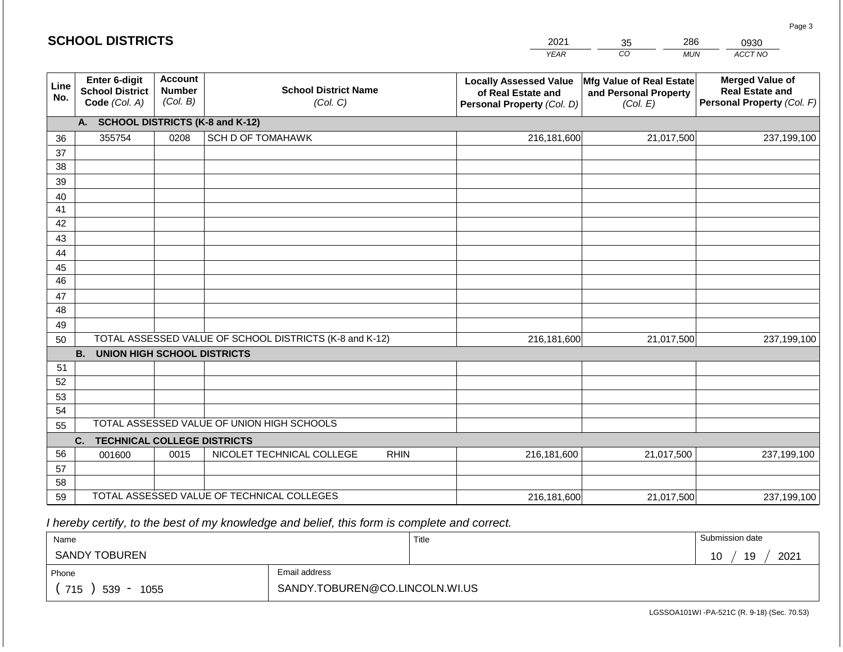#### *YEAR CO MUN*   $\overline{10}$ **SCHOOL DISTRICTS Line No. Enter 6-digit School District Code** *(Col. A)* **Account Number** *(Col. B)* **School District Name** *(Col. C)* **Locally Assessed Value of Real Estate and Personal Property** *(Col. D)* **Mfg Value of Real Estate and Personal Property** *(Col. E)* **Merged Value of Real Estate and Personal Property** *(Col. F)* **A. SCHOOL DISTRICTS (K-8 and K-12)** 36 37 38 39 40 41 42 43 44 45 46 47 48 49 50 TOTAL ASSESSED VALUE OF SCHOOL DISTRICTS (K-8 and K-12) **B. UNION HIGH SCHOOL DISTRICTS** 51 52 53 54 55 **C. TECHNICAL COLLEGE DISTRICTS** 56 57 58 59 TOTAL ASSESSED VALUE OF TECHNICAL COLLEGES TOTAL ASSESSED VALUE OF UNION HIGH SCHOOLS 355754 0208 SCH D OF TOMAHAWK 216,181,600 216,181,600 001600 | 0015 | NICOLET TECHNICAL COLLEGE RHIN 216,181,600 21,017,500 237,199,100 21,017,500 237,199,100 21,017,500 237,199,100 216,181,600 21,017,500 237,199,100

 *I hereby certify, to the best of my knowledge and belief, this form is complete and correct.*

| Name                 |                                | Title | Submission date  |
|----------------------|--------------------------------|-------|------------------|
| <b>SANDY TOBUREN</b> |                                |       | 2021<br>19<br>10 |
| Phone                | Email address                  |       |                  |
| 715<br>539<br>1055   | SANDY.TOBUREN@CO.LINCOLN.WI.US |       |                  |

LGSSOA101WI -PA-521C (R. 9-18) (Sec. 70.53)

| L DISTRICTS |  |
|-------------|--|
|-------------|--|

| 2021        | 35 | 286 | 0930   |  |
|-------------|----|-----|--------|--|
| <b>YFAR</b> | CО | MUN | ACCT N |  |